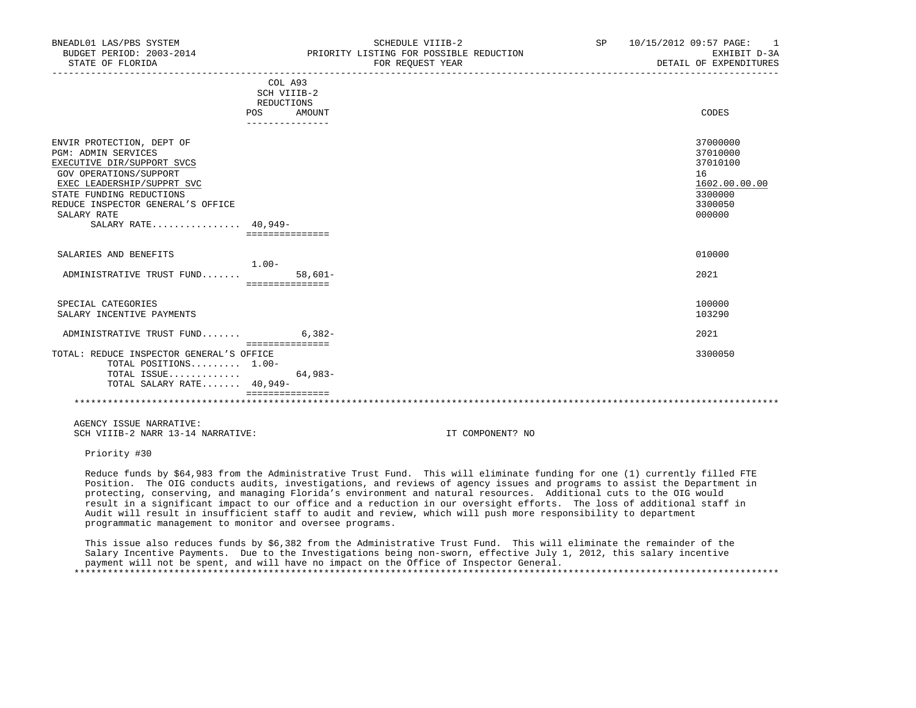| BNEADL01 LAS/PBS SYSTEM<br>BUDGET PERIOD: 2003-2014     |                                  | SCHEDULE VIIIB-2<br>PRIORITY LISTING FOR POSSIBLE REDUCTION | SP | 10/15/2012 09:57 PAGE: 1<br>EXHIBIT D-3A |
|---------------------------------------------------------|----------------------------------|-------------------------------------------------------------|----|------------------------------------------|
| STATE OF FLORIDA                                        |                                  | FOR REOUEST YEAR                                            |    | DETAIL OF EXPENDITURES                   |
|                                                         | COL A93                          |                                                             |    |                                          |
|                                                         | SCH VIIIB-2                      |                                                             |    |                                          |
|                                                         | REDUCTIONS                       |                                                             |    |                                          |
|                                                         | POS<br>AMOUNT<br>_______________ |                                                             |    | CODES                                    |
|                                                         |                                  |                                                             |    |                                          |
| ENVIR PROTECTION, DEPT OF<br><b>PGM: ADMIN SERVICES</b> |                                  |                                                             |    | 37000000<br>37010000                     |
|                                                         |                                  |                                                             |    | 37010100                                 |
| EXECUTIVE DIR/SUPPORT SVCS                              |                                  |                                                             |    |                                          |
| GOV OPERATIONS/SUPPORT                                  |                                  |                                                             |    | 16                                       |
| EXEC LEADERSHIP/SUPPRT SVC                              |                                  |                                                             |    | 1602.00.00.00                            |
| STATE FUNDING REDUCTIONS                                |                                  |                                                             |    | 3300000                                  |
| REDUCE INSPECTOR GENERAL'S OFFICE                       |                                  |                                                             |    | 3300050                                  |
| SALARY RATE                                             |                                  |                                                             |    | 000000                                   |
| SALARY RATE 40,949-                                     |                                  |                                                             |    |                                          |
|                                                         | ===============                  |                                                             |    |                                          |
| SALARIES AND BENEFITS                                   |                                  |                                                             |    | 010000                                   |
|                                                         | $1.00 -$                         |                                                             |    |                                          |
| ADMINISTRATIVE TRUST FUND                               | $58,601-$                        |                                                             |    | 2021                                     |
|                                                         | ===============                  |                                                             |    |                                          |
| SPECIAL CATEGORIES                                      |                                  |                                                             |    | 100000                                   |
| SALARY INCENTIVE PAYMENTS                               |                                  |                                                             |    | 103290                                   |
|                                                         |                                  |                                                             |    |                                          |
| ADMINISTRATIVE TRUST FUND                               | $6.382-$                         |                                                             |    | 2021                                     |
| TOTAL: REDUCE INSPECTOR GENERAL'S OFFICE                | ===============                  |                                                             |    | 3300050                                  |
| TOTAL POSITIONS 1.00-                                   |                                  |                                                             |    |                                          |
| TOTAL ISSUE                                             | $64,983-$                        |                                                             |    |                                          |
|                                                         |                                  |                                                             |    |                                          |
| TOTAL SALARY RATE 40,949-                               | seesseesseesses                  |                                                             |    |                                          |
|                                                         |                                  |                                                             |    |                                          |
| AGENCY ISSUE NARRATIVE:                                 |                                  |                                                             |    |                                          |
| SCH VIIIB-2 NARR 13-14 NARRATIVE:                       |                                  | IT COMPONENT? NO                                            |    |                                          |

Priority #30

 Reduce funds by \$64,983 from the Administrative Trust Fund. This will eliminate funding for one (1) currently filled FTE Position. The OIG conducts audits, investigations, and reviews of agency issues and programs to assist the Department in protecting, conserving, and managing Florida's environment and natural resources. Additional cuts to the OIG would result in a significant impact to our office and a reduction in our oversight efforts. The loss of additional staff in Audit will result in insufficient staff to audit and review, which will push more responsibility to department programmatic management to monitor and oversee programs.

 This issue also reduces funds by \$6,382 from the Administrative Trust Fund. This will eliminate the remainder of the Salary Incentive Payments. Due to the Investigations being non-sworn, effective July 1, 2012, this salary incentive payment will not be spent, and will have no impact on the Office of Inspector General. \*\*\*\*\*\*\*\*\*\*\*\*\*\*\*\*\*\*\*\*\*\*\*\*\*\*\*\*\*\*\*\*\*\*\*\*\*\*\*\*\*\*\*\*\*\*\*\*\*\*\*\*\*\*\*\*\*\*\*\*\*\*\*\*\*\*\*\*\*\*\*\*\*\*\*\*\*\*\*\*\*\*\*\*\*\*\*\*\*\*\*\*\*\*\*\*\*\*\*\*\*\*\*\*\*\*\*\*\*\*\*\*\*\*\*\*\*\*\*\*\*\*\*\*\*\*\*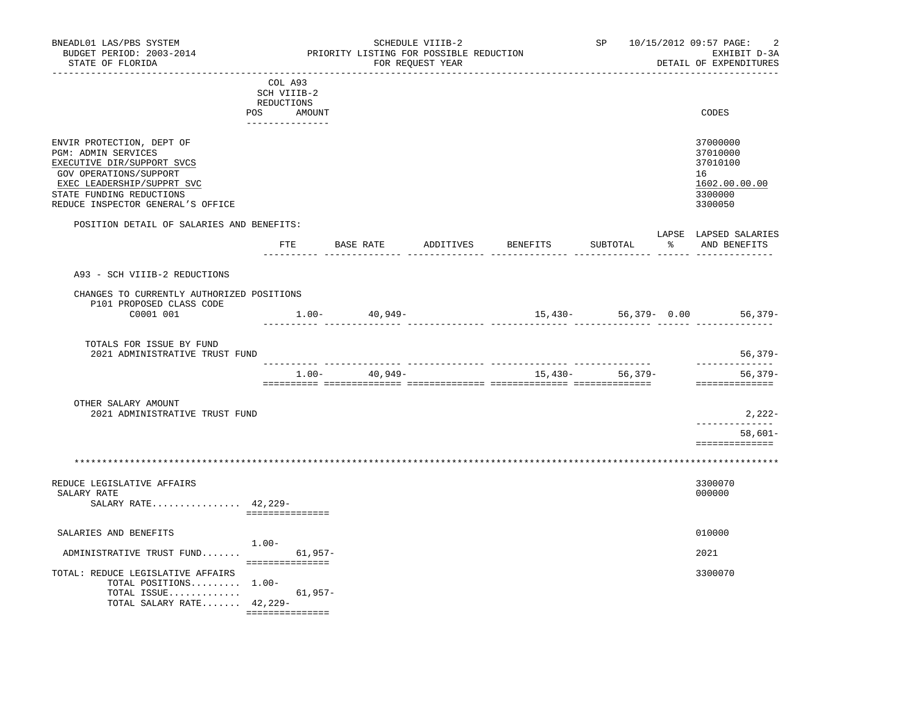| BNEADL01 LAS/PBS SYSTEM<br>BUDGET PERIOD: 2003-2014<br>STATE OF FLORIDA                                                                                                                                 |                                      |           |                   | SCHEDULE VIIIB-2<br>PRIORITY LISTING FOR POSSIBLE REDUCTION<br>FOR REQUEST YEAR | ______________________________________ |           |                      | SP 10/15/2012 09:57 PAGE:<br>-2<br>EXHIBIT D-3A<br>DETAIL OF EXPENDITURES     |
|---------------------------------------------------------------------------------------------------------------------------------------------------------------------------------------------------------|--------------------------------------|-----------|-------------------|---------------------------------------------------------------------------------|----------------------------------------|-----------|----------------------|-------------------------------------------------------------------------------|
|                                                                                                                                                                                                         | COL A93<br>SCH VIIIB-2<br>REDUCTIONS |           |                   |                                                                                 |                                        |           |                      |                                                                               |
|                                                                                                                                                                                                         | POS<br>AMOUNT<br>_______________     |           |                   |                                                                                 |                                        |           |                      | CODES                                                                         |
| ENVIR PROTECTION, DEPT OF<br>PGM: ADMIN SERVICES<br>EXECUTIVE DIR/SUPPORT SVCS<br>GOV OPERATIONS/SUPPORT<br>EXEC LEADERSHIP/SUPPRT SVC<br>STATE FUNDING REDUCTIONS<br>REDUCE INSPECTOR GENERAL'S OFFICE |                                      |           |                   |                                                                                 |                                        |           |                      | 37000000<br>37010000<br>37010100<br>16<br>1602.00.00.00<br>3300000<br>3300050 |
| POSITION DETAIL OF SALARIES AND BENEFITS:                                                                                                                                                               |                                      |           |                   |                                                                                 |                                        |           |                      | LAPSE LAPSED SALARIES                                                         |
|                                                                                                                                                                                                         | <b>FTE</b>                           |           | BASE RATE         | ADDITIVES                                                                       | BENEFITS                               |           | SUBTOTAL             | % AND BENEFITS                                                                |
| A93 - SCH VIIIB-2 REDUCTIONS                                                                                                                                                                            |                                      |           |                   |                                                                                 |                                        |           |                      |                                                                               |
| CHANGES TO CURRENTLY AUTHORIZED POSITIONS<br>P101 PROPOSED CLASS CODE                                                                                                                                   |                                      |           |                   |                                                                                 |                                        |           |                      |                                                                               |
| C0001 001                                                                                                                                                                                               |                                      |           | $1.00 - 40,949 -$ |                                                                                 |                                        |           | $15,430-56,379-0.00$ | 56,379-                                                                       |
| TOTALS FOR ISSUE BY FUND<br>2021 ADMINISTRATIVE TRUST FUND                                                                                                                                              |                                      |           |                   |                                                                                 |                                        |           |                      | $56,379-$                                                                     |
|                                                                                                                                                                                                         |                                      | $1.00-$   | $40,949-$         |                                                                                 |                                        | $15,430-$ | 56,379–              | --------------<br>$56, 379-$<br>==============                                |
| OTHER SALARY AMOUNT<br>2021 ADMINISTRATIVE TRUST FUND                                                                                                                                                   |                                      |           |                   |                                                                                 |                                        |           |                      | 2,222-                                                                        |
|                                                                                                                                                                                                         |                                      |           |                   |                                                                                 |                                        |           |                      | -----------<br>$58,601-$<br>==============                                    |
|                                                                                                                                                                                                         |                                      |           |                   |                                                                                 |                                        |           |                      |                                                                               |
| REDUCE LEGISLATIVE AFFAIRS<br>SALARY RATE<br>SALARY RATE 42,229-                                                                                                                                        | ===============                      |           |                   |                                                                                 |                                        |           |                      | 3300070<br>000000                                                             |
| SALARIES AND BENEFITS                                                                                                                                                                                   |                                      |           |                   |                                                                                 |                                        |           |                      | 010000                                                                        |
| ADMINISTRATIVE TRUST FUND                                                                                                                                                                               | $1.00 -$                             | $61,957-$ |                   |                                                                                 |                                        |           |                      | 2021                                                                          |
| TOTAL: REDUCE LEGISLATIVE AFFAIRS<br>TOTAL POSITIONS 1.00-<br>TOTAL ISSUE                                                                                                                               | ===============                      | $61,957-$ |                   |                                                                                 |                                        |           |                      | 3300070                                                                       |
| TOTAL SALARY RATE $42,229-$                                                                                                                                                                             | ===============                      |           |                   |                                                                                 |                                        |           |                      |                                                                               |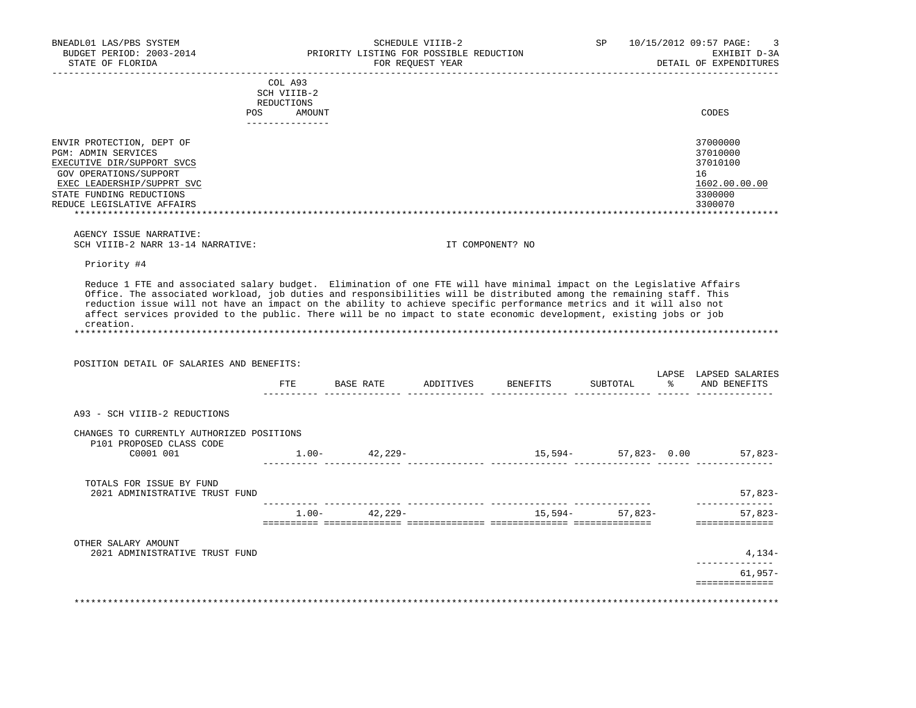| BNEADL01 LAS/PBS SYSTEM<br>BUDGET PERIOD: 2003-2014                                                                                                                                                                                                                                                  |                                      | PRIORITY LISTING FOR POSSIBLE REDUCTION | SCHEDULE VIIIB-2 |                                  | SP               |               | 10/15/2012 09:57 PAGE:<br>3<br>EXHIBIT D-3A                                   |
|------------------------------------------------------------------------------------------------------------------------------------------------------------------------------------------------------------------------------------------------------------------------------------------------------|--------------------------------------|-----------------------------------------|------------------|----------------------------------|------------------|---------------|-------------------------------------------------------------------------------|
| STATE OF FLORIDA<br>------------------                                                                                                                                                                                                                                                               |                                      |                                         | FOR REOUEST YEAR |                                  |                  |               | DETAIL OF EXPENDITURES                                                        |
|                                                                                                                                                                                                                                                                                                      | COL A93<br>SCH VIIIB-2<br>REDUCTIONS |                                         |                  |                                  |                  |               |                                                                               |
| POS                                                                                                                                                                                                                                                                                                  | AMOUNT<br>---------------            |                                         |                  |                                  |                  |               | CODES                                                                         |
| ENVIR PROTECTION, DEPT OF<br>PGM: ADMIN SERVICES<br>EXECUTIVE DIR/SUPPORT SVCS<br>GOV OPERATIONS/SUPPORT<br>EXEC LEADERSHIP/SUPPRT SVC<br>STATE FUNDING REDUCTIONS<br>REDUCE LEGISLATIVE AFFAIRS                                                                                                     |                                      |                                         |                  |                                  |                  |               | 37000000<br>37010000<br>37010100<br>16<br>1602.00.00.00<br>3300000<br>3300070 |
| AGENCY ISSUE NARRATIVE:<br>SCH VIIIB-2 NARR 13-14 NARRATIVE:                                                                                                                                                                                                                                         |                                      |                                         | IT COMPONENT? NO |                                  |                  |               |                                                                               |
| Priority #4                                                                                                                                                                                                                                                                                          |                                      |                                         |                  |                                  |                  |               |                                                                               |
| reduction issue will not have an impact on the ability to achieve specific performance metrics and it will also not<br>affect services provided to the public. There will be no impact to state economic development, existing jobs or job<br>creation.<br>POSITION DETAIL OF SALARIES AND BENEFITS: |                                      |                                         |                  | FTE BASE RATE ADDITIVES BENEFITS | SUBTOTAL         | $\frac{1}{6}$ | LAPSE LAPSED SALARIES<br>AND BENEFITS                                         |
| A93 - SCH VIIIB-2 REDUCTIONS                                                                                                                                                                                                                                                                         |                                      |                                         |                  |                                  |                  |               |                                                                               |
|                                                                                                                                                                                                                                                                                                      |                                      |                                         |                  |                                  |                  |               |                                                                               |
| CHANGES TO CURRENTLY AUTHORIZED POSITIONS<br>P101 PROPOSED CLASS CODE                                                                                                                                                                                                                                |                                      |                                         |                  |                                  |                  |               |                                                                               |
| C0001 001                                                                                                                                                                                                                                                                                            |                                      | $1.00 - 42,229 -$                       |                  | $15,594-57,823-0.00$ 57,823-     |                  |               |                                                                               |
| TOTALS FOR ISSUE BY FUND<br>2021 ADMINISTRATIVE TRUST FUND                                                                                                                                                                                                                                           |                                      |                                         |                  |                                  |                  |               | 57,823-                                                                       |
|                                                                                                                                                                                                                                                                                                      |                                      | $1.00 - 42,229 -$                       |                  |                                  | $15,594-57,823-$ |               | --------------<br>$57,823-$                                                   |
|                                                                                                                                                                                                                                                                                                      |                                      |                                         |                  |                                  |                  |               | ==============                                                                |
| OTHER SALARY AMOUNT<br>2021 ADMINISTRATIVE TRUST FUND                                                                                                                                                                                                                                                |                                      |                                         |                  |                                  |                  |               | $4,134-$                                                                      |
|                                                                                                                                                                                                                                                                                                      |                                      |                                         |                  |                                  |                  |               |                                                                               |
|                                                                                                                                                                                                                                                                                                      |                                      |                                         |                  |                                  |                  |               | ______________<br>$61,957-$<br>==============                                 |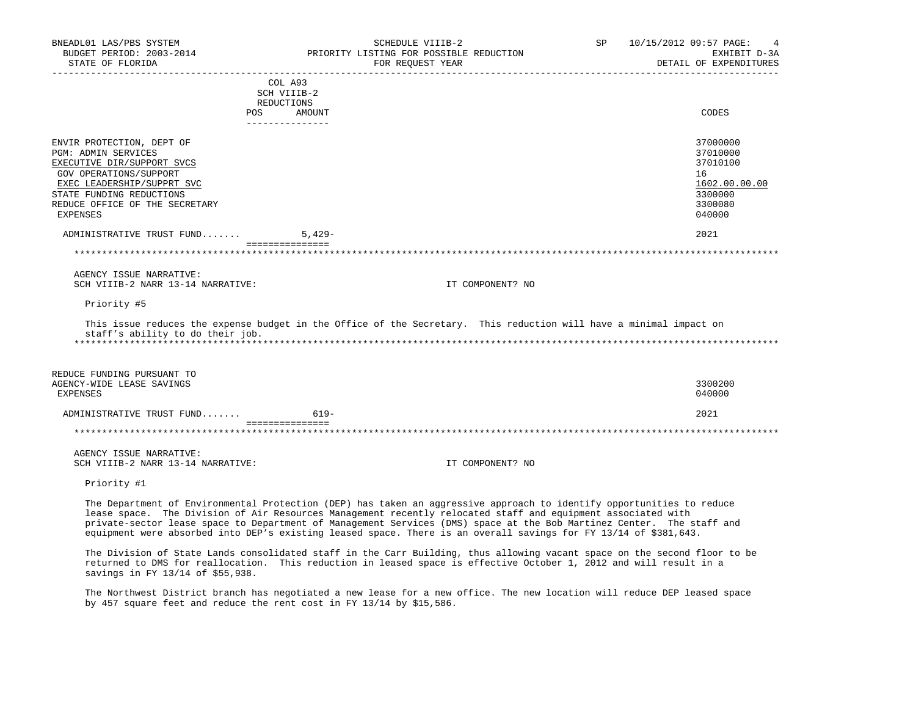| BNEADL01 LAS/PBS SYSTEM<br>BUDGET PERIOD: 2003-2014<br>STATE OF FLORIDA                                                                                                                                                 | SCHEDULE VIIIB-2<br>PRIORITY LISTING FOR POSSIBLE REDUCTION<br>FOR REQUEST YEAR                                                                                                                                                                                                                                                                                                                                                                                                    | SP | 10/15/2012 09:57 PAGE:<br>DETAIL OF EXPENDITURES                       | EXHIBIT D-3A  |
|-------------------------------------------------------------------------------------------------------------------------------------------------------------------------------------------------------------------------|------------------------------------------------------------------------------------------------------------------------------------------------------------------------------------------------------------------------------------------------------------------------------------------------------------------------------------------------------------------------------------------------------------------------------------------------------------------------------------|----|------------------------------------------------------------------------|---------------|
|                                                                                                                                                                                                                         | COL A93<br>SCH VIIIB-2<br>REDUCTIONS<br>POS.<br>AMOUNT                                                                                                                                                                                                                                                                                                                                                                                                                             |    | CODES                                                                  |               |
| ENVIR PROTECTION, DEPT OF<br><b>PGM: ADMIN SERVICES</b><br>EXECUTIVE DIR/SUPPORT SVCS<br>GOV OPERATIONS/SUPPORT<br>EXEC LEADERSHIP/SUPPRT SVC<br>STATE FUNDING REDUCTIONS<br>REDUCE OFFICE OF THE SECRETARY<br>EXPENSES | ---------------                                                                                                                                                                                                                                                                                                                                                                                                                                                                    |    | 37000000<br>37010000<br>37010100<br>16<br>3300000<br>3300080<br>040000 | 1602.00.00.00 |
| ADMINISTRATIVE TRUST FUND                                                                                                                                                                                               | $5.429 -$<br>===============                                                                                                                                                                                                                                                                                                                                                                                                                                                       |    | 2021                                                                   |               |
|                                                                                                                                                                                                                         |                                                                                                                                                                                                                                                                                                                                                                                                                                                                                    |    |                                                                        |               |
| AGENCY ISSUE NARRATIVE:<br>SCH VIIIB-2 NARR 13-14 NARRATIVE:                                                                                                                                                            | IT COMPONENT? NO                                                                                                                                                                                                                                                                                                                                                                                                                                                                   |    |                                                                        |               |
| Priority #5                                                                                                                                                                                                             |                                                                                                                                                                                                                                                                                                                                                                                                                                                                                    |    |                                                                        |               |
| staff's ability to do their job.                                                                                                                                                                                        | This issue reduces the expense budget in the Office of the Secretary. This reduction will have a minimal impact on                                                                                                                                                                                                                                                                                                                                                                 |    |                                                                        |               |
| REDUCE FUNDING PURSUANT TO<br>AGENCY-WIDE LEASE SAVINGS<br><b>EXPENSES</b>                                                                                                                                              |                                                                                                                                                                                                                                                                                                                                                                                                                                                                                    |    | 3300200<br>040000                                                      |               |
| ADMINISTRATIVE TRUST FUND                                                                                                                                                                                               | $619-$                                                                                                                                                                                                                                                                                                                                                                                                                                                                             |    | 2021                                                                   |               |
|                                                                                                                                                                                                                         | ===============                                                                                                                                                                                                                                                                                                                                                                                                                                                                    |    |                                                                        |               |
| AGENCY ISSUE NARRATIVE:<br>SCH VIIIB-2 NARR 13-14 NARRATIVE:                                                                                                                                                            | IT COMPONENT? NO                                                                                                                                                                                                                                                                                                                                                                                                                                                                   |    |                                                                        |               |
| Priority #1                                                                                                                                                                                                             |                                                                                                                                                                                                                                                                                                                                                                                                                                                                                    |    |                                                                        |               |
|                                                                                                                                                                                                                         | The Department of Environmental Protection (DEP) has taken an aggressive approach to identify opportunities to reduce<br>lease space. The Division of Air Resources Management recently relocated staff and equipment associated with<br>private-sector lease space to Department of Management Services (DMS) space at the Bob Martinez Center. The staff and<br>equipment were absorbed into DEP's existing leased space. There is an overall savings for FY 13/14 of \$381,643. |    |                                                                        |               |
|                                                                                                                                                                                                                         | The Division of State Lands consolidated staff in the Carr Building, thus allowing vacant space on the second floor to be<br>returned to DMS for reallocation. This reduction in leased space is effective October 1, 2012 and will result in a                                                                                                                                                                                                                                    |    |                                                                        |               |

 The Northwest District branch has negotiated a new lease for a new office. The new location will reduce DEP leased space by 457 square feet and reduce the rent cost in FY 13/14 by \$15,586.

savings in FY 13/14 of \$55,938.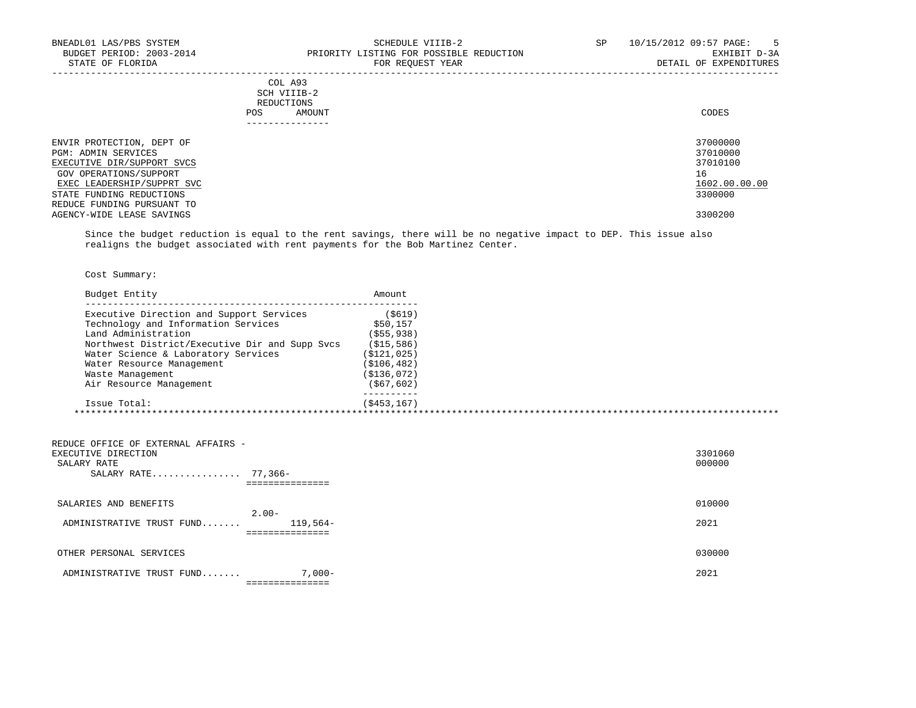| COL A93              |       |
|----------------------|-------|
| SCH VIIIB-2          |       |
| REDUCTIONS           |       |
| <b>POS</b><br>AMOUNT | CODES |
| ----------------     |       |
|                      |       |

| ENVIR PROTECTION, DEPT OF  | 37000000      |
|----------------------------|---------------|
| PGM: ADMIN SERVICES        | 37010000      |
| EXECUTIVE DIR/SUPPORT SVCS | 37010100      |
| GOV OPERATIONS/SUPPORT     | 16            |
| EXEC LEADERSHIP/SUPPRT SVC | 1602.00.00.00 |
| STATE FUNDING REDUCTIONS   | 3300000       |
| REDUCE FUNDING PURSUANT TO |               |
| AGENCY-WIDE LEASE SAVINGS  | 3300200       |
|                            |               |

-----------------------------------------------------------------------------------------------------------------------------------

 Since the budget reduction is equal to the rent savings, there will be no negative impact to DEP. This issue also realigns the budget associated with rent payments for the Bob Martinez Center.

Cost Summary:

| Budget Entity                                                             |                                                | Amount                        |                   |
|---------------------------------------------------------------------------|------------------------------------------------|-------------------------------|-------------------|
|                                                                           | Executive Direction and Support Services       | ( \$619)<br>\$50,157          |                   |
| Land Administration                                                       | Technology and Information Services            |                               |                   |
|                                                                           |                                                | $($ \$55,938)                 |                   |
|                                                                           | Northwest District/Executive Dir and Supp Svcs | ( \$15, 586)                  |                   |
|                                                                           | Water Science & Laboratory Services            | ( \$121, 025)<br>(S106, 482)  |                   |
| Water Resource Management                                                 |                                                |                               |                   |
| Waste Management                                                          |                                                | ( \$136, 072)<br>( \$67, 602) |                   |
| Air Resource Management                                                   |                                                | ---------                     |                   |
| Issue Total:                                                              |                                                | (S453, 167)                   |                   |
|                                                                           |                                                |                               |                   |
| REDUCE OFFICE OF EXTERNAL AFFAIRS -<br>EXECUTIVE DIRECTION<br>SALARY RATE | SALARY RATE 77,366-<br>===============         |                               | 3301060<br>000000 |
| SALARIES AND BENEFITS                                                     |                                                |                               | 010000            |
| ADMINISTRATIVE TRUST FUND                                                 | $2.00-$<br>$119.564-$<br>----------------      |                               | 2021              |
| OTHER PERSONAL SERVICES                                                   |                                                |                               | 030000            |

ADMINISTRATIVE TRUST FUND....... 7,000- 7,000-===============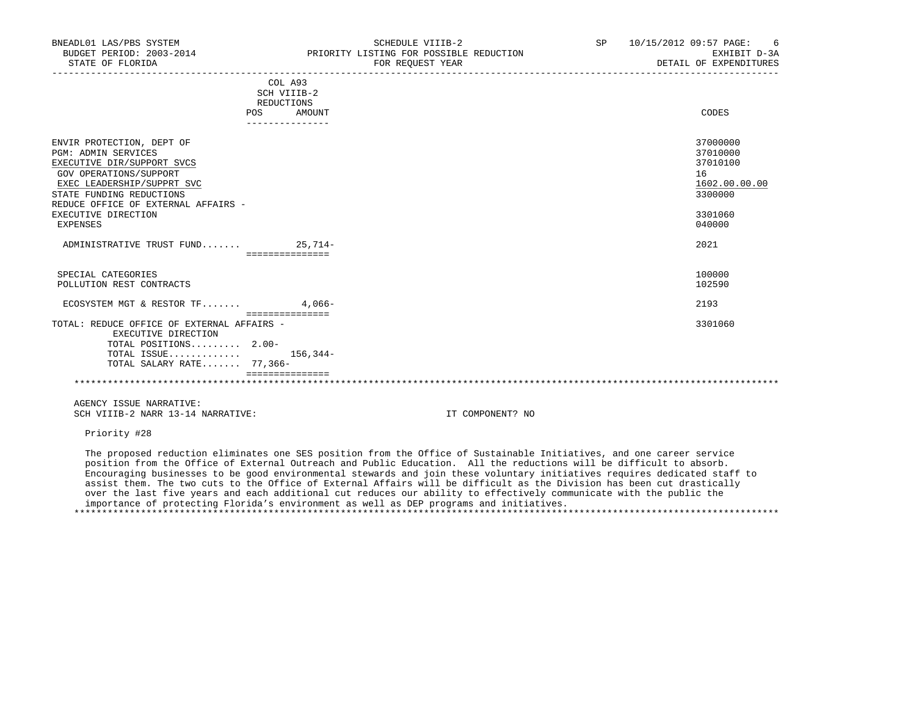| BNEADL01 LAS/PBS SYSTEM<br>STATE OF FLORIDA                                                                                                                                                                                                         | SCHEDULE VIIIB-2<br>BUDGET PERIOD: 2003-2014 PRIORITY LISTING FOR POSSIBLE REDUCTION<br>FOR REOUEST YEAR | SP 10/15/2012 09:57 PAGE: 6<br>DETAIL OF EXPENDITURES                  | EXHIBIT D-3A  |
|-----------------------------------------------------------------------------------------------------------------------------------------------------------------------------------------------------------------------------------------------------|----------------------------------------------------------------------------------------------------------|------------------------------------------------------------------------|---------------|
|                                                                                                                                                                                                                                                     | COL A93<br>SCH VIIIB-2<br>REDUCTIONS                                                                     |                                                                        |               |
|                                                                                                                                                                                                                                                     | POS AMOUNT<br>_______________                                                                            | CODES                                                                  |               |
| ENVIR PROTECTION, DEPT OF<br><b>PGM: ADMIN SERVICES</b><br>EXECUTIVE DIR/SUPPORT SVCS<br>GOV OPERATIONS/SUPPORT<br>EXEC LEADERSHIP/SUPPRT SVC<br>STATE FUNDING REDUCTIONS<br>REDUCE OFFICE OF EXTERNAL AFFAIRS -<br>EXECUTIVE DIRECTION<br>EXPENSES |                                                                                                          | 37000000<br>37010000<br>37010100<br>16<br>3300000<br>3301060<br>040000 | 1602.00.00.00 |
| ADMINISTRATIVE TRUST FUND 25,714-                                                                                                                                                                                                                   | ===============                                                                                          | 2021                                                                   |               |
| SPECIAL CATEGORIES<br>POLLUTION REST CONTRACTS                                                                                                                                                                                                      |                                                                                                          | 100000<br>102590                                                       |               |
| ECOSYSTEM MGT & RESTOR TF $4.066 -$                                                                                                                                                                                                                 | ===============                                                                                          | 2193                                                                   |               |
| TOTAL: REDUCE OFFICE OF EXTERNAL AFFAIRS -<br>EXECUTIVE DIRECTION<br>TOTAL POSITIONS $2.00-$<br>TOTAL ISSUE $156,344-$<br>TOTAL SALARY RATE 77,366-                                                                                                 |                                                                                                          | 3301060                                                                |               |

 =============== \*\*\*\*\*\*\*\*\*\*\*\*\*\*\*\*\*\*\*\*\*\*\*\*\*\*\*\*\*\*\*\*\*\*\*\*\*\*\*\*\*\*\*\*\*\*\*\*\*\*\*\*\*\*\*\*\*\*\*\*\*\*\*\*\*\*\*\*\*\*\*\*\*\*\*\*\*\*\*\*\*\*\*\*\*\*\*\*\*\*\*\*\*\*\*\*\*\*\*\*\*\*\*\*\*\*\*\*\*\*\*\*\*\*\*\*\*\*\*\*\*\*\*\*\*\*\*

 AGENCY ISSUE NARRATIVE: SCH VIIIB-2 NARR 13-14 NARRATIVE: IT COMPONENT? NO

Priority #28

 The proposed reduction eliminates one SES position from the Office of Sustainable Initiatives, and one career service position from the Office of External Outreach and Public Education. All the reductions will be difficult to absorb. Encouraging businesses to be good environmental stewards and join these voluntary initiatives requires dedicated staff to assist them. The two cuts to the Office of External Affairs will be difficult as the Division has been cut drastically over the last five years and each additional cut reduces our ability to effectively communicate with the public the importance of protecting Florida's environment as well as DEP programs and initiatives. \*\*\*\*\*\*\*\*\*\*\*\*\*\*\*\*\*\*\*\*\*\*\*\*\*\*\*\*\*\*\*\*\*\*\*\*\*\*\*\*\*\*\*\*\*\*\*\*\*\*\*\*\*\*\*\*\*\*\*\*\*\*\*\*\*\*\*\*\*\*\*\*\*\*\*\*\*\*\*\*\*\*\*\*\*\*\*\*\*\*\*\*\*\*\*\*\*\*\*\*\*\*\*\*\*\*\*\*\*\*\*\*\*\*\*\*\*\*\*\*\*\*\*\*\*\*\*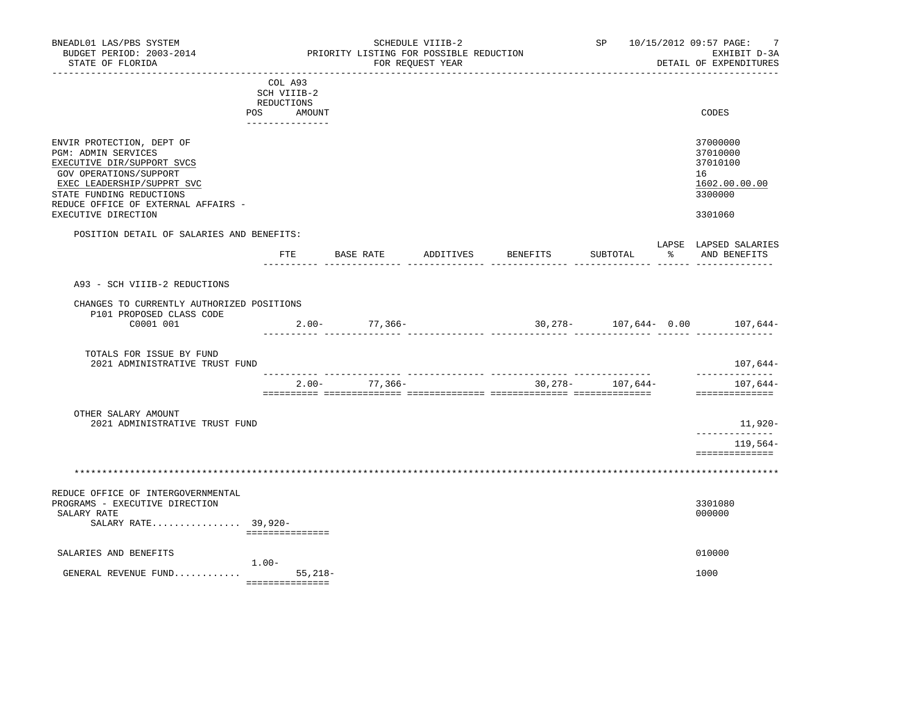| BNEADL01 LAS/PBS SYSTEM<br>BUDGET PERIOD: 2003-2014<br>STATE OF FLORIDA<br>----------------------                                                                                                                                |                                                                                 | PRIORITY LISTING FOR POSSIBLE REDUCTION | SCHEDULE VIIIB-2<br>FOR REQUEST YEAR | _________________________ |                  | SP 10/15/2012 09:57 PAGE:<br>7<br>EXHIBIT D-3A<br>DETAIL OF EXPENDITURES      |
|----------------------------------------------------------------------------------------------------------------------------------------------------------------------------------------------------------------------------------|---------------------------------------------------------------------------------|-----------------------------------------|--------------------------------------|---------------------------|------------------|-------------------------------------------------------------------------------|
| POS                                                                                                                                                                                                                              | COL A93<br>SCH VIIIB-2<br>REDUCTIONS<br>AMOUNT<br>. _ _ _ _ _ _ _ _ _ _ _ _ _ _ |                                         |                                      |                           |                  | CODES                                                                         |
| ENVIR PROTECTION, DEPT OF<br>PGM: ADMIN SERVICES<br>EXECUTIVE DIR/SUPPORT SVCS<br>GOV OPERATIONS/SUPPORT<br>EXEC LEADERSHIP/SUPPRT SVC<br>STATE FUNDING REDUCTIONS<br>REDUCE OFFICE OF EXTERNAL AFFAIRS -<br>EXECUTIVE DIRECTION |                                                                                 |                                         |                                      |                           |                  | 37000000<br>37010000<br>37010100<br>16<br>1602.00.00.00<br>3300000<br>3301060 |
| POSITION DETAIL OF SALARIES AND BENEFITS:                                                                                                                                                                                        | FTE                                                                             | <b>BASE RATE</b>                        |                                      | ADDITIVES BENEFITS        | SUBTOTAL         | LAPSE LAPSED SALARIES<br>% AND BENEFITS                                       |
| A93 - SCH VIIIB-2 REDUCTIONS<br>CHANGES TO CURRENTLY AUTHORIZED POSITIONS<br>P101 PROPOSED CLASS CODE<br>C0001 001                                                                                                               |                                                                                 | $2.00 - 77,366 -$                       |                                      |                           |                  | $30,278-107,644-0.00$ 107,644-                                                |
| TOTALS FOR ISSUE BY FUND<br>2021 ADMINISTRATIVE TRUST FUND                                                                                                                                                                       |                                                                                 |                                         |                                      |                           |                  | 107,644-                                                                      |
|                                                                                                                                                                                                                                  |                                                                                 | $2.00 - 77,366 -$                       |                                      |                           | 30,278- 107,644- | ______________<br>107,644-<br>==============                                  |
| OTHER SALARY AMOUNT<br>2021 ADMINISTRATIVE TRUST FUND                                                                                                                                                                            |                                                                                 |                                         |                                      |                           |                  | 11,920-<br>_____________                                                      |
|                                                                                                                                                                                                                                  |                                                                                 |                                         |                                      |                           |                  | 119,564-<br>==============                                                    |
|                                                                                                                                                                                                                                  |                                                                                 |                                         |                                      |                           |                  |                                                                               |
| REDUCE OFFICE OF INTERGOVERNMENTAL<br>PROGRAMS - EXECUTIVE DIRECTION<br>SALARY RATE<br>SALARY RATE 39,920-                                                                                                                       | ===============                                                                 |                                         |                                      |                           |                  | 3301080<br>000000                                                             |
| SALARIES AND BENEFITS                                                                                                                                                                                                            |                                                                                 |                                         |                                      |                           |                  | 010000                                                                        |
| GENERAL REVENUE FUND                                                                                                                                                                                                             | $1.00-$<br>$55,218-$<br>===============                                         |                                         |                                      |                           |                  | 1000                                                                          |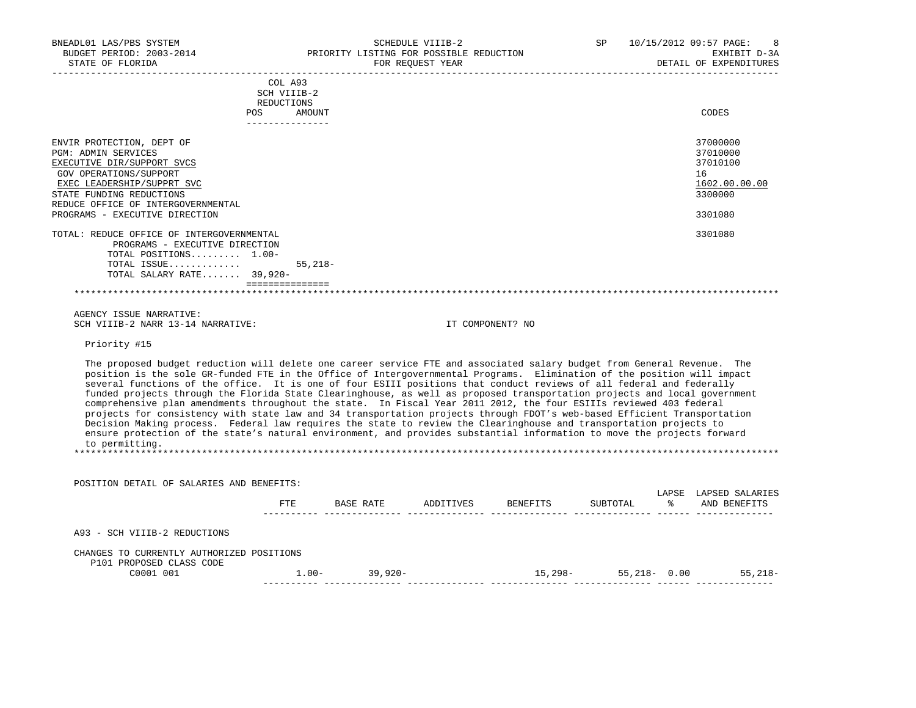| BNEADL01 LAS/PBS SYSTEM<br>BUDGET PERIOD: 2003-2014<br>STATE OF FLORIDA                                                                                                                                                                                                                                                                                                                                                                                                                                                                                                                                                                                                                                                                                                                                                                                                                                                                                                                                                      |                                      | SCHEDULE VIIIB-2 |                                               | SP       | 10/15/2012 09:57 PAGE:<br>8<br>EXHIBIT D-3A<br>DETAIL OF EXPENDITURES         |
|------------------------------------------------------------------------------------------------------------------------------------------------------------------------------------------------------------------------------------------------------------------------------------------------------------------------------------------------------------------------------------------------------------------------------------------------------------------------------------------------------------------------------------------------------------------------------------------------------------------------------------------------------------------------------------------------------------------------------------------------------------------------------------------------------------------------------------------------------------------------------------------------------------------------------------------------------------------------------------------------------------------------------|--------------------------------------|------------------|-----------------------------------------------|----------|-------------------------------------------------------------------------------|
|                                                                                                                                                                                                                                                                                                                                                                                                                                                                                                                                                                                                                                                                                                                                                                                                                                                                                                                                                                                                                              | COL A93<br>SCH VIIIB-2<br>REDUCTIONS |                  |                                               |          |                                                                               |
|                                                                                                                                                                                                                                                                                                                                                                                                                                                                                                                                                                                                                                                                                                                                                                                                                                                                                                                                                                                                                              | POS AMOUNT<br>_______________        |                  |                                               |          | CODES                                                                         |
| ENVIR PROTECTION, DEPT OF<br><b>PGM: ADMIN SERVICES</b><br>EXECUTIVE DIR/SUPPORT SVCS<br>GOV OPERATIONS/SUPPORT<br>EXEC LEADERSHIP/SUPPRT SVC<br>STATE FUNDING REDUCTIONS<br>REDUCE OFFICE OF INTERGOVERNMENTAL<br>PROGRAMS - EXECUTIVE DIRECTION                                                                                                                                                                                                                                                                                                                                                                                                                                                                                                                                                                                                                                                                                                                                                                            |                                      |                  |                                               |          | 37000000<br>37010000<br>37010100<br>16<br>1602.00.00.00<br>3300000<br>3301080 |
| TOTAL: REDUCE OFFICE OF INTERGOVERNMENTAL<br>PROGRAMS - EXECUTIVE DIRECTION<br>TOTAL POSITIONS 1.00-<br>TOTAL ISSUE<br>TOTAL SALARY RATE 39,920-                                                                                                                                                                                                                                                                                                                                                                                                                                                                                                                                                                                                                                                                                                                                                                                                                                                                             | $55,218-$                            |                  |                                               |          | 3301080                                                                       |
| and a complete the contract of the contract of the contract of the contract of the contract of the contract of                                                                                                                                                                                                                                                                                                                                                                                                                                                                                                                                                                                                                                                                                                                                                                                                                                                                                                               |                                      |                  |                                               |          |                                                                               |
| AGENCY ISSUE NARRATIVE:<br>SCH VIIIB-2 NARR 13-14 NARRATIVE:                                                                                                                                                                                                                                                                                                                                                                                                                                                                                                                                                                                                                                                                                                                                                                                                                                                                                                                                                                 |                                      |                  | IT COMPONENT? NO                              |          |                                                                               |
| Priority #15                                                                                                                                                                                                                                                                                                                                                                                                                                                                                                                                                                                                                                                                                                                                                                                                                                                                                                                                                                                                                 |                                      |                  |                                               |          |                                                                               |
| The proposed budget reduction will delete one career service FTE and associated salary budget from General Revenue. The<br>position is the sole GR-funded FTE in the Office of Intergovernmental Programs. Elimination of the position will impact<br>several functions of the office. It is one of four ESIII positions that conduct reviews of all federal and federally<br>funded projects through the Florida State Clearinghouse, as well as proposed transportation projects and local government<br>comprehensive plan amendments throughout the state. In Fiscal Year 2011 2012, the four ESIIIs reviewed 403 federal<br>projects for consistency with state law and 34 transportation projects through FDOT's web-based Efficient Transportation<br>Decision Making process. Federal law requires the state to review the Clearinghouse and transportation projects to<br>ensure protection of the state's natural environment, and provides substantial information to move the projects forward<br>to permitting. |                                      |                  |                                               |          |                                                                               |
| POSITION DETAIL OF SALARIES AND BENEFITS:                                                                                                                                                                                                                                                                                                                                                                                                                                                                                                                                                                                                                                                                                                                                                                                                                                                                                                                                                                                    |                                      |                  |                                               |          |                                                                               |
|                                                                                                                                                                                                                                                                                                                                                                                                                                                                                                                                                                                                                                                                                                                                                                                                                                                                                                                                                                                                                              |                                      |                  | FTE BASE RATE ADDITIVES BENEFITS              | SUBTOTAL | LAPSE LAPSED SALARIES<br>% AND BENEFITS                                       |
| A93 - SCH VIIIB-2 REDUCTIONS                                                                                                                                                                                                                                                                                                                                                                                                                                                                                                                                                                                                                                                                                                                                                                                                                                                                                                                                                                                                 |                                      |                  |                                               |          |                                                                               |
| CHANGES TO CURRENTLY AUTHORIZED POSITIONS<br>P101 PROPOSED CLASS CODE<br>C0001 001                                                                                                                                                                                                                                                                                                                                                                                                                                                                                                                                                                                                                                                                                                                                                                                                                                                                                                                                           |                                      |                  | $1.00$ - 39,920- 15,298- 55,218- 0.00 55,218- |          |                                                                               |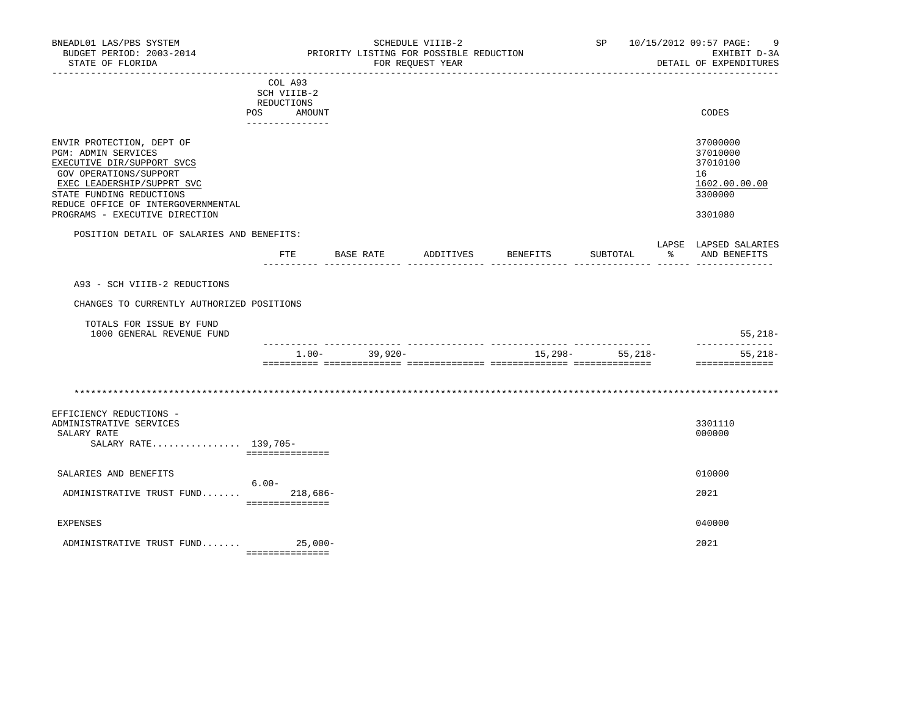| BNEADL01 LAS/PBS SYSTEM<br>BUDGET PERIOD: 2003-2014<br>STATE OF FLORIDA                                                                                                                                                                           |                                                                      |                   | SCHEDULE VIIIB-2<br>PRIORITY LISTING FOR POSSIBLE REDUCTION<br>FOR REOUEST YEAR |                              |                  | SP 10/15/2012 09:57 PAGE:<br>9<br>EXHIBIT D-3A<br>DETAIL OF EXPENDITURES      |
|---------------------------------------------------------------------------------------------------------------------------------------------------------------------------------------------------------------------------------------------------|----------------------------------------------------------------------|-------------------|---------------------------------------------------------------------------------|------------------------------|------------------|-------------------------------------------------------------------------------|
|                                                                                                                                                                                                                                                   | COL A93<br>SCH VIIIB-2<br>REDUCTIONS<br>POS AMOUNT<br>-------------- |                   |                                                                                 |                              |                  | CODES                                                                         |
| ENVIR PROTECTION, DEPT OF<br><b>PGM: ADMIN SERVICES</b><br>EXECUTIVE DIR/SUPPORT SVCS<br>GOV OPERATIONS/SUPPORT<br>EXEC LEADERSHIP/SUPPRT SVC<br>STATE FUNDING REDUCTIONS<br>REDUCE OFFICE OF INTERGOVERNMENTAL<br>PROGRAMS - EXECUTIVE DIRECTION |                                                                      |                   |                                                                                 |                              |                  | 37000000<br>37010000<br>37010100<br>16<br>1602.00.00.00<br>3300000<br>3301080 |
| POSITION DETAIL OF SALARIES AND BENEFITS:                                                                                                                                                                                                         |                                                                      |                   |                                                                                 |                              |                  | LAPSE LAPSED SALARIES                                                         |
|                                                                                                                                                                                                                                                   | ETE                                                                  |                   |                                                                                 | BASE RATE ADDITIVES BENEFITS | SUBTOTAL         | % AND BENEFITS                                                                |
| A93 - SCH VIIIB-2 REDUCTIONS                                                                                                                                                                                                                      |                                                                      |                   |                                                                                 |                              |                  |                                                                               |
| CHANGES TO CURRENTLY AUTHORIZED POSITIONS                                                                                                                                                                                                         |                                                                      |                   |                                                                                 |                              |                  |                                                                               |
| TOTALS FOR ISSUE BY FUND<br>1000 GENERAL REVENUE FUND                                                                                                                                                                                             |                                                                      |                   |                                                                                 |                              |                  | $55,218-$                                                                     |
|                                                                                                                                                                                                                                                   |                                                                      | $1.00 - 39.920 -$ |                                                                                 |                              | $15,298-55,218-$ | --------------<br>$55,218-$                                                   |
| EFFICIENCY REDUCTIONS -                                                                                                                                                                                                                           |                                                                      |                   |                                                                                 |                              |                  | ---------------                                                               |
| ADMINISTRATIVE SERVICES<br>SALARY RATE<br>SALARY RATE 139,705-                                                                                                                                                                                    | ===============                                                      |                   |                                                                                 |                              |                  | 3301110<br>000000                                                             |
| SALARIES AND BENEFITS                                                                                                                                                                                                                             | $6.00 -$                                                             |                   |                                                                                 |                              |                  | 010000                                                                        |
| ADMINISTRATIVE TRUST FUND                                                                                                                                                                                                                         | 218,686-<br>===============                                          |                   |                                                                                 |                              |                  | 2021                                                                          |
| <b>EXPENSES</b>                                                                                                                                                                                                                                   |                                                                      |                   |                                                                                 |                              |                  | 040000                                                                        |
| ADMINISTRATIVE TRUST FUND                                                                                                                                                                                                                         | $25,000-$                                                            |                   |                                                                                 |                              |                  | 2021                                                                          |

===============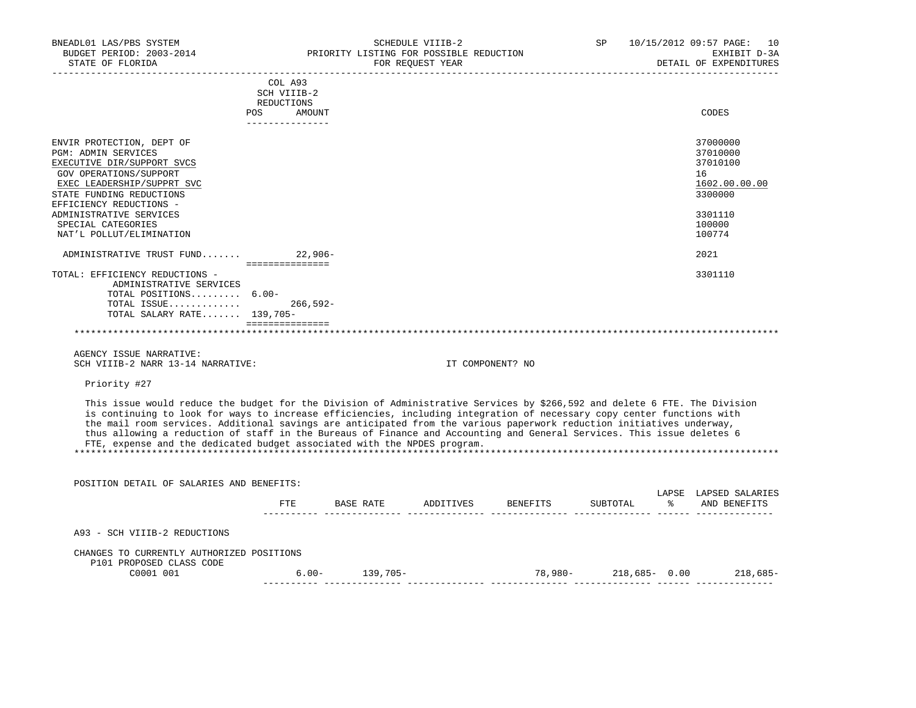| BNEADL01 LAS/PBS SYSTEM                                                  |                              | SCHEDULE VIIIB-2                                                                                                           | SP | 10/15/2012 09:57 PAGE: 10 |
|--------------------------------------------------------------------------|------------------------------|----------------------------------------------------------------------------------------------------------------------------|----|---------------------------|
| BUDGET PERIOD: 2003-2014                                                 |                              | PRIORITY LISTING FOR POSSIBLE REDUCTION                                                                                    |    | EXHIBIT D-3A              |
| STATE OF FLORIDA                                                         |                              | FOR REQUEST YEAR                                                                                                           |    | DETAIL OF EXPENDITURES    |
|                                                                          | COL A93                      |                                                                                                                            |    |                           |
|                                                                          | SCH VIIIB-2                  |                                                                                                                            |    |                           |
|                                                                          | REDUCTIONS                   |                                                                                                                            |    |                           |
|                                                                          | POS<br>AMOUNT                |                                                                                                                            |    | CODES                     |
|                                                                          | _______________              |                                                                                                                            |    |                           |
| ENVIR PROTECTION, DEPT OF                                                |                              |                                                                                                                            |    | 37000000                  |
| <b>PGM: ADMIN SERVICES</b>                                               |                              |                                                                                                                            |    | 37010000                  |
| EXECUTIVE DIR/SUPPORT SVCS                                               |                              |                                                                                                                            |    | 37010100                  |
| GOV OPERATIONS/SUPPORT                                                   |                              |                                                                                                                            |    | 16                        |
| EXEC LEADERSHIP/SUPPRT SVC                                               |                              |                                                                                                                            |    | 1602.00.00.00             |
| STATE FUNDING REDUCTIONS                                                 |                              |                                                                                                                            |    | 3300000                   |
| EFFICIENCY REDUCTIONS -                                                  |                              |                                                                                                                            |    |                           |
| ADMINISTRATIVE SERVICES                                                  |                              |                                                                                                                            |    | 3301110                   |
| SPECIAL CATEGORIES                                                       |                              |                                                                                                                            |    | 100000                    |
| NAT'L POLLUT/ELIMINATION                                                 |                              |                                                                                                                            |    | 100774                    |
| ADMINISTRATIVE TRUST FUND                                                | $22.906-$<br>=============== |                                                                                                                            |    | 2021                      |
| TOTAL: EFFICIENCY REDUCTIONS -                                           |                              |                                                                                                                            |    | 3301110                   |
| ADMINISTRATIVE SERVICES                                                  |                              |                                                                                                                            |    |                           |
| TOTAL POSITIONS 6.00-                                                    |                              |                                                                                                                            |    |                           |
| TOTAL ISSUE                                                              | $266,592-$                   |                                                                                                                            |    |                           |
| TOTAL SALARY RATE 139,705-                                               |                              |                                                                                                                            |    |                           |
|                                                                          | ===============              |                                                                                                                            |    |                           |
|                                                                          |                              |                                                                                                                            |    |                           |
| AGENCY ISSUE NARRATIVE:                                                  |                              |                                                                                                                            |    |                           |
| SCH VIIIB-2 NARR 13-14 NARRATIVE:                                        |                              | IT COMPONENT? NO                                                                                                           |    |                           |
| Priority #27                                                             |                              |                                                                                                                            |    |                           |
|                                                                          |                              | This issue would reduce the budget for the Division of Administrative Services by \$266,592 and delete 6 FTE. The Division |    |                           |
|                                                                          |                              | is continuing to look for ways to increase efficiencies, including integration of necessary copy center functions with     |    |                           |
|                                                                          |                              | the mail room services. Additional savings are anticipated from the various paperwork reduction initiatives underway,      |    |                           |
|                                                                          |                              | thus allowing a reduction of staff in the Bureaus of Finance and Accounting and General Services. This issue deletes 6     |    |                           |
| FTE, expense and the dedicated budget associated with the NPDES program. |                              |                                                                                                                            |    |                           |
|                                                                          |                              |                                                                                                                            |    |                           |
|                                                                          |                              |                                                                                                                            |    |                           |
| POSITION DETAIL OF SALARIES AND BENEFITS:                                |                              |                                                                                                                            |    |                           |

|                                                                       | FTE.     | BASE RATE | ADDITIVES | BENEFITS | SUBTOTAL         | LAPSE<br>⋇ | LAPSED SALARIES<br>AND BENEFITS |
|-----------------------------------------------------------------------|----------|-----------|-----------|----------|------------------|------------|---------------------------------|
| A93 - SCH VIIIB-2 REDUCTIONS                                          |          |           |           |          |                  |            |                                 |
| CHANGES TO CURRENTLY AUTHORIZED POSITIONS<br>P101 PROPOSED CLASS CODE |          |           |           |          |                  |            |                                 |
| C0001 001                                                             | $6.00 -$ | 139,705-  |           | 78,980-  | $218,685 - 0.00$ |            | $218,685-$                      |
|                                                                       |          |           |           |          |                  |            |                                 |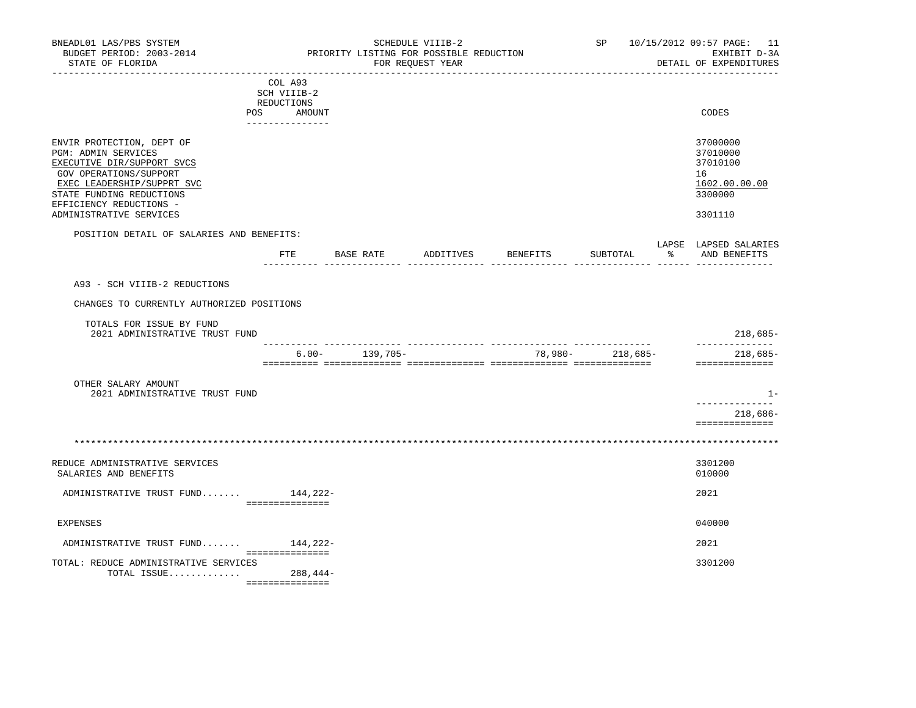| BNEADL01 LAS/PBS SYSTEM<br>BUDGET PERIOD: 2003-2014<br>STATE OF FLORIDA                                                                                                                                                         |                                                                             |                    | SCHEDULE VIIIB-2<br>PRIORITY LISTING FOR POSSIBLE REDUCTION<br>FOR REOUEST YEAR |                                  | SP and the set of the set of the set of the set of the set of the set of the set of the set of the set of the set of the set of the set of the set of the set of the set of the set of the set of the set of the set of the se | 10/15/2012 09:57 PAGE: 11<br>EXHIBIT D-3A<br>DETAIL OF EXPENDITURES           |
|---------------------------------------------------------------------------------------------------------------------------------------------------------------------------------------------------------------------------------|-----------------------------------------------------------------------------|--------------------|---------------------------------------------------------------------------------|----------------------------------|--------------------------------------------------------------------------------------------------------------------------------------------------------------------------------------------------------------------------------|-------------------------------------------------------------------------------|
|                                                                                                                                                                                                                                 | COL A93<br>SCH VIIIB-2<br>REDUCTIONS<br>POS DO<br>AMOUNT<br>--------------- |                    |                                                                                 |                                  |                                                                                                                                                                                                                                | CODES                                                                         |
| ENVIR PROTECTION, DEPT OF<br><b>PGM: ADMIN SERVICES</b><br>EXECUTIVE DIR/SUPPORT SVCS<br>GOV OPERATIONS/SUPPORT<br>EXEC LEADERSHIP/SUPPRT SVC<br>STATE FUNDING REDUCTIONS<br>EFFICIENCY REDUCTIONS -<br>ADMINISTRATIVE SERVICES |                                                                             |                    |                                                                                 |                                  |                                                                                                                                                                                                                                | 37000000<br>37010000<br>37010100<br>16<br>1602.00.00.00<br>3300000<br>3301110 |
| POSITION DETAIL OF SALARIES AND BENEFITS:                                                                                                                                                                                       |                                                                             |                    |                                                                                 | FTE BASE RATE ADDITIVES BENEFITS |                                                                                                                                                                                                                                | LAPSE LAPSED SALARIES<br>SUBTOTAL % AND BENEFITS                              |
| A93 - SCH VIIIB-2 REDUCTIONS<br>CHANGES TO CURRENTLY AUTHORIZED POSITIONS<br>TOTALS FOR ISSUE BY FUND<br>2021 ADMINISTRATIVE TRUST FUND                                                                                         |                                                                             |                    |                                                                                 |                                  |                                                                                                                                                                                                                                | 218,685-                                                                      |
|                                                                                                                                                                                                                                 |                                                                             | $6.00 - 139,705 -$ |                                                                                 |                                  | 78,980- 218,685-                                                                                                                                                                                                               | --------------<br>218,685-<br>==============                                  |
| OTHER SALARY AMOUNT<br>2021 ADMINISTRATIVE TRUST FUND                                                                                                                                                                           |                                                                             |                    |                                                                                 |                                  |                                                                                                                                                                                                                                | $1 -$<br>_______________<br>218,686-<br>==============                        |
|                                                                                                                                                                                                                                 |                                                                             |                    |                                                                                 |                                  |                                                                                                                                                                                                                                |                                                                               |
| REDUCE ADMINISTRATIVE SERVICES<br>SALARIES AND BENEFITS                                                                                                                                                                         |                                                                             |                    |                                                                                 |                                  |                                                                                                                                                                                                                                | 3301200<br>010000                                                             |
| ADMINISTRATIVE TRUST FUND 144,222-                                                                                                                                                                                              | ________________                                                            |                    |                                                                                 |                                  |                                                                                                                                                                                                                                | 2021                                                                          |
| <b>EXPENSES</b>                                                                                                                                                                                                                 |                                                                             |                    |                                                                                 |                                  |                                                                                                                                                                                                                                | 040000                                                                        |
| ADMINISTRATIVE TRUST FUND                                                                                                                                                                                                       | 144,222-<br>===============                                                 |                    |                                                                                 |                                  |                                                                                                                                                                                                                                | 2021                                                                          |
| TOTAL: REDUCE ADMINISTRATIVE SERVICES<br>TOTAL ISSUE 288,444-                                                                                                                                                                   |                                                                             |                    |                                                                                 |                                  |                                                                                                                                                                                                                                | 3301200                                                                       |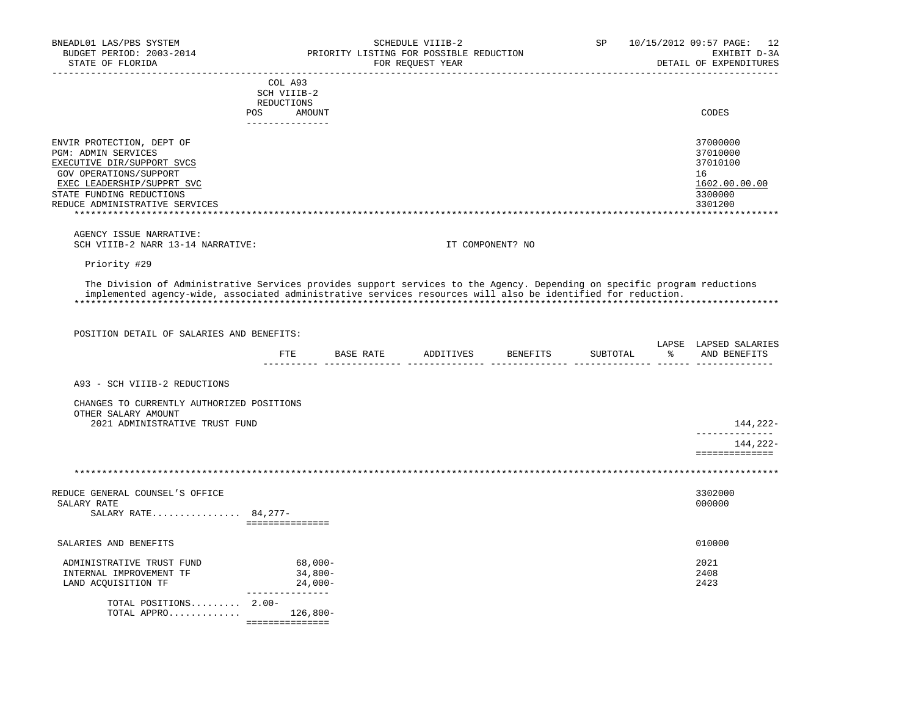| BNEADL01 LAS/PBS SYSTEM<br>BUDGET PERIOD: 2003-2014<br>STATE OF FLORIDA                                                                                   |                           | PRIORITY LISTING FOR POSSIBLE REDUCTION | SCHEDULE VIIIB-2<br>FOR REQUEST YEAR |                  | SP       |               | 10/15/2012 09:57 PAGE: 12<br>EXHIBIT D-3A<br>DETAIL OF EXPENDITURES |
|-----------------------------------------------------------------------------------------------------------------------------------------------------------|---------------------------|-----------------------------------------|--------------------------------------|------------------|----------|---------------|---------------------------------------------------------------------|
|                                                                                                                                                           | COL A93                   |                                         |                                      |                  |          |               |                                                                     |
|                                                                                                                                                           | SCH VIIIB-2<br>REDUCTIONS |                                         |                                      |                  |          |               |                                                                     |
|                                                                                                                                                           | POS<br>AMOUNT             |                                         |                                      |                  |          |               | CODES                                                               |
|                                                                                                                                                           | ---------------           |                                         |                                      |                  |          |               |                                                                     |
| ENVIR PROTECTION, DEPT OF                                                                                                                                 |                           |                                         |                                      |                  |          |               | 37000000                                                            |
| <b>PGM: ADMIN SERVICES</b>                                                                                                                                |                           |                                         |                                      |                  |          |               | 37010000                                                            |
| EXECUTIVE DIR/SUPPORT SVCS                                                                                                                                |                           |                                         |                                      |                  |          |               | 37010100                                                            |
| GOV OPERATIONS/SUPPORT                                                                                                                                    |                           |                                         |                                      |                  |          |               | 16                                                                  |
| EXEC LEADERSHIP/SUPPRT SVC                                                                                                                                |                           |                                         |                                      |                  |          |               | 1602.00.00.00                                                       |
| STATE FUNDING REDUCTIONS                                                                                                                                  |                           |                                         |                                      |                  |          |               | 3300000                                                             |
| REDUCE ADMINISTRATIVE SERVICES                                                                                                                            |                           |                                         |                                      |                  |          |               | 3301200                                                             |
|                                                                                                                                                           |                           |                                         |                                      |                  |          |               |                                                                     |
| AGENCY ISSUE NARRATIVE:<br>SCH VIIIB-2 NARR 13-14 NARRATIVE:                                                                                              |                           |                                         |                                      | IT COMPONENT? NO |          |               |                                                                     |
|                                                                                                                                                           |                           |                                         |                                      |                  |          |               |                                                                     |
| Priority #29                                                                                                                                              |                           |                                         |                                      |                  |          |               |                                                                     |
| implemented agency-wide, associated administrative services resources will also be identified for reduction.<br>POSITION DETAIL OF SALARIES AND BENEFITS: |                           |                                         |                                      |                  |          |               |                                                                     |
|                                                                                                                                                           |                           | FTE BASE RATE ADDITIVES BENEFITS        |                                      |                  | SUBTOTAL | $\frac{1}{6}$ | LAPSE LAPSED SALARIES<br>AND BENEFITS                               |
| A93 - SCH VIIIB-2 REDUCTIONS                                                                                                                              |                           |                                         |                                      |                  |          |               |                                                                     |
| CHANGES TO CURRENTLY AUTHORIZED POSITIONS<br>OTHER SALARY AMOUNT                                                                                          |                           |                                         |                                      |                  |          |               |                                                                     |
| 2021 ADMINISTRATIVE TRUST FUND                                                                                                                            |                           |                                         |                                      |                  |          |               | 144,222-<br>--------------                                          |
|                                                                                                                                                           |                           |                                         |                                      |                  |          |               | 144,222-                                                            |
|                                                                                                                                                           |                           |                                         |                                      |                  |          |               | <b>BEBBEBBBBBBBBB</b>                                               |
|                                                                                                                                                           |                           |                                         |                                      |                  |          |               |                                                                     |
| REDUCE GENERAL COUNSEL'S OFFICE                                                                                                                           |                           |                                         |                                      |                  |          |               | 3302000                                                             |
| SALARY RATE                                                                                                                                               |                           |                                         |                                      |                  |          |               | 000000                                                              |
| SALARY RATE 84, 277-                                                                                                                                      | ===============           |                                         |                                      |                  |          |               |                                                                     |
|                                                                                                                                                           |                           |                                         |                                      |                  |          |               |                                                                     |
| SALARIES AND BENEFITS                                                                                                                                     |                           |                                         |                                      |                  |          |               | 010000                                                              |
| ADMINISTRATIVE TRUST FUND                                                                                                                                 | 68,000-                   |                                         |                                      |                  |          |               | 2021                                                                |
| INTERNAL IMPROVEMENT TF                                                                                                                                   | $34,800-$                 |                                         |                                      |                  |          |               | 2408                                                                |
| LAND ACQUISITION TF                                                                                                                                       | $24,000-$                 |                                         |                                      |                  |          |               | 2423                                                                |
| TOTAL POSITIONS 2.00-                                                                                                                                     |                           |                                         |                                      |                  |          |               |                                                                     |
| TOTAL APPRO 126,800-                                                                                                                                      | _______________           |                                         |                                      |                  |          |               |                                                                     |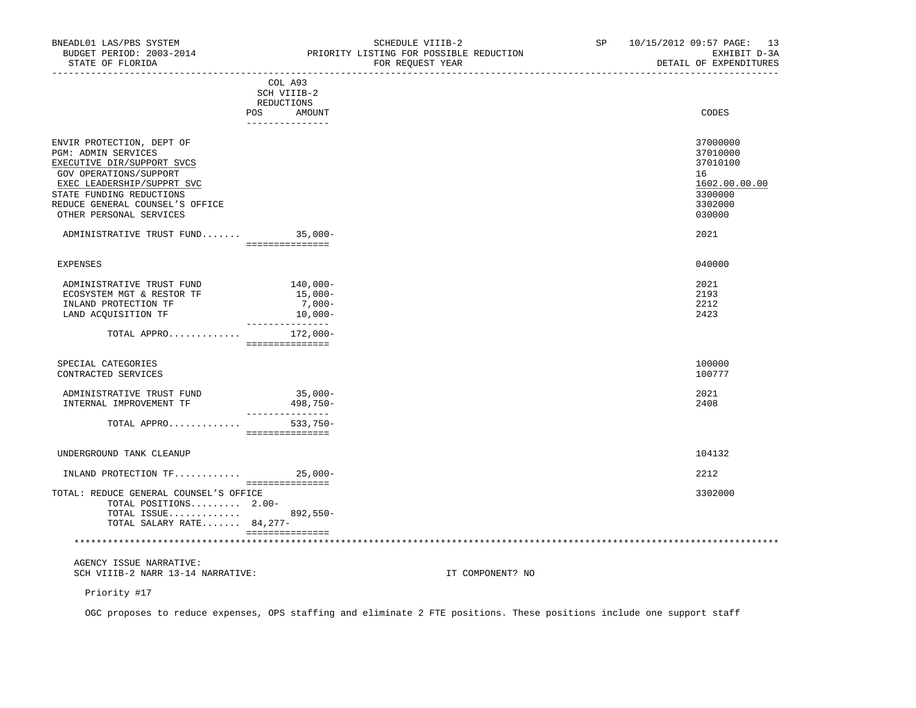| BUDGET PERIOD: 2003-2014<br>STATE OF FLORIDA                                                                                                                                                                                            | PRIORITY LISTING FOR POSSIBLE REDUCTION<br>FOR REOUEST YEAR           | EXHIBIT D-3A<br>DETAIL OF EXPENDITURES                                                  |
|-----------------------------------------------------------------------------------------------------------------------------------------------------------------------------------------------------------------------------------------|-----------------------------------------------------------------------|-----------------------------------------------------------------------------------------|
|                                                                                                                                                                                                                                         | COL A93<br>SCH VIIIB-2<br>REDUCTIONS<br>POS AMOUNT<br>_______________ | CODES                                                                                   |
| ENVIR PROTECTION, DEPT OF<br><b>PGM: ADMIN SERVICES</b><br>EXECUTIVE DIR/SUPPORT SVCS<br>GOV OPERATIONS/SUPPORT<br>EXEC LEADERSHIP/SUPPRT SVC<br>STATE FUNDING REDUCTIONS<br>REDUCE GENERAL COUNSEL'S OFFICE<br>OTHER PERSONAL SERVICES |                                                                       | 37000000<br>37010000<br>37010100<br>16<br>1602.00.00.00<br>3300000<br>3302000<br>030000 |
| ADMINISTRATIVE TRUST FUND 35,000-                                                                                                                                                                                                       | sessessessesses                                                       | 2021                                                                                    |
| <b>EXPENSES</b>                                                                                                                                                                                                                         |                                                                       | 040000                                                                                  |
| ADMINISTRATIVE TRUST FUND<br>ECOSYSTEM MGT & RESTOR TF<br>INLAND PROTECTION TF<br>LAND ACOUISITION TF 10,000-                                                                                                                           | $140,000-$<br>$15,000-$<br>$7,000-$<br>_______________                | 2021<br>2193<br>2212<br>2423                                                            |
| TOTAL APPRO 172,000-                                                                                                                                                                                                                    | sessessessesses                                                       |                                                                                         |
| SPECIAL CATEGORIES<br>CONTRACTED SERVICES                                                                                                                                                                                               |                                                                       | 100000<br>100777                                                                        |
| ADMINISTRATIVE TRUST FUND                                                                                                                                                                                                               | $35,000 -$                                                            | 2021                                                                                    |

| INTERNAL IMPROVEMENT TF  |             | $498.750 -$ | 2408   |
|--------------------------|-------------|-------------|--------|
|                          | TOTAL APPRO | 533,750-    |        |
|                          |             |             |        |
| UNDERGROUND TANK CLEANUP |             |             | 104132 |

| INLAND PROTECTION $TF$                 | $25.000 -$ |         |
|----------------------------------------|------------|---------|
|                                        |            |         |
| TOTAL: REDUCE GENERAL COUNSEL'S OFFICE |            | 3302000 |
| TOTAL POSITIONS $2.00-$                |            |         |
| TOTAL ISSUE 892,550-                   |            |         |
| TOTAL SALARY RATE 84,277-              |            |         |
|                                        |            |         |
|                                        |            |         |
|                                        |            |         |

Priority #17

OGC proposes to reduce expenses, OPS staffing and eliminate 2 FTE positions. These positions include one support staff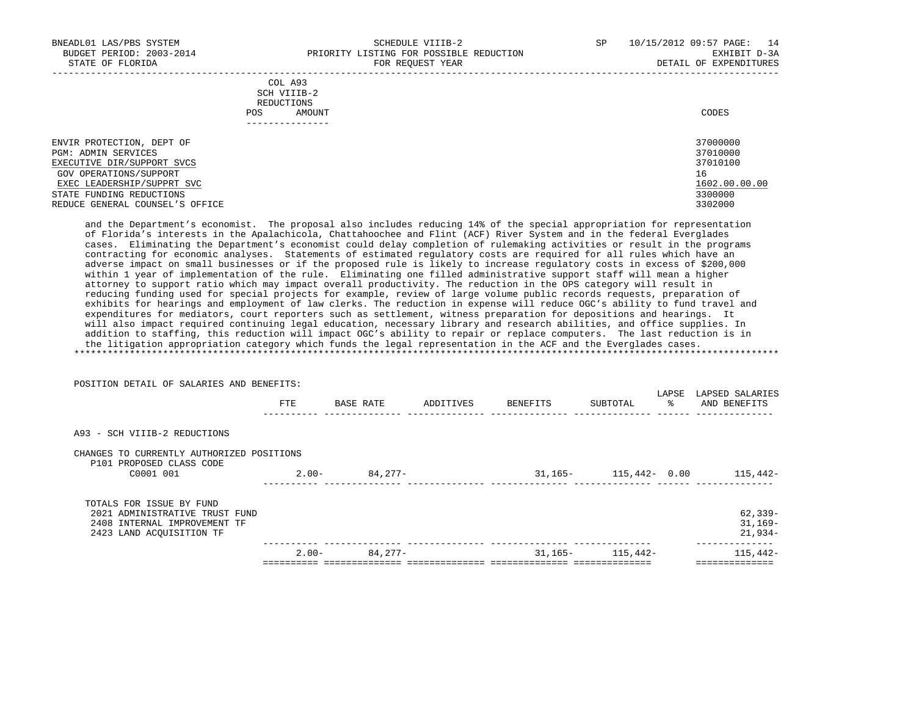-----------------------------------------------------------------------------------------------------------------------------------

|            | _______________ |       |
|------------|-----------------|-------|
| POS        | AMOUNT          | CODES |
| REDUCTIONS |                 |       |
|            | SCH VIIIB-2     |       |
|            | COL A93         |       |

| ENVIR PROTECTION, DEPT OF       | 37000000      |
|---------------------------------|---------------|
| PGM: ADMIN SERVICES             | 37010000      |
| EXECUTIVE DIR/SUPPORT SVCS      | 37010100      |
| GOV OPERATIONS/SUPPORT          | 16            |
| EXEC LEADERSHIP/SUPPRT SVC      | 1602.00.00.00 |
| STATE FUNDING REDUCTIONS        | 3300000       |
| REDUCE GENERAL COUNSEL'S OFFICE | 3302000       |

 and the Department's economist. The proposal also includes reducing 14% of the special appropriation for representation of Florida's interests in the Apalachicola, Chattahoochee and Flint (ACF) River System and in the federal Everglades cases. Eliminating the Department's economist could delay completion of rulemaking activities or result in the programs contracting for economic analyses. Statements of estimated regulatory costs are required for all rules which have an adverse impact on small businesses or if the proposed rule is likely to increase regulatory costs in excess of \$200,000 within 1 year of implementation of the rule. Eliminating one filled administrative support staff will mean a higher attorney to support ratio which may impact overall productivity. The reduction in the OPS category will result in reducing funding used for special projects for example, review of large volume public records requests, preparation of exhibits for hearings and employment of law clerks. The reduction in expense will reduce OGC's ability to fund travel and expenditures for mediators, court reporters such as settlement, witness preparation for depositions and hearings. It will also impact required continuing legal education, necessary library and research abilities, and office supplies. In addition to staffing, this reduction will impact OGC's ability to repair or replace computers. The last reduction is in the litigation appropriation category which funds the legal representation in the ACF and the Everglades cases. \*\*\*\*\*\*\*\*\*\*\*\*\*\*\*\*\*\*\*\*\*\*\*\*\*\*\*\*\*\*\*\*\*\*\*\*\*\*\*\*\*\*\*\*\*\*\*\*\*\*\*\*\*\*\*\*\*\*\*\*\*\*\*\*\*\*\*\*\*\*\*\*\*\*\*\*\*\*\*\*\*\*\*\*\*\*\*\*\*\*\*\*\*\*\*\*\*\*\*\*\*\*\*\*\*\*\*\*\*\*\*\*\*\*\*\*\*\*\*\*\*\*\*\*\*\*\*

| POSITION DETAIL OF SALARIES AND BENEFITS:                             |          |           |           |          |                           |             |                                 |
|-----------------------------------------------------------------------|----------|-----------|-----------|----------|---------------------------|-------------|---------------------------------|
|                                                                       | FTE      | BASE RATE | ADDITIVES | BENEFITS | SUBTOTAL                  | LAPSE<br>ႜၟ | LAPSED SALARIES<br>AND BENEFITS |
| A93 - SCH VIIIB-2 REDUCTIONS                                          |          |           |           |          |                           |             |                                 |
| CHANGES TO CURRENTLY AUTHORIZED POSITIONS<br>P101 PROPOSED CLASS CODE |          |           |           |          |                           |             |                                 |
| C0001 001                                                             | $2.00 -$ | 84,277-   |           |          | 31, 165 - 115, 442 - 0.00 |             | 115,442-                        |
| TOTALS FOR ISSUE BY FUND                                              |          |           |           |          |                           |             |                                 |
| 2021 ADMINISTRATIVE TRUST FUND                                        |          |           |           |          |                           |             | $62, 339 -$                     |
| 2408 INTERNAL IMPROVEMENT TF                                          |          |           |           |          |                           |             | $31,169-$                       |
| 2423 LAND ACOUISITION TF                                              |          |           |           |          |                           |             | $21,934-$                       |
|                                                                       | $2.00 -$ | 84,277-   |           | 31,165-  | 115,442-                  |             | 115,442-                        |
|                                                                       |          |           |           |          |                           |             |                                 |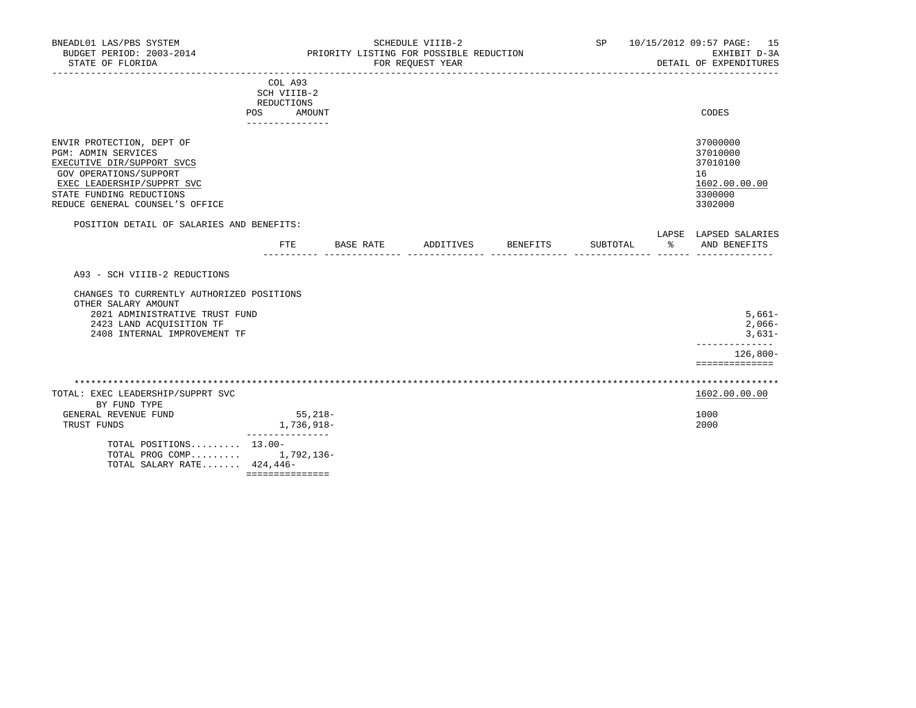| BNEADL01 LAS/PBS SYSTEM<br>BUDGET PERIOD: 2003-2014<br>STATE OF FLORIDA<br>----------------                                                                                                                  |                                                                       | --------------------- | SCHEDULE VIIIB-2<br>PRIORITY LISTING FOR POSSIBLE REDUCTION<br>FOR REOUEST YEAR |          | SP       | 10/15/2012 09:57 PAGE: 15<br>EXHIBIT D-3A<br>DETAIL OF EXPENDITURES           |
|--------------------------------------------------------------------------------------------------------------------------------------------------------------------------------------------------------------|-----------------------------------------------------------------------|-----------------------|---------------------------------------------------------------------------------|----------|----------|-------------------------------------------------------------------------------|
|                                                                                                                                                                                                              | COL A93<br>SCH VIIIB-2<br>REDUCTIONS<br>POS AMOUNT<br>_______________ |                       |                                                                                 |          |          | CODES                                                                         |
| ENVIR PROTECTION, DEPT OF<br><b>PGM: ADMIN SERVICES</b><br>EXECUTIVE DIR/SUPPORT SVCS<br>GOV OPERATIONS/SUPPORT<br>EXEC LEADERSHIP/SUPPRT SVC<br>STATE FUNDING REDUCTIONS<br>REDUCE GENERAL COUNSEL'S OFFICE |                                                                       |                       |                                                                                 |          |          | 37000000<br>37010000<br>37010100<br>16<br>1602.00.00.00<br>3300000<br>3302000 |
| POSITION DETAIL OF SALARIES AND BENEFITS:                                                                                                                                                                    | FTE                                                                   |                       | BASE RATE ADDITIVES                                                             | BENEFITS | SUBTOTAL | LAPSE LAPSED SALARIES<br>% AND BENEFITS                                       |
| A93 - SCH VIIIB-2 REDUCTIONS<br>CHANGES TO CURRENTLY AUTHORIZED POSITIONS                                                                                                                                    |                                                                       |                       |                                                                                 |          |          |                                                                               |
| OTHER SALARY AMOUNT<br>2021 ADMINISTRATIVE TRUST FUND<br>2423 LAND ACOUISITION TF<br>2408 INTERNAL IMPROVEMENT TF                                                                                            |                                                                       |                       |                                                                                 |          |          | $5,661-$<br>$2,066-$<br>$3,631-$<br>. _ _ _ _ _ _ _ _ _ _ _                   |
|                                                                                                                                                                                                              |                                                                       |                       |                                                                                 |          |          | $126,800-$<br>==============                                                  |
| TOTAL: EXEC LEADERSHIP/SUPPRT SVC<br>BY FUND TYPE                                                                                                                                                            |                                                                       |                       |                                                                                 |          |          | 1602.00.00.00                                                                 |
| GENERAL REVENUE FUND<br>TRUST FUNDS                                                                                                                                                                          | $55,218-$<br>1,736,918-<br>_______________                            |                       |                                                                                 |          |          | 1000<br>2000                                                                  |
| TOTAL POSITIONS 13.00-<br>TOTAL PROG COMP 1,792,136-<br>TOTAL SALARY RATE 424,446-                                                                                                                           | ===============                                                       |                       |                                                                                 |          |          |                                                                               |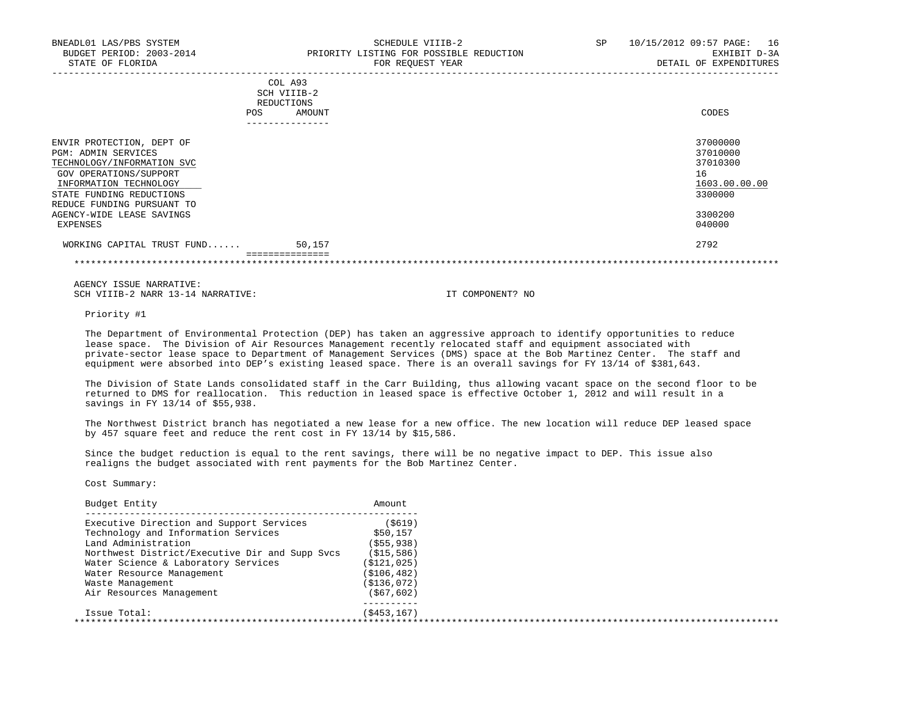| BNEADL01 LAS/PBS SYSTEM<br>BUDGET PERIOD: 2003-2014<br>STATE OF FLORIDA                                                                                               | SCHEDULE VIIIB-2<br>PRIORITY LISTING FOR POSSIBLE REDUCTION<br>FOR REOUEST YEAR | SP. | 10/15/2012 09:57 PAGE:<br>16<br>EXHIBIT D-3A<br>DETAIL OF EXPENDITURES |
|-----------------------------------------------------------------------------------------------------------------------------------------------------------------------|---------------------------------------------------------------------------------|-----|------------------------------------------------------------------------|
|                                                                                                                                                                       | COL A93<br>SCH VIIIB-2<br>REDUCTIONS<br>AMOUNT<br>POS<br>------------           |     | CODES                                                                  |
| ENVIR PROTECTION, DEPT OF<br><b>PGM: ADMIN SERVICES</b><br>TECHNOLOGY/INFORMATION SVC<br>GOV OPERATIONS/SUPPORT<br>INFORMATION TECHNOLOGY<br>STATE FUNDING REDUCTIONS |                                                                                 |     | 37000000<br>37010000<br>37010300<br>16<br>1603.00.00.00<br>3300000     |

 REDUCE FUNDING PURSUANT TO AGENCY-WIDE LEASE SAVINGS 3300200<br>EXPENSES 640000 EXPENSES 040000

 WORKING CAPITAL TRUST FUND...... 50,157 2792 ===============

\*\*\*\*\*\*\*\*\*\*\*\*\*\*\*\*\*\*\*\*\*\*\*\*\*\*\*\*\*\*\*\*\*\*\*\*\*\*\*\*\*\*\*\*\*\*\*\*\*\*\*\*\*\*\*\*\*\*\*\*\*\*\*\*\*\*\*\*\*\*\*\*\*\*\*\*\*\*\*\*\*\*\*\*\*\*\*\*\*\*\*\*\*\*\*\*\*\*\*\*\*\*\*\*\*\*\*\*\*\*\*\*\*\*\*\*\*\*\*\*\*\*\*\*\*\*\*

 AGENCY ISSUE NARRATIVE: SCH VIIIB-2 NARR 13-14 NARRATIVE: IT COMPONENT? NO

Priority #1

 The Department of Environmental Protection (DEP) has taken an aggressive approach to identify opportunities to reduce lease space. The Division of Air Resources Management recently relocated staff and equipment associated with private-sector lease space to Department of Management Services (DMS) space at the Bob Martinez Center. The staff and equipment were absorbed into DEP's existing leased space. There is an overall savings for FY 13/14 of \$381,643.

 The Division of State Lands consolidated staff in the Carr Building, thus allowing vacant space on the second floor to be returned to DMS for reallocation. This reduction in leased space is effective October 1, 2012 and will result in a savings in FY 13/14 of \$55,938.

 The Northwest District branch has negotiated a new lease for a new office. The new location will reduce DEP leased space by 457 square feet and reduce the rent cost in FY 13/14 by \$15,586.

 Since the budget reduction is equal to the rent savings, there will be no negative impact to DEP. This issue also realigns the budget associated with rent payments for the Bob Martinez Center.

| Budget Entity                                  | Amount        |  |
|------------------------------------------------|---------------|--|
| Executive Direction and Support Services       | (5619)        |  |
| Technology and Information Services            | \$50,157      |  |
| Land Administration                            | ( \$55, 938)  |  |
| Northwest District/Executive Dir and Supp Svcs | (S15, 586)    |  |
| Water Science & Laboratory Services            | ( \$121, 025) |  |
| Water Resource Management                      | ( \$106, 482) |  |
| Waste Management                               | (S136,072)    |  |
| Air Resources Management                       | ( \$67, 602)  |  |
| Issue Total:                                   | (S453, 167)   |  |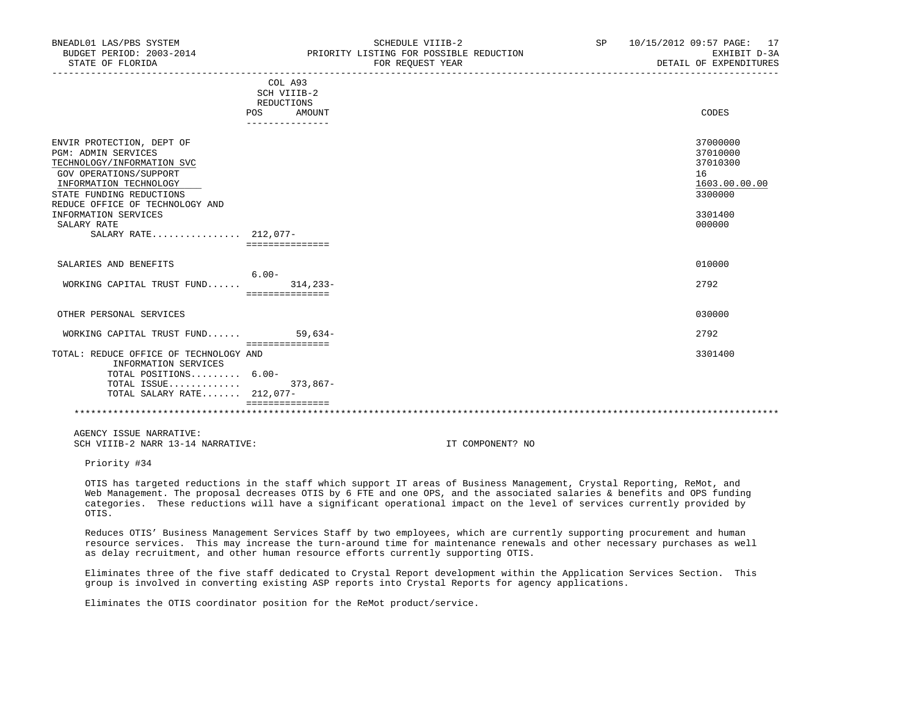| BNEADL01 LAS/PBS SYSTEM<br>BUDGET PERIOD: 2003-2014<br>STATE OF FLORIDA                                                                                                                                                                                                 |                                                                                 | SCHEDULE VIIIB-2<br>PRIORITY LISTING FOR POSSIBLE REDUCTION<br>FOR REQUEST YEAR | SP | 10/15/2012 09:57 PAGE: 17<br>EXHIBIT D-3A<br>DETAIL OF EXPENDITURES                     |
|-------------------------------------------------------------------------------------------------------------------------------------------------------------------------------------------------------------------------------------------------------------------------|---------------------------------------------------------------------------------|---------------------------------------------------------------------------------|----|-----------------------------------------------------------------------------------------|
|                                                                                                                                                                                                                                                                         | COL A93<br>SCH VIIIB-2<br><b>REDUCTIONS</b><br>POS<br>AMOUNT<br>--------------- |                                                                                 |    | CODES                                                                                   |
| ENVIR PROTECTION, DEPT OF<br><b>PGM: ADMIN SERVICES</b><br>TECHNOLOGY/INFORMATION SVC<br>GOV OPERATIONS/SUPPORT<br>INFORMATION TECHNOLOGY<br>STATE FUNDING REDUCTIONS<br>REDUCE OFFICE OF TECHNOLOGY AND<br>INFORMATION SERVICES<br>SALARY RATE<br>SALARY RATE 212,077- | ===============                                                                 |                                                                                 |    | 37000000<br>37010000<br>37010300<br>16<br>1603.00.00.00<br>3300000<br>3301400<br>000000 |
| SALARIES AND BENEFITS                                                                                                                                                                                                                                                   | $6.00 -$                                                                        |                                                                                 |    | 010000                                                                                  |
| WORKING CAPITAL TRUST FUND                                                                                                                                                                                                                                              | $314, 233 -$<br>===============                                                 |                                                                                 |    | 2792                                                                                    |
| OTHER PERSONAL SERVICES                                                                                                                                                                                                                                                 |                                                                                 |                                                                                 |    | 030000                                                                                  |
| WORKING CAPITAL TRUST FUND                                                                                                                                                                                                                                              | $59,634-$                                                                       |                                                                                 |    | 2792                                                                                    |
| TOTAL: REDUCE OFFICE OF TECHNOLOGY AND<br>INFORMATION SERVICES<br>TOTAL POSITIONS 6.00-<br>TOTAL ISSUE<br>TOTAL SALARY RATE 212,077-                                                                                                                                    | seesseesseesses<br>373,867-                                                     |                                                                                 |    | 3301400                                                                                 |
|                                                                                                                                                                                                                                                                         |                                                                                 |                                                                                 |    |                                                                                         |

Priority #34

 OTIS has targeted reductions in the staff which support IT areas of Business Management, Crystal Reporting, ReMot, and Web Management. The proposal decreases OTIS by 6 FTE and one OPS, and the associated salaries & benefits and OPS funding categories. These reductions will have a significant operational impact on the level of services currently provided by OTIS.

 Reduces OTIS' Business Management Services Staff by two employees, which are currently supporting procurement and human resource services. This may increase the turn-around time for maintenance renewals and other necessary purchases as well as delay recruitment, and other human resource efforts currently supporting OTIS.

 Eliminates three of the five staff dedicated to Crystal Report development within the Application Services Section. This group is involved in converting existing ASP reports into Crystal Reports for agency applications.

Eliminates the OTIS coordinator position for the ReMot product/service.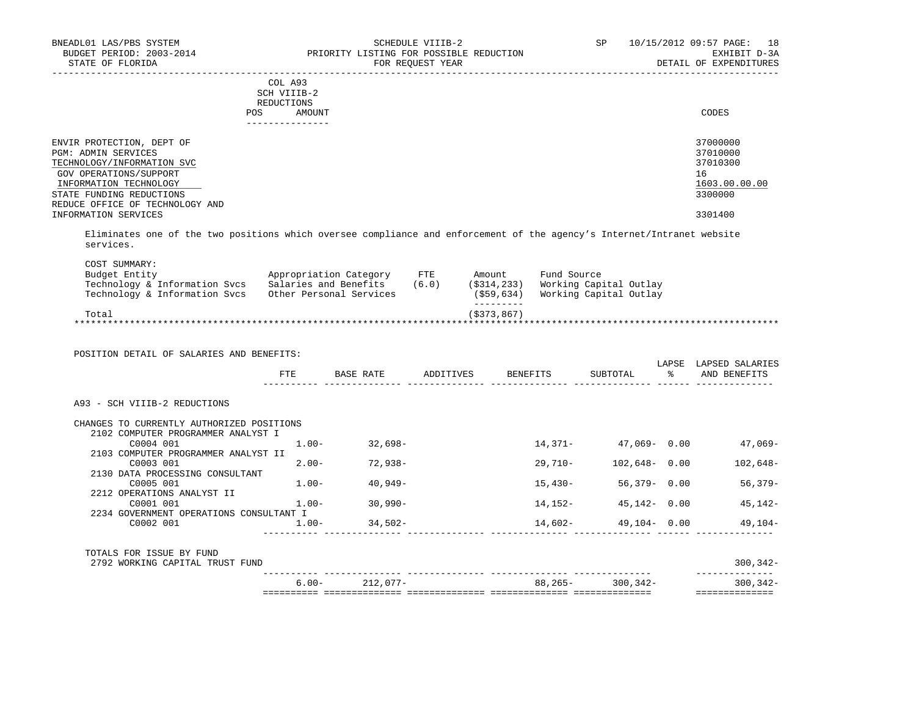| BNEADL01 LAS/PBS SYSTEM<br>BUDGET PERIOD: 2003-2014<br>STATE OF FLORIDA                                         | SCHEDULE VIIIB-2<br>PRIORITY LISTING FOR POSSIBLE REDUCTION<br>FOR REOUEST YEAR | 10/15/2012 09:57 PAGE:<br>SP.<br>18<br>EXHIBIT D-3A<br>DETAIL OF EXPENDITURES |
|-----------------------------------------------------------------------------------------------------------------|---------------------------------------------------------------------------------|-------------------------------------------------------------------------------|
|                                                                                                                 | COL A93<br>SCH VIIIB-2<br>REDUCTIONS<br>AMOUNT<br><b>POS</b>                    | CODES                                                                         |
| ENVIR PROTECTION, DEPT OF<br><b>PGM: ADMIN SERVICES</b><br>TECHNOLOGY/INFORMATION SVC<br>GOV OPERATIONS/SUPPORT |                                                                                 | 37000000<br>37010000<br>37010300<br>16                                        |

 $\frac{\text{INFORMATION TECHNOLOGY}}{\text{3300000}} \qquad \qquad \frac{1603.00.00000}{3300000}$ STATE FUNDING REDUCTIONS REDUCE OFFICE OF TECHNOLOGY AND INFORMATION SERVICES 3301400

 Eliminates one of the two positions which oversee compliance and enforcement of the agency's Internet/Intranet website services.

| Budget Entity                 | Appropriation Category  | FTE   | Amount        | Fund Source            |
|-------------------------------|-------------------------|-------|---------------|------------------------|
| Technology & Information Svcs | Salaries and Benefits   | (6.0) | (S314, 233)   | Working Capital Outlay |
| Technology & Information Svcs | Other Personal Services |       | $($ \$59,634) | Working Capital Outlay |
|                               |                         |       |               |                        |
| Total                         |                         |       | (S373, 867)   |                        |

| FTE     |                                                                                                                                                                                                                 |                                                                                 |                               |                         |                                                                                                       |
|---------|-----------------------------------------------------------------------------------------------------------------------------------------------------------------------------------------------------------------|---------------------------------------------------------------------------------|-------------------------------|-------------------------|-------------------------------------------------------------------------------------------------------|
|         | BASE RATE                                                                                                                                                                                                       | ADDITIVES BENEFITS                                                              | SUBTOTAL                      | LAPSE<br>?ะ             | LAPSED SALARIES<br>AND BENEFITS                                                                       |
|         |                                                                                                                                                                                                                 |                                                                                 |                               |                         |                                                                                                       |
|         |                                                                                                                                                                                                                 |                                                                                 |                               |                         |                                                                                                       |
|         |                                                                                                                                                                                                                 |                                                                                 |                               |                         |                                                                                                       |
|         |                                                                                                                                                                                                                 |                                                                                 |                               |                         | $47,069-$                                                                                             |
|         |                                                                                                                                                                                                                 |                                                                                 |                               |                         |                                                                                                       |
|         |                                                                                                                                                                                                                 |                                                                                 |                               |                         | $102,648-$                                                                                            |
|         |                                                                                                                                                                                                                 |                                                                                 |                               |                         | 56,379-                                                                                               |
|         |                                                                                                                                                                                                                 |                                                                                 |                               |                         |                                                                                                       |
|         |                                                                                                                                                                                                                 |                                                                                 |                               |                         | 45,142-                                                                                               |
|         |                                                                                                                                                                                                                 |                                                                                 |                               |                         |                                                                                                       |
| $1.00-$ |                                                                                                                                                                                                                 |                                                                                 |                               |                         | 49,104-                                                                                               |
|         |                                                                                                                                                                                                                 |                                                                                 |                               |                         |                                                                                                       |
|         |                                                                                                                                                                                                                 |                                                                                 |                               |                         | $300, 342 -$                                                                                          |
|         |                                                                                                                                                                                                                 |                                                                                 |                               |                         | $300, 342 -$                                                                                          |
|         | CHANGES TO CURRENTLY AUTHORIZED POSITIONS<br>2102 COMPUTER PROGRAMMER ANALYST I<br>$1.00-$<br>2103 COMPUTER PROGRAMMER ANALYST II<br>$2.00 -$<br>$1.00 -$<br>$1.00-$<br>2234 GOVERNMENT OPERATIONS CONSULTANT I | $32,698-$<br>72,938-<br>40,949-<br>30,990-<br>$34,502-$<br>$6.00 -$<br>212,077- | 29,710-<br>15,430-<br>14,152- | 88,265-<br>$300, 342 -$ | $14,371 47,069-$ 0.00<br>$102,648 - 0.00$<br>$56,379 - 0.00$<br>45,142- 0.00<br>$14,602 49,104-$ 0.00 |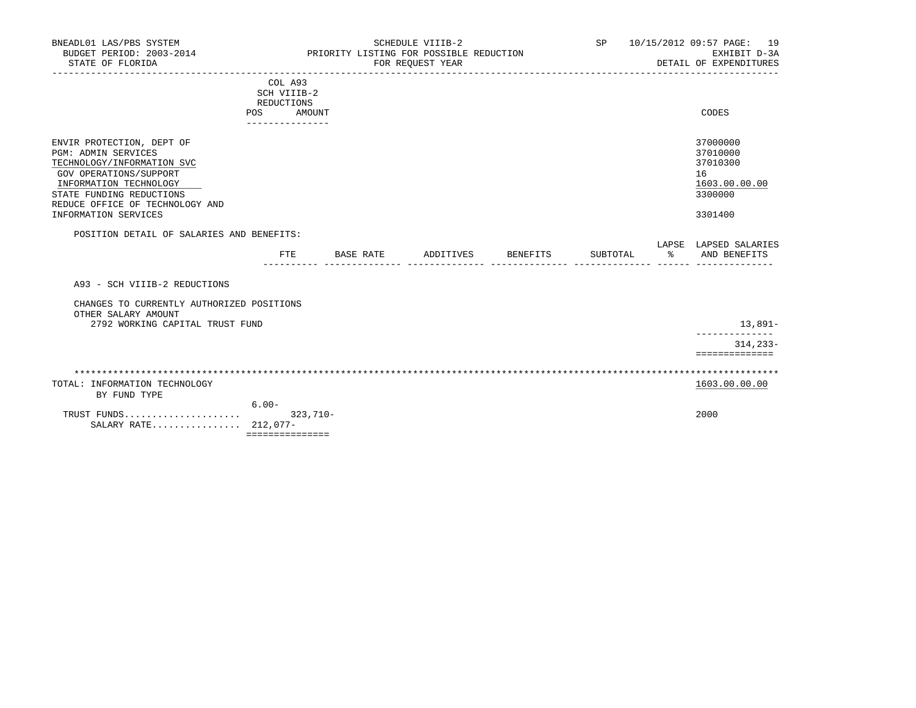| BNEADL01 LAS/PBS SYSTEM<br>BUDGET PERIOD: 2003-2014<br>STATE OF FLORIDA                                                                                                                                                          |                                                                                 |           | SCHEDULE VIIIB-2<br>PRIORITY LISTING FOR POSSIBLE REDUCTION<br>FOR REQUEST YEAR |          | <b>SP</b> | 10/15/2012 09:57 PAGE: 19<br>EXHIBIT D-3A<br>DETAIL OF EXPENDITURES           |
|----------------------------------------------------------------------------------------------------------------------------------------------------------------------------------------------------------------------------------|---------------------------------------------------------------------------------|-----------|---------------------------------------------------------------------------------|----------|-----------|-------------------------------------------------------------------------------|
|                                                                                                                                                                                                                                  | COL A93<br>SCH VIIIB-2<br>REDUCTIONS<br><b>POS</b><br>AMOUNT<br>--------------- |           |                                                                                 |          |           | CODES                                                                         |
| ENVIR PROTECTION, DEPT OF<br><b>PGM: ADMIN SERVICES</b><br>TECHNOLOGY/INFORMATION SVC<br>GOV OPERATIONS/SUPPORT<br>INFORMATION TECHNOLOGY<br>STATE FUNDING REDUCTIONS<br>REDUCE OFFICE OF TECHNOLOGY AND<br>INFORMATION SERVICES |                                                                                 |           |                                                                                 |          |           | 37000000<br>37010000<br>37010300<br>16<br>1603.00.00.00<br>3300000<br>3301400 |
| POSITION DETAIL OF SALARIES AND BENEFITS:                                                                                                                                                                                        | <b>FTE</b>                                                                      | BASE RATE | ADDITIVES                                                                       | BENEFITS | SUBTOTAL  | LAPSE LAPSED SALARIES<br>ႜ<br>AND BENEFITS                                    |
| A93 - SCH VIIIB-2 REDUCTIONS                                                                                                                                                                                                     |                                                                                 |           |                                                                                 |          |           |                                                                               |
| CHANGES TO CURRENTLY AUTHORIZED POSITIONS<br>OTHER SALARY AMOUNT                                                                                                                                                                 |                                                                                 |           |                                                                                 |          |           |                                                                               |
| 2792 WORKING CAPITAL TRUST FUND                                                                                                                                                                                                  |                                                                                 |           |                                                                                 |          |           | 13,891–                                                                       |
|                                                                                                                                                                                                                                  |                                                                                 |           |                                                                                 |          |           | $314, 233 -$<br>==============                                                |
|                                                                                                                                                                                                                                  |                                                                                 |           |                                                                                 |          |           |                                                                               |
| TOTAL: INFORMATION TECHNOLOGY<br>BY FUND TYPE                                                                                                                                                                                    |                                                                                 |           |                                                                                 |          |           | 1603.00.00.00                                                                 |
| TRUST FUNDS<br>SALARY RATE 212,077-                                                                                                                                                                                              | $6.00 -$<br>$323.710 -$<br>===============                                      |           |                                                                                 |          |           | 2000                                                                          |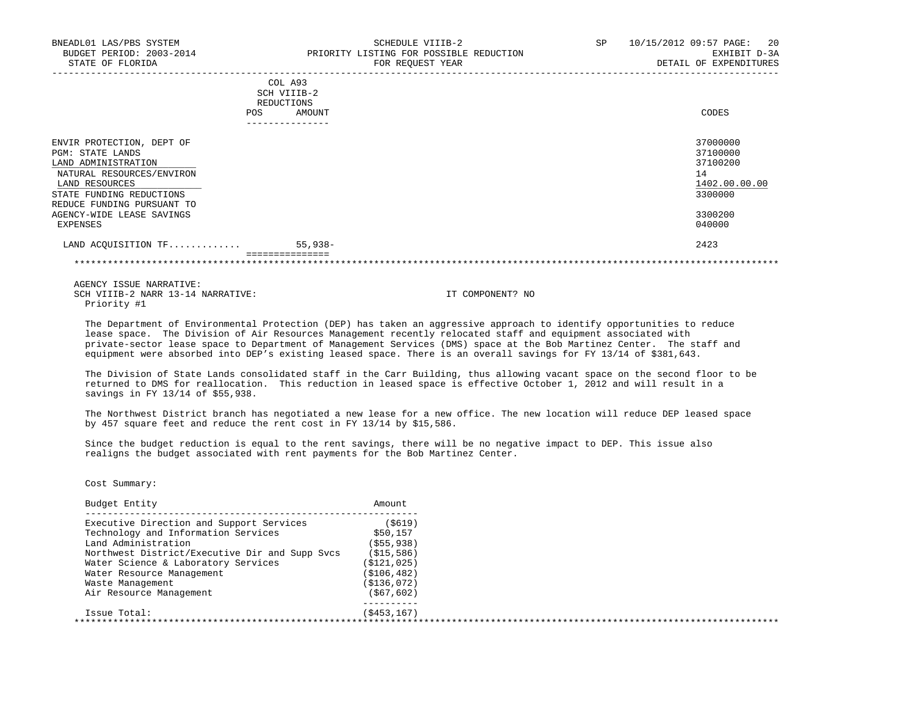| BNEADL01 LAS/PBS SYSTEM<br>BUDGET PERIOD: 2003-2014<br>STATE OF FLORIDA                                                    | SCHEDULE VIIIB-2<br>PRIORITY LISTING FOR POSSIBLE REDUCTION<br>FOR REOUEST YEAR | SP | 10/15/2012 09:57 PAGE:<br>20<br>EXHIBIT D-3A<br>DETAIL OF EXPENDITURES |
|----------------------------------------------------------------------------------------------------------------------------|---------------------------------------------------------------------------------|----|------------------------------------------------------------------------|
|                                                                                                                            | COL A93<br>SCH VIIIB-2<br>REDUCTIONS<br>AMOUNT<br>POS.<br>____________          |    | CODES                                                                  |
| ENVIR PROTECTION, DEPT OF<br><b>PGM: STATE LANDS</b><br>LAND ADMINISTRATION<br>NATURAL RESOURCES/ENVIRON<br>LAND RESOURCES |                                                                                 |    | 37000000<br>37100000<br>37100200<br>14<br>1402.00.00.00                |

 $\underline{\texttt{LAND}~RES$ STATE FUNDING REDUCTIONS 3300000 REDUCE FUNDING PURSUANT TO AGENCY-WIDE LEASE SAVINGS 3300200<br>EXPENSES 640000 EXPENSES 040000

 LAND ACQUISITION TF............. 55,938- 2423 ===============

\*\*\*\*\*\*\*\*\*\*\*\*\*\*\*\*\*\*\*\*\*\*\*\*\*\*\*\*\*\*\*\*\*\*\*\*\*\*\*\*\*\*\*\*\*\*\*\*\*\*\*\*\*\*\*\*\*\*\*\*\*\*\*\*\*\*\*\*\*\*\*\*\*\*\*\*\*\*\*\*\*\*\*\*\*\*\*\*\*\*\*\*\*\*\*\*\*\*\*\*\*\*\*\*\*\*\*\*\*\*\*\*\*\*\*\*\*\*\*\*\*\*\*\*\*\*\*

 AGENCY ISSUE NARRATIVE: SCH VIIIB-2 NARR 13-14 NARRATIVE: IT COMPONENT? NO Priority #1

 The Department of Environmental Protection (DEP) has taken an aggressive approach to identify opportunities to reduce lease space. The Division of Air Resources Management recently relocated staff and equipment associated with private-sector lease space to Department of Management Services (DMS) space at the Bob Martinez Center. The staff and equipment were absorbed into DEP's existing leased space. There is an overall savings for FY 13/14 of \$381,643.

 The Division of State Lands consolidated staff in the Carr Building, thus allowing vacant space on the second floor to be returned to DMS for reallocation. This reduction in leased space is effective October 1, 2012 and will result in a savings in FY 13/14 of \$55,938.

 The Northwest District branch has negotiated a new lease for a new office. The new location will reduce DEP leased space by 457 square feet and reduce the rent cost in FY 13/14 by \$15,586.

 Since the budget reduction is equal to the rent savings, there will be no negative impact to DEP. This issue also realigns the budget associated with rent payments for the Bob Martinez Center.

| Budget Entity                                  | Amount        |  |
|------------------------------------------------|---------------|--|
| Executive Direction and Support Services       | ( \$619)      |  |
| Technology and Information Services            | \$50,157      |  |
| Land Administration                            | ( \$55, 938)  |  |
| Northwest District/Executive Dir and Supp Svcs | (S15, 586)    |  |
| Water Science & Laboratory Services            | ( \$121, 025) |  |
| Water Resource Management                      | ( \$106, 482) |  |
| Waste Management                               | (S136,072)    |  |
| Air Resource Management                        | (S67, 602)    |  |
| Issue Total:                                   | (S453, 167)   |  |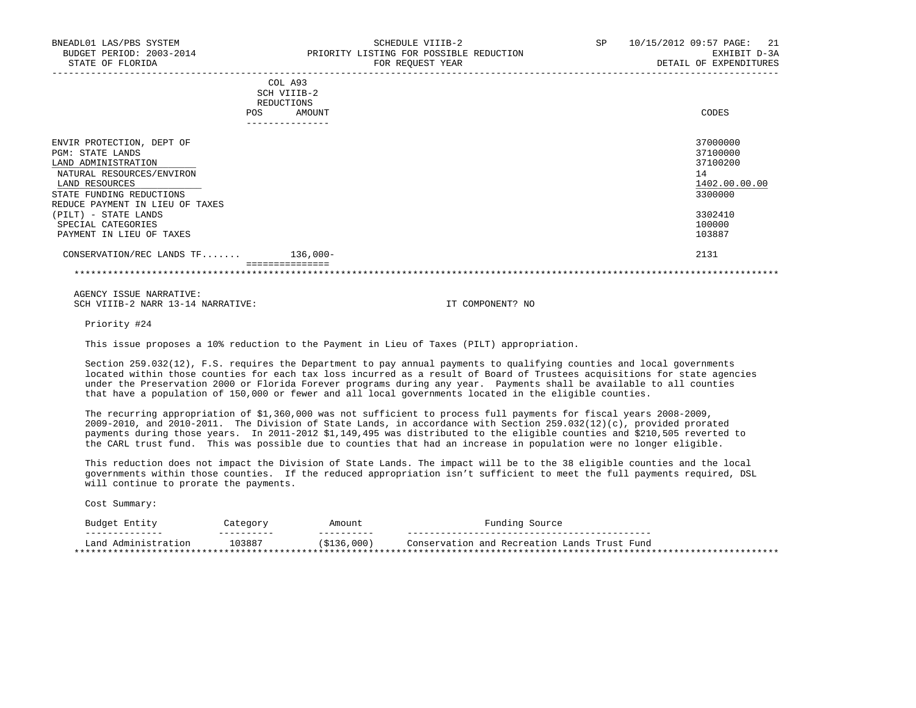| <b>POS</b>                      | SCH VIIIB-2<br>REDUCTIONS<br>AMOUNT<br>---------------- | CODES         |  |
|---------------------------------|---------------------------------------------------------|---------------|--|
| ENVIR PROTECTION, DEPT OF       |                                                         | 37000000      |  |
| <b>PGM: STATE LANDS</b>         |                                                         | 37100000      |  |
| LAND ADMINISTRATION             |                                                         | 37100200      |  |
| NATURAL RESOURCES/ENVIRON       |                                                         | 14            |  |
| LAND RESOURCES                  |                                                         | 1402.00.00.00 |  |
| STATE FUNDING REDUCTIONS        |                                                         | 3300000       |  |
| REDUCE PAYMENT IN LIEU OF TAXES |                                                         |               |  |
| (PILT) - STATE LANDS            |                                                         | 3302410       |  |
| SPECIAL CATEGORIES              |                                                         | 100000        |  |
| PAYMENT IN LIEU OF TAXES        |                                                         | 103887        |  |
| CONSERVATION/REC LANDS TF       | 136,000-                                                | 2131          |  |
|                                 |                                                         |               |  |

Priority #24

This issue proposes a 10% reduction to the Payment in Lieu of Taxes (PILT) appropriation.

 Section 259.032(12), F.S. requires the Department to pay annual payments to qualifying counties and local governments located within those counties for each tax loss incurred as a result of Board of Trustees acquisitions for state agencies under the Preservation 2000 or Florida Forever programs during any year. Payments shall be available to all counties that have a population of 150,000 or fewer and all local governments located in the eligible counties.

 The recurring appropriation of \$1,360,000 was not sufficient to process full payments for fiscal years 2008-2009, 2009-2010, and 2010-2011. The Division of State Lands, in accordance with Section 259.032(12)(c), provided prorated payments during those years. In 2011-2012 \$1,149,495 was distributed to the eligible counties and \$210,505 reverted to the CARL trust fund. This was possible due to counties that had an increase in population were no longer eligible.

 This reduction does not impact the Division of State Lands. The impact will be to the 38 eligible counties and the local governments within those counties. If the reduced appropriation isn't sufficient to meet the full payments required, DSL will continue to prorate the payments.

| Entity<br>Budget         | Category   | Amount      | Funding Source                               |
|--------------------------|------------|-------------|----------------------------------------------|
| --------------           | __________ | ----------  |                                              |
| ∟and<br>. Administration | 103887     | (\$136,000) | Conservation and Recreation Lands Trust Fund |
|                          |            |             | ********                                     |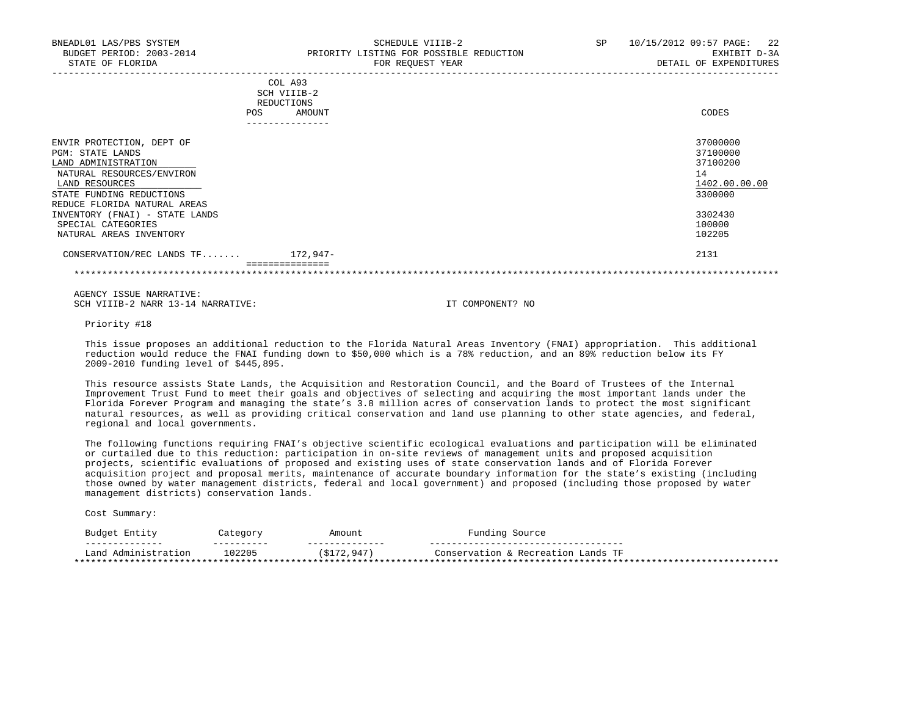| BNEADL01 LAS/PBS SYSTEM<br>STATE OF FLORIDA                                                                                                                                     | SCHEDULE VIIIB-2<br>BUDGET PERIOD: 2003-2014 PRIORITY LISTING FOR POSSIBLE REDUCTION<br>FOR REQUEST YEAR | SP <sub>2</sub><br>10/15/2012 09:57 PAGE: 22<br>EXHIBIT D-3A<br>DETAIL OF EXPENDITURES |
|---------------------------------------------------------------------------------------------------------------------------------------------------------------------------------|----------------------------------------------------------------------------------------------------------|----------------------------------------------------------------------------------------|
|                                                                                                                                                                                 | COL A93<br>SCH VIIIB-2<br>REDUCTIONS<br>POS<br>AMOUNT<br>. _ _ _ _ _ _ _ _ _ _ _ _ _ _ _                 | CODES                                                                                  |
| ENVIR PROTECTION, DEPT OF<br>PGM: STATE LANDS<br>LAND ADMINISTRATION<br>NATURAL RESOURCES/ENVIRON<br>LAND RESOURCES<br>STATE FUNDING REDUCTIONS<br>REDUCE FLORIDA NATURAL AREAS |                                                                                                          | 37000000<br>37100000<br>37100200<br>14<br>1402.00.00.00<br>3300000                     |
| INVENTORY (FNAI) - STATE LANDS<br>SPECIAL CATEGORIES<br>NATURAL AREAS INVENTORY                                                                                                 |                                                                                                          | 3302430<br>100000<br>102205                                                            |
| CONSERVATION/REC LANDS $TF$ 172,947-                                                                                                                                            |                                                                                                          | 2131                                                                                   |

 =============== \*\*\*\*\*\*\*\*\*\*\*\*\*\*\*\*\*\*\*\*\*\*\*\*\*\*\*\*\*\*\*\*\*\*\*\*\*\*\*\*\*\*\*\*\*\*\*\*\*\*\*\*\*\*\*\*\*\*\*\*\*\*\*\*\*\*\*\*\*\*\*\*\*\*\*\*\*\*\*\*\*\*\*\*\*\*\*\*\*\*\*\*\*\*\*\*\*\*\*\*\*\*\*\*\*\*\*\*\*\*\*\*\*\*\*\*\*\*\*\*\*\*\*\*\*\*\*

 AGENCY ISSUE NARRATIVE: SCH VIIIB-2 NARR 13-14 NARRATIVE: IT COMPONENT? NO

Priority #18

 This issue proposes an additional reduction to the Florida Natural Areas Inventory (FNAI) appropriation. This additional reduction would reduce the FNAI funding down to \$50,000 which is a 78% reduction, and an 89% reduction below its FY 2009-2010 funding level of \$445,895.

 This resource assists State Lands, the Acquisition and Restoration Council, and the Board of Trustees of the Internal Improvement Trust Fund to meet their goals and objectives of selecting and acquiring the most important lands under the Florida Forever Program and managing the state's 3.8 million acres of conservation lands to protect the most significant natural resources, as well as providing critical conservation and land use planning to other state agencies, and federal, regional and local governments.

 The following functions requiring FNAI's objective scientific ecological evaluations and participation will be eliminated or curtailed due to this reduction: participation in on-site reviews of management units and proposed acquisition projects, scientific evaluations of proposed and existing uses of state conservation lands and of Florida Forever acquisition project and proposal merits, maintenance of accurate boundary information for the state's existing (including those owned by water management districts, federal and local government) and proposed (including those proposed by water management districts) conservation lands.

| Budget Entity                                                  | Category                      | Amount                       | Funding Source                                        |
|----------------------------------------------------------------|-------------------------------|------------------------------|-------------------------------------------------------|
| ______________<br>Land Administration<br>********************* | _ _ _ _ _ _ _ _ _ _<br>102205 | --------------<br>\$172,947) | Conservation & Recreation Lands TF<br>* * * * * * * * |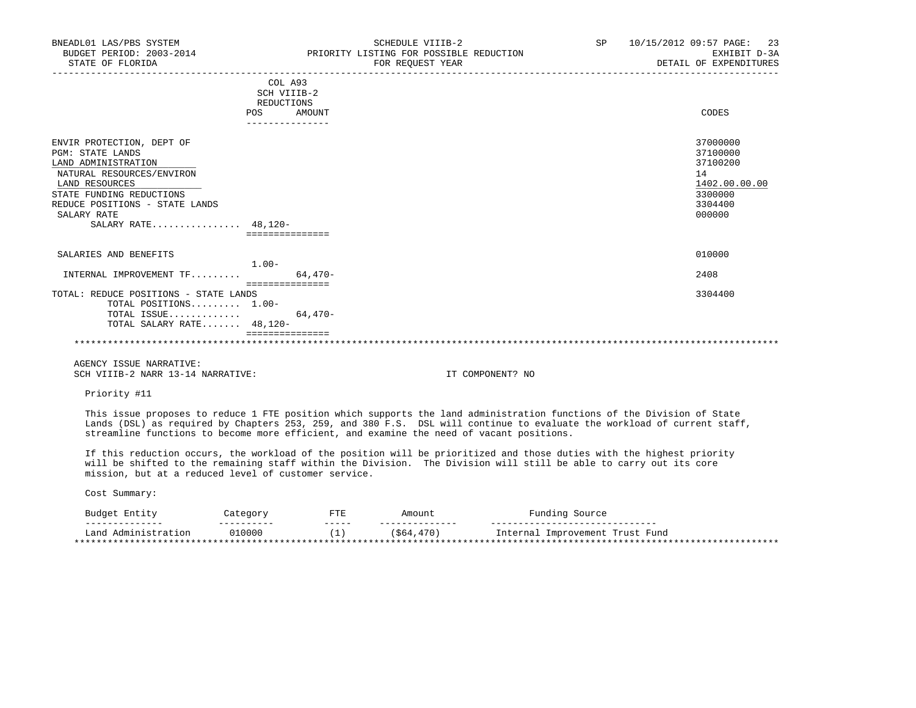| BNEADL01 LAS/PBS SYSTEM<br>BUDGET PERIOD: 2003-2014<br>STATE OF FLORIDA | SCHEDULE VIIIB-2<br>PRIORITY LISTING FOR POSSIBLE REDUCTION<br>FOR REQUEST YEAR | SP 10/15/2012 09:57 PAGE: 23<br>EXHIBIT D-3A<br>DETAIL OF EXPENDITURES |
|-------------------------------------------------------------------------|---------------------------------------------------------------------------------|------------------------------------------------------------------------|
|                                                                         | COL A93<br>SCH VIIIB-2                                                          |                                                                        |
|                                                                         | REDUCTIONS                                                                      |                                                                        |
|                                                                         | AMOUNT<br>POS                                                                   | CODES                                                                  |
|                                                                         |                                                                                 |                                                                        |
| ENVIR PROTECTION, DEPT OF                                               |                                                                                 | 37000000                                                               |
| <b>PGM: STATE LANDS</b>                                                 |                                                                                 | 37100000                                                               |
| LAND ADMINISTRATION                                                     |                                                                                 | 37100200                                                               |
| NATURAL RESOURCES/ENVIRON                                               |                                                                                 | 14                                                                     |
| LAND RESOURCES                                                          |                                                                                 | 1402.00.00.00                                                          |
| STATE FUNDING REDUCTIONS                                                |                                                                                 | 3300000                                                                |
| REDUCE POSITIONS - STATE LANDS                                          |                                                                                 | 3304400                                                                |
| SALARY RATE                                                             |                                                                                 | 000000                                                                 |
| SALARY RATE $48.120 -$                                                  |                                                                                 |                                                                        |
|                                                                         | ===============                                                                 |                                                                        |
| SALARIES AND BENEFITS                                                   |                                                                                 | 010000                                                                 |
|                                                                         | $1.00-$                                                                         |                                                                        |
| INTERNAL IMPROVEMENT $TF$                                               | 64,470-<br>===============                                                      | 2408                                                                   |
| TOTAL: REDUCE POSITIONS - STATE LANDS                                   |                                                                                 | 3304400                                                                |
| TOTAL POSITIONS 1.00-                                                   |                                                                                 |                                                                        |
| TOTAL ISSUE                                                             | $64.470-$                                                                       |                                                                        |
| TOTAL SALARY RATE 48,120-                                               |                                                                                 |                                                                        |
|                                                                         |                                                                                 |                                                                        |
| AGENCY ISSUE NARRATIVE:                                                 |                                                                                 |                                                                        |
| SCH VIIIB-2 NARR 13-14 NARRATIVE:                                       | IT COMPONENT? NO                                                                |                                                                        |

Priority #11

 This issue proposes to reduce 1 FTE position which supports the land administration functions of the Division of State Lands (DSL) as required by Chapters 253, 259, and 380  $\overline{F}$ .S. DSL will continue to evaluate the workload of current staff, streamline functions to become more efficient, and examine the need of vacant positions.

 If this reduction occurs, the workload of the position will be prioritized and those duties with the highest priority will be shifted to the remaining staff within the Division. The Division will still be able to carry out its core mission, but at a reduced level of customer service.

| Entity<br>Budge*              | $\sim$ $\sim$ $\sim$ | תחת<br>- 1 L L | Amount   | Source<br>.5 <sub>m</sub>                |  |
|-------------------------------|----------------------|----------------|----------|------------------------------------------|--|
|                               | ------               | ------         |          | ---                                      |  |
| ∟and<br>Administration        | 010000               | $\sim$         | \$64,470 | Fund<br>Trust<br>Internal<br>Improvement |  |
| ***************************** |                      |                |          | *******                                  |  |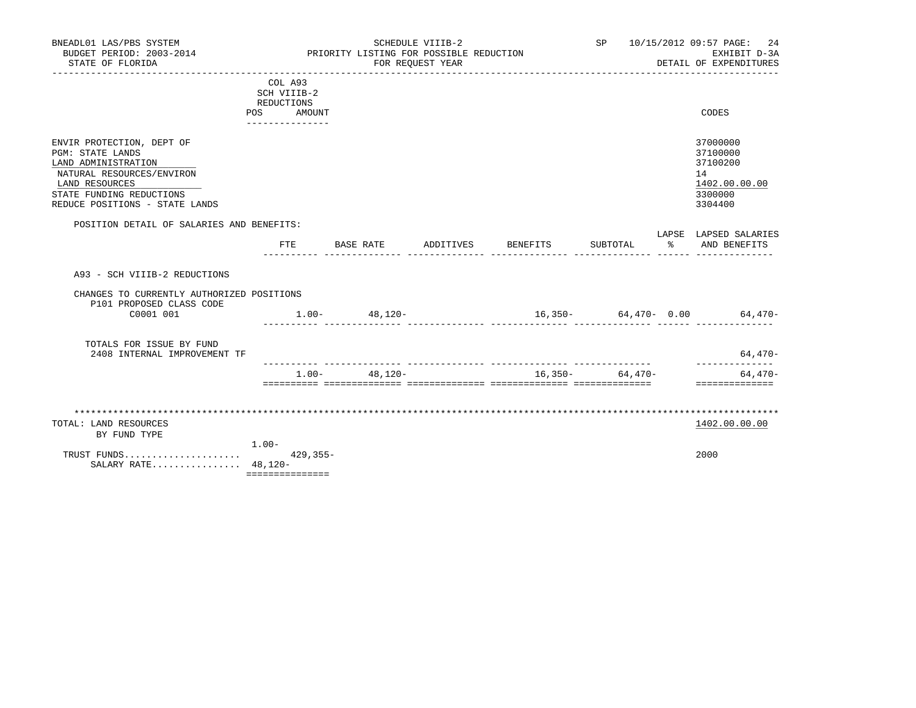| BNEADL01 LAS/PBS SYSTEM<br>BUDGET PERIOD: 2003-2014<br>STATE OF FLORIDA                                                                                                                  |                                                                |              | PRIORITY LISTING FOR POSSIBLE REDUCTION | SCHEDULE VIIIB-2<br>FOR REOUEST YEAR | SP and the set of the set of the set of the set of the set of the set of the set of the set of the set of the set of the set of the set of the set of the set of the set of the set of the set of the set of the set of the se |              | 10/15/2012 09:57 PAGE:<br>-24<br>EXHIBIT D-3A<br>DETAIL OF EXPENDITURES       |
|------------------------------------------------------------------------------------------------------------------------------------------------------------------------------------------|----------------------------------------------------------------|--------------|-----------------------------------------|--------------------------------------|--------------------------------------------------------------------------------------------------------------------------------------------------------------------------------------------------------------------------------|--------------|-------------------------------------------------------------------------------|
|                                                                                                                                                                                          | COL A93<br>SCH VIIIB-2<br>REDUCTIONS<br>POS<br>--------------- | AMOUNT       |                                         |                                      |                                                                                                                                                                                                                                |              | CODES                                                                         |
| ENVIR PROTECTION, DEPT OF<br><b>PGM: STATE LANDS</b><br>LAND ADMINISTRATION<br>NATURAL RESOURCES/ENVIRON<br>LAND RESOURCES<br>STATE FUNDING REDUCTIONS<br>REDUCE POSITIONS - STATE LANDS |                                                                |              |                                         |                                      |                                                                                                                                                                                                                                |              | 37000000<br>37100000<br>37100200<br>14<br>1402.00.00.00<br>3300000<br>3304400 |
| POSITION DETAIL OF SALARIES AND BENEFITS:                                                                                                                                                | FTE                                                            |              | BASE RATE                               | ADDITIVES BENEFITS                   | SUBTOTAL                                                                                                                                                                                                                       | $\mathbb{R}$ | LAPSE LAPSED SALARIES<br>AND BENEFITS                                         |
| A93 - SCH VIIIB-2 REDUCTIONS                                                                                                                                                             |                                                                |              |                                         |                                      |                                                                                                                                                                                                                                |              |                                                                               |
| CHANGES TO CURRENTLY AUTHORIZED POSITIONS<br>P101 PROPOSED CLASS CODE<br>C0001 001                                                                                                       |                                                                |              | $1.00 - 48,120 -$                       |                                      |                                                                                                                                                                                                                                |              | $16,350-$ 64,470- 0.00 64,470-                                                |
| TOTALS FOR ISSUE BY FUND<br>2408 INTERNAL IMPROVEMENT TF                                                                                                                                 |                                                                |              |                                         |                                      |                                                                                                                                                                                                                                |              | $64,470-$<br>---------------                                                  |
|                                                                                                                                                                                          |                                                                | $1.00 -$     | $48.120 -$                              |                                      | $16,350-$ 64,470-                                                                                                                                                                                                              |              | $64.470-$<br>==============                                                   |
| TOTAL: LAND RESOURCES<br>BY FUND TYPE                                                                                                                                                    |                                                                |              |                                         |                                      |                                                                                                                                                                                                                                |              | 1402.00.00.00                                                                 |
| TRUST FUNDS<br>SALARY RATE 48,120-                                                                                                                                                       | $1.00 -$<br>===============                                    | $429, 355 -$ |                                         |                                      |                                                                                                                                                                                                                                |              | 2000                                                                          |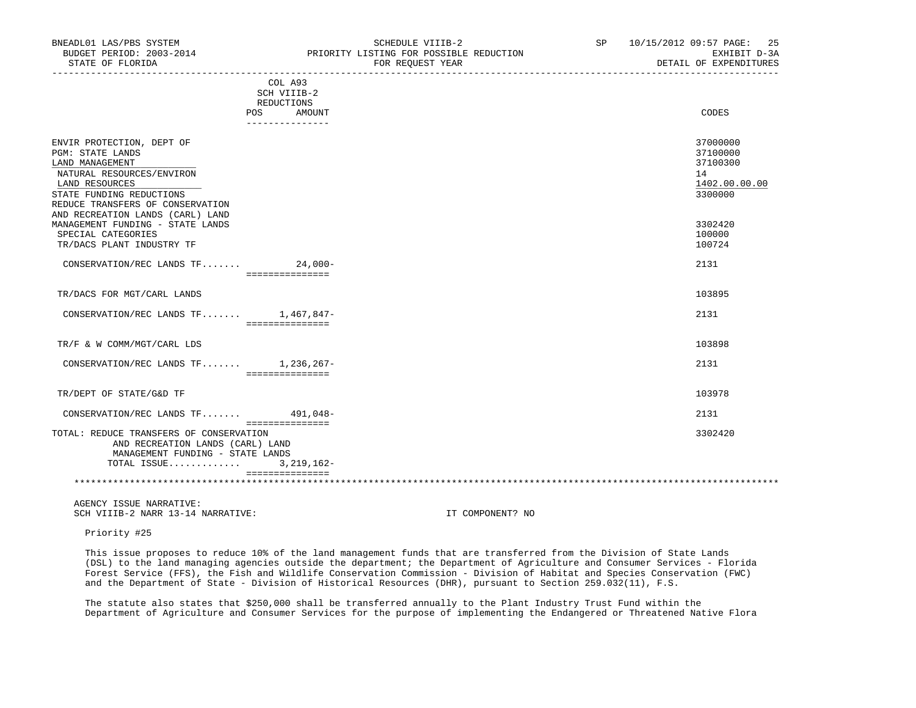| BUDGET PERIOD: 2003-2014<br>STATE OF FLORIDA                                                                                                                | PRIORITY LISTING FOR POSSIBLE REDUCTION<br>FOR REQUEST YEAR  | EXHIBIT D-3A<br>DETAIL OF EXPENDITURES                             |
|-------------------------------------------------------------------------------------------------------------------------------------------------------------|--------------------------------------------------------------|--------------------------------------------------------------------|
|                                                                                                                                                             | COL A93<br>SCH VIIIB-2<br>REDUCTIONS<br><b>POS</b><br>AMOUNT | CODES                                                              |
|                                                                                                                                                             | _______________                                              |                                                                    |
| ENVIR PROTECTION, DEPT OF<br><b>PGM: STATE LANDS</b><br>LAND MANAGEMENT<br>NATURAL RESOURCES/ENVIRON<br>LAND RESOURCES<br>STATE FUNDING REDUCTIONS          |                                                              | 37000000<br>37100000<br>37100300<br>14<br>1402.00.00.00<br>3300000 |
| REDUCE TRANSFERS OF CONSERVATION<br>AND RECREATION LANDS (CARL) LAND<br>MANAGEMENT FUNDING - STATE LANDS<br>SPECIAL CATEGORIES<br>TR/DACS PLANT INDUSTRY TF |                                                              | 3302420<br>100000<br>100724                                        |
| CONSERVATION/REC LANDS TF 24,000-                                                                                                                           | ================                                             | 2131                                                               |
| TR/DACS FOR MGT/CARL LANDS                                                                                                                                  |                                                              | 103895                                                             |
| CONSERVATION/REC LANDS TF 1,467,847-                                                                                                                        | _________________                                            | 2131                                                               |
| TR/F & W COMM/MGT/CARL LDS                                                                                                                                  |                                                              | 103898                                                             |
| CONSERVATION/REC LANDS TF 1,236,267-                                                                                                                        | ===============                                              | 2131                                                               |
| TR/DEPT OF STATE/G&D TF                                                                                                                                     |                                                              | 103978                                                             |
| CONSERVATION/REC LANDS TF 491,048-                                                                                                                          |                                                              | 2131                                                               |
| TOTAL: REDUCE TRANSFERS OF CONSERVATION<br>AND RECREATION LANDS (CARL) LAND<br>MANAGEMENT FUNDING - STATE LANDS<br>TOTAL ISSUE                              | ===============<br>$3,219,162-$<br>===============           | 3302420                                                            |
|                                                                                                                                                             |                                                              |                                                                    |

BNEADL01 LAS/PBS SYSTEM SCHEDULE VIIIB-2 SCHEDULE VIIIB-2 SP 10/15/2012 09:57 PAGE: 25

 AGENCY ISSUE NARRATIVE: SCH VIIIB-2 NARR 13-14 NARRATIVE: IT COMPONENT? NO

Priority #25

 This issue proposes to reduce 10% of the land management funds that are transferred from the Division of State Lands (DSL) to the land managing agencies outside the department; the Department of Agriculture and Consumer Services - Florida Forest Service (FFS), the Fish and Wildlife Conservation Commission - Division of Habitat and Species Conservation (FWC) and the Department of State - Division of Historical Resources (DHR), pursuant to Section 259.032(11), F.S.

 The statute also states that \$250,000 shall be transferred annually to the Plant Industry Trust Fund within the Department of Agriculture and Consumer Services for the purpose of implementing the Endangered or Threatened Native Flora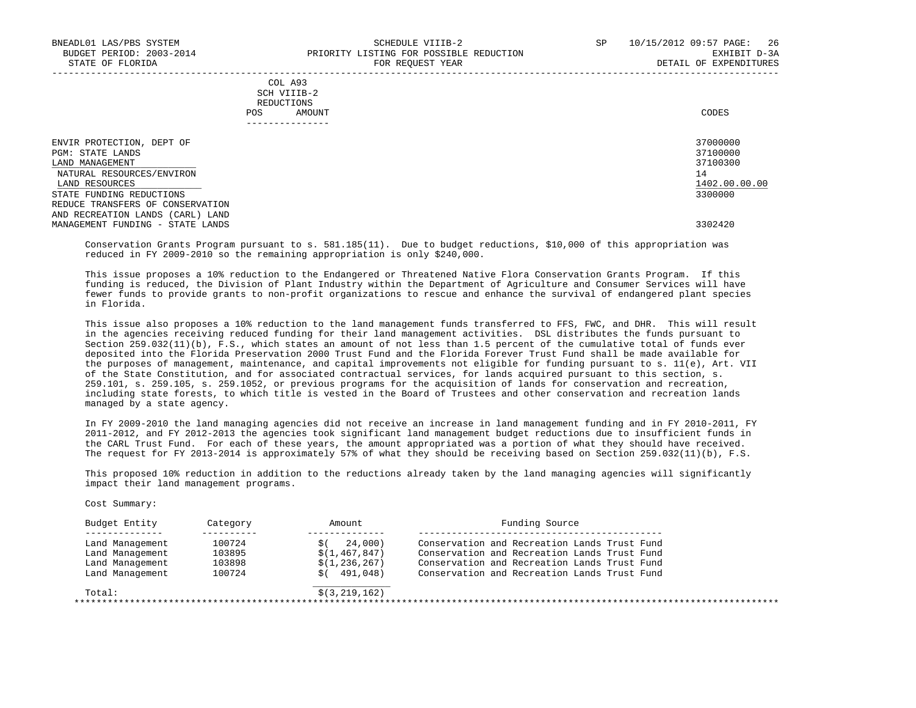Cost Summary:

| COL A93     |       |
|-------------|-------|
| SCH VIIIB-2 |       |
| REDUCTIONS  |       |
| AMOUNT      | CODES |
|             |       |

| _____________                                                |                      |
|--------------------------------------------------------------|----------------------|
| ENVIR PROTECTION, DEPT OF                                    | 37000000             |
| PGM: STATE LANDS<br>LAND MANAGEMENT                          | 37100000<br>37100300 |
| NATURAL RESOURCES/ENVIRON<br>LAND RESOURCES                  | 14<br>1402.00.00.00  |
| STATE FUNDING REDUCTIONS<br>REDUCE TRANSFERS OF CONSERVATION | 3300000              |
| AND RECREATION LANDS<br>(CARL) LAND                          |                      |
| MANAGEMENT FUNDING - STATE LANDS                             | 3302420              |

-----------------------------------------------------------------------------------------------------------------------------------

 Conservation Grants Program pursuant to s. 581.185(11). Due to budget reductions, \$10,000 of this appropriation was reduced in FY 2009-2010 so the remaining appropriation is only \$240,000.

 This issue proposes a 10% reduction to the Endangered or Threatened Native Flora Conservation Grants Program. If this funding is reduced, the Division of Plant Industry within the Department of Agriculture and Consumer Services will have fewer funds to provide grants to non-profit organizations to rescue and enhance the survival of endangered plant species in Florida.

 This issue also proposes a 10% reduction to the land management funds transferred to FFS, FWC, and DHR. This will result in the agencies receiving reduced funding for their land management activities. DSL distributes the funds pursuant to Section 259.032(11)(b), F.S., which states an amount of not less than 1.5 percent of the cumulative total of funds ever deposited into the Florida Preservation 2000 Trust Fund and the Florida Forever Trust Fund shall be made available for the purposes of management, maintenance, and capital improvements not eligible for funding pursuant to s. 11(e), Art. VII of the State Constitution, and for associated contractual services, for lands acquired pursuant to this section, s. 259.101, s. 259.105, s. 259.1052, or previous programs for the acquisition of lands for conservation and recreation, including state forests, to which title is vested in the Board of Trustees and other conservation and recreation lands managed by a state agency.

 In FY 2009-2010 the land managing agencies did not receive an increase in land management funding and in FY 2010-2011, FY 2011-2012, and FY 2012-2013 the agencies took significant land management budget reductions due to insufficient funds in the CARL Trust Fund. For each of these years, the amount appropriated was a portion of what they should have received. The request for FY 2013-2014 is approximately 57% of what they should be receiving based on Section 259.032(11)(b), F.S.

 This proposed 10% reduction in addition to the reductions already taken by the land managing agencies will significantly impact their land management programs.

 Budget Entity Category Amount Funding Source -------------- ---------- -------------- -------------------------------------------- Land Management 100724 \$( 24,000) Conservation and Recreation Lands Trust Fund Land Management 103895 \$(1,467,847) Conservation and Recreation Lands Trust Fund Land Management 103898 \$(1,236,267) Conservation and Recreation Lands Trust Fund Land Management 100724 \$( 491,048) Conservation and Recreation Lands Trust Fund \_\_\_\_\_\_\_\_\_\_\_\_\_\_  $Total:$   $\frac{1}{2}(3,219,162)$ \*\*\*\*\*\*\*\*\*\*\*\*\*\*\*\*\*\*\*\*\*\*\*\*\*\*\*\*\*\*\*\*\*\*\*\*\*\*\*\*\*\*\*\*\*\*\*\*\*\*\*\*\*\*\*\*\*\*\*\*\*\*\*\*\*\*\*\*\*\*\*\*\*\*\*\*\*\*\*\*\*\*\*\*\*\*\*\*\*\*\*\*\*\*\*\*\*\*\*\*\*\*\*\*\*\*\*\*\*\*\*\*\*\*\*\*\*\*\*\*\*\*\*\*\*\*\*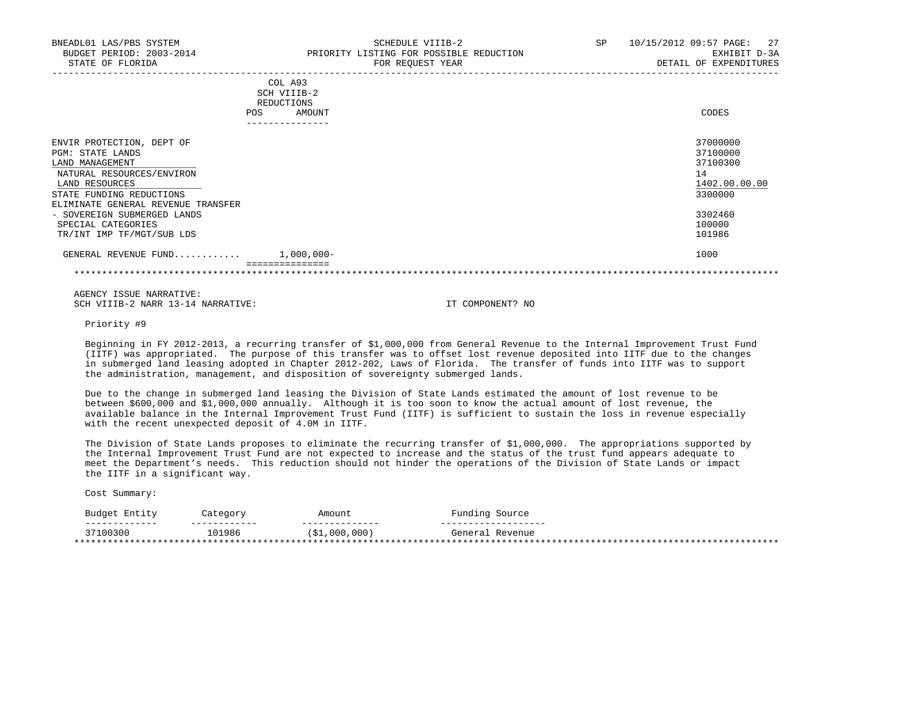| <b>POS</b>                                                                                                                                                                        | COL A93<br>SCH VIIIB-2<br>REDUCTIONS<br>AMOUNT | CODES                                                              |
|-----------------------------------------------------------------------------------------------------------------------------------------------------------------------------------|------------------------------------------------|--------------------------------------------------------------------|
|                                                                                                                                                                                   |                                                |                                                                    |
| ENVIR PROTECTION, DEPT OF<br>PGM: STATE LANDS<br>LAND MANAGEMENT<br>NATURAL RESOURCES/ENVIRON<br>LAND RESOURCES<br>STATE FUNDING REDUCTIONS<br>ELIMINATE GENERAL REVENUE TRANSFER |                                                | 37000000<br>37100000<br>37100300<br>14<br>1402.00.00.00<br>3300000 |
| - SOVEREIGN SUBMERGED LANDS<br>SPECIAL CATEGORIES<br>TR/INT IMP TF/MGT/SUB LDS                                                                                                    |                                                | 3302460<br>100000<br>101986                                        |
| GENERAL REVENUE FUND                                                                                                                                                              | $1,000,000-$                                   | 1000                                                               |
|                                                                                                                                                                                   |                                                |                                                                    |

Priority #9

 Beginning in FY 2012-2013, a recurring transfer of \$1,000,000 from General Revenue to the Internal Improvement Trust Fund (IITF) was appropriated. The purpose of this transfer was to offset lost revenue deposited into IITF due to the changes in submerged land leasing adopted in Chapter 2012-202, Laws of Florida. The transfer of funds into IITF was to support the administration, management, and disposition of sovereignty submerged lands.

 Due to the change in submerged land leasing the Division of State Lands estimated the amount of lost revenue to be between \$600,000 and \$1,000,000 annually. Although it is too soon to know the actual amount of lost revenue, the available balance in the Internal Improvement Trust Fund (IITF) is sufficient to sustain the loss in revenue especially with the recent unexpected deposit of 4.0M in IITF.

 The Division of State Lands proposes to eliminate the recurring transfer of \$1,000,000. The appropriations supported by the Internal Improvement Trust Fund are not expected to increase and the status of the trust fund appears adequate to meet the Department's needs. This reduction should not hinder the operations of the Division of State Lands or impact the IITF in a significant way.

| Entity<br><b>Budge</b>    | $'$ atem $'$ | Amount     | Source              |
|---------------------------|--------------|------------|---------------------|
|                           |              |            |                     |
| -------------             | --------     | __________ | _ _ _ _ _ _ _ _ _ _ |
|                           | ---          | $ -$       | Revenue             |
| 37100300                  |              | ,000,000)  | General             |
| ************************* | 101986       | '\$1       | *******             |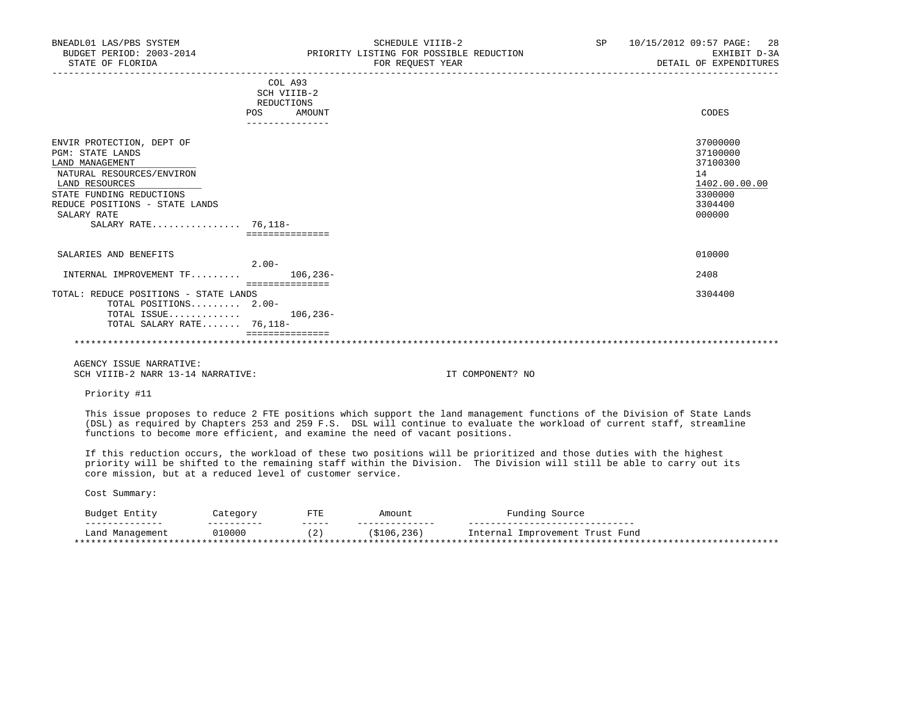| BNEADL01 LAS/PBS SYSTEM<br>BUDGET PERIOD: 2003-2014<br>STATE OF FLORIDA | SCHEDULE VIIIB-2<br>PRIORITY LISTING FOR POSSIBLE REDUCTION<br>FOR REQUEST YEAR | SP <sub>2</sub> | 28<br>10/15/2012 09:57 PAGE:<br>EXHIBIT D-3A<br>DETAIL OF EXPENDITURES |
|-------------------------------------------------------------------------|---------------------------------------------------------------------------------|-----------------|------------------------------------------------------------------------|
|                                                                         | COL A93<br>SCH VIIIB-2                                                          |                 |                                                                        |
|                                                                         | REDUCTIONS                                                                      |                 |                                                                        |
|                                                                         | <b>POS</b><br>AMOUNT                                                            |                 | CODES                                                                  |
|                                                                         | --------------                                                                  |                 |                                                                        |
| ENVIR PROTECTION, DEPT OF                                               |                                                                                 |                 | 37000000                                                               |
| <b>PGM: STATE LANDS</b>                                                 |                                                                                 |                 | 37100000                                                               |
| LAND MANAGEMENT                                                         |                                                                                 |                 | 37100300                                                               |
| NATURAL RESOURCES/ENVIRON                                               |                                                                                 |                 | 14                                                                     |
| LAND RESOURCES                                                          |                                                                                 |                 | 1402.00.00.00                                                          |
| STATE FUNDING REDUCTIONS                                                |                                                                                 |                 | 3300000                                                                |
| REDUCE POSITIONS - STATE LANDS                                          |                                                                                 |                 | 3304400                                                                |
| SALARY RATE<br>SALARY RATE 76,118-                                      |                                                                                 |                 | 000000                                                                 |
|                                                                         | ===============                                                                 |                 |                                                                        |
|                                                                         |                                                                                 |                 |                                                                        |
| SALARIES AND BENEFITS                                                   |                                                                                 |                 | 010000                                                                 |
|                                                                         | $2.00 -$                                                                        |                 |                                                                        |
| $\texttt{INTERNAL}$ IMPROVEMENT TF                                      | $106.236 -$                                                                     |                 | 2408                                                                   |
|                                                                         | ===============                                                                 |                 |                                                                        |
| TOTAL: REDUCE POSITIONS - STATE LANDS<br>TOTAL POSITIONS 2.00-          |                                                                                 |                 | 3304400                                                                |
| TOTAL ISSUE                                                             | $106, 236 -$                                                                    |                 |                                                                        |
| TOTAL SALARY RATE 76,118-                                               |                                                                                 |                 |                                                                        |
|                                                                         |                                                                                 |                 |                                                                        |
|                                                                         |                                                                                 |                 |                                                                        |
|                                                                         |                                                                                 |                 |                                                                        |

Priority #11

 This issue proposes to reduce 2 FTE positions which support the land management functions of the Division of State Lands (DSL) as required by Chapters 253 and 259 F.S. DSL will continue to evaluate the workload of current staff, streamline functions to become more efficient, and examine the need of vacant positions.

 If this reduction occurs, the workload of these two positions will be prioritized and those duties with the highest priority will be shifted to the remaining staff within the Division. The Division will still be able to carry out its core mission, but at a reduced level of customer service.

| Budge <sup>.</sup><br>Entity | $7$ o $+$ o $\alpha$ o $\alpha$<br>Caleyor | 고구고<br>'⊥ ≞ | Amount       | $\mathbf{m}$<br>Source       |
|------------------------------|--------------------------------------------|-------------|--------------|------------------------------|
| --------------               | __________                                 | ------      | ----------   | -----                        |
| ∟and<br>rianiaycillchi       | 010000                                     | $\sim$<br>▵ | 5106<br>.236 | Fund<br>Trust<br>Improvement |
| **************               |                                            |             |              | *****                        |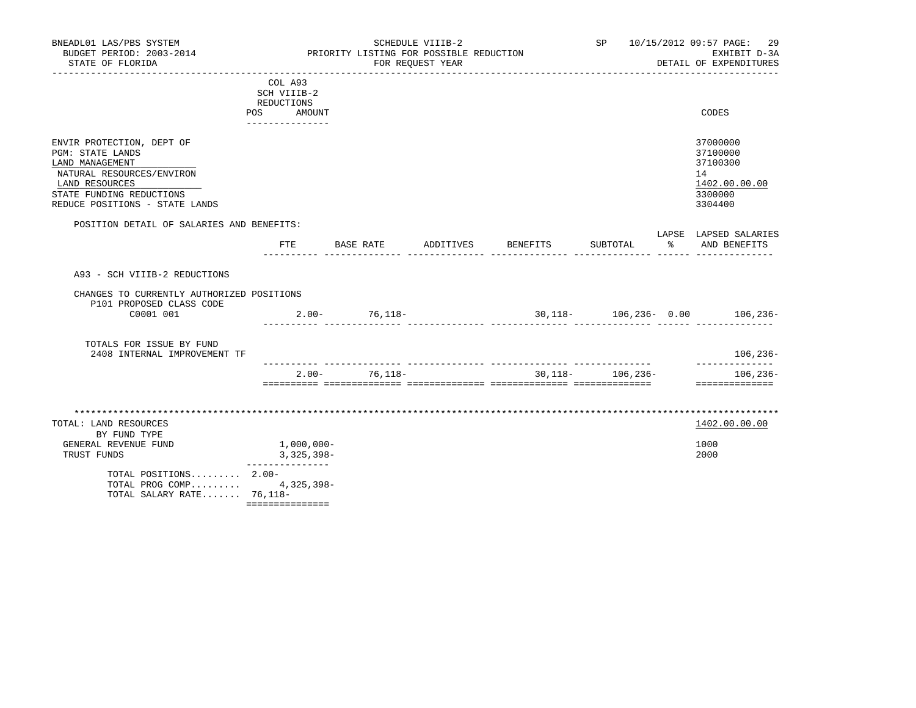| BNEADL01 LAS/PBS SYSTEM<br>BUDGET PERIOD: 2003-2014<br>STATE OF FLORIDA                                                                                                              |                                                                          | PRIORITY LISTING FOR POSSIBLE REDUCTION | SCHEDULE VIIIB-2<br>FOR REQUEST YEAR |          | SP                   |    | 10/15/2012 09:57 PAGE:<br>29<br>EXHIBIT D-3A<br>DETAIL OF EXPENDITURES        |
|--------------------------------------------------------------------------------------------------------------------------------------------------------------------------------------|--------------------------------------------------------------------------|-----------------------------------------|--------------------------------------|----------|----------------------|----|-------------------------------------------------------------------------------|
|                                                                                                                                                                                      | COL A93<br>SCH VIIIB-2<br>REDUCTIONS<br>POS<br>AMOUNT<br>--------------- |                                         |                                      |          |                      |    | CODES                                                                         |
| ENVIR PROTECTION, DEPT OF<br><b>PGM: STATE LANDS</b><br>LAND MANAGEMENT<br>NATURAL RESOURCES/ENVIRON<br>LAND RESOURCES<br>STATE FUNDING REDUCTIONS<br>REDUCE POSITIONS - STATE LANDS |                                                                          |                                         |                                      |          |                      |    | 37000000<br>37100000<br>37100300<br>14<br>1402.00.00.00<br>3300000<br>3304400 |
| POSITION DETAIL OF SALARIES AND BENEFITS:                                                                                                                                            | FTE                                                                      | BASE RATE                               | ADDITIVES                            | BENEFITS | SUBTOTAL             | ႜၟ | LAPSE LAPSED SALARIES<br>AND BENEFITS                                         |
| A93 - SCH VIIIB-2 REDUCTIONS<br>CHANGES TO CURRENTLY AUTHORIZED POSITIONS<br>P101 PROPOSED CLASS CODE<br>C0001 001                                                                   |                                                                          | $2.00 - 76,118 -$                       |                                      |          |                      |    | 30, 118 - 106, 236 - 0.00 106, 236 -                                          |
| TOTALS FOR ISSUE BY FUND<br>2408 INTERNAL IMPROVEMENT TF                                                                                                                             |                                                                          |                                         |                                      |          |                      |    | $106, 236 -$                                                                  |
|                                                                                                                                                                                      | $2.00 -$                                                                 | 76,118–                                 |                                      |          | $30,118 - 106,236 -$ |    | ______________<br>$106, 236 -$<br>==============                              |
| TOTAL: LAND RESOURCES<br>BY FUND TYPE<br>GENERAL REVENUE FUND<br>TRUST FUNDS<br>TOTAL POSITIONS 2.00-                                                                                | $1,000,000-$<br>3,325,398-<br>_______________                            |                                         |                                      |          |                      |    | 1402.00.00.00<br>1000<br>2000                                                 |
| TOTAL PROG COMP 4,325,398-<br>TOTAL SALARY RATE 76,118-                                                                                                                              | ===============                                                          |                                         |                                      |          |                      |    |                                                                               |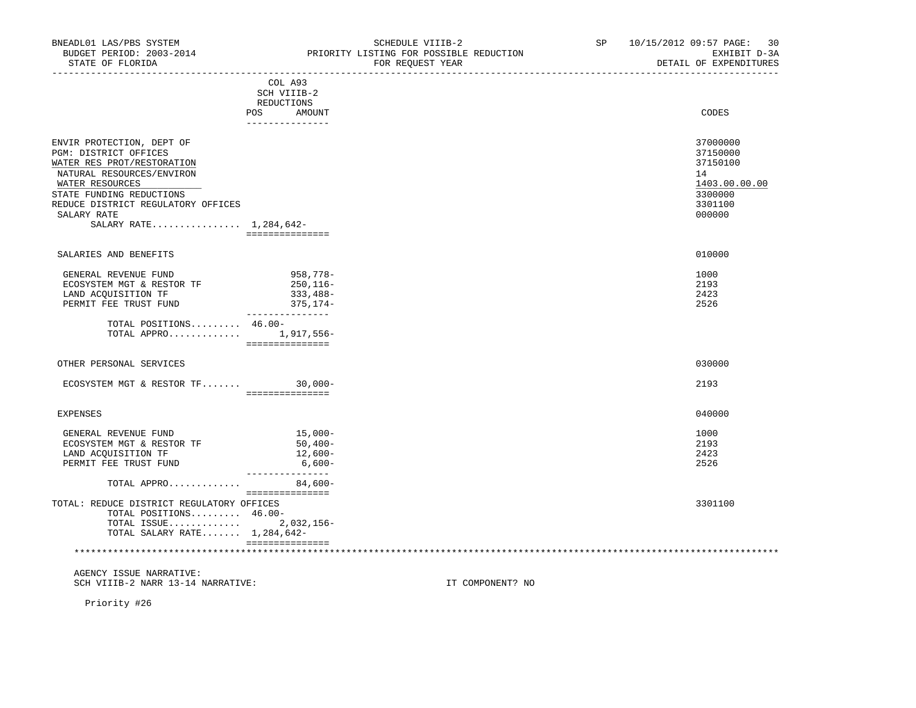| COL A93<br>SCH VIIIB-2<br>REDUCTIONS<br>POS AMOUNT<br>CODES<br>_______________<br>37000000<br>ENVIR PROTECTION, DEPT OF<br>PGM: DISTRICT OFFICES<br>37150000<br>WATER RES PROT/RESTORATION<br>37150100<br>14<br>NATURAL RESOURCES/ENVIRON<br>WATER RESOURCES<br>3300000<br>STATE FUNDING REDUCTIONS<br>REDUCE DISTRICT REGULATORY OFFICES<br>3301100<br>SALARY RATE<br>000000<br>SALARY RATE 1,284,642-<br>===============<br>010000<br>SALARIES AND BENEFITS<br>GENERAL REVENUE FUND<br>958,778-<br>1000<br>2193<br>ECOSYSTEM MGT & RESTOR TF<br>$250, 116 -$<br>2423<br>LAND ACQUISITION TF<br>333,488-<br>375,174-<br>2526<br>PERMIT FEE TRUST FUND<br>_________________<br>TOTAL POSITIONS $46.00 -$<br>TOTAL APPRO 1,917,556-<br>================<br>030000<br>OTHER PERSONAL SERVICES<br>ECOSYSTEM MGT & RESTOR TF 30,000-<br>2193<br>================<br>040000<br><b>EXPENSES</b><br>$15,000-$<br>1000<br>GENERAL REVENUE FUND<br>2193<br>$50,400-$<br>ECOSYSTEM MGT & RESTOR TF<br>LAND ACQUISITION TF<br>$12,600-$<br>2423<br>PERMIT FEE TRUST FUND<br>$6,600-$<br>2526 | PIAIE OF FLOKIDA | FOR REQUEST YEAR | DETAIT OF EXPENDITURES |
|-----------------------------------------------------------------------------------------------------------------------------------------------------------------------------------------------------------------------------------------------------------------------------------------------------------------------------------------------------------------------------------------------------------------------------------------------------------------------------------------------------------------------------------------------------------------------------------------------------------------------------------------------------------------------------------------------------------------------------------------------------------------------------------------------------------------------------------------------------------------------------------------------------------------------------------------------------------------------------------------------------------------------------------------------------------------------------------|------------------|------------------|------------------------|
|                                                                                                                                                                                                                                                                                                                                                                                                                                                                                                                                                                                                                                                                                                                                                                                                                                                                                                                                                                                                                                                                                   |                  |                  |                        |
|                                                                                                                                                                                                                                                                                                                                                                                                                                                                                                                                                                                                                                                                                                                                                                                                                                                                                                                                                                                                                                                                                   |                  |                  | 1403.00.00.00          |
|                                                                                                                                                                                                                                                                                                                                                                                                                                                                                                                                                                                                                                                                                                                                                                                                                                                                                                                                                                                                                                                                                   |                  |                  |                        |
|                                                                                                                                                                                                                                                                                                                                                                                                                                                                                                                                                                                                                                                                                                                                                                                                                                                                                                                                                                                                                                                                                   |                  |                  |                        |
|                                                                                                                                                                                                                                                                                                                                                                                                                                                                                                                                                                                                                                                                                                                                                                                                                                                                                                                                                                                                                                                                                   |                  |                  |                        |
|                                                                                                                                                                                                                                                                                                                                                                                                                                                                                                                                                                                                                                                                                                                                                                                                                                                                                                                                                                                                                                                                                   |                  |                  |                        |
|                                                                                                                                                                                                                                                                                                                                                                                                                                                                                                                                                                                                                                                                                                                                                                                                                                                                                                                                                                                                                                                                                   |                  |                  |                        |
|                                                                                                                                                                                                                                                                                                                                                                                                                                                                                                                                                                                                                                                                                                                                                                                                                                                                                                                                                                                                                                                                                   |                  |                  |                        |
| ---------------                                                                                                                                                                                                                                                                                                                                                                                                                                                                                                                                                                                                                                                                                                                                                                                                                                                                                                                                                                                                                                                                   |                  |                  |                        |

 TOTAL: REDUCE DISTRICT REGULATORY OFFICES 3301100 TOTAL POSITIONS......... 46.00- TOTAL ISSUE............. 2,032,156- TOTAL SALARY RATE....... 1,284,642- =============== \*\*\*\*\*\*\*\*\*\*\*\*\*\*\*\*\*\*\*\*\*\*\*\*\*\*\*\*\*\*\*\*\*\*\*\*\*\*\*\*\*\*\*\*\*\*\*\*\*\*\*\*\*\*\*\*\*\*\*\*\*\*\*\*\*\*\*\*\*\*\*\*\*\*\*\*\*\*\*\*\*\*\*\*\*\*\*\*\*\*\*\*\*\*\*\*\*\*\*\*\*\*\*\*\*\*\*\*\*\*\*\*\*\*\*\*\*\*\*\*\*\*\*\*\*\*\*

TOTAL APPRO............. 84,600-

===============

 AGENCY ISSUE NARRATIVE: SCH VIIIB-2 NARR 13-14 NARRATIVE: IT COMPONENT? NO

Priority #26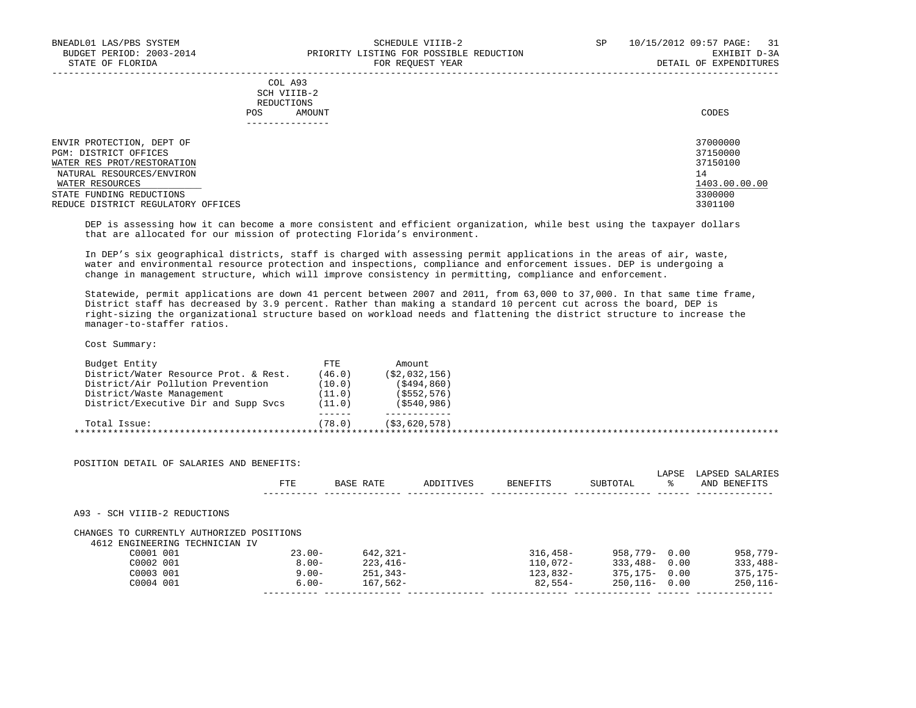|     | --------------- |       |
|-----|-----------------|-------|
| POS | AMOUNT          | CODES |
|     | REDUCTIONS      |       |
|     | SCH VIIIB-2     |       |
|     | COL A93         |       |

| ENVIR PROTECTION, DEPT OF          | 37000000      |
|------------------------------------|---------------|
| PGM: DISTRICT OFFICES              | 37150000      |
| WATER RES PROT/RESTORATION         | 37150100      |
| NATURAL RESOURCES/ENVIRON          | 14            |
| WATER RESOURCES                    | 1403.00.00.00 |
| STATE FUNDING REDUCTIONS           | 3300000       |
| REDUCE DISTRICT REGULATORY OFFICES | 3301100       |

-----------------------------------------------------------------------------------------------------------------------------------

 DEP is assessing how it can become a more consistent and efficient organization, while best using the taxpayer dollars that are allocated for our mission of protecting Florida's environment.

 In DEP's six geographical districts, staff is charged with assessing permit applications in the areas of air, waste, water and environmental resource protection and inspections, compliance and enforcement issues. DEP is undergoing a change in management structure, which will improve consistency in permitting, compliance and enforcement.

 Statewide, permit applications are down 41 percent between 2007 and 2011, from 63,000 to 37,000. In that same time frame, District staff has decreased by 3.9 percent. Rather than making a standard 10 percent cut across the board, DEP is right-sizing the organizational structure based on workload needs and flattening the district structure to increase the manager-to-staffer ratios.

| Budget Entity                         | FTE    | Amount           |  |
|---------------------------------------|--------|------------------|--|
| District/Water Resource Prot. & Rest. | (46.0) | ( \$2, 032, 156) |  |
| District/Air Pollution Prevention     | (10.0) | (5494, 860)      |  |
| District/Waste Management             | (11.0) | (S552, 576)      |  |
| District/Executive Dir and Supp Svcs  | (11.0) | $($ \$540,986)   |  |
|                                       | .      |                  |  |
| Total Issue:                          | (78.0) | (S3, 620, 578)   |  |

|                                                                             | FTE       | BASE RATE | ADDITIVES | <b>BENEFITS</b> | SUBTOTAL          | LAPSE<br>°≈ | LAPSED SALARIES<br>AND BENEFITS |
|-----------------------------------------------------------------------------|-----------|-----------|-----------|-----------------|-------------------|-------------|---------------------------------|
| A93 - SCH VIIIB-2 REDUCTIONS                                                |           |           |           |                 |                   |             |                                 |
|                                                                             |           |           |           |                 |                   |             |                                 |
| CHANGES TO CURRENTLY AUTHORIZED POSITIONS<br>4612 ENGINEERING TECHNICIAN IV |           |           |           |                 |                   |             |                                 |
| C0001 001                                                                   | $23.00 -$ | 642,321-  |           | $316.458-$      | 958,779- 0.00     |             | $958,779-$                      |
| C0002 001                                                                   | $8.00 -$  | 223,416-  |           | 110,072-        | $333.488 - 0.00$  |             | $333,488-$                      |
| C0003 001                                                                   | $9.00 -$  | 251,343-  |           | 123,832-        | $375, 175 - 0.00$ |             | $375.175 -$                     |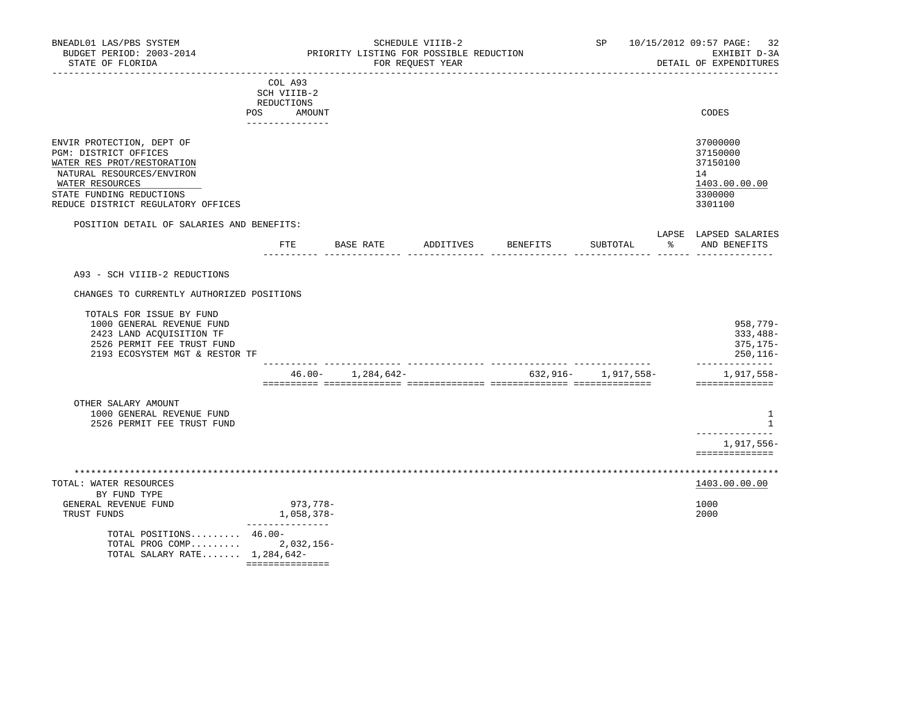DETAIL OF EXPENDITURES

| COL A93<br>SCH VIIIB-2<br>REDUCTIONS<br>AMOUNT<br><b>POS</b><br>____________                                                     | CODES                                                   |
|----------------------------------------------------------------------------------------------------------------------------------|---------------------------------------------------------|
| ENVIR PROTECTION, DEPT OF<br>PGM: DISTRICT OFFICES<br>WATER RES PROT/RESTORATION<br>NATURAL RESOURCES/ENVIRON<br>WATER RESOURCES | 37000000<br>37150000<br>37150100<br>14<br>1403.00.00.00 |
| STATE FUNDING REDUCTIONS                                                                                                         | 3300000                                                 |
| REDUCE DISTRICT REGULATORY OFFICES                                                                                               | 3301100                                                 |

## POSITION DETAIL OF SALARIES AND BENEFITS:

|          |  |  | ------- | .   |
|----------|--|--|---------|-----|
| mmt<br>. |  |  |         |     |
|          |  |  |         | --- |

A93 - SCH VIIIB-2 REDUCTIONS

CHANGES TO CURRENTLY AUTHORIZED POSITIONS

|                                | 46.00- | 1,284,642- | 632,916- | 1,917,558– | 1,917,558-  |
|--------------------------------|--------|------------|----------|------------|-------------|
| 2193 ECOSYSTEM MGT & RESTOR TF |        |            |          |            | $250.116 -$ |
| 2526 PERMIT FEE TRUST FUND     |        |            |          |            | $375.175-$  |
| 2423 LAND ACOUISITION TF       |        |            |          |            | $333.488 -$ |
| 1000 GENERAL REVENUE FUND      |        |            |          |            | 958,779-    |
| TOTALS FOR ISSUE BY FUND       |        |            |          |            |             |

| OTHER SALARY AMOUNT        |            |
|----------------------------|------------|
| 1000 GENERAL REVENUE FUND  |            |
| 2526 PERMIT FEE TRUST FUND |            |
|                            |            |
|                            | 1,917,556– |
|                            |            |
|                            |            |

| TOTAL: WATER RESOURCES                                                                  |            | 1403.00.00.00 |
|-----------------------------------------------------------------------------------------|------------|---------------|
| BY FUND TYPE                                                                            |            |               |
| GENERAL REVENUE FUND                                                                    | 973,778-   | 1000          |
| TRUST FUNDS                                                                             | 1,058,378- | 2000          |
| TOTAL POSITIONS $46.00 -$<br>TOTAL PROG COMP 2,032,156-<br>TOTAL SALARY RATE 1,284,642- |            |               |

===============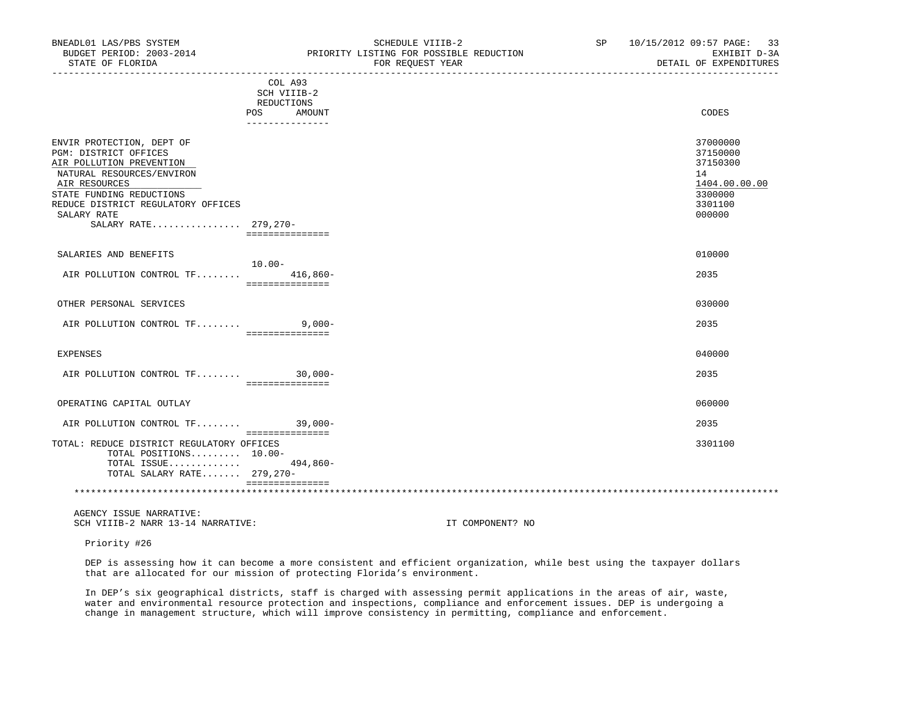| BNEADL01 LAS/PBS SYSTEM<br>BUDGET PERIOD: 2003-2014<br>STATE OF FLORIDA                                                                                                                                       | SCHEDULE VIIIB-2<br>PRIORITY LISTING FOR POSSIBLE REDUCTION<br>FOR REQUEST YEAR | SP 10/15/2012 09:57 PAGE: 33<br>EXHIBIT D-3A<br>DETAIL OF EXPENDITURES                  |
|---------------------------------------------------------------------------------------------------------------------------------------------------------------------------------------------------------------|---------------------------------------------------------------------------------|-----------------------------------------------------------------------------------------|
|                                                                                                                                                                                                               | COL A93<br>SCH VIIIB-2<br>REDUCTIONS<br>POS<br>AMOUNT<br>_______________        | CODES                                                                                   |
| ENVIR PROTECTION, DEPT OF<br>PGM: DISTRICT OFFICES<br>AIR POLLUTION PREVENTION<br>NATURAL RESOURCES/ENVIRON<br>AIR RESOURCES<br>STATE FUNDING REDUCTIONS<br>REDUCE DISTRICT REGULATORY OFFICES<br>SALARY RATE |                                                                                 | 37000000<br>37150000<br>37150300<br>14<br>1404.00.00.00<br>3300000<br>3301100<br>000000 |
| SALARY RATE 279,270-                                                                                                                                                                                          | ===============                                                                 |                                                                                         |
| SALARIES AND BENEFITS                                                                                                                                                                                         |                                                                                 | 010000                                                                                  |
| AIR POLLUTION CONTROL TF 416,860-                                                                                                                                                                             | $10.00 -$<br>===============                                                    | 2035                                                                                    |
| OTHER PERSONAL SERVICES                                                                                                                                                                                       |                                                                                 | 030000                                                                                  |
| AIR POLLUTION CONTROL TF 9,000-                                                                                                                                                                               | ===============                                                                 | 2035                                                                                    |
| <b>EXPENSES</b>                                                                                                                                                                                               |                                                                                 | 040000                                                                                  |
| AIR POLLUTION CONTROL TF 30,000-                                                                                                                                                                              | ================                                                                | 2035                                                                                    |
| OPERATING CAPITAL OUTLAY                                                                                                                                                                                      |                                                                                 | 060000                                                                                  |
| AIR POLLUTION CONTROL TF 39,000-                                                                                                                                                                              | ===============                                                                 | 2035                                                                                    |
| TOTAL: REDUCE DISTRICT REGULATORY OFFICES<br>TOTAL POSITIONS 10.00-<br>TOTAL ISSUE 494,860-<br>TOTAL SALARY RATE 279,270-                                                                                     | ===============                                                                 | 3301100                                                                                 |
|                                                                                                                                                                                                               |                                                                                 |                                                                                         |

Priority #26

 DEP is assessing how it can become a more consistent and efficient organization, while best using the taxpayer dollars that are allocated for our mission of protecting Florida's environment.

 In DEP's six geographical districts, staff is charged with assessing permit applications in the areas of air, waste, water and environmental resource protection and inspections, compliance and enforcement issues. DEP is undergoing a change in management structure, which will improve consistency in permitting, compliance and enforcement.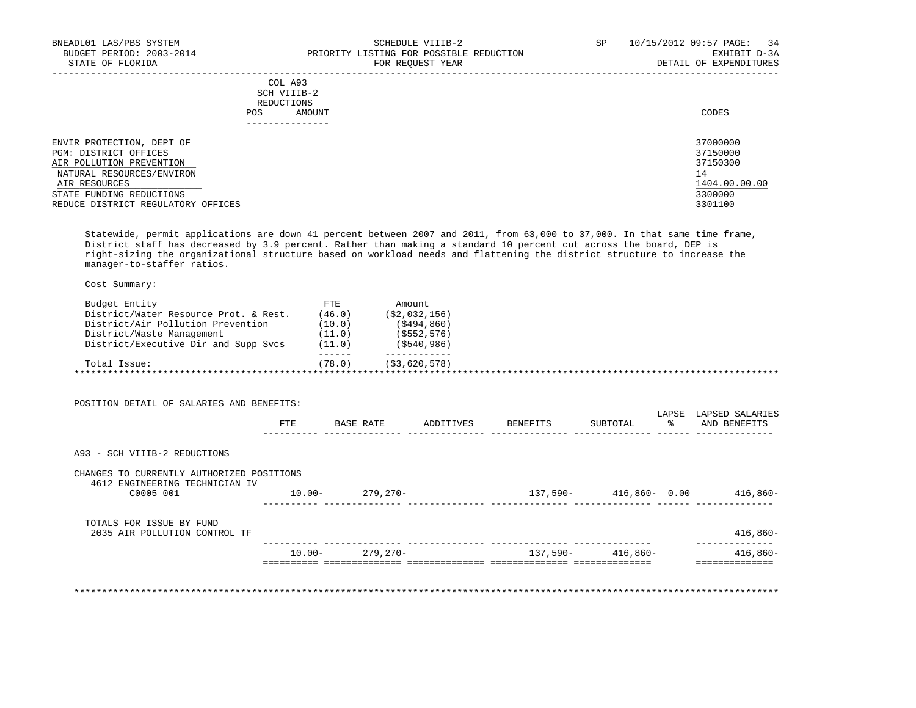| BNEADL01 LAS/PBS SYSTEM<br>BUDGET PERIOD: 2003-2014<br>STATE OF FLORIDA                                                                                  | SCHEDULE VIIIB-2<br>PRIORITY LISTING FOR POSSIBLE REDUCTION<br>FOR REQUEST YEAR | 10/15/2012 09:57 PAGE: 34<br>SP<br>EXHIBIT D-3A<br>DETAIL OF EXPENDITURES |
|----------------------------------------------------------------------------------------------------------------------------------------------------------|---------------------------------------------------------------------------------|---------------------------------------------------------------------------|
|                                                                                                                                                          | COL A93<br>SCH VIIIB-2<br>REDUCTIONS<br>AMOUNT<br>POS                           | CODES                                                                     |
| ENVIR PROTECTION, DEPT OF<br>PGM: DISTRICT OFFICES<br>AIR POLLUTION PREVENTION<br>NATURAL RESOURCES/ENVIRON<br>AIR RESOURCES<br>STATE FUNDING REDUCTIONS |                                                                                 | 37000000<br>37150000<br>37150300<br>14<br>1404.00.00.00<br>3300000        |

REDUCE DISTRICT REGULATORY OFFICES 3301100

 Statewide, permit applications are down 41 percent between 2007 and 2011, from 63,000 to 37,000. In that same time frame, District staff has decreased by 3.9 percent. Rather than making a standard 10 percent cut across the board, DEP is right-sizing the organizational structure based on workload needs and flattening the district structure to increase the manager-to-staffer ratios.

Cost Summary:

| Budget Entity                         | FTE.   | Amount.          |  |
|---------------------------------------|--------|------------------|--|
| District/Water Resource Prot. & Rest. | (46.0) | ( \$2, 032, 156) |  |
| District/Air Pollution Prevention     | (10.0) | (S494, 860)      |  |
| District/Waste Management             | (11.0) | (\$552,576)      |  |
| District/Executive Dir and Supp Svcs  | (11.0) | $($ \$540,986)   |  |
|                                       |        |                  |  |
| Total Issue:                          | (78.0) | (S3, 620, 578)   |  |

 POSITION DETAIL OF SALARIES AND BENEFITS: LAPSE LAPSED SALARIES FTE BASE RATE ADDITIVES BENEFITS SUBTOTAL % AND BENEFITS ---------- -------------- -------------- -------------- -------------- ------ -------------- A93 - SCH VIIIB-2 REDUCTIONS CHANGES TO CURRENTLY AUTHORIZED POSITIONS 4612 ENGINEERING TECHNICIAN IV C0005 001 10.00- 279,270- 137,590- 416,860- 0.00 416,860- ---------- -------------- -------------- -------------- -------------- ------ -------------- TOTALS FOR ISSUE BY FUND 2035 AIR POLLUTION CONTROL TF 416,860- ---------- -------------- -------------- -------------- -------------- -------------- 10.00- 279,270- 137,590- 416,860- 416,860- ========== ============== ============== ============== ============== ==============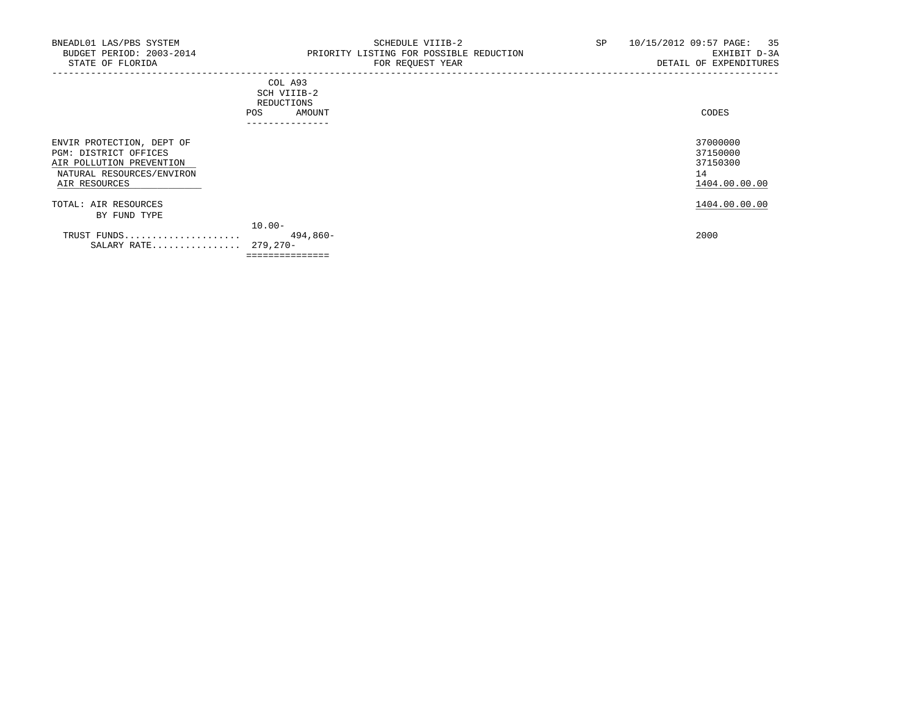-----------------------------------------------------------------------------------------------------------------------------------

|     | COL A93         |       |
|-----|-----------------|-------|
|     | SCH VIIIB-2     |       |
|     | REDUCTIONS      |       |
| POS | AMOUNT          | CODES |
|     | --------------- |       |

|                           | -----------     |               |
|---------------------------|-----------------|---------------|
| ENVIR PROTECTION, DEPT OF |                 | 37000000      |
| PGM: DISTRICT OFFICES     |                 | 37150000      |
| AIR POLLUTION PREVENTION  |                 | 37150300      |
| NATURAL RESOURCES/ENVIRON |                 | 14            |
| AIR RESOURCES             |                 | 1404.00.00.00 |
| TOTAL: AIR RESOURCES      |                 | 1404.00.00.00 |
| BY FUND TYPE              |                 |               |
|                           | $10.00 -$       |               |
| TRUST FUNDS               | 494,860-        | 2000          |
| SALARY RATE               | 279,270-        |               |
|                           | =============== |               |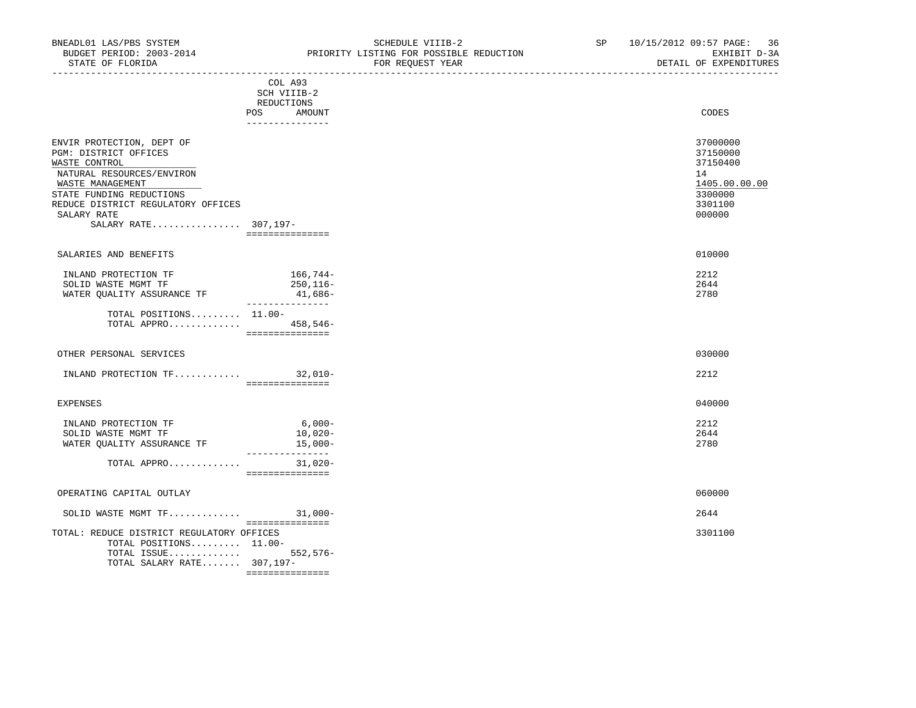TOTAL ISSUE............. 552,576- TOTAL SALARY RATE....... 307,197-

===============

|                                                                                                                                                                                                                               | COL A93<br>SCH VIIIB-2                                |                                                                                         |  |
|-------------------------------------------------------------------------------------------------------------------------------------------------------------------------------------------------------------------------------|-------------------------------------------------------|-----------------------------------------------------------------------------------------|--|
|                                                                                                                                                                                                                               | REDUCTIONS<br>POS<br>AMOUNT<br>_______________        | CODES                                                                                   |  |
| ENVIR PROTECTION, DEPT OF<br>PGM: DISTRICT OFFICES<br>WASTE CONTROL<br>NATURAL RESOURCES/ENVIRON<br>WASTE MANAGEMENT<br>STATE FUNDING REDUCTIONS<br>REDUCE DISTRICT REGULATORY OFFICES<br>SALARY RATE<br>SALARY RATE 307,197- | ===============                                       | 37000000<br>37150000<br>37150400<br>14<br>1405.00.00.00<br>3300000<br>3301100<br>000000 |  |
| SALARIES AND BENEFITS                                                                                                                                                                                                         |                                                       | 010000                                                                                  |  |
| INLAND PROTECTION TF<br>SOLID WASTE MGMT TF<br>WATER QUALITY ASSURANCE TF                                                                                                                                                     | $166, 744-$<br>250,116-<br>41,686-<br>_______________ | 2212<br>2644<br>2780                                                                    |  |
| TOTAL POSITIONS 11.00-<br>TOTAL APPRO 458,546-                                                                                                                                                                                | ===============                                       |                                                                                         |  |
| OTHER PERSONAL SERVICES                                                                                                                                                                                                       |                                                       | 030000                                                                                  |  |
| INLAND PROTECTION $TF$ 32,010-                                                                                                                                                                                                | ===============                                       | 2212                                                                                    |  |
| <b>EXPENSES</b>                                                                                                                                                                                                               |                                                       | 040000                                                                                  |  |
| INLAND PROTECTION TF<br>SOLID WASTE MGMT TF<br>WATER QUALITY ASSURANCE TF                                                                                                                                                     | $6,000-$<br>10,020-<br>15,000-<br>_______________     | 2212<br>2644<br>2780                                                                    |  |
| TOTAL APPRO                                                                                                                                                                                                                   | $31,020-$<br>________________                         |                                                                                         |  |
| OPERATING CAPITAL OUTLAY                                                                                                                                                                                                      |                                                       | 060000                                                                                  |  |
| SOLID WASTE MGMT TF                                                                                                                                                                                                           | $31,000-$<br>===============                          | 2644                                                                                    |  |
| TOTAL: REDUCE DISTRICT REGULATORY OFFICES<br>TOTAL POSITIONS 11.00-                                                                                                                                                           |                                                       | 3301100                                                                                 |  |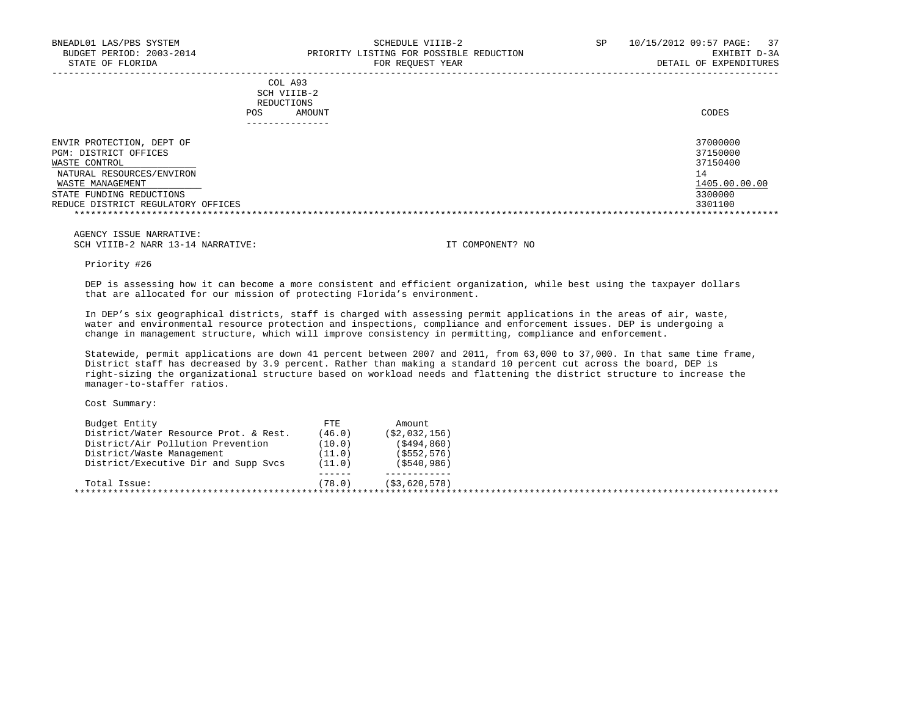|     | --------------- |       |
|-----|-----------------|-------|
| POS | AMOUNT          | CODES |
|     | REDUCTIONS      |       |
|     | SCH VIIIB-2     |       |
|     | COL A93         |       |

| ENVIR PROTECTION, DEPT OF          | 37000000      |
|------------------------------------|---------------|
| PGM: DISTRICT OFFICES              | 37150000      |
| WASTE CONTROL                      | 37150400      |
| NATURAL RESOURCES/ENVIRON          |               |
| WASTE MANAGEMENT                   | 1405.00.00.00 |
| STATE FUNDING REDUCTIONS           | 3300000       |
| REDUCE DISTRICT REGULATORY OFFICES | 3301100       |
|                                    |               |

 AGENCY ISSUE NARRATIVE: SCH VIIIB-2 NARR 13-14 NARRATIVE: IT COMPONENT? NO

Priority #26

 DEP is assessing how it can become a more consistent and efficient organization, while best using the taxpayer dollars that are allocated for our mission of protecting Florida's environment.

 In DEP's six geographical districts, staff is charged with assessing permit applications in the areas of air, waste, water and environmental resource protection and inspections, compliance and enforcement issues. DEP is undergoing a change in management structure, which will improve consistency in permitting, compliance and enforcement.

 Statewide, permit applications are down 41 percent between 2007 and 2011, from 63,000 to 37,000. In that same time frame, District staff has decreased by 3.9 percent. Rather than making a standard 10 percent cut across the board, DEP is right-sizing the organizational structure based on workload needs and flattening the district structure to increase the manager-to-staffer ratios.

Cost Summary:

| FTE    | Amount.          |  |
|--------|------------------|--|
| (46.0) | ( \$2, 032, 156) |  |
| (10.0) | (S494, 860)      |  |
| (11.0) | (\$552,576)      |  |
| (11.0) | $($ \$540,986)   |  |
|        |                  |  |
| (78.0) | (S3, 620, 578)   |  |
|        |                  |  |
|        |                  |  |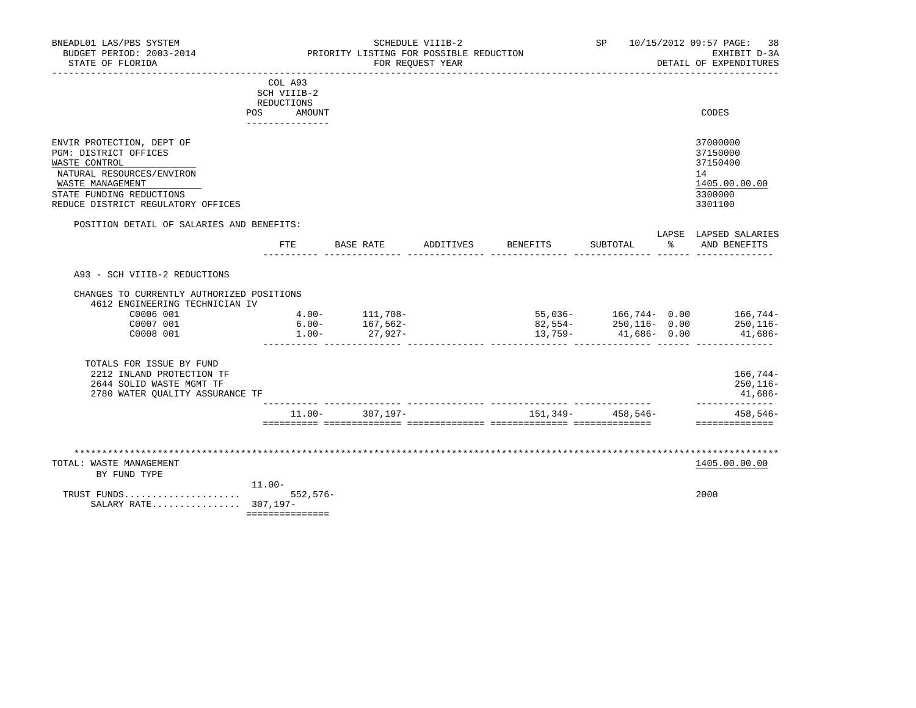|                                                                                                                                                                                        |                                                                                 |                                             | SCHEDULE VIIIB-2<br>PRIORITY LISTING FOR POSSIBLE REDUCTION |          |                 | SP 10/15/2012 09:57 PAGE:<br>38<br>EXHIBIT D-3A                                  |
|----------------------------------------------------------------------------------------------------------------------------------------------------------------------------------------|---------------------------------------------------------------------------------|---------------------------------------------|-------------------------------------------------------------|----------|-----------------|----------------------------------------------------------------------------------|
| STATE OF FLORIDA                                                                                                                                                                       |                                                                                 |                                             | FOR REQUEST YEAR                                            |          |                 | DETAIL OF EXPENDITURES                                                           |
|                                                                                                                                                                                        | COL A93<br>SCH VIIIB-2<br>REDUCTIONS<br><b>POS</b><br>AMOUNT<br>--------------- |                                             |                                                             |          |                 | CODES                                                                            |
| ENVIR PROTECTION, DEPT OF<br>PGM: DISTRICT OFFICES<br>WASTE CONTROL<br>NATURAL RESOURCES/ENVIRON<br>WASTE MANAGEMENT<br>STATE FUNDING REDUCTIONS<br>REDUCE DISTRICT REGULATORY OFFICES |                                                                                 |                                             |                                                             |          |                 | 37000000<br>37150000<br>37150400<br>14<br>1405.00.00.00<br>3300000<br>3301100    |
| POSITION DETAIL OF SALARIES AND BENEFITS:                                                                                                                                              |                                                                                 |                                             |                                                             |          |                 | LAPSE LAPSED SALARIES                                                            |
|                                                                                                                                                                                        | FTE                                                                             |                                             | BASE RATE ADDITIVES                                         | BENEFITS | SUBTOTAL        | % AND BENEFITS                                                                   |
| A93 - SCH VIIIB-2 REDUCTIONS<br>CHANGES TO CURRENTLY AUTHORIZED POSITIONS<br>4612 ENGINEERING TECHNICIAN IV<br>C0006 001<br>C0007 001<br>C0008 001                                     | $6.00 -$<br>$1.00 -$                                                            | $4.00 - 111,708 -$<br>$167,562-$<br>27,927- |                                                             | 13,759-  | $41,686 - 0.00$ | $55,036-$ 166,744- 0.00 166,744-<br>$82,554 250,116-$ 0.00 $250,116-$<br>41,686- |
| TOTALS FOR ISSUE BY FUND<br>2212 INLAND PROTECTION TF                                                                                                                                  |                                                                                 |                                             |                                                             |          |                 | 166,744-<br>$250, 116 -$<br>41,686-                                              |
| 2644 SOLID WASTE MGMT TF<br>2780 WATER QUALITY ASSURANCE TF                                                                                                                            |                                                                                 |                                             |                                                             |          |                 | ______________                                                                   |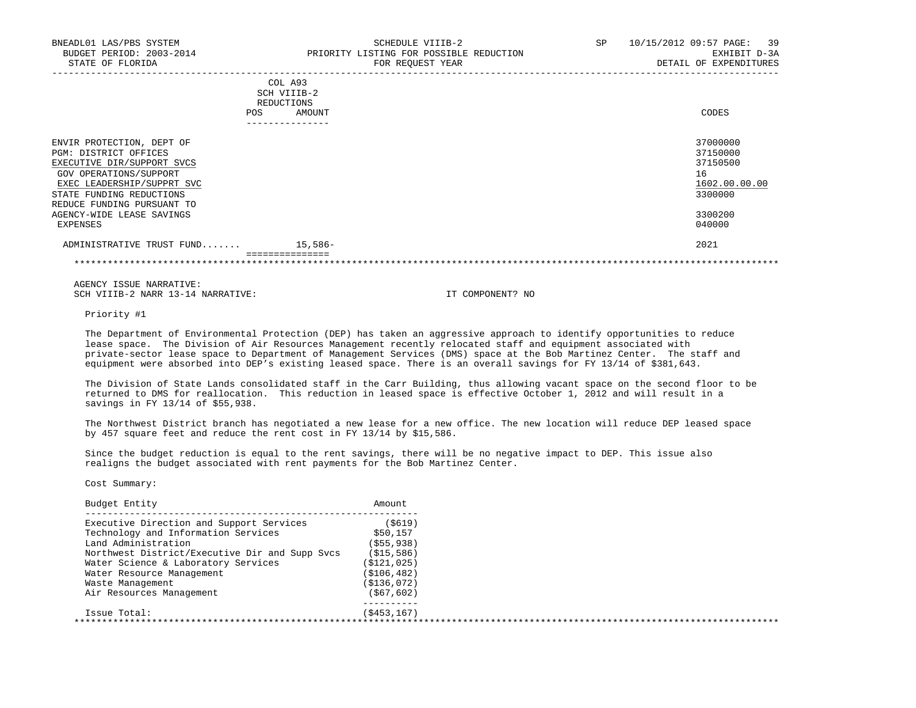| BNEADL01 LAS/PBS SYSTEM<br>BUDGET PERIOD: 2003-2014<br>STATE OF FLORIDA                                    | SCHEDULE VIIIB-2<br>PRIORITY LISTING FOR POSSIBLE REDUCTION<br>FOR REOUEST YEAR | 10/15/2012 09:57 PAGE: 39<br>SP<br>EXHIBIT D-3A<br>DETAIL OF EXPENDITURES |
|------------------------------------------------------------------------------------------------------------|---------------------------------------------------------------------------------|---------------------------------------------------------------------------|
|                                                                                                            | COL A93<br>SCH VIIIB-2<br>REDUCTIONS<br>AMOUNT<br>POS.                          | CODES                                                                     |
| ENVIR PROTECTION, DEPT OF<br>PGM: DISTRICT OFFICES<br>EXECUTIVE DIR/SUPPORT SVCS<br>GOV OPERATIONS/SUPPORT |                                                                                 | 37000000<br>37150000<br>37150500<br>16                                    |

 $\frac{\text{EXEC}}{\text{EXEC}}$   $\frac{1602.00.00000}{3300000}$ STATE FUNDING REDUCTIONS REDUCE FUNDING PURSUANT TO AGENCY-WIDE LEASE SAVINGS 3300200<br>EXPENSES 640000 EXPENSES 040000

 ADMINISTRATIVE TRUST FUND....... 15,586- 2021 ===============

\*\*\*\*\*\*\*\*\*\*\*\*\*\*\*\*\*\*\*\*\*\*\*\*\*\*\*\*\*\*\*\*\*\*\*\*\*\*\*\*\*\*\*\*\*\*\*\*\*\*\*\*\*\*\*\*\*\*\*\*\*\*\*\*\*\*\*\*\*\*\*\*\*\*\*\*\*\*\*\*\*\*\*\*\*\*\*\*\*\*\*\*\*\*\*\*\*\*\*\*\*\*\*\*\*\*\*\*\*\*\*\*\*\*\*\*\*\*\*\*\*\*\*\*\*\*\*

 AGENCY ISSUE NARRATIVE: SCH VIIIB-2 NARR 13-14 NARRATIVE: IT COMPONENT? NO

Priority #1

 The Department of Environmental Protection (DEP) has taken an aggressive approach to identify opportunities to reduce lease space. The Division of Air Resources Management recently relocated staff and equipment associated with private-sector lease space to Department of Management Services (DMS) space at the Bob Martinez Center. The staff and equipment were absorbed into DEP's existing leased space. There is an overall savings for FY 13/14 of \$381,643.

 The Division of State Lands consolidated staff in the Carr Building, thus allowing vacant space on the second floor to be returned to DMS for reallocation. This reduction in leased space is effective October 1, 2012 and will result in a savings in FY 13/14 of \$55,938.

 The Northwest District branch has negotiated a new lease for a new office. The new location will reduce DEP leased space by 457 square feet and reduce the rent cost in FY 13/14 by \$15,586.

 Since the budget reduction is equal to the rent savings, there will be no negative impact to DEP. This issue also realigns the budget associated with rent payments for the Bob Martinez Center.

Cost Summary:

| Budget Entity                                  | Amount       |  |
|------------------------------------------------|--------------|--|
| Executive Direction and Support Services       | ( \$619)     |  |
| Technology and Information Services            | \$50,157     |  |
| Land Administration                            | (S55, 938)   |  |
| Northwest District/Executive Dir and Supp Svcs | (S15, 586)   |  |
| Water Science & Laboratory Services            | (\$121,025)  |  |
| Water Resource Management                      | (\$106,482)  |  |
| Waste Management                               | (S136,072)   |  |
| Air Resources Management                       | ( \$67, 602) |  |
| Issue Total:                                   | (\$453,167)  |  |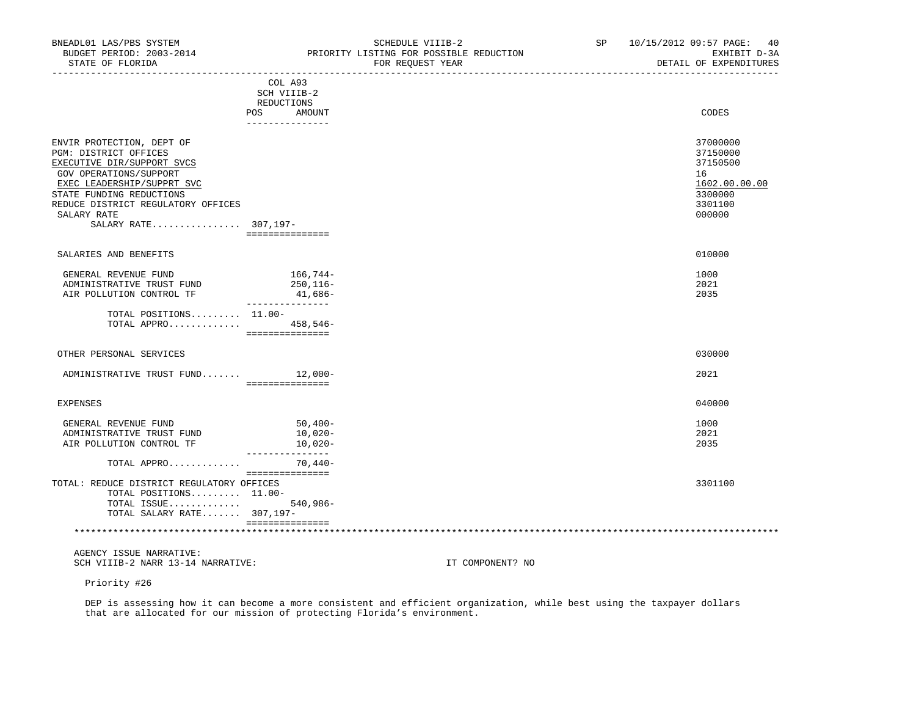| <b>POS</b>                         | COL A93<br>SCH VIIIB-2<br>REDUCTIONS<br>AMOUNT | CODES         |
|------------------------------------|------------------------------------------------|---------------|
|                                    |                                                |               |
| ENVIR PROTECTION, DEPT OF          |                                                | 37000000      |
| PGM: DISTRICT OFFICES              |                                                | 37150000      |
| EXECUTIVE DIR/SUPPORT SVCS         |                                                | 37150500      |
| GOV OPERATIONS/SUPPORT             |                                                | 16            |
| EXEC LEADERSHIP/SUPPRT SVC         |                                                | 1602.00.00.00 |
| STATE FUNDING REDUCTIONS           |                                                | 3300000       |
| REDUCE DISTRICT REGULATORY OFFICES |                                                | 3301100       |
| SALARY RATE                        |                                                | 000000        |
| SALARY RATE 307,197-               |                                                |               |
|                                    | ===============                                |               |
| SALARIES AND BENEFITS              |                                                | 010000        |
| GENERAL REVENUE FUND               | 166,744–                                       | 1000          |
| ADMINISTRATIVE TRUST FUND          | $250, 116 -$                                   | 2021          |
| AIR POLLUTION CONTROL TF           | 41,686-                                        | 2035          |
| TOTAL POSITIONS 11.00-             | ---------------                                |               |
| TOTAL APPRO                        | $458,546-$                                     |               |

===============

 OTHER PERSONAL SERVICES 030000 ADMINISTRATIVE TRUST FUND....... 12,000- 2021 =============== EXPENSES 040000 GENERAL REVENUE FUND 1000 50,400- 50,400- 50,400- 50,400- 50,500 5000 5000 50000 50000 50000 50000 50000 50000<br>ADMINISTRATIVE TRUST FUND 10,020-ADMINISTRATIVE TRUST FUND AIR POLLUTION CONTROL TF  $10,020-$  --------------- TOTAL APPRO............. 70,440- =============== TOTAL: REDUCE DISTRICT REGULATORY OFFICES 3301100 TOTAL POSITIONS......... 11.00- TOTAL ISSUE............. 540,986- TOTAL SALARY RATE....... 307,197- =============== \*\*\*\*\*\*\*\*\*\*\*\*\*\*\*\*\*\*\*\*\*\*\*\*\*\*\*\*\*\*\*\*\*\*\*\*\*\*\*\*\*\*\*\*\*\*\*\*\*\*\*\*\*\*\*\*\*\*\*\*\*\*\*\*\*\*\*\*\*\*\*\*\*\*\*\*\*\*\*\*\*\*\*\*\*\*\*\*\*\*\*\*\*\*\*\*\*\*\*\*\*\*\*\*\*\*\*\*\*\*\*\*\*\*\*\*\*\*\*\*\*\*\*\*\*\*\*

 AGENCY ISSUE NARRATIVE: SCH VIIIB-2 NARR 13-14 NARRATIVE: IT COMPONENT? NO

Priority #26

 DEP is assessing how it can become a more consistent and efficient organization, while best using the taxpayer dollars that are allocated for our mission of protecting Florida's environment.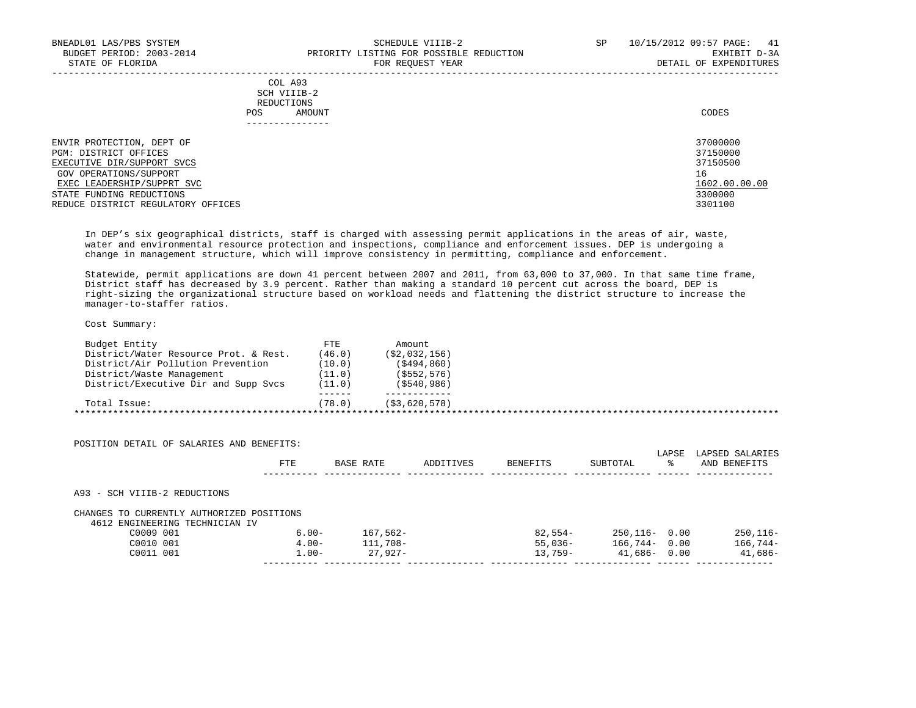| BNEADL01 LAS/PBS SYSTEM<br>BUDGET PERIOD: 2003-2014<br>STATE OF FLORIDA | SCHEDULE VIIIB-2<br>PRIORITY LISTING FOR POSSIBLE REDUCTION<br>FOR REOUEST YEAR | SP | 10/15/2012 09:57 PAGE: 41<br>EXHIBIT D-3A<br>DETAIL OF EXPENDITURES |
|-------------------------------------------------------------------------|---------------------------------------------------------------------------------|----|---------------------------------------------------------------------|
| POS                                                                     | COL A93<br>SCH VIIIB-2<br>REDUCTIONS<br>AMOUNT                                  |    | CODES                                                               |
| ENVIR PROTECTION, DEPT OF                                               |                                                                                 |    | 37000000                                                            |
| PGM: DISTRICT OFFICES                                                   |                                                                                 |    | 37150000                                                            |
| EXECUTIVE DIR/SUPPORT SVCS                                              |                                                                                 |    | 37150500                                                            |
| GOV OPERATIONS/SUPPORT                                                  |                                                                                 |    | 16                                                                  |
| EXEC LEADERSHIP/SUPPRT SVC                                              |                                                                                 |    | 1602.00.00.00                                                       |
| STATE FUNDING REDUCTIONS                                                |                                                                                 |    | 3300000                                                             |
| REDUCE DISTRICT REGULATORY OFFICES                                      |                                                                                 |    | 3301100                                                             |

 In DEP's six geographical districts, staff is charged with assessing permit applications in the areas of air, waste, water and environmental resource protection and inspections, compliance and enforcement issues. DEP is undergoing a

change in management structure, which will improve consistency in permitting, compliance and enforcement.

 Statewide, permit applications are down 41 percent between 2007 and 2011, from 63,000 to 37,000. In that same time frame, District staff has decreased by 3.9 percent. Rather than making a standard 10 percent cut across the board, DEP is right-sizing the organizational structure based on workload needs and flattening the district structure to increase the manager-to-staffer ratios.

Cost Summary:

| Budget Entity                         | FTE    | Amount.        |  |
|---------------------------------------|--------|----------------|--|
| District/Water Resource Prot. & Rest. | (46.0) | (\$2,032,156)  |  |
| District/Air Pollution Prevention     | (10.0) | (5494, 860)    |  |
| District/Waste Management             | (11.0) | ( \$552, 576)  |  |
| District/Executive Dir and Supp Svcs  | (11.0) | ( \$540, 986)  |  |
|                                       |        |                |  |
| Total Issue:                          | (78.0) | (S3, 620, 578) |  |

|                                                                           | FTE                  | BASE RATE            | ADDITIVES | <b>BENEFITS</b>       | SUBTOTAL                  | LAPSE<br>° | LAPSED SALARIES<br>AND BENEFITS |
|---------------------------------------------------------------------------|----------------------|----------------------|-----------|-----------------------|---------------------------|------------|---------------------------------|
|                                                                           |                      |                      |           |                       |                           |            |                                 |
| A93 - SCH VIIIB-2 REDUCTIONS<br>CHANGES TO CURRENTLY AUTHORIZED POSITIONS |                      |                      |           |                       |                           |            |                                 |
| 4612 ENGINEERING TECHNICIAN IV                                            |                      |                      |           |                       |                           |            |                                 |
| C0009 001<br>C0010 001                                                    | $6.00 -$<br>$4.00 -$ | 167,562-<br>111,708- |           | 82,554-<br>$55.036 -$ | 250,116- 0.00<br>166,744- | 0.00       | $250, 116 -$<br>$166,744-$      |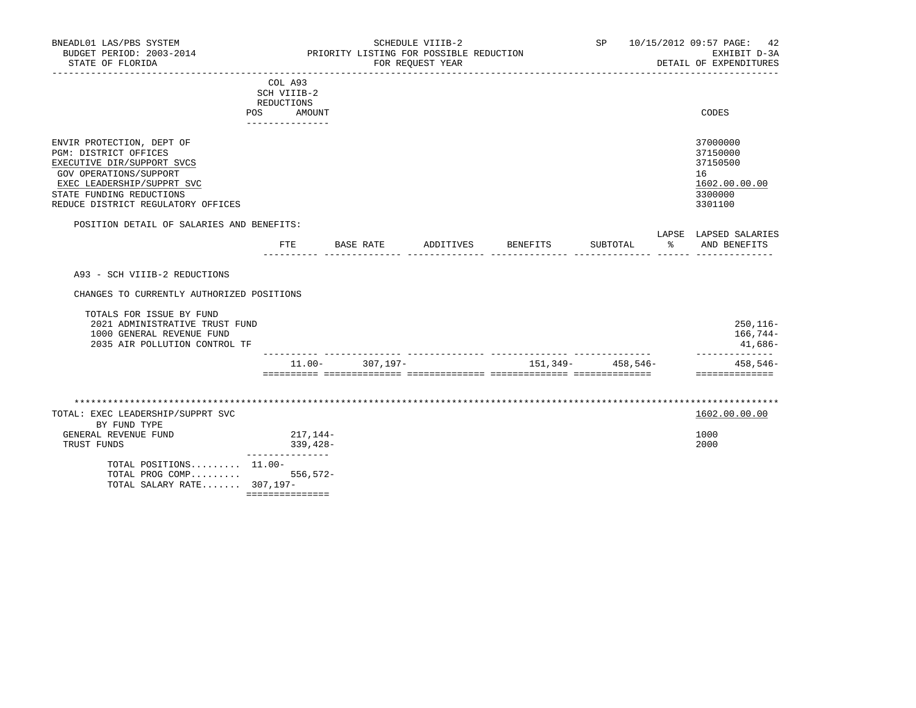| COL A93<br>SCH VIIIB-2<br>REDUCTIONS<br>AMOUNT<br><b>POS</b><br>------------ | CODES         |
|------------------------------------------------------------------------------|---------------|
| ENVIR PROTECTION, DEPT OF                                                    | 37000000      |
| PGM: DISTRICT OFFICES                                                        | 37150000      |
| EXECUTIVE DIR/SUPPORT SVCS                                                   | 37150500      |
| GOV OPERATIONS/SUPPORT                                                       | 16            |
| EXEC LEADERSHIP/SUPPRT SVC                                                   | 1602.00.00.00 |
| STATE FUNDING REDUCTIONS                                                     | 3300000       |
| REDUCE DISTRICT REGULATORY OFFICES                                           | 3301100       |

#### POSITION DETAIL OF SALARIES AND BENEFITS:

|              |  |         | $P_{\rm max}$<br>⊐⊂<br>--- | 7 DC L<br>▵ |
|--------------|--|---------|----------------------------|-------------|
| 모모모<br>س س س |  | $\cdot$ |                            | A NTE       |
|              |  |         |                            |             |

A93 - SCH VIIIB-2 REDUCTIONS

CHANGES TO CURRENTLY AUTHORIZED POSITIONS

|                               | $11.00 -$ | 307,197-                       | 151,349– | $458.546 -$ | $458.546 -$  |
|-------------------------------|-----------|--------------------------------|----------|-------------|--------------|
| 2035 AIR POLLUTION CONTROL TF |           |                                |          |             | $41.686 -$   |
| 1000 GENERAL REVENUE FUND     |           |                                |          |             | $166,744-$   |
|                               |           |                                |          |             | $250, 116 -$ |
| TOTALS FOR ISSUE BY FUND      |           |                                |          |             |              |
|                               |           | 2021 ADMINISTRATIVE TRUST FUND |          |             |              |

| TOTAL: EXEC LEADERSHIP/SUPPRT SVC |             | 1602.00.00.00 |
|-----------------------------------|-------------|---------------|
| BY FUND TYPE                      |             |               |
| GENERAL REVENUE FUND              | 217,144–    | 1000          |
| TRUST FUNDS                       | $339.428 -$ | 2000          |
| TOTAL POSITIONS 11.00-            |             |               |
| TOTAL PROG COMP 556,572-          |             |               |
| TOTAL SALARY RATE 307,197-        |             |               |
|                                   |             |               |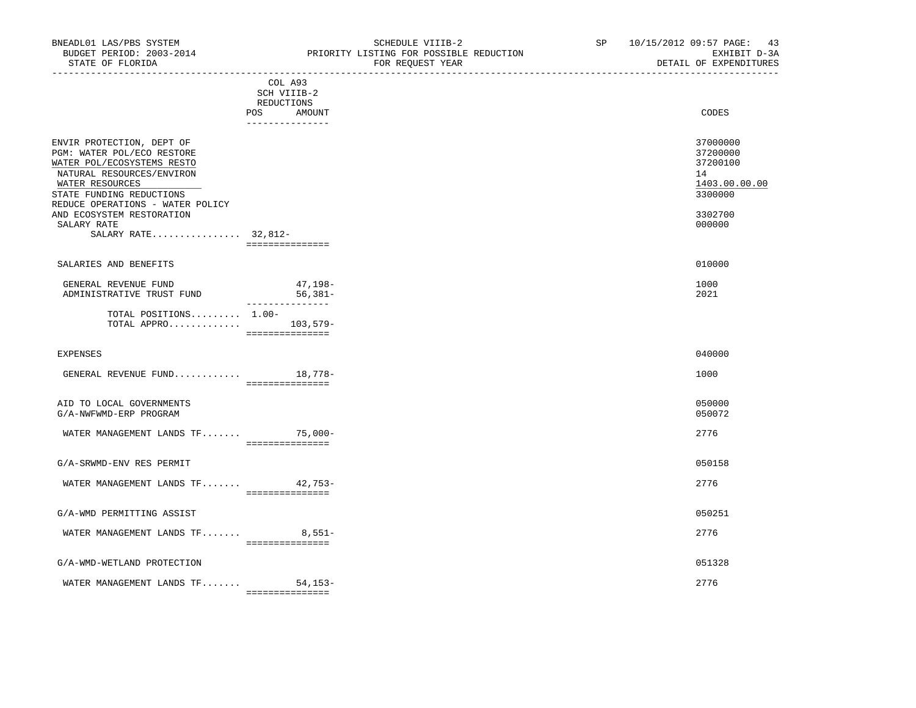----------------------------------------------------------------------------------------------------------------------------------- COL A93 SCH VIIIB-2 REDUCTIONS POS AMOUNT --------------- ENVIR PROTECTION, DEPT OF 37000000 PGM: WATER POL/ECO RESTORE 37200000<br>
PGM: WATER POL/ECOSYSTEMS RESTO WATER POL/ECOSYSTEMS RESTO

| NATURAL RESOURCES/ENVIRON<br>WATER RESOURCES                 |                                        | 14<br>1403.00.00.00 |
|--------------------------------------------------------------|----------------------------------------|---------------------|
| STATE FUNDING REDUCTIONS<br>REDUCE OPERATIONS - WATER POLICY |                                        | 3300000             |
| AND ECOSYSTEM RESTORATION<br>SALARY RATE                     |                                        | 3302700<br>000000   |
| SALARY RATE 32,812-                                          |                                        |                     |
| SALARIES AND BENEFITS                                        |                                        | 010000              |
| GENERAL REVENUE FUND<br>ADMINISTRATIVE TRUST FUND            | 47,198-<br>$56,381-$<br>-------------- | 1000<br>2021        |
| TOTAL POSITIONS 1.00-<br>TOTAL APPRO                         | $103,579-$<br>===============          |                     |
| <b>EXPENSES</b>                                              |                                        | 040000              |
| GENERAL REVENUE FUND 18,778-                                 | ===============                        | 1000                |
| AID TO LOCAL GOVERNMENTS<br>G/A-NWFWMD-ERP PROGRAM           |                                        | 050000<br>050072    |
| WATER MANAGEMENT LANDS TF                                    | $75,000-$<br>===============           | 2776                |

G/A-SRWMD-ENV RES PERMIT 050158

| <b>WATER</b><br>TF.<br><b>ADMINIATO</b><br>LANDS<br>' ΜΑΝΑ(÷κ.<br>MANAGEMEN I<br>.<br>,,,,,, | $- -$<br>$\sim$ $\sim$<br>- 14<br>ر ر ، | . <i>.</i><br>. .<br>. |
|----------------------------------------------------------------------------------------------|-----------------------------------------|------------------------|
|                                                                                              | _______________<br>________________     |                        |
|                                                                                              |                                         |                        |

|                                           | ------------ |           |  |
|-------------------------------------------|--------------|-----------|--|
| MANAGEMENT LANDS TF.<br><b>MATER</b><br>. | $551 -$      | 2776<br>. |  |
| G/A-WMD PERMITTING ASSIST                 |              | 050257    |  |

### G/A-WMD-WETLAND PROTECTION 051328

|                                                    | ________________<br>_______________ |                         |
|----------------------------------------------------|-------------------------------------|-------------------------|
| ידרים היה<br><b>THEY</b><br>AND:<br>MANAG<br>GME N | --                                  | $\sim$ $ -$<br>. .<br>∼ |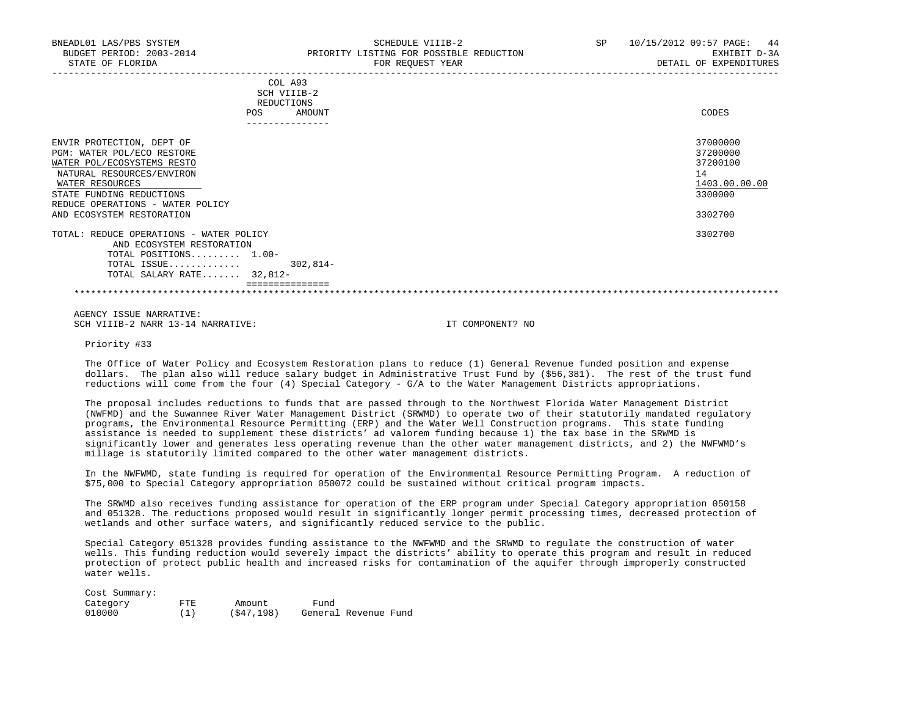|                                                                                                                                                                                                                                    | COL A93<br>SCH VIIIB-2<br>REDUCTIONS<br>AMOUNT<br><b>POS</b> | CODES                                                                         |
|------------------------------------------------------------------------------------------------------------------------------------------------------------------------------------------------------------------------------------|--------------------------------------------------------------|-------------------------------------------------------------------------------|
| ENVIR PROTECTION, DEPT OF<br>PGM: WATER POL/ECO RESTORE<br>WATER POL/ECOSYSTEMS RESTO<br>NATURAL RESOURCES/ENVIRON<br>WATER RESOURCES<br>STATE FUNDING REDUCTIONS<br>REDUCE OPERATIONS - WATER POLICY<br>AND ECOSYSTEM RESTORATION |                                                              | 37000000<br>37200000<br>37200100<br>14<br>1403.00.00.00<br>3300000<br>3302700 |
| TOTAL: REDUCE OPERATIONS - WATER POLICY<br>AND ECOSYSTEM RESTORATION<br>TOTAL POSITIONS 1.00-<br>TOTAL ISSUE<br>TOTAL SALARY RATE 32,812-                                                                                          | $302,814-$                                                   | 3302700                                                                       |
|                                                                                                                                                                                                                                    |                                                              |                                                                               |

 AGENCY ISSUE NARRATIVE: SCH VIIIB-2 NARR 13-14 NARRATIVE: IT COMPONENT? NO

Priority #33

 The Office of Water Policy and Ecosystem Restoration plans to reduce (1) General Revenue funded position and expense dollars. The plan also will reduce salary budget in Administrative Trust Fund by (\$56,381). The rest of the trust fund reductions will come from the four (4) Special Category - G/A to the Water Management Districts appropriations.

 The proposal includes reductions to funds that are passed through to the Northwest Florida Water Management District (NWFMD) and the Suwannee River Water Management District (SRWMD) to operate two of their statutorily mandated regulatory programs, the Environmental Resource Permitting (ERP) and the Water Well Construction programs. This state funding assistance is needed to supplement these districts' ad valorem funding because 1) the tax base in the SRWMD is significantly lower and generates less operating revenue than the other water management districts, and 2) the NWFWMD's millage is statutorily limited compared to the other water management districts.

 In the NWFWMD, state funding is required for operation of the Environmental Resource Permitting Program. A reduction of \$75,000 to Special Category appropriation 050072 could be sustained without critical program impacts.

 The SRWMD also receives funding assistance for operation of the ERP program under Special Category appropriation 050158 and 051328. The reductions proposed would result in significantly longer permit processing times, decreased protection of wetlands and other surface waters, and significantly reduced service to the public.

 Special Category 051328 provides funding assistance to the NWFWMD and the SRWMD to regulate the construction of water wells. This funding reduction would severely impact the districts' ability to operate this program and result in reduced protection of protect public health and increased risks for contamination of the aquifer through improperly constructed water wells.

| Cost Summary: |     |            |                      |
|---------------|-----|------------|----------------------|
| Category      | FTE | Amount     | Fund                 |
| 010000        | (1) | (S47, 198) | General Revenue Fund |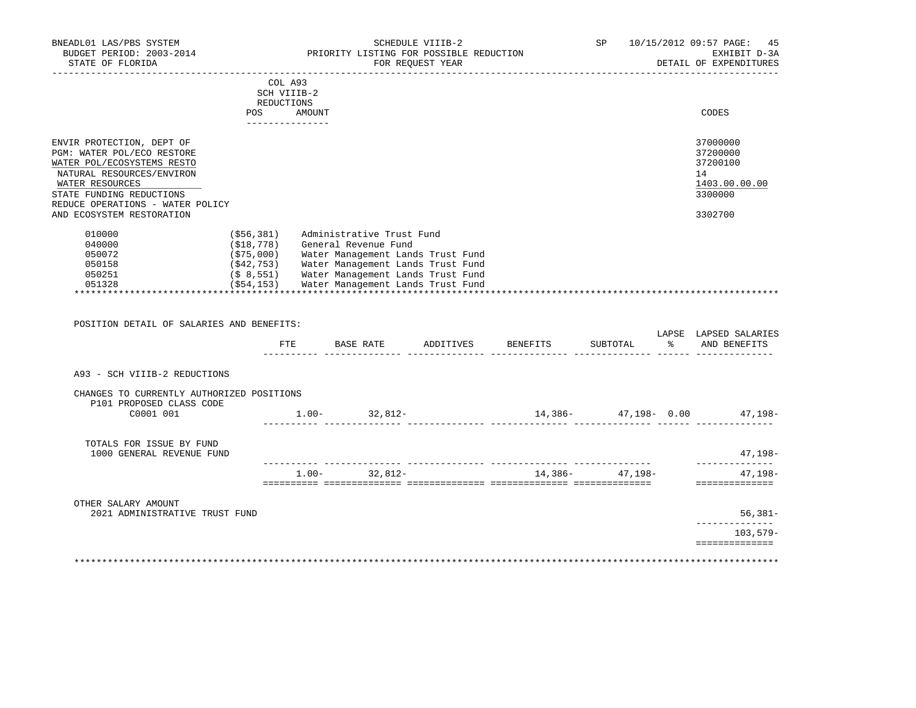| BNEADL01 LAS/PBS SYSTEM<br>BUDGET PERIOD: 2003-2014<br>STATE OF FLORIDA                                                                                                                                                            |                                      | PRIORITY LISTING FOR POSSIBLE REDUCTION<br>_______________________                                                                                                                                           | SCHEDULE VIIIB-2<br>FOR REQUEST YEAR |                                  | $\Gamma$ דא ידי הרבות היה ה | SP 10/15/2012 09:57 PAGE:<br>45<br>EXHIBIT D-3A<br>DETAIL OF EXPENDITURES<br>________________ |
|------------------------------------------------------------------------------------------------------------------------------------------------------------------------------------------------------------------------------------|--------------------------------------|--------------------------------------------------------------------------------------------------------------------------------------------------------------------------------------------------------------|--------------------------------------|----------------------------------|-----------------------------|-----------------------------------------------------------------------------------------------|
|                                                                                                                                                                                                                                    | COL A93<br>SCH VIIIB-2<br>REDUCTIONS |                                                                                                                                                                                                              |                                      |                                  |                             |                                                                                               |
|                                                                                                                                                                                                                                    | POS AMOUNT<br>_______________        |                                                                                                                                                                                                              |                                      |                                  |                             | CODES                                                                                         |
| ENVIR PROTECTION, DEPT OF<br>PGM: WATER POL/ECO RESTORE<br>WATER POL/ECOSYSTEMS RESTO<br>NATURAL RESOURCES/ENVIRON<br>WATER RESOURCES<br>STATE FUNDING REDUCTIONS<br>REDUCE OPERATIONS - WATER POLICY<br>AND ECOSYSTEM RESTORATION |                                      |                                                                                                                                                                                                              |                                      |                                  |                             | 37000000<br>37200000<br>37200100<br>14<br>1403.00.00.00<br>3300000<br>3302700                 |
| 010000<br>040000<br>050072<br>050158<br>050251                                                                                                                                                                                     | ( \$56, 381)                         | Administrative Trust Fund<br>(\$18,778) General Revenue Fund<br>(\$75,000) Water Management Lands Trust Fund<br>(\$42,753) Water Management Lands Trust Fund<br>(\$ 8,551) Water Management Lands Trust Fund |                                      |                                  |                             |                                                                                               |
| 051328                                                                                                                                                                                                                             |                                      | (\$54,153) Water Management Lands Trust Fund                                                                                                                                                                 |                                      |                                  |                             |                                                                                               |
| POSITION DETAIL OF SALARIES AND BENEFITS:                                                                                                                                                                                          |                                      |                                                                                                                                                                                                              |                                      |                                  |                             | LAPSE LAPSED SALARIES                                                                         |
|                                                                                                                                                                                                                                    |                                      |                                                                                                                                                                                                              |                                      | FTE BASE RATE ADDITIVES BENEFITS |                             | SUBTOTAL % AND BENEFITS                                                                       |
| A93 - SCH VIIIB-2 REDUCTIONS                                                                                                                                                                                                       |                                      |                                                                                                                                                                                                              |                                      |                                  |                             |                                                                                               |
| CHANGES TO CURRENTLY AUTHORIZED POSITIONS                                                                                                                                                                                          |                                      |                                                                                                                                                                                                              |                                      |                                  |                             |                                                                                               |
| P101 PROPOSED CLASS CODE<br>C0001 001                                                                                                                                                                                              |                                      | $1.00 - 32,812 -$                                                                                                                                                                                            |                                      |                                  |                             |                                                                                               |
| TOTALS FOR ISSUE BY FUND<br>1000 GENERAL REVENUE FUND                                                                                                                                                                              |                                      |                                                                                                                                                                                                              |                                      |                                  |                             | 47,198-                                                                                       |
|                                                                                                                                                                                                                                    |                                      | $1.00 - 32,812 -$                                                                                                                                                                                            |                                      |                                  | $14,386 47,198-$            | --------------<br>47,198-<br>==============                                                   |
| OTHER SALARY AMOUNT<br>2021 ADMINISTRATIVE TRUST FUND                                                                                                                                                                              |                                      |                                                                                                                                                                                                              |                                      |                                  |                             | $56,381-$                                                                                     |
|                                                                                                                                                                                                                                    |                                      |                                                                                                                                                                                                              |                                      |                                  |                             | . _ _ _ _ _ _ _ _ _ _ _ _ _<br>$103.579-$<br>==============                                   |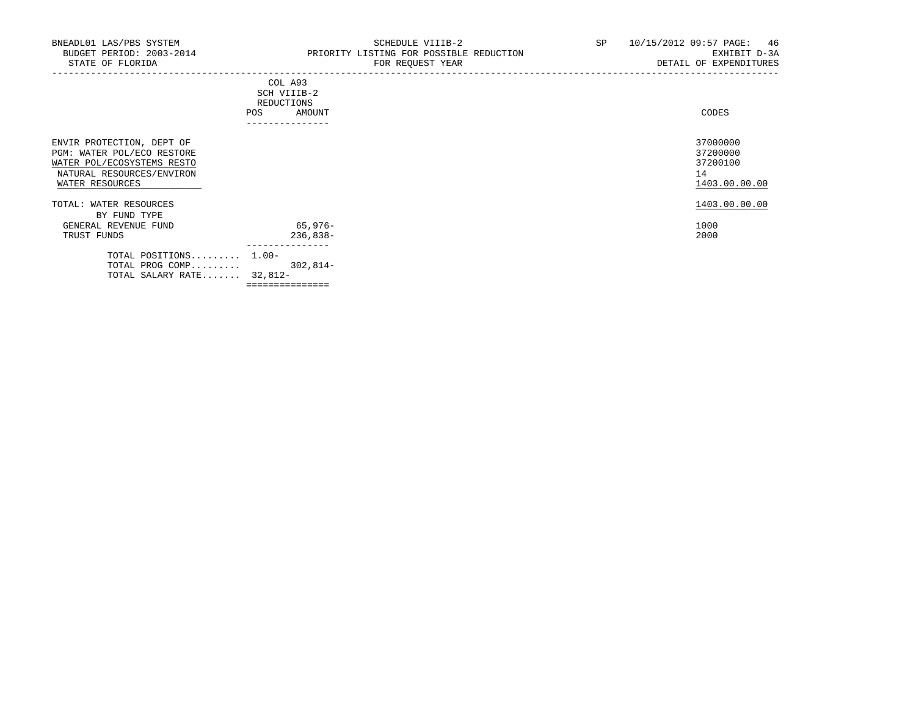| CODES |
|-------|
|       |
|       |
|       |
|       |
|       |

| ENVIR PROTECTION, DEPT OF<br>PGM: WATER POL/ECO RESTORE<br>WATER POL/ECOSYSTEMS RESTO<br>NATURAL RESOURCES/ENVIRON<br>WATER RESOURCES |            | 37000000<br>37200000<br>37200100<br>14<br>1403.00.00.00 |
|---------------------------------------------------------------------------------------------------------------------------------------|------------|---------------------------------------------------------|
| TOTAL: WATER RESOURCES                                                                                                                |            | 1403.00.00.00                                           |
| BY FUND TYPE                                                                                                                          |            |                                                         |
| GENERAL REVENUE FUND                                                                                                                  | 65,976-    | 1000                                                    |
| TRUST FUNDS                                                                                                                           | $236,838-$ | 2000                                                    |
| TOTAL POSITIONS 1.00-                                                                                                                 |            |                                                         |
| TOTAL PROG COMP                                                                                                                       | $302.814-$ |                                                         |
| TOTAL SALARY RATE 32,812-                                                                                                             |            |                                                         |
|                                                                                                                                       |            |                                                         |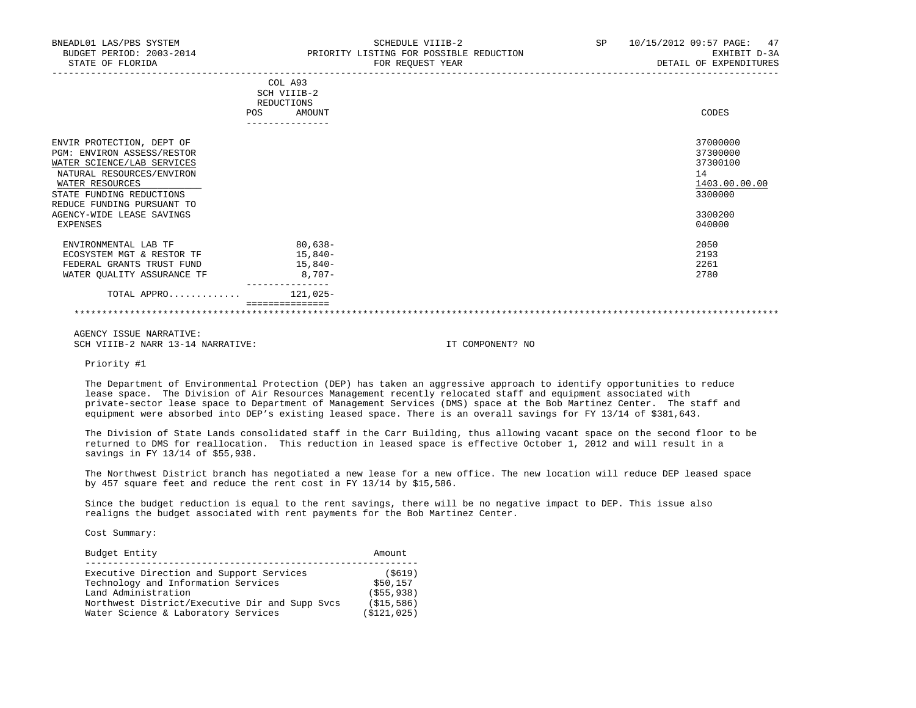| BNEADL01 LAS/PBS SYSTEM<br>BUDGET PERIOD: 2003-2014<br>STATE OF FLORIDA                                                                                                                                                                  |            | SCHEDULE VIIIB-2<br>PRIORITY LISTING FOR POSSIBLE REDUCTION<br>FOR REQUEST YEAR<br>_______________________________ | SP | 47<br>10/15/2012 09:57 PAGE:<br>EXHIBIT D-3A<br>DETAIL OF EXPENDITURES                  |
|------------------------------------------------------------------------------------------------------------------------------------------------------------------------------------------------------------------------------------------|------------|--------------------------------------------------------------------------------------------------------------------|----|-----------------------------------------------------------------------------------------|
|                                                                                                                                                                                                                                          | <b>POS</b> | COL A93<br>SCH VIIIB-2<br>REDUCTIONS<br>AMOUNT                                                                     |    | CODES                                                                                   |
| ENVIR PROTECTION, DEPT OF<br>PGM: ENVIRON ASSESS/RESTOR<br>WATER SCIENCE/LAB SERVICES<br>NATURAL RESOURCES/ENVIRON<br>WATER RESOURCES<br>STATE FUNDING REDUCTIONS<br>REDUCE FUNDING PURSUANT TO<br>AGENCY-WIDE LEASE SAVINGS<br>EXPENSES |            |                                                                                                                    |    | 37000000<br>37300000<br>37300100<br>14<br>1403.00.00.00<br>3300000<br>3300200<br>040000 |
| ENVIRONMENTAL LAB TF<br>ECOSYSTEM MGT & RESTOR TF<br>FEDERAL GRANTS TRUST FUND<br>WATER QUALITY ASSURANCE TF                                                                                                                             |            | 80,638-<br>15,840-<br>15,840-<br>8,707-                                                                            |    | 2050<br>2193<br>2261<br>2780                                                            |
| TOTAL APPRO                                                                                                                                                                                                                              |            | $121.025 -$                                                                                                        |    |                                                                                         |
|                                                                                                                                                                                                                                          |            |                                                                                                                    |    |                                                                                         |

 AGENCY ISSUE NARRATIVE: SCH VIIIB-2 NARR 13-14 NARRATIVE: IT COMPONENT? NO

Priority #1

 The Department of Environmental Protection (DEP) has taken an aggressive approach to identify opportunities to reduce lease space. The Division of Air Resources Management recently relocated staff and equipment associated with private-sector lease space to Department of Management Services (DMS) space at the Bob Martinez Center. The staff and equipment were absorbed into DEP's existing leased space. There is an overall savings for FY 13/14 of \$381,643.

 The Division of State Lands consolidated staff in the Carr Building, thus allowing vacant space on the second floor to be returned to DMS for reallocation. This reduction in leased space is effective October 1, 2012 and will result in a savings in FY 13/14 of \$55,938.

 The Northwest District branch has negotiated a new lease for a new office. The new location will reduce DEP leased space by 457 square feet and reduce the rent cost in FY 13/14 by \$15,586.

 Since the budget reduction is equal to the rent savings, there will be no negative impact to DEP. This issue also realigns the budget associated with rent payments for the Bob Martinez Center.

Cost Summary:

| Budget Entity                                  | Amount      |
|------------------------------------------------|-------------|
| Executive Direction and Support Services       | $($ \$619)  |
| Technology and Information Services            | \$50,157    |
| Land Administration                            | (S55, 938)  |
| Northwest District/Executive Dir and Supp Svcs | (S15, 586)  |
| Water Science & Laboratory Services            | (S121, 025) |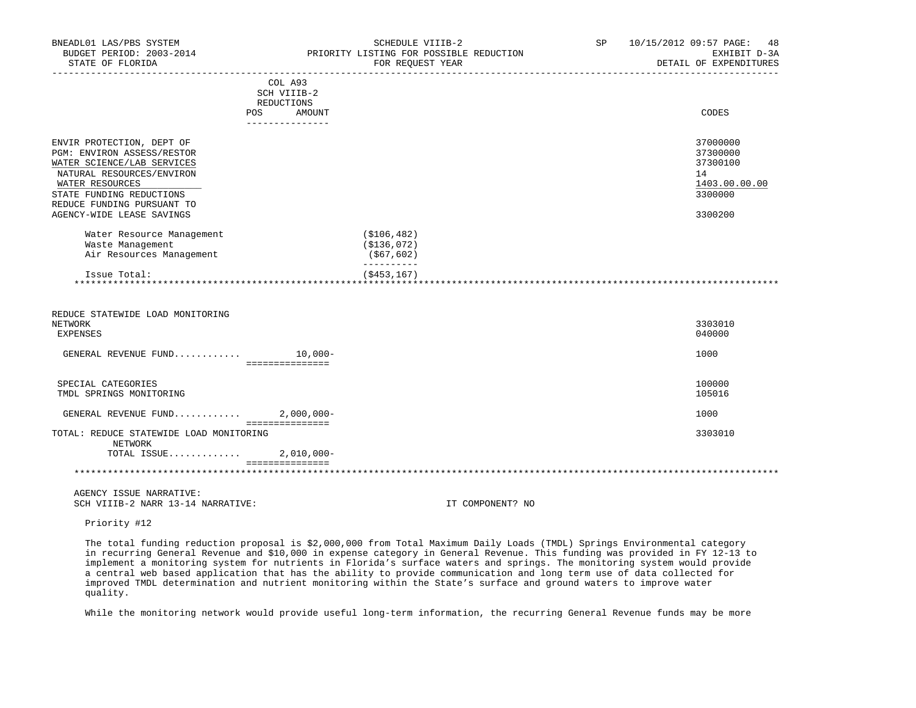| BNEADL01 LAS/PBS SYSTEM<br>BUDGET PERIOD: 2003-2014<br>STATE OF FLORIDA                                                                                                                                                      |                                      | SCHEDULE VIIIB-2<br>PRIORITY LISTING FOR POSSIBLE REDUCTION<br>FOR REQUEST YEAR | SP <sub>2</sub> | 10/15/2012 09:57 PAGE: 48<br>EXHIBIT D-3A<br>DETAIL OF EXPENDITURES           |
|------------------------------------------------------------------------------------------------------------------------------------------------------------------------------------------------------------------------------|--------------------------------------|---------------------------------------------------------------------------------|-----------------|-------------------------------------------------------------------------------|
|                                                                                                                                                                                                                              | COL A93<br>SCH VIIIB-2<br>REDUCTIONS |                                                                                 |                 |                                                                               |
| POS                                                                                                                                                                                                                          | AMOUNT<br>--------------             |                                                                                 |                 | CODES                                                                         |
| ENVIR PROTECTION, DEPT OF<br>PGM: ENVIRON ASSESS/RESTOR<br>WATER SCIENCE/LAB SERVICES<br>NATURAL RESOURCES/ENVIRON<br>WATER RESOURCES<br>STATE FUNDING REDUCTIONS<br>REDUCE FUNDING PURSUANT TO<br>AGENCY-WIDE LEASE SAVINGS |                                      |                                                                                 |                 | 37000000<br>37300000<br>37300100<br>14<br>1403.00.00.00<br>3300000<br>3300200 |
| Water Resource Management<br>Waste Management<br>Air Resources Management                                                                                                                                                    |                                      | (S106, 482)<br>( \$136, 072)<br>( \$67, 602)<br>----------                      |                 |                                                                               |
| Issue Total:                                                                                                                                                                                                                 |                                      | ( \$453, 167)                                                                   |                 |                                                                               |
| REDUCE STATEWIDE LOAD MONITORING<br>NETWORK<br><b>EXPENSES</b>                                                                                                                                                               |                                      |                                                                                 |                 | 3303010<br>040000                                                             |
| GENERAL REVENUE FUND $10,000-$                                                                                                                                                                                               | ________________                     |                                                                                 |                 | 1000                                                                          |
| SPECIAL CATEGORIES<br>TMDL SPRINGS MONITORING                                                                                                                                                                                |                                      |                                                                                 |                 | 100000<br>105016                                                              |
| GENERAL REVENUE FUND $2,000,000-$                                                                                                                                                                                            | ===============                      |                                                                                 |                 | 1000                                                                          |
| TOTAL: REDUCE STATEWIDE LOAD MONITORING<br>NETWORK                                                                                                                                                                           |                                      |                                                                                 |                 | 3303010                                                                       |
| TOTAL ISSUE 2,010,000-                                                                                                                                                                                                       | ===============                      |                                                                                 |                 |                                                                               |
|                                                                                                                                                                                                                              |                                      |                                                                                 |                 |                                                                               |
| AGENCY ISSUE NARRATIVE:<br>SCH VIIIB-2 NARR 13-14 NARRATIVE:                                                                                                                                                                 |                                      | IT COMPONENT? NO                                                                |                 |                                                                               |

Priority #12

 The total funding reduction proposal is \$2,000,000 from Total Maximum Daily Loads (TMDL) Springs Environmental category in recurring General Revenue and \$10,000 in expense category in General Revenue. This funding was provided in FY 12-13 to implement a monitoring system for nutrients in Florida's surface waters and springs. The monitoring system would provide a central web based application that has the ability to provide communication and long term use of data collected for improved TMDL determination and nutrient monitoring within the State's surface and ground waters to improve water quality.

While the monitoring network would provide useful long-term information, the recurring General Revenue funds may be more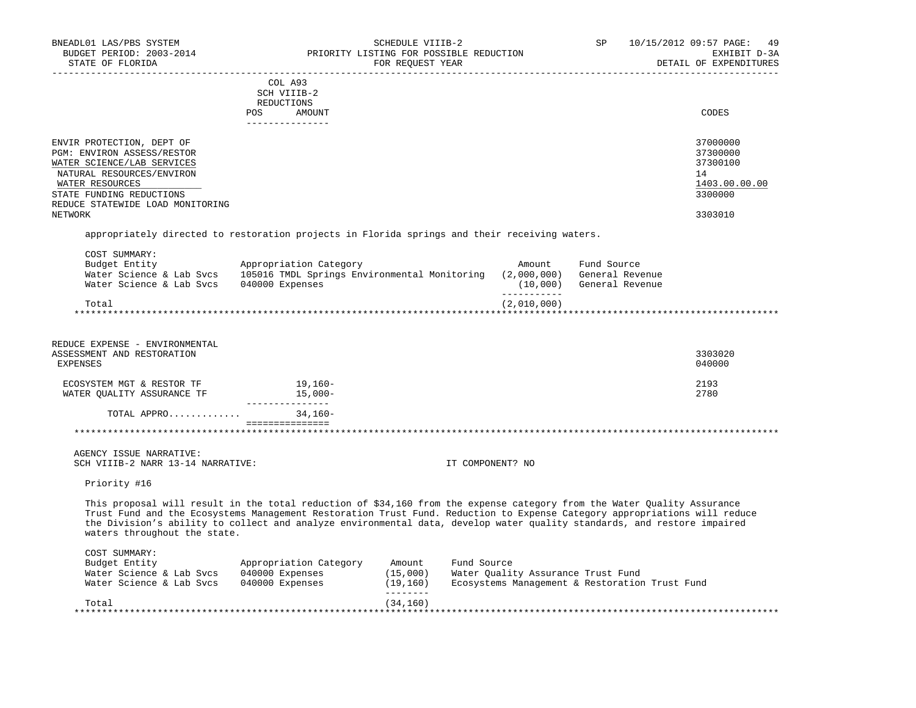| BNEADL01 LAS/PBS SYSTEM<br>BUDGET PERIOD: 2003-2014<br>STATE OF FLORIDA                                                                                                                                                                                                                                                                                                                                         |                                                                                           | SCHEDULE VIIIB-2<br>FOR REQUEST YEAR | PRIORITY LISTING FOR POSSIBLE REDUCTION                                                             |                    | <b>SP</b>                                         | 10/15/2012 09:57 PAGE:<br>49<br>EXHIBIT D-3A<br>DETAIL OF EXPENDITURES |
|-----------------------------------------------------------------------------------------------------------------------------------------------------------------------------------------------------------------------------------------------------------------------------------------------------------------------------------------------------------------------------------------------------------------|-------------------------------------------------------------------------------------------|--------------------------------------|-----------------------------------------------------------------------------------------------------|--------------------|---------------------------------------------------|------------------------------------------------------------------------|
|                                                                                                                                                                                                                                                                                                                                                                                                                 | COL A93<br>SCH VIIIB-2<br>REDUCTIONS<br>POS<br>AMOUNT<br>---------------                  |                                      |                                                                                                     |                    |                                                   | CODES                                                                  |
| ENVIR PROTECTION, DEPT OF<br>PGM: ENVIRON ASSESS/RESTOR<br>WATER SCIENCE/LAB SERVICES<br>NATURAL RESOURCES/ENVIRON<br>WATER RESOURCES<br>STATE FUNDING REDUCTIONS<br>REDUCE STATEWIDE LOAD MONITORING                                                                                                                                                                                                           |                                                                                           |                                      |                                                                                                     |                    |                                                   | 37000000<br>37300000<br>37300100<br>14<br>1403.00.00.00<br>3300000     |
| NETWORK                                                                                                                                                                                                                                                                                                                                                                                                         |                                                                                           |                                      |                                                                                                     |                    |                                                   | 3303010                                                                |
| appropriately directed to restoration projects in Florida springs and their receiving waters.                                                                                                                                                                                                                                                                                                                   |                                                                                           |                                      |                                                                                                     |                    |                                                   |                                                                        |
| COST SUMMARY:<br>Budget Entity<br>Water Science & Lab Svcs<br>Water Science & Lab Svcs                                                                                                                                                                                                                                                                                                                          | Appropriation Category<br>105016 TMDL Springs Environmental Monitoring<br>040000 Expenses |                                      | (2,000,000)<br>-----------                                                                          | Amount<br>(10,000) | Fund Source<br>General Revenue<br>General Revenue |                                                                        |
| Total                                                                                                                                                                                                                                                                                                                                                                                                           |                                                                                           |                                      | (2,010,000)                                                                                         |                    |                                                   |                                                                        |
| REDUCE EXPENSE - ENVIRONMENTAL<br>ASSESSMENT AND RESTORATION<br><b>EXPENSES</b><br>ECOSYSTEM MGT & RESTOR TF<br>WATER QUALITY ASSURANCE TF                                                                                                                                                                                                                                                                      | 19,160-<br>$15.000 -$                                                                     |                                      |                                                                                                     |                    |                                                   | 3303020<br>040000<br>2193<br>2780                                      |
| TOTAL APPRO                                                                                                                                                                                                                                                                                                                                                                                                     | ________________<br>$34,160-$                                                             |                                      |                                                                                                     |                    |                                                   |                                                                        |
|                                                                                                                                                                                                                                                                                                                                                                                                                 | ===============                                                                           |                                      |                                                                                                     |                    |                                                   |                                                                        |
| AGENCY ISSUE NARRATIVE:<br>SCH VIIIB-2 NARR 13-14 NARRATIVE:                                                                                                                                                                                                                                                                                                                                                    |                                                                                           |                                      | IT COMPONENT? NO                                                                                    |                    |                                                   |                                                                        |
| Priority #16                                                                                                                                                                                                                                                                                                                                                                                                    |                                                                                           |                                      |                                                                                                     |                    |                                                   |                                                                        |
| This proposal will result in the total reduction of \$34,160 from the expense category from the Water Quality Assurance<br>Trust Fund and the Ecosystems Management Restoration Trust Fund. Reduction to Expense Category appropriations will reduce<br>the Division's ability to collect and analyze environmental data, develop water quality standards, and restore impaired<br>waters throughout the state. |                                                                                           |                                      |                                                                                                     |                    |                                                   |                                                                        |
| COST SUMMARY:<br>Budget Entity<br>Water Science & Lab Svcs<br>Water Science & Lab Svcs                                                                                                                                                                                                                                                                                                                          | Appropriation Category<br>040000 Expenses<br>040000 Expenses                              | Amount<br>(15,000)<br>(19, 160)      | Fund Source<br>Water Quality Assurance Trust Fund<br>Ecosystems Management & Restoration Trust Fund |                    |                                                   |                                                                        |
| Total                                                                                                                                                                                                                                                                                                                                                                                                           |                                                                                           | $- - - - - - - -$<br>(34, 160)       |                                                                                                     |                    |                                                   |                                                                        |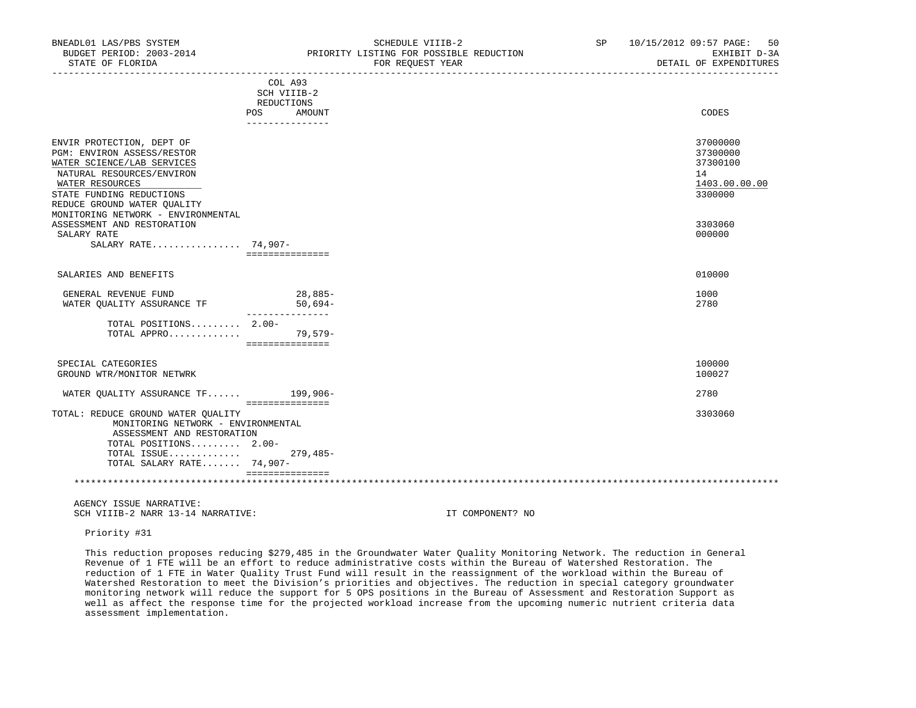| BNEADL01 LAS/PBS SYSTEM<br>BUDGET PERIOD: 2003-2014                                                                                                                                                                                    |                                      | SCHEDULE VIIIB-2<br>PRIORITY LISTING FOR POSSIBLE REDUCTION | SP | 10/15/2012 09:57 PAGE:<br>50<br>EXHIBIT D-3A                       |
|----------------------------------------------------------------------------------------------------------------------------------------------------------------------------------------------------------------------------------------|--------------------------------------|-------------------------------------------------------------|----|--------------------------------------------------------------------|
| STATE OF FLORIDA                                                                                                                                                                                                                       |                                      | FOR REQUEST YEAR                                            |    | DETAIL OF EXPENDITURES                                             |
|                                                                                                                                                                                                                                        | COL A93<br>SCH VIIIB-2<br>REDUCTIONS |                                                             |    |                                                                    |
|                                                                                                                                                                                                                                        | POS<br>AMOUNT<br>_______________     |                                                             |    | CODES                                                              |
| ENVIR PROTECTION, DEPT OF<br>PGM: ENVIRON ASSESS/RESTOR<br>WATER SCIENCE/LAB SERVICES<br>NATURAL RESOURCES/ENVIRON<br>WATER RESOURCES<br>STATE FUNDING REDUCTIONS<br>REDUCE GROUND WATER QUALITY<br>MONITORING NETWORK - ENVIRONMENTAL |                                      |                                                             |    | 37000000<br>37300000<br>37300100<br>14<br>1403.00.00.00<br>3300000 |
| ASSESSMENT AND RESTORATION<br>SALARY RATE<br>SALARY RATE 74,907-                                                                                                                                                                       | ===============                      |                                                             |    | 3303060<br>000000                                                  |
| SALARIES AND BENEFITS                                                                                                                                                                                                                  |                                      |                                                             |    | 010000                                                             |
| GENERAL REVENUE FUND<br>WATER OUALITY ASSURANCE TF                                                                                                                                                                                     | 28,885-<br>$50,694-$                 |                                                             |    | 1000<br>2780                                                       |
| TOTAL POSITIONS 2.00-<br>TOTAL APPRO                                                                                                                                                                                                   | 79,579-<br>================          |                                                             |    |                                                                    |
| SPECIAL CATEGORIES<br>GROUND WTR/MONITOR NETWRK                                                                                                                                                                                        |                                      |                                                             |    | 100000<br>100027                                                   |
| WATER OUALITY ASSURANCE TF 199,906-                                                                                                                                                                                                    | ===============                      |                                                             |    | 2780                                                               |
| TOTAL: REDUCE GROUND WATER OUALITY<br>MONITORING NETWORK - ENVIRONMENTAL<br>ASSESSMENT AND RESTORATION<br>TOTAL POSITIONS 2.00-                                                                                                        |                                      |                                                             |    | 3303060                                                            |
| TOTAL ISSUE<br>TOTAL SALARY RATE 74,907-                                                                                                                                                                                               | $279,485-$<br>===============        |                                                             |    |                                                                    |
|                                                                                                                                                                                                                                        |                                      |                                                             |    |                                                                    |

 AGENCY ISSUE NARRATIVE: SCH VIIIB-2 NARR 13-14 NARRATIVE: IT COMPONENT? NO

Priority #31

 This reduction proposes reducing \$279,485 in the Groundwater Water Quality Monitoring Network. The reduction in General Revenue of 1 FTE will be an effort to reduce administrative costs within the Bureau of Watershed Restoration. The reduction of 1 FTE in Water Quality Trust Fund will result in the reassignment of the workload within the Bureau of Watershed Restoration to meet the Division's priorities and objectives. The reduction in special category groundwater monitoring network will reduce the support for 5 OPS positions in the Bureau of Assessment and Restoration Support as well as affect the response time for the projected workload increase from the upcoming numeric nutrient criteria data assessment implementation.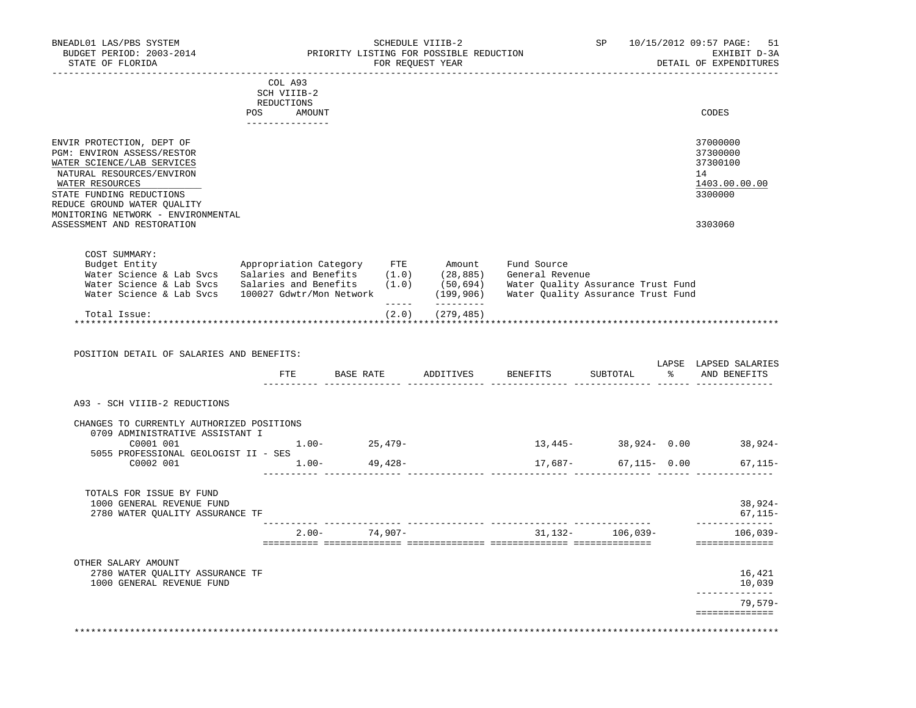| BNEADL01 LAS/PBS SYSTEM<br>BUDGET PERIOD: 2003-2014<br>STATE OF FLORIDA                                                                                                                                                                                              |                                                                              | PRIORITY LISTING FOR POSSIBLE REDUCTION | SCHEDULE VIIIB-2<br>FOR REQUEST YEAR |                                       |  | SP 10/15/2012 09:57 PAGE: 51<br>EXHIBIT D-3A<br>DETAIL OF EXPENDITURES        |
|----------------------------------------------------------------------------------------------------------------------------------------------------------------------------------------------------------------------------------------------------------------------|------------------------------------------------------------------------------|-----------------------------------------|--------------------------------------|---------------------------------------|--|-------------------------------------------------------------------------------|
|                                                                                                                                                                                                                                                                      | COL A93<br>SCH VIIIB-2<br>REDUCTIONS<br>POS AMOUNT<br><u>_______________</u> |                                         |                                      | _____________________________________ |  | CODES                                                                         |
| ENVIR PROTECTION, DEPT OF<br>PGM: ENVIRON ASSESS/RESTOR<br>WATER SCIENCE/LAB SERVICES<br>NATURAL RESOURCES/ENVIRON<br>WATER RESOURCES<br>STATE FUNDING REDUCTIONS<br>REDUCE GROUND WATER OUALITY<br>MONITORING NETWORK - ENVIRONMENTAL<br>ASSESSMENT AND RESTORATION |                                                                              |                                         |                                      |                                       |  | 37000000<br>37300000<br>37300100<br>14<br>1403.00.00.00<br>3300000<br>3303060 |
| COST SUMMARY:<br>Water Science & Lab Svcs Salaries and Benefits (1.0) (50,694) Water Quality Assurance Trust Fund<br>Water Science & Lab Svcs 100027 Gdwtr/Mon Network (199,906) Water Quality Assurance Trust Fund                                                  |                                                                              |                                         | __________                           |                                       |  |                                                                               |
|                                                                                                                                                                                                                                                                      |                                                                              | $\frac{1}{2}$                           |                                      |                                       |  |                                                                               |
| Total Issue:                                                                                                                                                                                                                                                         |                                                                              | (2.0)                                   | (279, 485)                           |                                       |  |                                                                               |
| POSITION DETAIL OF SALARIES AND BENEFITS:                                                                                                                                                                                                                            |                                                                              |                                         |                                      | FTE BASE RATE ADDITIVES BENEFITS      |  | LAPSE LAPSED SALARIES<br>SUBTOTAL % AND BENEFITS                              |
| A93 - SCH VIIIB-2 REDUCTIONS                                                                                                                                                                                                                                         |                                                                              |                                         |                                      |                                       |  |                                                                               |
| CHANGES TO CURRENTLY AUTHORIZED POSITIONS<br>0709 ADMINISTRATIVE ASSISTANT I                                                                                                                                                                                         |                                                                              |                                         |                                      |                                       |  |                                                                               |
| C0001 001<br>5055 PROFESSIONAL GEOLOGIST II - SES                                                                                                                                                                                                                    |                                                                              | $1.00 - 25,479 -$                       |                                      |                                       |  | $13,445 38,924-$ 0.00 $38,924-$                                               |
| C0002 001 $1.00-$ 49,428-                                                                                                                                                                                                                                            |                                                                              |                                         |                                      | 17,687-                               |  | 67,115- 0.00<br>$67, 115 -$                                                   |
| TOTALS FOR ISSUE BY FUND<br>1000 GENERAL REVENUE FUND<br>2780 WATER QUALITY ASSURANCE TF                                                                                                                                                                             |                                                                              |                                         |                                      |                                       |  | $38,924-$<br>$67, 115 -$                                                      |
|                                                                                                                                                                                                                                                                      |                                                                              |                                         |                                      | $2.00 - 74,907 - 31,132 - 106,039 -$  |  | ______________<br>$106,039-$                                                  |
|                                                                                                                                                                                                                                                                      |                                                                              |                                         |                                      |                                       |  | ==============                                                                |
| OTHER SALARY AMOUNT<br>2780 WATER QUALITY ASSURANCE TF<br>1000 GENERAL REVENUE FUND                                                                                                                                                                                  |                                                                              |                                         |                                      |                                       |  | 16,421<br>10,039<br>------------                                              |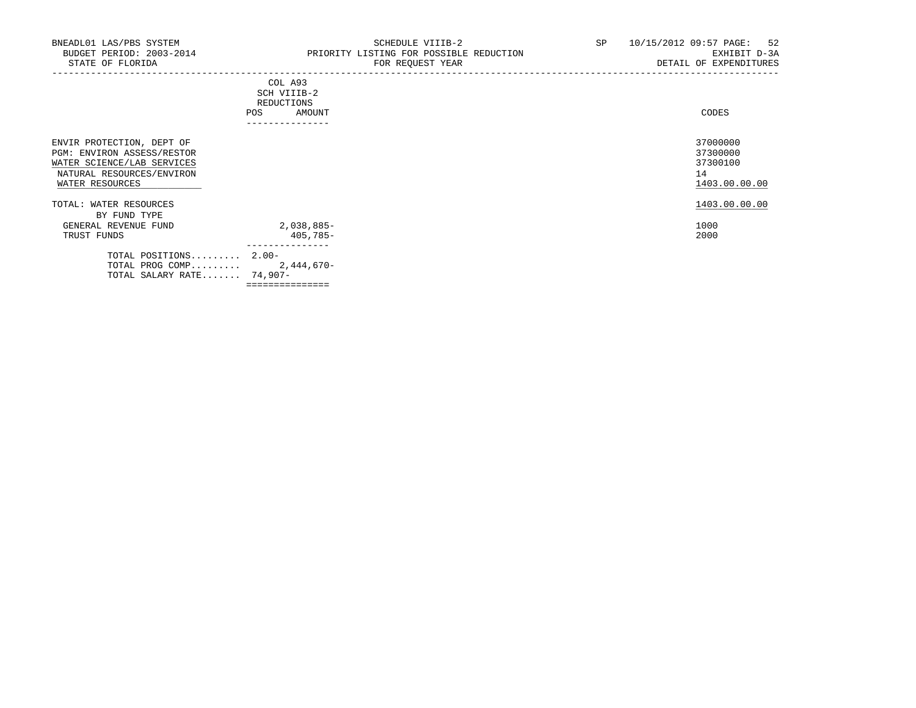|                                                                                                                                       | COL A93<br>SCH VIIIB-2<br>REDUCTIONS<br>AMOUNT<br><b>POS</b><br>---------------- | CODES                                                   |
|---------------------------------------------------------------------------------------------------------------------------------------|----------------------------------------------------------------------------------|---------------------------------------------------------|
| ENVIR PROTECTION, DEPT OF<br>PGM: ENVIRON ASSESS/RESTOR<br>WATER SCIENCE/LAB SERVICES<br>NATURAL RESOURCES/ENVIRON<br>WATER RESOURCES |                                                                                  | 37000000<br>37300000<br>37300100<br>14<br>1403.00.00.00 |
| TOTAL: WATER RESOURCES<br>BY FUND TYPE                                                                                                |                                                                                  | 1403.00.00.00                                           |
| GENERAL REVENUE FUND<br>TRUST FUNDS                                                                                                   | 2,038,885-<br>405,785-                                                           | 1000<br>2000                                            |
| TOTAL POSITIONS 2.00-<br>TOTAL PROG COMP<br>TOTAL SALARY RATE 74,907-                                                                 | ---------------<br>2,444,670-<br>===============                                 |                                                         |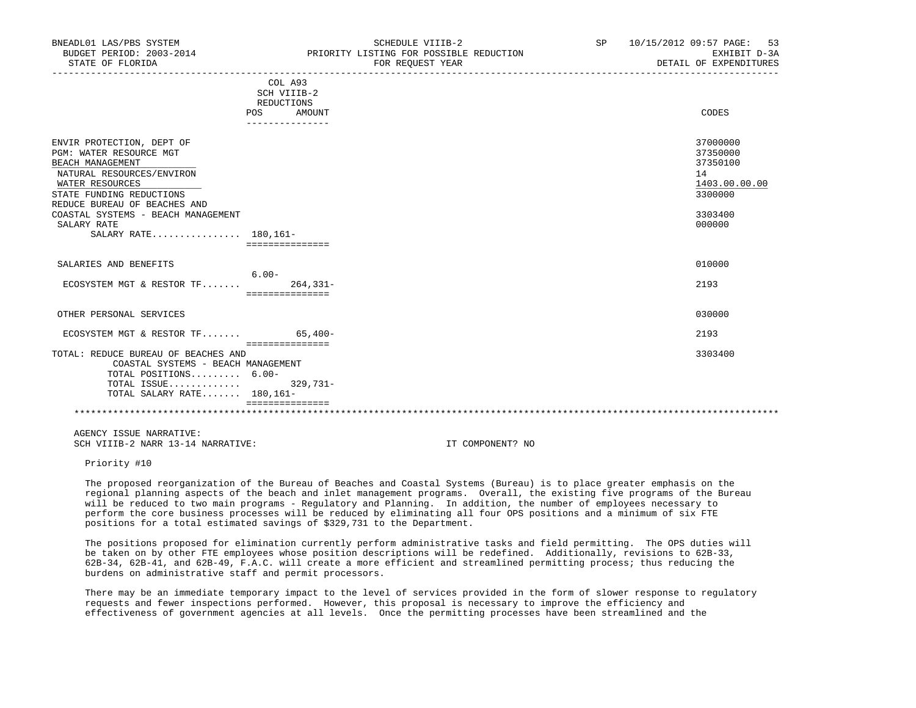| BNEADL01 LAS/PBS SYSTEM<br>BUDGET PERIOD: 2003-2014<br>STATE OF FLORIDA                                                                                                                                                                                           |                                                       | SCHEDULE VIIIB-2<br>PRIORITY LISTING FOR POSSIBLE REDUCTION<br>FOR REOUEST YEAR | SP | 10/15/2012 09:57 PAGE: 53<br>EXHIBIT D-3A<br>DETAIL OF EXPENDITURES                     |
|-------------------------------------------------------------------------------------------------------------------------------------------------------------------------------------------------------------------------------------------------------------------|-------------------------------------------------------|---------------------------------------------------------------------------------|----|-----------------------------------------------------------------------------------------|
|                                                                                                                                                                                                                                                                   | COL A93<br>SCH VIIIB-2<br>REDUCTIONS<br>POS<br>AMOUNT |                                                                                 |    | CODES                                                                                   |
| ENVIR PROTECTION, DEPT OF<br>PGM: WATER RESOURCE MGT<br>BEACH MANAGEMENT<br>NATURAL RESOURCES/ENVIRON<br>WATER RESOURCES<br>STATE FUNDING REDUCTIONS<br>REDUCE BUREAU OF BEACHES AND<br>COASTAL SYSTEMS - BEACH MANAGEMENT<br>SALARY RATE<br>SALARY RATE 180,161- | ===============                                       |                                                                                 |    | 37000000<br>37350000<br>37350100<br>14<br>1403.00.00.00<br>3300000<br>3303400<br>000000 |
| SALARIES AND BENEFITS                                                                                                                                                                                                                                             | $6.00 -$                                              |                                                                                 |    | 010000                                                                                  |
| ECOSYSTEM MGT & RESTOR $TF$                                                                                                                                                                                                                                       | $264.331-$<br>===============                         |                                                                                 |    | 2193                                                                                    |
| OTHER PERSONAL SERVICES                                                                                                                                                                                                                                           |                                                       |                                                                                 |    | 030000                                                                                  |
| ECOSYSTEM MGT & RESTOR TF 65,400-                                                                                                                                                                                                                                 |                                                       |                                                                                 |    | 2193                                                                                    |
| TOTAL: REDUCE BUREAU OF BEACHES AND<br>COASTAL SYSTEMS - BEACH MANAGEMENT<br>TOTAL POSITIONS 6.00-<br>$\blacksquare$                                                                                                                                              | seesseesseesses                                       |                                                                                 |    | 3303400                                                                                 |

 TOTAL ISSUE............. 329,731- TOTAL SALARY RATE....... 180,161-===============

 AGENCY ISSUE NARRATIVE: SCH VIIIB-2 NARR 13-14 NARRATIVE: IT COMPONENT? NO

Priority #10

 The proposed reorganization of the Bureau of Beaches and Coastal Systems (Bureau) is to place greater emphasis on the regional planning aspects of the beach and inlet management programs. Overall, the existing five programs of the Bureau will be reduced to two main programs - Regulatory and Planning. In addition, the number of employees necessary to perform the core business processes will be reduced by eliminating all four OPS positions and a minimum of six FTE positions for a total estimated savings of \$329,731 to the Department.

\*\*\*\*\*\*\*\*\*\*\*\*\*\*\*\*\*\*\*\*\*\*\*\*\*\*\*\*\*\*\*\*\*\*\*\*\*\*\*\*\*\*\*\*\*\*\*\*\*\*\*\*\*\*\*\*\*\*\*\*\*\*\*\*\*\*\*\*\*\*\*\*\*\*\*\*\*\*\*\*\*\*\*\*\*\*\*\*\*\*\*\*\*\*\*\*\*\*\*\*\*\*\*\*\*\*\*\*\*\*\*\*\*\*\*\*\*\*\*\*\*\*\*\*\*\*\*

 The positions proposed for elimination currently perform administrative tasks and field permitting. The OPS duties will be taken on by other FTE employees whose position descriptions will be redefined. Additionally, revisions to 62B-33, 62B-34, 62B-41, and 62B-49, F.A.C. will create a more efficient and streamlined permitting process; thus reducing the burdens on administrative staff and permit processors.

 There may be an immediate temporary impact to the level of services provided in the form of slower response to regulatory requests and fewer inspections performed. However, this proposal is necessary to improve the efficiency and effectiveness of government agencies at all levels. Once the permitting processes have been streamlined and the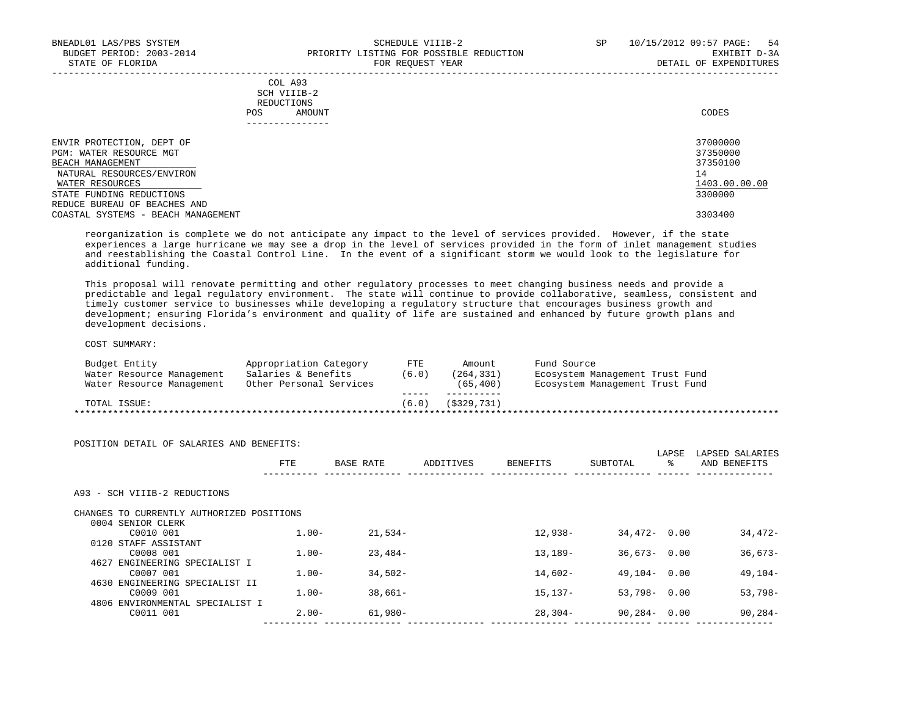| COL A93     |                 |
|-------------|-----------------|
| SCH VIIIB-2 |                 |
| REDUCTIONS  |                 |
| POS         | CODES<br>AMOUNT |

| ENVIR PROTECTION, DEPT OF                                          | 37000000      |
|--------------------------------------------------------------------|---------------|
| PGM: WATER RESOURCE MGT                                            | 37350000      |
| BEACH MANAGEMENT                                                   | 37350100      |
| NATURAL RESOURCES/ENVIRON                                          | 14            |
| WATER RESOURCES                                                    | 1403.00.00.00 |
| STATE FUNDING REDUCTIONS                                           | 3300000       |
| REDUCE BUREAU OF BEACHES AND<br>COASTAL SYSTEMS - BEACH MANAGEMENT | 3303400       |

 reorganization is complete we do not anticipate any impact to the level of services provided. However, if the state experiences a large hurricane we may see a drop in the level of services provided in the form of inlet management studies and reestablishing the Coastal Control Line. In the event of a significant storm we would look to the legislature for additional funding.

 This proposal will renovate permitting and other regulatory processes to meet changing business needs and provide a predictable and legal regulatory environment. The state will continue to provide collaborative, seamless, consistent and timely customer service to businesses while developing a regulatory structure that encourages business growth and development; ensuring Florida's environment and quality of life are sustained and enhanced by future growth plans and development decisions.

### COST SUMMARY:

| Budget Entity             | Appropriation Category  | FTE.  | Amount         | Fund Source                     |
|---------------------------|-------------------------|-------|----------------|---------------------------------|
| Water Resource Management | Salaries & Benefits     | (6.0) | (264, 331)     | Ecosystem Management Trust Fund |
| Water Resource Management | Other Personal Services |       | (65, 400)      | Ecosystem Management Trust Fund |
|                           |                         |       |                |                                 |
| TOTAL ISSUE:              |                         | (6.0) | $($ \$329,731) |                                 |

| POSITION DETAIL OF SALARIES AND BENEFITS: | FTE      | BASE RATE | ADDITIVES | <b>BENEFITS</b> | SUBTOTAL        | LAPSE<br>ႜ | LAPSED SALARIES<br>AND BENEFITS |
|-------------------------------------------|----------|-----------|-----------|-----------------|-----------------|------------|---------------------------------|
| A93 - SCH VIIIB-2 REDUCTIONS              |          |           |           |                 |                 |            |                                 |
| CHANGES TO CURRENTLY AUTHORIZED POSITIONS |          |           |           |                 |                 |            |                                 |
| 0004 SENIOR CLERK                         |          |           |           |                 |                 |            |                                 |
| C0010 001                                 | $1.00 -$ | $21.534-$ |           | 12,938-         | $34.472 - 0.00$ |            | 34,472-                         |
| 0120 STAFF ASSISTANT                      |          |           |           |                 |                 |            |                                 |
| C0008 001                                 | $1.00 -$ | $23,484-$ |           | 13,189-         | $36,673 - 0.00$ |            | $36,673-$                       |
| 4627 ENGINEERING SPECIALIST I             |          |           |           |                 |                 |            |                                 |
| C0007 001                                 | $1.00 -$ | $34,502-$ |           | 14,602-         | $49.104 - 0.00$ |            | $49,104-$                       |
| 4630 ENGINEERING SPECIALIST II            |          |           |           |                 |                 |            |                                 |
| C0009 001                                 | $1.00 -$ | $38.661-$ |           | 15,137-         | $53,798 - 0.00$ |            | $53,798-$                       |
| 4806 ENVIRONMENTAL SPECIALIST I           |          |           |           |                 |                 |            |                                 |
| C0011 001                                 | $2.00 -$ | 61,980-   |           | 28,304-         | $90,284 - 0.00$ |            | $90, 284 -$                     |
|                                           |          |           |           |                 |                 |            |                                 |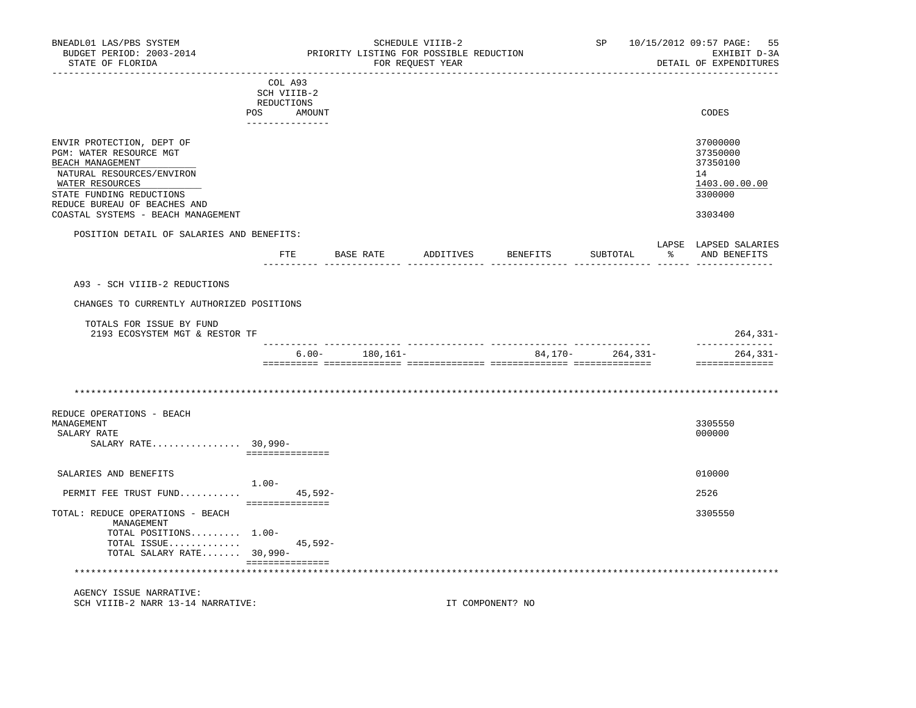| BNEADL01 LAS/PBS SYSTEM<br>BUDGET PERIOD: 2003-2014<br>STATE OF FLORIDA                                                                                                                                                    |                                                                          | PRIORITY LISTING FOR POSSIBLE REDUCTION | SCHEDULE VIIIB-2<br>FOR REQUEST YEAR |                    | SP and the set of the set of the set of the set of the set of the set of the set of the set of the set of the set of the set of the set of the set of the set of the set of the set of the set of the set of the set of the se | 10/15/2012 09:57 PAGE:<br>55<br>EXHIBIT D-3A<br>DETAIL OF EXPENDITURES        |
|----------------------------------------------------------------------------------------------------------------------------------------------------------------------------------------------------------------------------|--------------------------------------------------------------------------|-----------------------------------------|--------------------------------------|--------------------|--------------------------------------------------------------------------------------------------------------------------------------------------------------------------------------------------------------------------------|-------------------------------------------------------------------------------|
|                                                                                                                                                                                                                            | COL A93<br>SCH VIIIB-2<br>REDUCTIONS<br>POS<br>AMOUNT<br>--------------- |                                         |                                      |                    |                                                                                                                                                                                                                                | CODES                                                                         |
| ENVIR PROTECTION, DEPT OF<br>PGM: WATER RESOURCE MGT<br>BEACH MANAGEMENT<br>NATURAL RESOURCES/ENVIRON<br>WATER RESOURCES<br>STATE FUNDING REDUCTIONS<br>REDUCE BUREAU OF BEACHES AND<br>COASTAL SYSTEMS - BEACH MANAGEMENT |                                                                          |                                         |                                      |                    |                                                                                                                                                                                                                                | 37000000<br>37350000<br>37350100<br>14<br>1403.00.00.00<br>3300000<br>3303400 |
| POSITION DETAIL OF SALARIES AND BENEFITS:                                                                                                                                                                                  |                                                                          |                                         |                                      |                    |                                                                                                                                                                                                                                | LAPSE LAPSED SALARIES                                                         |
|                                                                                                                                                                                                                            | FTE                                                                      | BASE RATE                               |                                      | ADDITIVES BENEFITS | SUBTOTAL                                                                                                                                                                                                                       | % AND BENEFITS                                                                |
| A93 - SCH VIIIB-2 REDUCTIONS                                                                                                                                                                                               |                                                                          |                                         |                                      |                    |                                                                                                                                                                                                                                |                                                                               |
| CHANGES TO CURRENTLY AUTHORIZED POSITIONS                                                                                                                                                                                  |                                                                          |                                         |                                      |                    |                                                                                                                                                                                                                                |                                                                               |
| TOTALS FOR ISSUE BY FUND<br>2193 ECOSYSTEM MGT & RESTOR TF                                                                                                                                                                 |                                                                          |                                         |                                      |                    |                                                                                                                                                                                                                                | $264, 331 -$                                                                  |
|                                                                                                                                                                                                                            |                                                                          | $6.00 - 180,161 -$                      |                                      |                    | $84,170-264,331-$                                                                                                                                                                                                              | --------------<br>$264, 331 -$<br>==============                              |
|                                                                                                                                                                                                                            |                                                                          |                                         |                                      |                    |                                                                                                                                                                                                                                |                                                                               |
| REDUCE OPERATIONS - BEACH<br>MANAGEMENT<br>SALARY RATE<br>SALARY RATE 30,990-                                                                                                                                              | ===============                                                          |                                         |                                      |                    |                                                                                                                                                                                                                                | 3305550<br>000000                                                             |
| SALARIES AND BENEFITS                                                                                                                                                                                                      |                                                                          |                                         |                                      |                    |                                                                                                                                                                                                                                | 010000                                                                        |
| PERMIT FEE TRUST FUND                                                                                                                                                                                                      | $1.00-$<br>45,592-                                                       |                                         |                                      |                    |                                                                                                                                                                                                                                | 2526                                                                          |
| TOTAL: REDUCE OPERATIONS - BEACH<br>MANAGEMENT<br>TOTAL POSITIONS 1.00-<br>TOTAL ISSUE<br>TOTAL SALARY RATE 30,990-                                                                                                        | ===============<br>$45,592-$                                             |                                         |                                      |                    |                                                                                                                                                                                                                                | 3305550                                                                       |
|                                                                                                                                                                                                                            | ===============                                                          |                                         |                                      |                    |                                                                                                                                                                                                                                |                                                                               |

SCH VIIIB-2 NARR 13-14 NARRATIVE: IT COMPONENT? NO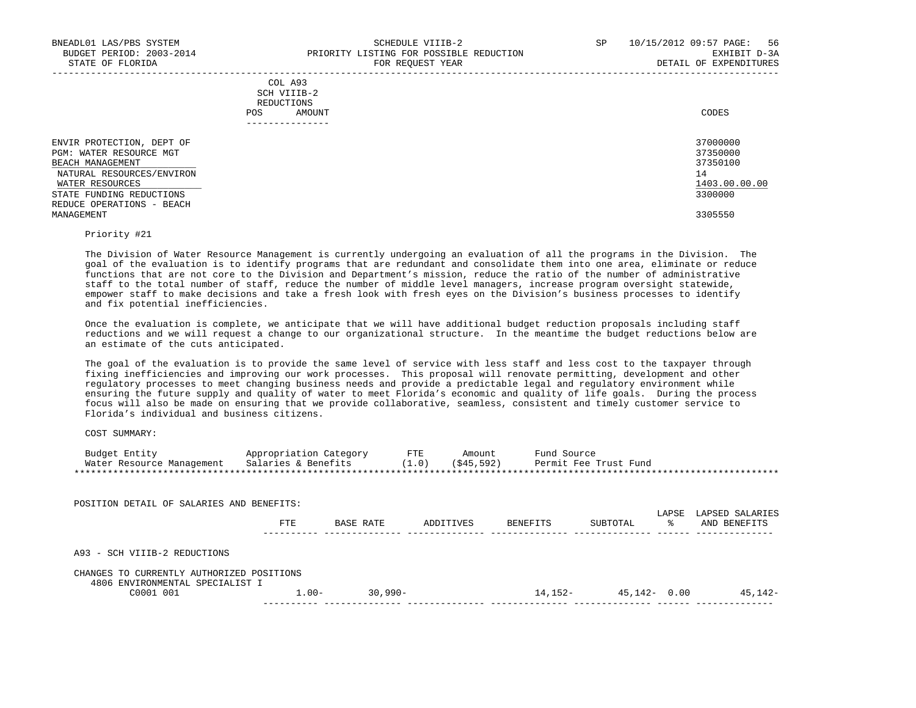|     | --------------- |       |
|-----|-----------------|-------|
| POS | AMOUNT          | CODES |
|     | REDUCTIONS      |       |
|     | SCH VIIIB-2     |       |
|     | COL A93         |       |

| ENVIR PROTECTION, DEPT OF | 37000000      |
|---------------------------|---------------|
| PGM: WATER RESOURCE MGT   | 37350000      |
| BEACH MANAGEMENT          | 37350100      |
| NATURAL RESOURCES/ENVIRON | 14            |
| WATER RESOURCES           | 1403.00.00.00 |
| STATE FUNDING REDUCTIONS  | 3300000       |
| REDUCE OPERATIONS - BEACH |               |
| MANAGEMENT                | 3305550       |

## Priority #21

 The Division of Water Resource Management is currently undergoing an evaluation of all the programs in the Division. The goal of the evaluation is to identify programs that are redundant and consolidate them into one area, eliminate or reduce functions that are not core to the Division and Department's mission, reduce the ratio of the number of administrative staff to the total number of staff, reduce the number of middle level managers, increase program oversight statewide, empower staff to make decisions and take a fresh look with fresh eyes on the Division's business processes to identify and fix potential inefficiencies.

 Once the evaluation is complete, we anticipate that we will have additional budget reduction proposals including staff reductions and we will request a change to our organizational structure. In the meantime the budget reductions below are an estimate of the cuts anticipated.

 The goal of the evaluation is to provide the same level of service with less staff and less cost to the taxpayer through fixing inefficiencies and improving our work processes. This proposal will renovate permitting, development and other regulatory processes to meet changing business needs and provide a predictable legal and regulatory environment while ensuring the future supply and quality of water to meet Florida's economic and quality of life goals. During the process focus will also be made on ensuring that we provide collaborative, seamless, consistent and timely customer service to Florida's individual and business citizens.

COST SUMMARY:

| Budget Entity             | Appropriation Category | FTE   | Amount     | Fund Source           |
|---------------------------|------------------------|-------|------------|-----------------------|
| Water Resource Management | Salaries & Benefits    | (1.0) | (545, 592) | Permit Fee Trust Fund |
|                           |                        |       |            |                       |

| POSITION DETAIL OF SALARIES AND BENEFITS:                                    |          |            |           |           |                  | LAPSE | LAPSED SALARIES |
|------------------------------------------------------------------------------|----------|------------|-----------|-----------|------------------|-------|-----------------|
|                                                                              | FTE      | BASE RATE  | ADDITIVES | BENEFITS  | SUBTOTAL         | °≈    | AND BENEFITS    |
| A93 - SCH VIIIB-2 REDUCTIONS                                                 |          |            |           |           |                  |       |                 |
| CHANGES TO CURRENTLY AUTHORIZED POSITIONS<br>4806 ENVIRONMENTAL SPECIALIST I |          |            |           |           |                  |       |                 |
| C0001 001                                                                    | $1.00 -$ | $30.990 -$ |           | $14.152-$ | $45, 142 - 0.00$ |       | 45,142-         |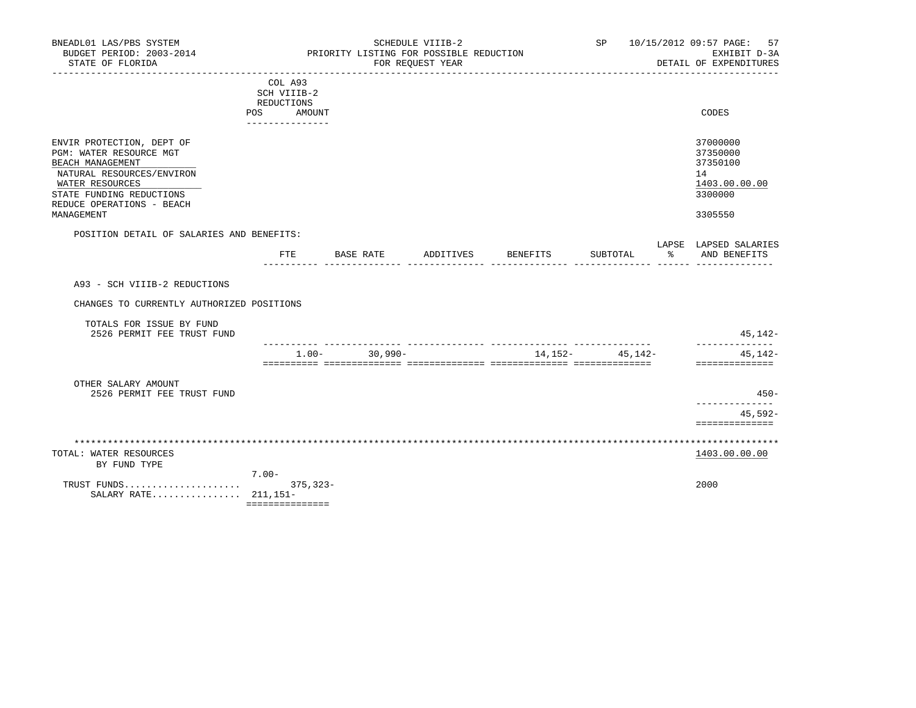| BNEADL01 LAS/PBS SYSTEM<br>BUDGET PERIOD: 2003-2014                                                                                                                                             | SCHEDULE VIIIB-2<br>SP<br>PRIORITY LISTING FOR POSSIBLE REDUCTION        |            |           |                 |                     |      | 10/15/2012 09:57 PAGE:<br>57<br>EXHIBIT D-3A                                  |  |  |
|-------------------------------------------------------------------------------------------------------------------------------------------------------------------------------------------------|--------------------------------------------------------------------------|------------|-----------|-----------------|---------------------|------|-------------------------------------------------------------------------------|--|--|
| STATE OF FLORIDA                                                                                                                                                                                | FOR REQUEST YEAR                                                         |            |           |                 |                     |      | DETAIL OF EXPENDITURES                                                        |  |  |
|                                                                                                                                                                                                 | COL A93<br>SCH VIIIB-2<br>REDUCTIONS<br>POS<br>AMOUNT<br>--------------- |            |           |                 |                     |      | CODES                                                                         |  |  |
| ENVIR PROTECTION, DEPT OF<br>PGM: WATER RESOURCE MGT<br>BEACH MANAGEMENT<br>NATURAL RESOURCES/ENVIRON<br>WATER RESOURCES<br>STATE FUNDING REDUCTIONS<br>REDUCE OPERATIONS - BEACH<br>MANAGEMENT |                                                                          |            |           |                 |                     |      | 37000000<br>37350000<br>37350100<br>14<br>1403.00.00.00<br>3300000<br>3305550 |  |  |
| POSITION DETAIL OF SALARIES AND BENEFITS:                                                                                                                                                       |                                                                          |            |           |                 |                     |      | LAPSE LAPSED SALARIES                                                         |  |  |
|                                                                                                                                                                                                 | FTE                                                                      | BASE RATE  | ADDITIVES | <b>BENEFITS</b> | SUBTOTAL            | ော ေ | AND BENEFITS                                                                  |  |  |
| CHANGES TO CURRENTLY AUTHORIZED POSITIONS<br>TOTALS FOR ISSUE BY FUND<br>2526 PERMIT FEE TRUST FUND                                                                                             |                                                                          |            |           |                 |                     |      | $45, 142 -$                                                                   |  |  |
|                                                                                                                                                                                                 | $1.00 -$                                                                 | $30,990 -$ |           |                 | 14, 152 - 45, 142 - |      | --------------<br>45,142-                                                     |  |  |
|                                                                                                                                                                                                 |                                                                          |            |           |                 |                     |      | ==============                                                                |  |  |
| OTHER SALARY AMOUNT<br>2526 PERMIT FEE TRUST FUND                                                                                                                                               |                                                                          |            |           |                 |                     |      | $450 -$<br>---------------                                                    |  |  |
|                                                                                                                                                                                                 |                                                                          |            |           |                 |                     |      | $45,592-$<br>==============                                                   |  |  |
|                                                                                                                                                                                                 |                                                                          |            |           |                 |                     |      |                                                                               |  |  |
| TOTAL: WATER RESOURCES<br>BY FUND TYPE                                                                                                                                                          |                                                                          |            |           |                 |                     |      | 1403.00.00.00                                                                 |  |  |
| TRUST FUNDS<br>SALARY RATE 211,151-                                                                                                                                                             | $7.00 -$<br>$375, 323 -$                                                 |            |           |                 |                     |      | 2000                                                                          |  |  |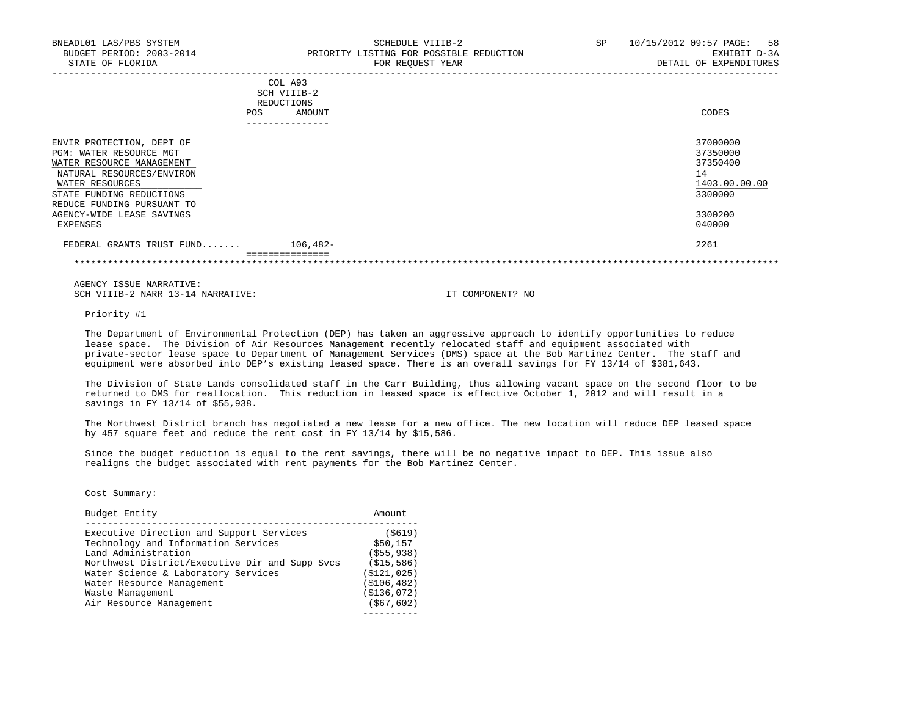| BNEADL01 LAS/PBS SYSTEM<br>BUDGET PERIOD: 2003-2014<br>STATE OF FLORIDA                                        | SCHEDULE VIIIB-2<br>PRIORITY LISTING FOR POSSIBLE REDUCTION<br>FOR REOUEST YEAR | 10/15/2012 09:57 PAGE: 58<br>SP<br>EXHIBIT D-3A<br>DETAIL OF EXPENDITURES |
|----------------------------------------------------------------------------------------------------------------|---------------------------------------------------------------------------------|---------------------------------------------------------------------------|
|                                                                                                                | COL A93<br>SCH VIIIB-2<br>REDUCTIONS<br>AMOUNT<br><b>POS</b>                    | CODES                                                                     |
| ENVIR PROTECTION, DEPT OF<br>PGM: WATER RESOURCE MGT<br>WATER RESOURCE MANAGEMENT<br>NATURAL RESOURCES/ENVIRON |                                                                                 | 37000000<br>37350000<br>37350400<br>14                                    |

 $\texttt{MATER RESOURCES} \texttt{MAPER RESOURCES} \texttt{MAPB:} \begin{equation} \begin{equation} \texttt{MAPB:} \end{equation} \begin{equation} \begin{equation} \texttt{NAPB:} \end{equation} \begin{equation} \begin{equation} \texttt{NAPB:} \end{equation} \end{equation} \begin{equation} \begin{equation} \texttt{NAPB:} \end{equation} \begin{equation} \begin{equation} \texttt{NAPB:} \end{equation} \begin{equation} \begin{equation} \texttt{NAPB:} \end{equation} \begin{equation} \begin{equation} \texttt{NAPB:} \$ STATE FUNDING REDUCTIONS 3300000 REDUCE FUNDING PURSUANT TO AGENCY-WIDE LEASE SAVINGS 3300200<br>EXPENSES 640000 EXPENSES 040000

 FEDERAL GRANTS TRUST FUND....... 106,482- 2261 ===============

\*\*\*\*\*\*\*\*\*\*\*\*\*\*\*\*\*\*\*\*\*\*\*\*\*\*\*\*\*\*\*\*\*\*\*\*\*\*\*\*\*\*\*\*\*\*\*\*\*\*\*\*\*\*\*\*\*\*\*\*\*\*\*\*\*\*\*\*\*\*\*\*\*\*\*\*\*\*\*\*\*\*\*\*\*\*\*\*\*\*\*\*\*\*\*\*\*\*\*\*\*\*\*\*\*\*\*\*\*\*\*\*\*\*\*\*\*\*\*\*\*\*\*\*\*\*\*

 AGENCY ISSUE NARRATIVE: SCH VIIIB-2 NARR 13-14 NARRATIVE: IT COMPONENT? NO

Priority #1

 The Department of Environmental Protection (DEP) has taken an aggressive approach to identify opportunities to reduce lease space. The Division of Air Resources Management recently relocated staff and equipment associated with private-sector lease space to Department of Management Services (DMS) space at the Bob Martinez Center. The staff and equipment were absorbed into DEP's existing leased space. There is an overall savings for FY 13/14 of \$381,643.

 The Division of State Lands consolidated staff in the Carr Building, thus allowing vacant space on the second floor to be returned to DMS for reallocation. This reduction in leased space is effective October 1, 2012 and will result in a savings in FY 13/14 of \$55,938.

 The Northwest District branch has negotiated a new lease for a new office. The new location will reduce DEP leased space by 457 square feet and reduce the rent cost in FY 13/14 by \$15,586.

 Since the budget reduction is equal to the rent savings, there will be no negative impact to DEP. This issue also realigns the budget associated with rent payments for the Bob Martinez Center.

Cost Summary:

| Budget Entity                                                                                                                                                                                   | Amount                                                         |
|-------------------------------------------------------------------------------------------------------------------------------------------------------------------------------------------------|----------------------------------------------------------------|
| Executive Direction and Support Services<br>Technology and Information Services<br>Land Administration<br>Northwest District/Executive Dir and Supp Svcs<br>Water Science & Laboratory Services | ( \$619)<br>\$50,157<br>(S55, 938)<br>(S15, 586)<br>(S121.025) |
| Water Resource Management<br>Waste Management<br>Air Resource Management                                                                                                                        | ( \$106, 482)<br>( \$136, 072)<br>( \$67, 602)                 |
|                                                                                                                                                                                                 |                                                                |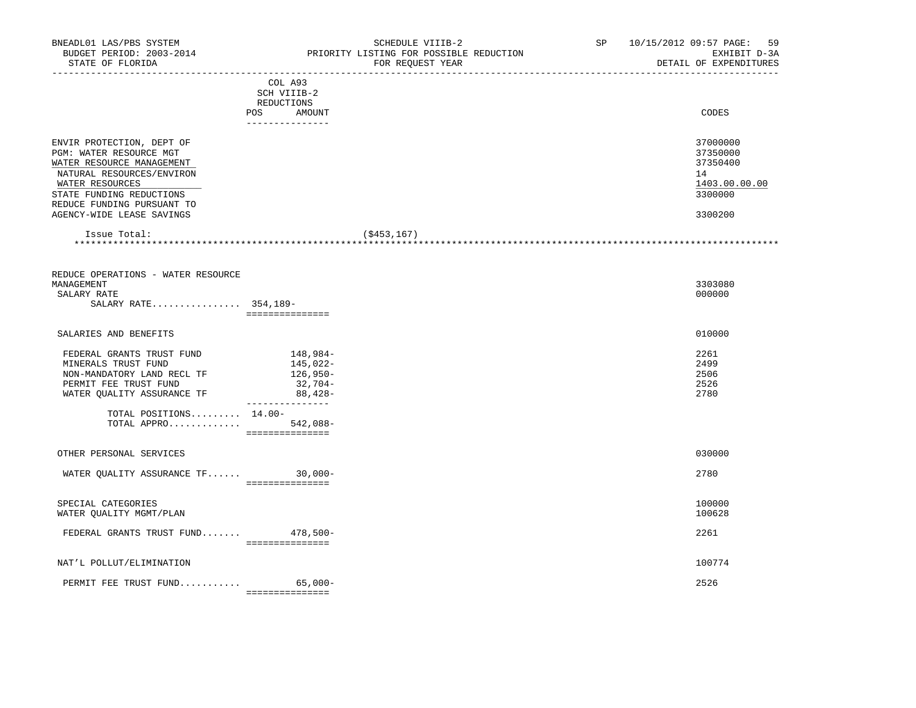| BUDGET PERIOD: 2003-2014<br>STATE OF FLORIDA           | PRIORITY LISTING FOR POSSIBLE REDUCTION<br>FOR REQUEST YEAR<br>______________________________                                                                                                                                  | EXHIBIT D-3A<br>DETAIL OF EXPENDITURES<br>____________________________________ |
|--------------------------------------------------------|--------------------------------------------------------------------------------------------------------------------------------------------------------------------------------------------------------------------------------|--------------------------------------------------------------------------------|
|                                                        | COL A93<br>SCH VIIIB-2<br>REDUCTIONS                                                                                                                                                                                           |                                                                                |
|                                                        | POS AMOUNT<br>---------------                                                                                                                                                                                                  | CODES                                                                          |
| ENVIR PROTECTION, DEPT OF                              |                                                                                                                                                                                                                                | 37000000                                                                       |
| PGM: WATER RESOURCE MGT<br>WATER RESOURCE MANAGEMENT   |                                                                                                                                                                                                                                | 37350000<br>37350400                                                           |
| NATURAL RESOURCES/ENVIRON                              |                                                                                                                                                                                                                                | 14                                                                             |
| WATER RESOURCES                                        |                                                                                                                                                                                                                                | 1403.00.00.00                                                                  |
| STATE FUNDING REDUCTIONS<br>REDUCE FUNDING PURSUANT TO |                                                                                                                                                                                                                                | 3300000                                                                        |
| AGENCY-WIDE LEASE SAVINGS                              |                                                                                                                                                                                                                                | 3300200                                                                        |
| Issue Total:                                           | ( \$453, 167)                                                                                                                                                                                                                  |                                                                                |
|                                                        |                                                                                                                                                                                                                                |                                                                                |
| REDUCE OPERATIONS - WATER RESOURCE                     |                                                                                                                                                                                                                                |                                                                                |
| MANAGEMENT<br>SALARY RATE                              |                                                                                                                                                                                                                                | 3303080<br>000000                                                              |
| SALARY RATE 354,189-                                   |                                                                                                                                                                                                                                |                                                                                |
|                                                        | ===============                                                                                                                                                                                                                |                                                                                |
| SALARIES AND BENEFITS                                  |                                                                                                                                                                                                                                | 010000                                                                         |
| FEDERAL GRANTS TRUST FUND                              | 148,984-                                                                                                                                                                                                                       | 2261                                                                           |
| MINERALS TRUST FUND                                    | 145,022-                                                                                                                                                                                                                       | 2499                                                                           |
| NON-MANDATORY LAND RECL TF                             | 126,950-                                                                                                                                                                                                                       | 2506<br>2526                                                                   |
| PERMIT FEE TRUST FUND<br>WATER QUALITY ASSURANCE TF    | 32,704-<br>$88,428-$                                                                                                                                                                                                           | 2780                                                                           |
|                                                        | ________________                                                                                                                                                                                                               |                                                                                |
| TOTAL POSITIONS $14.00-$                               |                                                                                                                                                                                                                                |                                                                                |
| TOTAL APPRO $542,088-$                                 | and a consequence of the contract of the contract of the contract of the contract of the contract of the contract of the contract of the contract of the contract of the contract of the contract of the contract of the contr |                                                                                |
| OTHER PERSONAL SERVICES                                |                                                                                                                                                                                                                                | 030000                                                                         |
| WATER QUALITY ASSURANCE TF 30,000-                     |                                                                                                                                                                                                                                | 2780                                                                           |
|                                                        | ================                                                                                                                                                                                                               |                                                                                |
| SPECIAL CATEGORIES                                     |                                                                                                                                                                                                                                | 100000                                                                         |
| WATER QUALITY MGMT/PLAN                                |                                                                                                                                                                                                                                | 100628                                                                         |
| FEDERAL GRANTS TRUST FUND 478,500-                     |                                                                                                                                                                                                                                | 2261                                                                           |
|                                                        | ----------------                                                                                                                                                                                                               |                                                                                |
| NAT'L POLLUT/ELIMINATION                               |                                                                                                                                                                                                                                | 100774                                                                         |
| PERMIT FEE TRUST FUND 65,000-                          |                                                                                                                                                                                                                                | 2526                                                                           |
|                                                        | ----------------                                                                                                                                                                                                               |                                                                                |

BNEADL01 LAS/PBS SYSTEM SCHEDULE VIIIB-2 SCHEDULE VIIIB-2 SP 10/15/2012 09:57 PAGE: 59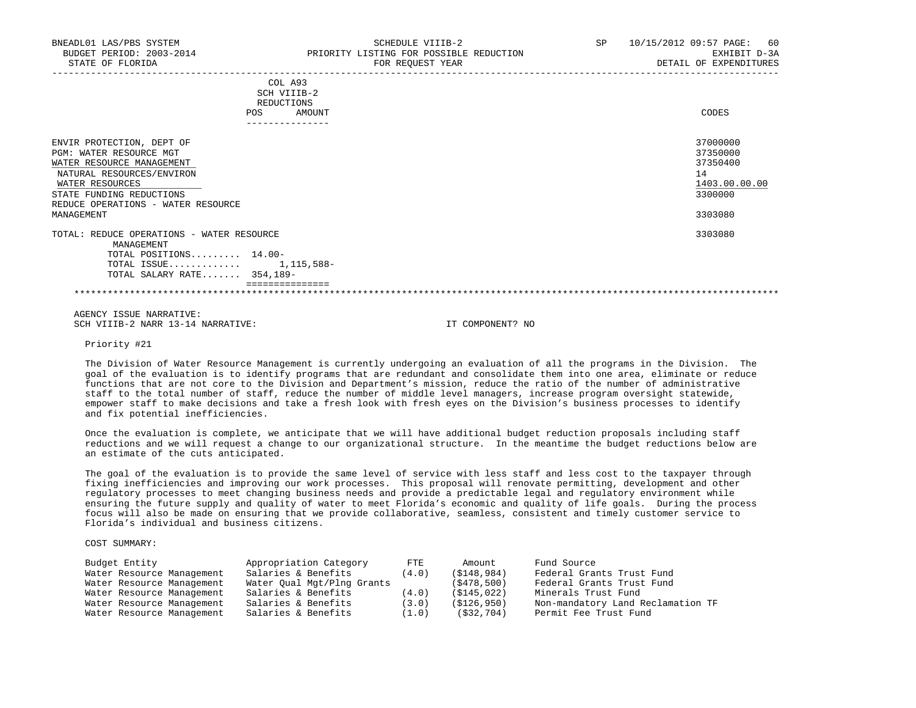| COL A93<br>SCH VIIIB-2<br>REDUCTIONS<br>AMOUNT<br><b>POS</b>                                                                                                                                                             | CODES                                                                         |
|--------------------------------------------------------------------------------------------------------------------------------------------------------------------------------------------------------------------------|-------------------------------------------------------------------------------|
| ENVIR PROTECTION, DEPT OF<br><b>PGM: WATER RESOURCE MGT</b><br>WATER RESOURCE MANAGEMENT<br>NATURAL RESOURCES/ENVIRON<br>WATER RESOURCES<br>STATE FUNDING REDUCTIONS<br>REDUCE OPERATIONS - WATER RESOURCE<br>MANAGEMENT | 37000000<br>37350000<br>37350400<br>14<br>1403.00.00.00<br>3300000<br>3303080 |
| TOTAL: REDUCE OPERATIONS - WATER RESOURCE<br>MANAGEMENT<br>TOTAL POSITIONS 14.00-<br>TOTAL ISSUE<br>1,115,588-<br>TOTAL SALARY RATE 354,189-                                                                             | 3303080                                                                       |

 AGENCY ISSUE NARRATIVE: SCH VIIIB-2 NARR 13-14 NARRATIVE: IT COMPONENT? NO

Priority #21

 The Division of Water Resource Management is currently undergoing an evaluation of all the programs in the Division. The goal of the evaluation is to identify programs that are redundant and consolidate them into one area, eliminate or reduce functions that are not core to the Division and Department's mission, reduce the ratio of the number of administrative staff to the total number of staff, reduce the number of middle level managers, increase program oversight statewide, empower staff to make decisions and take a fresh look with fresh eyes on the Division's business processes to identify and fix potential inefficiencies.

 Once the evaluation is complete, we anticipate that we will have additional budget reduction proposals including staff reductions and we will request a change to our organizational structure. In the meantime the budget reductions below are an estimate of the cuts anticipated.

 The goal of the evaluation is to provide the same level of service with less staff and less cost to the taxpayer through fixing inefficiencies and improving our work processes. This proposal will renovate permitting, development and other regulatory processes to meet changing business needs and provide a predictable legal and regulatory environment while ensuring the future supply and quality of water to meet Florida's economic and quality of life goals. During the process focus will also be made on ensuring that we provide collaborative, seamless, consistent and timely customer service to Florida's individual and business citizens.

COST SUMMARY:

| Budget Entity             | Appropriation Category     | $_{\rm FTE}$ | Amount       | Fund Source                       |
|---------------------------|----------------------------|--------------|--------------|-----------------------------------|
| Water Resource Management | Salaries & Benefits        | (4.0)        | (S148, 984)  | Federal Grants Trust Fund         |
| Water Resource Management | Water Oual Mgt/Plng Grants |              | (S478, 500)  | Federal Grants Trust Fund         |
| Water Resource Management | Salaries & Benefits        | (4.0)        | (S145, 022)  | Minerals Trust Fund               |
| Water Resource Management | Salaries & Benefits        | (3.0)        | (S126, 950)  | Non-mandatory Land Reclamation TF |
| Water Resource Management | Salaries & Benefits        | (1.0)        | ( \$32, 704) | Permit Fee Trust Fund             |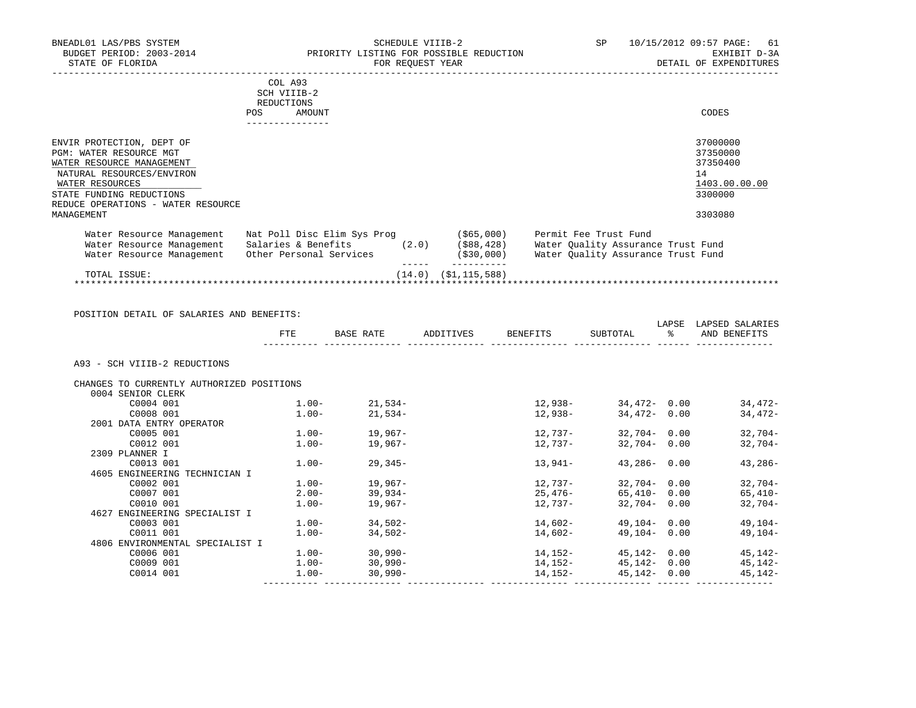|                               | BNEADL01 LAS/PBS SYSTEM<br>BUDGET PERIOD: 2003-2014<br>STATE OF FLORIDA                                                                                                          |                                                                               | PRIORITY LISTING FOR POSSIBLE REDUCTION | SCHEDULE VIIIB-2<br>FOR REQUEST YEAR |                                           | <b>SP</b>                                                                                         | 10/15/2012 09:57 PAGE:<br>61<br>EXHIBIT D-3A<br>DETAIL OF EXPENDITURES        |
|-------------------------------|----------------------------------------------------------------------------------------------------------------------------------------------------------------------------------|-------------------------------------------------------------------------------|-----------------------------------------|--------------------------------------|-------------------------------------------|---------------------------------------------------------------------------------------------------|-------------------------------------------------------------------------------|
|                               |                                                                                                                                                                                  | COL A93<br>SCH VIIIB-2<br>REDUCTIONS<br><b>POS</b><br>AMOUNT                  |                                         |                                      |                                           |                                                                                                   | CODES                                                                         |
| WATER RESOURCES<br>MANAGEMENT | ENVIR PROTECTION, DEPT OF<br>PGM: WATER RESOURCE MGT<br>WATER RESOURCE MANAGEMENT<br>NATURAL RESOURCES/ENVIRON<br>STATE FUNDING REDUCTIONS<br>REDUCE OPERATIONS - WATER RESOURCE |                                                                               |                                         |                                      |                                           |                                                                                                   | 37000000<br>37350000<br>37350400<br>14<br>1403.00.00.00<br>3300000<br>3303080 |
|                               | Water Resource Management<br>Water Resource Management<br>Water Resource Management                                                                                              | Nat Poll Disc Elim Sys Prog<br>Salaries & Benefits<br>Other Personal Services |                                         | (2.0)                                | (\$65,000)<br>( \$88, 428)<br>( \$30,000) | Permit Fee Trust Fund<br>Water Quality Assurance Trust Fund<br>Water Quality Assurance Trust Fund |                                                                               |
|                               |                                                                                                                                                                                  |                                                                               |                                         |                                      |                                           |                                                                                                   |                                                                               |

 TOTAL ISSUE: (14.0) (\$1,115,588) \*\*\*\*\*\*\*\*\*\*\*\*\*\*\*\*\*\*\*\*\*\*\*\*\*\*\*\*\*\*\*\*\*\*\*\*\*\*\*\*\*\*\*\*\*\*\*\*\*\*\*\*\*\*\*\*\*\*\*\*\*\*\*\*\*\*\*\*\*\*\*\*\*\*\*\*\*\*\*\*\*\*\*\*\*\*\*\*\*\*\*\*\*\*\*\*\*\*\*\*\*\*\*\*\*\*\*\*\*\*\*\*\*\*\*\*\*\*\*\*\*\*\*\*\*\*\*

| POSITION DETAIL OF SALARIES AND BENEFITS: | FTE      | BASE RATE         | ADDITIVES | BENEFITS | SUBTOTAL               | LAPSE<br>$\frac{1}{6}$ | LAPSED SALARIES<br>AND BENEFITS |
|-------------------------------------------|----------|-------------------|-----------|----------|------------------------|------------------------|---------------------------------|
|                                           |          |                   |           |          |                        |                        |                                 |
| A93 - SCH VIIIB-2 REDUCTIONS              |          |                   |           |          |                        |                        |                                 |
| CHANGES TO CURRENTLY AUTHORIZED POSITIONS |          |                   |           |          |                        |                        |                                 |
| 0004 SENIOR CLERK                         |          |                   |           |          |                        |                        |                                 |
| C0004 001                                 | $1.00-$  | $21,534-$         |           | 12,938-  | 34,472-0.00            |                        | 34,472-                         |
| C0008 001                                 | $1.00-$  | 21,534-           |           | 12,938-  | 34,472-0.00            |                        | 34,472-                         |
| 2001 DATA ENTRY OPERATOR                  |          |                   |           |          |                        |                        |                                 |
| C0005 001                                 |          | $1.00 - 19.967 -$ |           | 12,737-  | 32,704-0.00            |                        | $32,704-$                       |
| C0012 001                                 | $1.00-$  | 19,967-           |           | 12,737-  | $32,704 - 0.00$        |                        | $32,704-$                       |
| 2309 PLANNER I                            |          |                   |           |          |                        |                        |                                 |
| C0013 001                                 | $1.00 -$ | 29,345–           |           | 13,941-  | $43,286 - 0.00$        |                        | $43,286-$                       |
| 4605 ENGINEERING TECHNICIAN I             |          |                   |           |          |                        |                        |                                 |
| C0002 001                                 | $1.00-$  | $19,967-$         |           | 12,737-  | 32,704-0.00            |                        | $32,704-$                       |
| C0007 001                                 | $2.00 -$ | $39,934-$         |           |          | $25,476-$ 65,410- 0.00 |                        | $65,410-$                       |
| C0010 001                                 | $1.00 -$ | 19,967-           |           | 12,737-  | 32,704-0.00            |                        | $32,704-$                       |
| 4627 ENGINEERING SPECIALIST I             |          |                   |           |          |                        |                        |                                 |
| C0003 001                                 | $1.00-$  | $34,502-$         |           | 14,602-  | 49,104-0.00            |                        | 49,104-                         |
| C0011 001                                 | $1.00 -$ | 34,502-           |           | 14,602-  | 49,104-0.00            |                        | 49,104-                         |
| 4806 ENVIRONMENTAL SPECIALIST I           |          |                   |           |          |                        |                        |                                 |
| C0006 001                                 |          | $1.00 - 30,990 -$ |           | 14,152-  | 45,142- 0.00           |                        | 45,142-                         |
| C0009 001                                 | $1.00-$  | $30,990 -$        |           | 14,152-  | $45,142 - 0.00$        |                        | 45,142-                         |
| C0014 001                                 | $1.00-$  | $30,990 -$        |           | 14,152-  | 45,142- 0.00           |                        | 45,142-                         |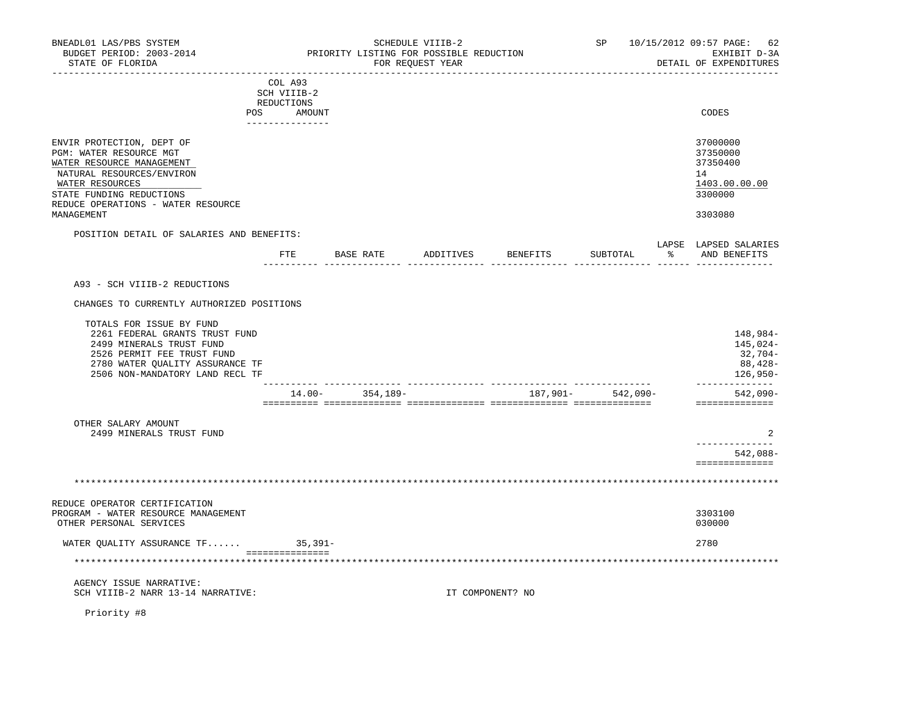| BNEADL01 LAS/PBS SYSTEM<br>BUDGET PERIOD: 2003-2014<br>STATE OF FLORIDA                                                                                                                             |                                                                      | PRIORITY LISTING FOR POSSIBLE REDUCTION | SCHEDULE VIIIB-2<br>FOR REOUEST YEAR | -----------------------------    |                   | SP 10/15/2012 09:57 PAGE:<br>62<br>EXHIBIT D-3A<br>DETAIL OF EXPENDITURES |
|-----------------------------------------------------------------------------------------------------------------------------------------------------------------------------------------------------|----------------------------------------------------------------------|-----------------------------------------|--------------------------------------|----------------------------------|-------------------|---------------------------------------------------------------------------|
|                                                                                                                                                                                                     | COL A93<br>SCH VIIIB-2<br>REDUCTIONS<br>POS AMOUNT<br>______________ |                                         |                                      |                                  |                   | CODES                                                                     |
| ENVIR PROTECTION, DEPT OF<br>PGM: WATER RESOURCE MGT<br>WATER RESOURCE MANAGEMENT<br>NATURAL RESOURCES/ENVIRON<br>WATER RESOURCES<br>STATE FUNDING REDUCTIONS<br>REDUCE OPERATIONS - WATER RESOURCE |                                                                      |                                         |                                      |                                  |                   | 37000000<br>37350000<br>37350400<br>14<br>1403.00.00.00<br>3300000        |
| MANAGEMENT                                                                                                                                                                                          |                                                                      |                                         |                                      |                                  |                   | 3303080                                                                   |
| POSITION DETAIL OF SALARIES AND BENEFITS:                                                                                                                                                           |                                                                      |                                         |                                      |                                  |                   | LAPSE LAPSED SALARIES                                                     |
|                                                                                                                                                                                                     |                                                                      |                                         |                                      | FTE BASE RATE ADDITIVES BENEFITS | SUBTOTAL          | % AND BENEFITS                                                            |
| A93 - SCH VIIIB-2 REDUCTIONS                                                                                                                                                                        |                                                                      |                                         |                                      |                                  |                   |                                                                           |
| CHANGES TO CURRENTLY AUTHORIZED POSITIONS                                                                                                                                                           |                                                                      |                                         |                                      |                                  |                   |                                                                           |
| TOTALS FOR ISSUE BY FUND<br>2261 FEDERAL GRANTS TRUST FUND<br>2499 MINERALS TRUST FUND<br>2526 PERMIT FEE TRUST FUND<br>2780 WATER OUALITY ASSURANCE TF<br>2506 NON-MANDATORY LAND RECL TF          |                                                                      |                                         |                                      |                                  |                   | 148,984-<br>145,024-<br>32,704-<br>88,428-<br>126,950-<br>--------------  |
|                                                                                                                                                                                                     |                                                                      | $14.00 - 354.189 -$                     |                                      |                                  | 187,901- 542,090- | $542,090-$                                                                |
| OTHER SALARY AMOUNT<br>2499 MINERALS TRUST FUND                                                                                                                                                     |                                                                      |                                         |                                      |                                  |                   | ==============<br>2<br>------------<br>542,088-                           |
|                                                                                                                                                                                                     |                                                                      |                                         |                                      |                                  |                   | ==============                                                            |
|                                                                                                                                                                                                     |                                                                      |                                         |                                      |                                  |                   |                                                                           |
| REDUCE OPERATOR CERTIFICATION<br>PROGRAM - WATER RESOURCE MANAGEMENT<br>OTHER PERSONAL SERVICES                                                                                                     |                                                                      |                                         |                                      |                                  |                   | 3303100<br>030000                                                         |
| WATER QUALITY ASSURANCE TF 35,391-                                                                                                                                                                  |                                                                      |                                         |                                      |                                  |                   | 2780                                                                      |
|                                                                                                                                                                                                     | ----------------                                                     |                                         |                                      |                                  |                   |                                                                           |
| AGENCY ISSUE NARRATIVE:<br>SCH VIIIB-2 NARR 13-14 NARRATIVE:                                                                                                                                        |                                                                      |                                         |                                      | IT COMPONENT? NO                 |                   |                                                                           |
|                                                                                                                                                                                                     |                                                                      |                                         |                                      |                                  |                   |                                                                           |

Priority #8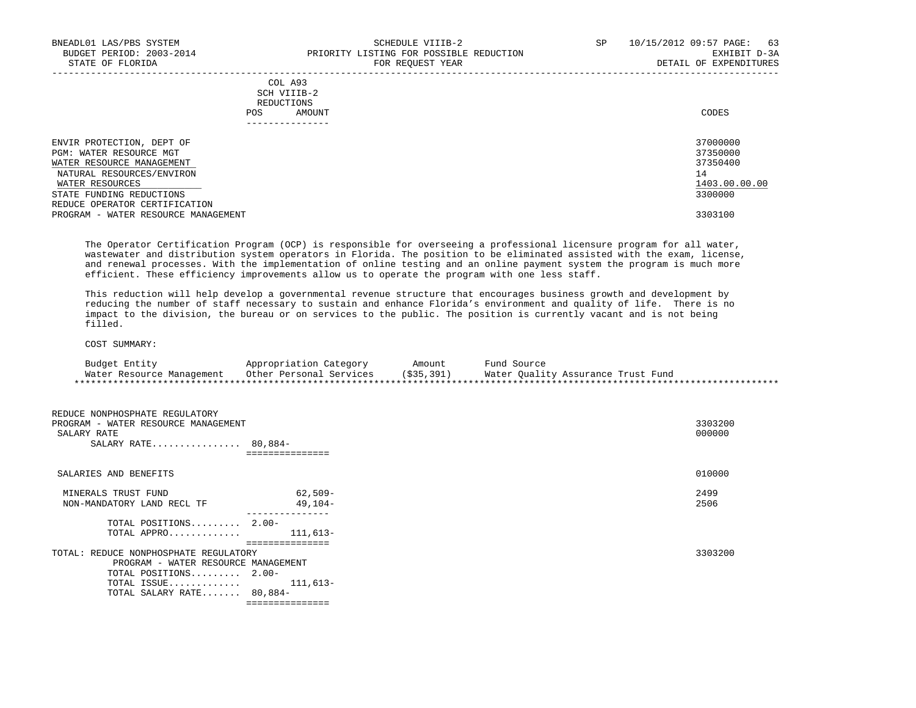# SCH VIIIB-2 REDUCTIONS POS AMOUNT AND AND A RESERVE AND LODGED AND LODGED AND LODGED AND LODGED AND LODGED AND LODGED AND LODGED AT A LODGED AND LODGED AT A LODGED AT A LODGED AND LODGED AT A LODGED AT A LODGED AT A LODGED AT A LODGED AT A LODGE ---------------

| ENVIR PROTECTION, DEPT OF<br>PGM: WATER RESOURCE MGT<br>WATER RESOURCE MANAGEMENT<br>NATURAL RESOURCES/ENVIRON<br>WATER RESOURCES | 37000000<br>37350000<br>37350400<br>14<br>1403.00.00.00 |
|-----------------------------------------------------------------------------------------------------------------------------------|---------------------------------------------------------|
| STATE FUNDING REDUCTIONS                                                                                                          | 3300000                                                 |
| REDUCE OPERATOR CERTIFICATION<br>PROGRAM - WATER RESOURCE MANAGEMENT                                                              | 3303100                                                 |

 The Operator Certification Program (OCP) is responsible for overseeing a professional licensure program for all water, wastewater and distribution system operators in Florida. The position to be eliminated assisted with the exam, license, and renewal processes. With the implementation of online testing and an online payment system the program is much more efficient. These efficiency improvements allow us to operate the program with one less staff.

 This reduction will help develop a governmental revenue structure that encourages business growth and development by reducing the number of staff necessary to sustain and enhance Florida's environment and quality of life. There is no impact to the division, the bureau or on services to the public. The position is currently vacant and is not being filled.

### COST SUMMARY:

| Budget Entity             | Appropriation Category  | Amount       | Fund Source                        |
|---------------------------|-------------------------|--------------|------------------------------------|
| Water Resource Management | Other Personal Services | ( \$35, 391) | Water Ouality Assurance Trust Fund |
|                           |                         |              |                                    |

| REDUCE NONPHOSPHATE REGULATORY<br>PROGRAM - WATER RESOURCE MANAGEMENT<br>SALARY RATE<br>SALARY RATE $80,884-$                                                |                      |
|--------------------------------------------------------------------------------------------------------------------------------------------------------------|----------------------|
| SALARIES AND BENEFITS                                                                                                                                        |                      |
| MINERALS TRUST FUND<br>NON-MANDATORY LAND RECL TF                                                                                                            | 62,509-<br>$49.104-$ |
| TOTAL POSITIONS 2.00-<br>TOTAL APPRO $111,613-$                                                                                                              |                      |
| TOTAL: REDUCE NONPHOSPHATE REGULATORY<br>PROGRAM - WATER RESOURCE MANAGEMENT<br>TOTAL POSITIONS 2.00-<br>TOTAL ISSUE $111,613-$<br>TOTAL SALARY RATE 80,884- |                      |
|                                                                                                                                                              | ===============      |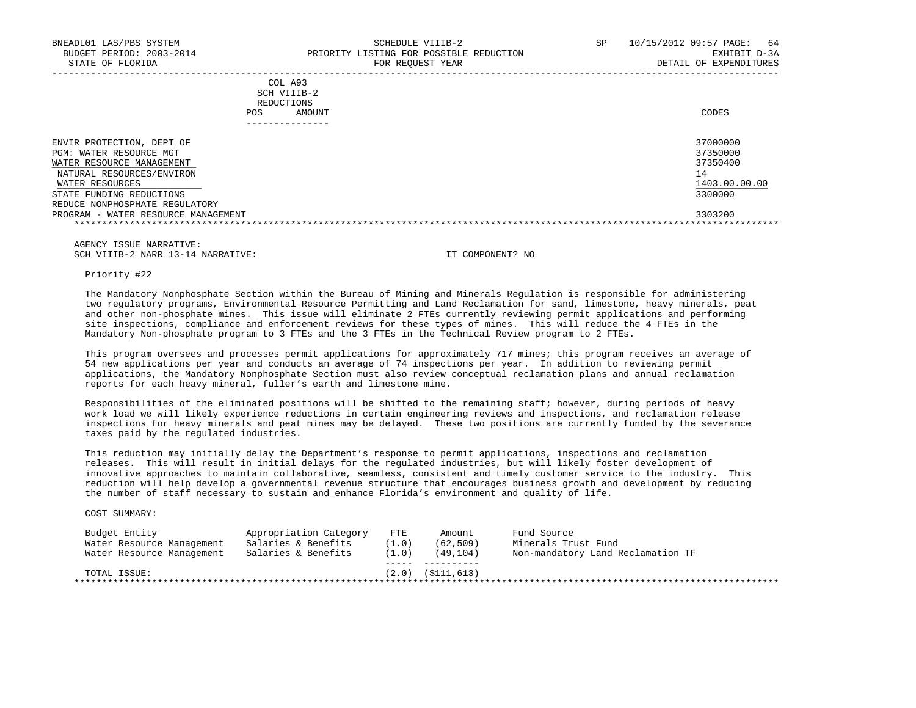|            | _______________ |       |
|------------|-----------------|-------|
| POS        | AMOUNT          | CODES |
| REDUCTIONS |                 |       |
|            | SCH VIIIB-2     |       |
|            | COL A93         |       |

| ENVIR PROTECTION, DEPT OF           | 37000000      |
|-------------------------------------|---------------|
| PGM: WATER RESOURCE MGT             | 37350000      |
| WATER RESOURCE MANAGEMENT           | 37350400      |
| NATURAL RESOURCES/ENVIRON           | $\perp$ 4     |
| WATER RESOURCES                     | 1403.00.00.00 |
| STATE FUNDING REDUCTIONS            | 3300000       |
| REDUCE NONPHOSPHATE REGULATORY      |               |
| PROGRAM - WATER RESOURCE MANAGEMENT | 3303200       |
|                                     |               |

 AGENCY ISSUE NARRATIVE: SCH VIIIB-2 NARR 13-14 NARRATIVE: IT COMPONENT? NO

Priority #22

 The Mandatory Nonphosphate Section within the Bureau of Mining and Minerals Regulation is responsible for administering two regulatory programs, Environmental Resource Permitting and Land Reclamation for sand, limestone, heavy minerals, peat and other non-phosphate mines. This issue will eliminate 2 FTEs currently reviewing permit applications and performing site inspections, compliance and enforcement reviews for these types of mines. This will reduce the 4 FTEs in the Mandatory Non-phosphate program to 3 FTEs and the 3 FTEs in the Technical Review program to 2 FTEs.

 This program oversees and processes permit applications for approximately 717 mines; this program receives an average of 54 new applications per year and conducts an average of 74 inspections per year. In addition to reviewing permit applications, the Mandatory Nonphosphate Section must also review conceptual reclamation plans and annual reclamation reports for each heavy mineral, fuller's earth and limestone mine.

 Responsibilities of the eliminated positions will be shifted to the remaining staff; however, during periods of heavy work load we will likely experience reductions in certain engineering reviews and inspections, and reclamation release inspections for heavy minerals and peat mines may be delayed. These two positions are currently funded by the severance taxes paid by the regulated industries.

 This reduction may initially delay the Department's response to permit applications, inspections and reclamation releases. This will result in initial delays for the regulated industries, but will likely foster development of innovative approaches to maintain collaborative, seamless, consistent and timely customer service to the industry. This reduction will help develop a governmental revenue structure that encourages business growth and development by reducing the number of staff necessary to sustain and enhance Florida's environment and quality of life.

COST SUMMARY:

| Budget Entity             | Appropriation Category | <b>FTE</b> | Amount               | Fund Source                       |
|---------------------------|------------------------|------------|----------------------|-----------------------------------|
| Water Resource Management | Salaries & Benefits    | (1.0)      | (62, 509)            | Minerals Trust Fund               |
| Water Resource Management | Salaries & Benefits    | (1.0)      | (49, 104)            | Non-mandatory Land Reclamation TF |
| TOTAL ISSUE:              |                        |            | $(2.0)$ $(5111.613)$ |                                   |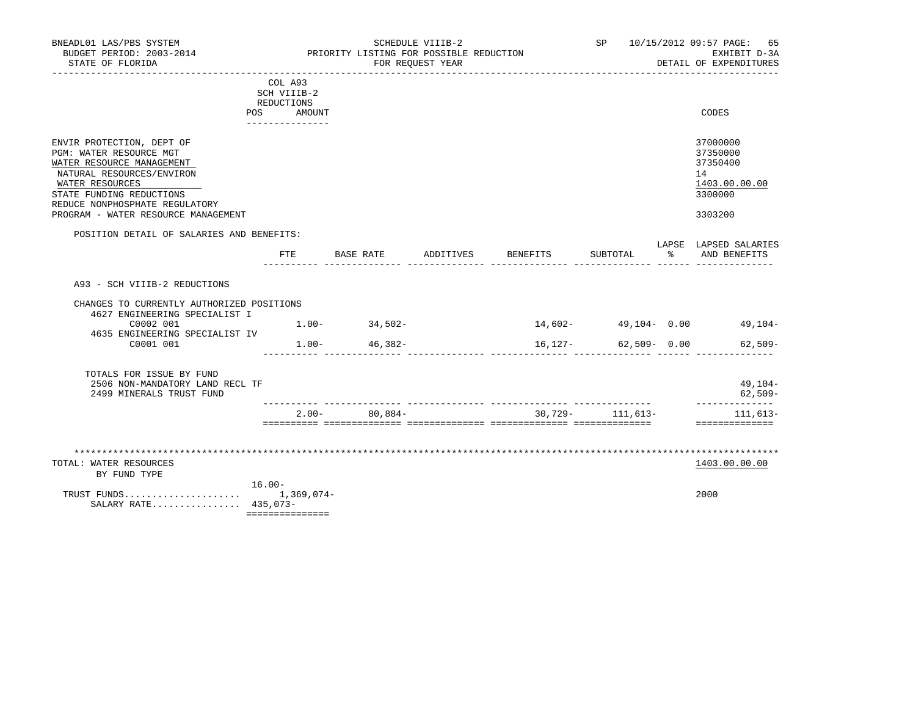| STATE OF FLORIDA                                                                                                                                                                                                                       |                                                                    |        |                     | SCHEDULE VIIIB-2<br>PRIORITY LISTING FOR POSSIBLE REDUCTION<br>FOR REQUEST YEAR |          |                 |                      | SP 10/15/2012 09:57 PAGE: 65<br>EXHIBIT D-3A<br>DETAIL OF EXPENDITURES        |
|----------------------------------------------------------------------------------------------------------------------------------------------------------------------------------------------------------------------------------------|--------------------------------------------------------------------|--------|---------------------|---------------------------------------------------------------------------------|----------|-----------------|----------------------|-------------------------------------------------------------------------------|
|                                                                                                                                                                                                                                        | COL A93<br>SCH VIIIB-2<br>REDUCTIONS<br>POS FOR<br>_______________ | AMOUNT |                     |                                                                                 |          |                 |                      | CODES                                                                         |
| ENVIR PROTECTION, DEPT OF<br>PGM: WATER RESOURCE MGT<br>WATER RESOURCE MANAGEMENT<br>NATURAL RESOURCES/ENVIRON<br>WATER RESOURCES<br>STATE FUNDING REDUCTIONS<br>REDUCE NONPHOSPHATE REGULATORY<br>PROGRAM - WATER RESOURCE MANAGEMENT |                                                                    |        |                     |                                                                                 |          |                 |                      | 37000000<br>37350000<br>37350400<br>14<br>1403.00.00.00<br>3300000<br>3303200 |
| POSITION DETAIL OF SALARIES AND BENEFITS:                                                                                                                                                                                              | $_{\rm FTE}$                                                       |        | BASE RATE ADDITIVES |                                                                                 | BENEFITS | SUBTOTAL        | $\sim$ $\sim$ $\sim$ | LAPSE LAPSED SALARIES<br>AND BENEFITS                                         |
| A93 - SCH VIIIB-2 REDUCTIONS<br>CHANGES TO CURRENTLY AUTHORIZED POSITIONS<br>4627 ENGINEERING SPECIALIST I<br>C0002 001                                                                                                                |                                                                    |        | $1.00 - 34,502 -$   |                                                                                 |          |                 |                      | $14,602-$ 49,104 - 0.00 49,104 -                                              |
| 4635 ENGINEERING SPECIALIST IV<br>C0001 001                                                                                                                                                                                            |                                                                    |        | $1.00 - 46,382 -$   |                                                                                 | 16,127-  | $62,509 - 0.00$ |                      | $62,509-$                                                                     |
| TOTALS FOR ISSUE BY FUND                                                                                                                                                                                                               |                                                                    |        |                     |                                                                                 |          |                 |                      | 49,104-<br>$62,509-$                                                          |
| 2506 NON-MANDATORY LAND RECL TF<br>2499 MINERALS TRUST FUND                                                                                                                                                                            |                                                                    |        |                     |                                                                                 |          |                 |                      | ______________                                                                |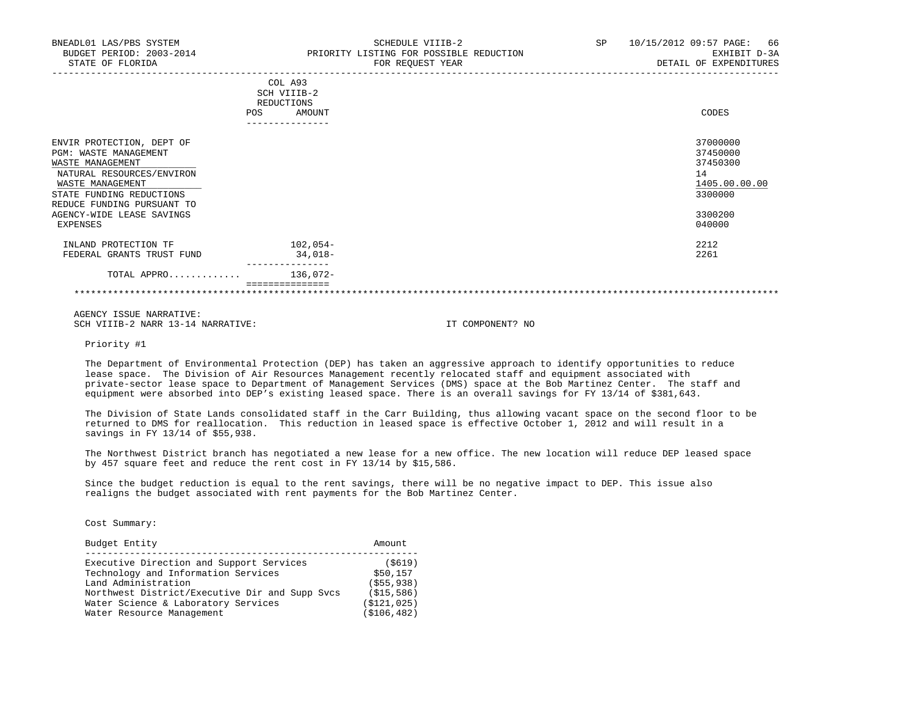| BNEADL01 LAS/PBS SYSTEM<br>BUDGET PERIOD: 2003-2014<br>STATE OF FLORIDA                                                                                                           | SCHEDULE VIIIB-2<br>PRIORITY LISTING FOR POSSIBLE REDUCTION<br>FOR REQUEST YEAR | SP<br>10/15/2012 09:57 PAGE:<br>66<br>EXHIBIT D-3A<br>DETAIL OF EXPENDITURES |
|-----------------------------------------------------------------------------------------------------------------------------------------------------------------------------------|---------------------------------------------------------------------------------|------------------------------------------------------------------------------|
|                                                                                                                                                                                   | COL A93<br>SCH VIIIB-2<br>REDUCTIONS<br>AMOUNT<br>POS                           | CODES                                                                        |
| ENVIR PROTECTION, DEPT OF<br>PGM: WASTE MANAGEMENT<br>WASTE MANAGEMENT<br>NATURAL RESOURCES/ENVIRON<br>WASTE MANAGEMENT<br>STATE FUNDING REDUCTIONS<br>REDUCE FUNDING PURSUANT TO |                                                                                 | 37000000<br>37450000<br>37450300<br>14<br>1405.00.00.00<br>3300000           |
| AGENCY-WIDE LEASE SAVINGS<br>EXPENSES                                                                                                                                             |                                                                                 | 3300200<br>040000                                                            |
| INLAND PROTECTION TF<br>FEDERAL GRANTS TRUST FUND                                                                                                                                 | $102,054-$<br>$34,018-$                                                         | 2212<br>2261                                                                 |

 TOTAL APPRO............. 136,072- ===============

\*\*\*\*\*\*\*\*\*\*\*\*\*\*\*\*\*\*\*\*\*\*\*\*\*\*\*\*\*\*\*\*\*\*\*\*\*\*\*\*\*\*\*\*\*\*\*\*\*\*\*\*\*\*\*\*\*\*\*\*\*\*\*\*\*\*\*\*\*\*\*\*\*\*\*\*\*\*\*\*\*\*\*\*\*\*\*\*\*\*\*\*\*\*\*\*\*\*\*\*\*\*\*\*\*\*\*\*\*\*\*\*\*\*\*\*\*\*\*\*\*\*\*\*\*\*\*

 AGENCY ISSUE NARRATIVE: SCH VIIIB-2 NARR 13-14 NARRATIVE: IT COMPONENT? NO

---------------

Priority #1

 The Department of Environmental Protection (DEP) has taken an aggressive approach to identify opportunities to reduce lease space. The Division of Air Resources Management recently relocated staff and equipment associated with private-sector lease space to Department of Management Services (DMS) space at the Bob Martinez Center. The staff and equipment were absorbed into DEP's existing leased space. There is an overall savings for FY 13/14 of \$381,643.

 The Division of State Lands consolidated staff in the Carr Building, thus allowing vacant space on the second floor to be returned to DMS for reallocation. This reduction in leased space is effective October 1, 2012 and will result in a savings in FY 13/14 of \$55,938.

 The Northwest District branch has negotiated a new lease for a new office. The new location will reduce DEP leased space by 457 square feet and reduce the rent cost in FY 13/14 by \$15,586.

 Since the budget reduction is equal to the rent savings, there will be no negative impact to DEP. This issue also realigns the budget associated with rent payments for the Bob Martinez Center.

Cost Summary:

| Budget Entity                                  | Amount        |
|------------------------------------------------|---------------|
|                                                |               |
| Executive Direction and Support Services       | ( \$619)      |
| Technology and Information Services            | \$50,157      |
| Land Administration                            | ( \$55, 938)  |
| Northwest District/Executive Dir and Supp Svcs | (S15, 586)    |
| Water Science & Laboratory Services            | (S121, 025)   |
| Water Resource Management                      | ( \$106, 482) |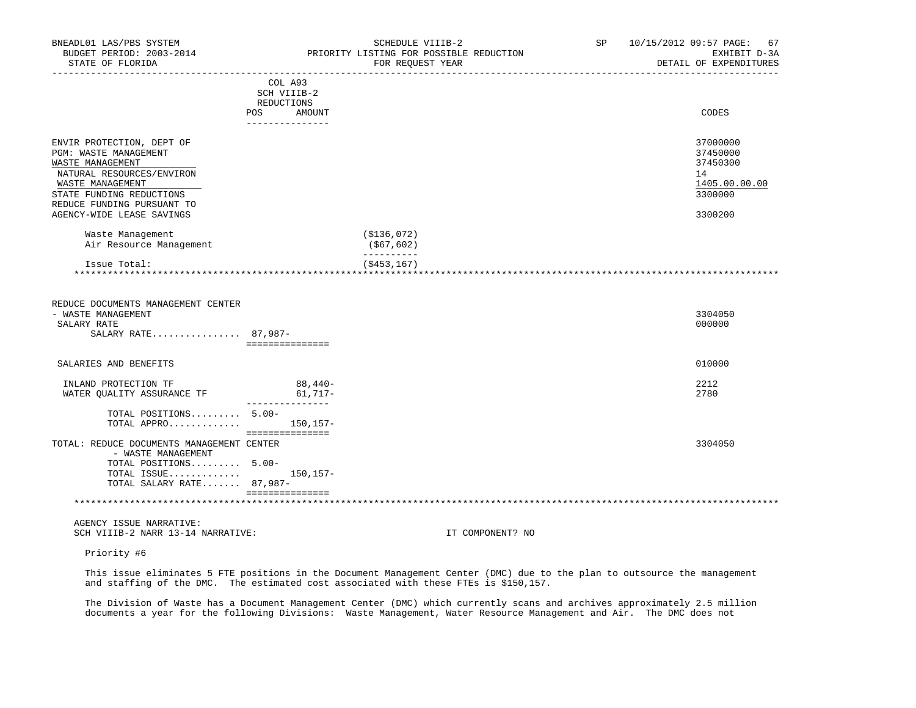| BNEADL01 LAS/PBS SYSTEM<br>BUDGET PERIOD: 2003-2014<br>STATE OF FLORIDA<br>______________________                                                                                 |                                           | SCHEDULE VIIIB-2<br>PRIORITY LISTING FOR POSSIBLE REDUCTION<br>FOR REQUEST YEAR | SP | 10/15/2012 09:57 PAGE: 67<br>EXHIBIT D-3A<br>DETAIL OF EXPENDITURES |
|-----------------------------------------------------------------------------------------------------------------------------------------------------------------------------------|-------------------------------------------|---------------------------------------------------------------------------------|----|---------------------------------------------------------------------|
|                                                                                                                                                                                   | COL A93<br>SCH VIIIB-2<br>REDUCTIONS      |                                                                                 |    |                                                                     |
|                                                                                                                                                                                   | POS FOR<br>AMOUNT<br>_______________      |                                                                                 |    | CODES                                                               |
| ENVIR PROTECTION, DEPT OF<br>PGM: WASTE MANAGEMENT<br>WASTE MANAGEMENT<br>NATURAL RESOURCES/ENVIRON<br>WASTE MANAGEMENT<br>STATE FUNDING REDUCTIONS<br>REDUCE FUNDING PURSUANT TO |                                           |                                                                                 |    | 37000000<br>37450000<br>37450300<br>14<br>1405.00.00.00<br>3300000  |
| AGENCY-WIDE LEASE SAVINGS                                                                                                                                                         |                                           |                                                                                 |    | 3300200                                                             |
| Waste Management<br>Air Resource Management                                                                                                                                       |                                           | ( \$136,072)<br>(\$67,602)<br>----------                                        |    |                                                                     |
| Issue Total:                                                                                                                                                                      |                                           | $($ \$453,167)                                                                  |    |                                                                     |
| REDUCE DOCUMENTS MANAGEMENT CENTER<br>- WASTE MANAGEMENT<br>SALARY RATE<br>SALARY RATE 87,987-                                                                                    | ===============                           |                                                                                 |    | 3304050<br>000000                                                   |
| SALARIES AND BENEFITS                                                                                                                                                             |                                           |                                                                                 |    | 010000                                                              |
| INLAND PROTECTION TF<br>WATER QUALITY ASSURANCE TF                                                                                                                                | $88,440-$<br>$61,717-$<br>--------------- |                                                                                 |    | 2212<br>2780                                                        |
| TOTAL POSITIONS 5.00-<br>TOTAL APPRO                                                                                                                                              | 150,157-<br>===============               |                                                                                 |    |                                                                     |
| TOTAL: REDUCE DOCUMENTS MANAGEMENT CENTER<br>- WASTE MANAGEMENT<br>TOTAL POSITIONS 5.00-<br>TOTAL ISSUE<br>TOTAL SALARY RATE 87,987-                                              | 150,157-                                  |                                                                                 |    | 3304050                                                             |
|                                                                                                                                                                                   | ===============                           |                                                                                 |    |                                                                     |
| AGENCY ISSUE NARRATIVE:<br>SCH VIIIB-2 NARR 13-14 NARRATIVE:                                                                                                                      |                                           | IT COMPONENT? NO                                                                |    |                                                                     |

Priority #6

 This issue eliminates 5 FTE positions in the Document Management Center (DMC) due to the plan to outsource the management and staffing of the DMC. The estimated cost associated with these FTEs is \$150,157.

 The Division of Waste has a Document Management Center (DMC) which currently scans and archives approximately 2.5 million documents a year for the following Divisions: Waste Management, Water Resource Management and Air. The DMC does not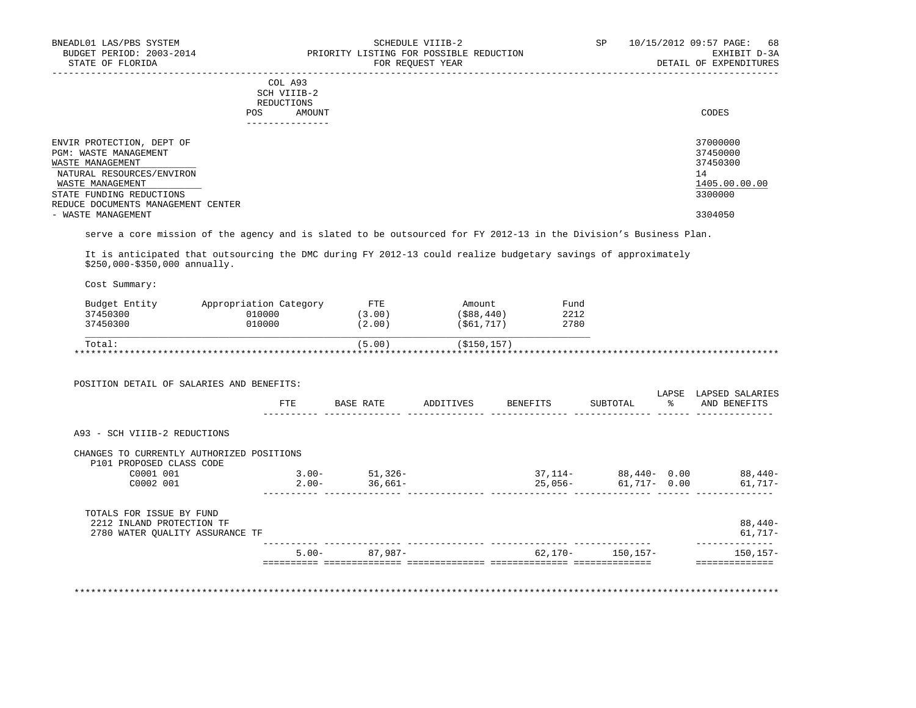### COL A93 SCH VIIIB-2 REDUCTIONS POS AMOUNT CODES ---------------

| ENVIR PROTECTION, DEPT OF          | 37000000      |
|------------------------------------|---------------|
| PGM: WASTE MANAGEMENT              | 37450000      |
| WASTE MANAGEMENT                   | 37450300      |
| NATURAL RESOURCES/ENVIRON          | 14            |
| WASTE MANAGEMENT                   | 1405.00.00.00 |
| STATE FUNDING REDUCTIONS           | 3300000       |
| REDUCE DOCUMENTS MANAGEMENT CENTER |               |
| - WASTE MANAGEMENT                 | 3304050       |

-----------------------------------------------------------------------------------------------------------------------------------

serve a core mission of the agency and is slated to be outsourced for FY 2012-13 in the Division's Business Plan.

 It is anticipated that outsourcing the DMC during FY 2012-13 could realize budgetary savings of approximately \$250,000-\$350,000 annually.

Cost Summary:

| Budget Entity | Appropriation Category | <b>FTE</b> | Amount      | Fund |
|---------------|------------------------|------------|-------------|------|
| 37450300      | 010000                 | 13.00      | (\$88,440)  | 2212 |
| 37450300      | 010000                 | (2.00)     | (\$61,717)  | 2780 |
| Total:        |                        | (5.00)     | (\$150,157) |      |

| POSITION DETAIL OF SALARIES AND BENEFITS:                             |          |           |           |           |              |             |                                 |
|-----------------------------------------------------------------------|----------|-----------|-----------|-----------|--------------|-------------|---------------------------------|
|                                                                       | FTE      | BASE RATE | ADDITIVES | BENEFITS  | SUBTOTAL     | LAPSE<br>ႜၟ | LAPSED SALARIES<br>AND BENEFITS |
| A93 - SCH VIIIB-2 REDUCTIONS                                          |          |           |           |           |              |             |                                 |
| CHANGES TO CURRENTLY AUTHORIZED POSITIONS<br>P101 PROPOSED CLASS CODE |          |           |           |           |              |             |                                 |
| C0001 001                                                             | $3.00 -$ | $51,326-$ |           | $37,114-$ | 88,440- 0.00 |             | $88,440-$                       |
| C0002 001                                                             | $2.00 -$ | 36,661-   |           | $25,056-$ | 61,717- 0.00 |             | 61,717-                         |
| TOTALS FOR ISSUE BY FUND                                              |          |           |           |           |              |             |                                 |
| 2212 INLAND PROTECTION TF                                             |          |           |           |           |              |             | $88,440-$                       |
| 2780 WATER OUALITY ASSURANCE TF                                       |          |           |           |           |              |             | $61,717-$                       |
|                                                                       | $5.00 -$ | 87,987-   |           | 62,170-   | 150,157-     |             | $150, 157 -$                    |

\*\*\*\*\*\*\*\*\*\*\*\*\*\*\*\*\*\*\*\*\*\*\*\*\*\*\*\*\*\*\*\*\*\*\*\*\*\*\*\*\*\*\*\*\*\*\*\*\*\*\*\*\*\*\*\*\*\*\*\*\*\*\*\*\*\*\*\*\*\*\*\*\*\*\*\*\*\*\*\*\*\*\*\*\*\*\*\*\*\*\*\*\*\*\*\*\*\*\*\*\*\*\*\*\*\*\*\*\*\*\*\*\*\*\*\*\*\*\*\*\*\*\*\*\*\*\*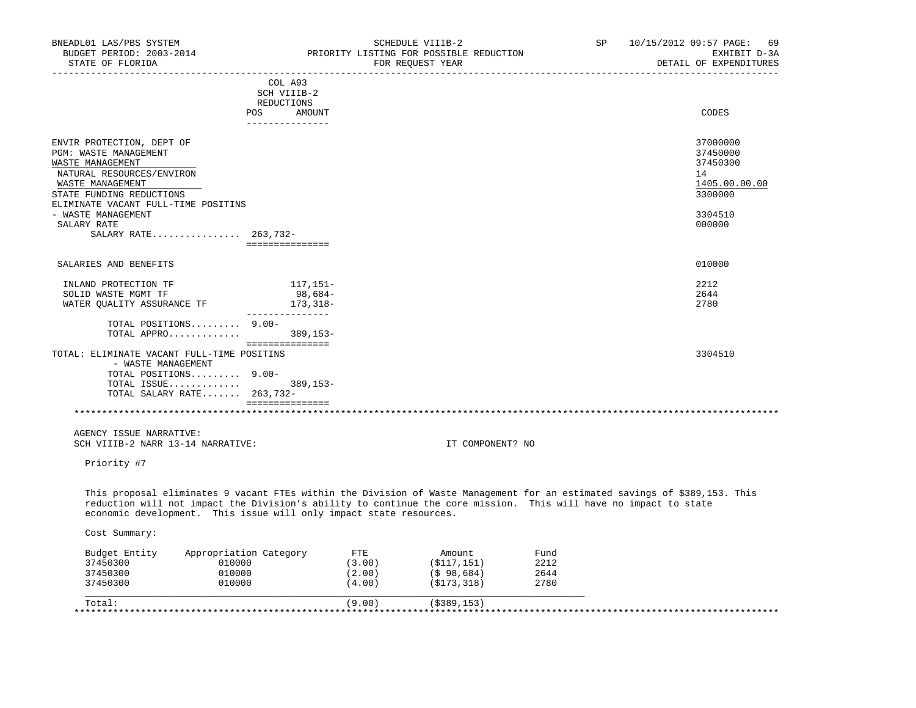| BNEADL01 LAS/PBS SYSTEM<br>BUDGET PERIOD: 2003-2014<br>STATE OF FLORIDA                                                                                                                                                                        |                                  |        | SCHEDULE VIIIB-2<br>PRIORITY LISTING FOR POSSIBLE REDUCTION<br>FOR REOUEST YEAR | SP   | 10/15/2012 09:57 PAGE:<br>69<br>EXHIBIT D-3A<br>DETAIL OF EXPENDITURES |
|------------------------------------------------------------------------------------------------------------------------------------------------------------------------------------------------------------------------------------------------|----------------------------------|--------|---------------------------------------------------------------------------------|------|------------------------------------------------------------------------|
| ----------------                                                                                                                                                                                                                               | --------------------------       |        |                                                                                 |      |                                                                        |
|                                                                                                                                                                                                                                                | COL A93<br>SCH VIIIB-2           |        |                                                                                 |      |                                                                        |
|                                                                                                                                                                                                                                                | REDUCTIONS                       |        |                                                                                 |      |                                                                        |
|                                                                                                                                                                                                                                                | POS<br>AMOUNT<br>--------------- |        |                                                                                 |      | CODES                                                                  |
| ENVIR PROTECTION, DEPT OF                                                                                                                                                                                                                      |                                  |        |                                                                                 |      | 37000000                                                               |
| PGM: WASTE MANAGEMENT                                                                                                                                                                                                                          |                                  |        |                                                                                 |      | 37450000                                                               |
| WASTE MANAGEMENT                                                                                                                                                                                                                               |                                  |        |                                                                                 |      | 37450300                                                               |
| NATURAL RESOURCES/ENVIRON                                                                                                                                                                                                                      |                                  |        |                                                                                 |      | 14                                                                     |
| WASTE MANAGEMENT                                                                                                                                                                                                                               |                                  |        |                                                                                 |      | 1405.00.00.00                                                          |
| STATE FUNDING REDUCTIONS                                                                                                                                                                                                                       |                                  |        |                                                                                 |      | 3300000                                                                |
| ELIMINATE VACANT FULL-TIME POSITINS<br>- WASTE MANAGEMENT                                                                                                                                                                                      |                                  |        |                                                                                 |      | 3304510                                                                |
| SALARY RATE                                                                                                                                                                                                                                    |                                  |        |                                                                                 |      | 000000                                                                 |
| SALARY RATE 263,732-                                                                                                                                                                                                                           |                                  |        |                                                                                 |      |                                                                        |
|                                                                                                                                                                                                                                                | ===============                  |        |                                                                                 |      |                                                                        |
| SALARIES AND BENEFITS                                                                                                                                                                                                                          |                                  |        |                                                                                 |      | 010000                                                                 |
| INLAND PROTECTION TF                                                                                                                                                                                                                           | 117,151–                         |        |                                                                                 |      | 2212                                                                   |
| SOLID WASTE MGMT TF                                                                                                                                                                                                                            | 98,684-                          |        |                                                                                 |      | 2644                                                                   |
| WATER QUALITY ASSURANCE TF                                                                                                                                                                                                                     | 173,318-<br>________________     |        |                                                                                 |      | 2780                                                                   |
| TOTAL POSITIONS 9.00-                                                                                                                                                                                                                          |                                  |        |                                                                                 |      |                                                                        |
| TOTAL APPRO                                                                                                                                                                                                                                    | 389,153-<br>----------------     |        |                                                                                 |      |                                                                        |
| TOTAL: ELIMINATE VACANT FULL-TIME POSITINS                                                                                                                                                                                                     |                                  |        |                                                                                 |      | 3304510                                                                |
| - WASTE MANAGEMENT<br>TOTAL POSITIONS 9.00-                                                                                                                                                                                                    |                                  |        |                                                                                 |      |                                                                        |
| TOTAL ISSUE                                                                                                                                                                                                                                    | $389, 153 -$                     |        |                                                                                 |      |                                                                        |
| TOTAL SALARY RATE 263,732-                                                                                                                                                                                                                     |                                  |        |                                                                                 |      |                                                                        |
|                                                                                                                                                                                                                                                | _________________                |        |                                                                                 |      |                                                                        |
| AGENCY ISSUE NARRATIVE:                                                                                                                                                                                                                        |                                  |        |                                                                                 |      |                                                                        |
| SCH VIIIB-2 NARR 13-14 NARRATIVE:                                                                                                                                                                                                              |                                  |        | IT COMPONENT? NO                                                                |      |                                                                        |
| Priority #7                                                                                                                                                                                                                                    |                                  |        |                                                                                 |      |                                                                        |
| This proposal eliminates 9 vacant FTEs within the Division of Waste Management for an estimated savings of \$389,153. This<br>reduction will not impact the Division's ability to continue the core mission. This will have no impact to state |                                  |        |                                                                                 |      |                                                                        |
| economic development. This issue will only impact state resources.                                                                                                                                                                             |                                  |        |                                                                                 |      |                                                                        |
| Cost Summary:                                                                                                                                                                                                                                  |                                  |        |                                                                                 |      |                                                                        |
| Appropriation Category<br>Budget Entity                                                                                                                                                                                                        |                                  | ETE    | Amount                                                                          | Fund |                                                                        |
| 010000<br>37450300                                                                                                                                                                                                                             |                                  | (3.00) | (\$117,151)                                                                     | 2212 |                                                                        |
| 010000<br>37450300                                                                                                                                                                                                                             |                                  | (2.00) | $($ \$98,684)                                                                   | 2644 |                                                                        |
| 010000<br>37450300                                                                                                                                                                                                                             |                                  | (4.00) | (\$173,318)                                                                     | 2780 |                                                                        |
|                                                                                                                                                                                                                                                |                                  |        |                                                                                 |      |                                                                        |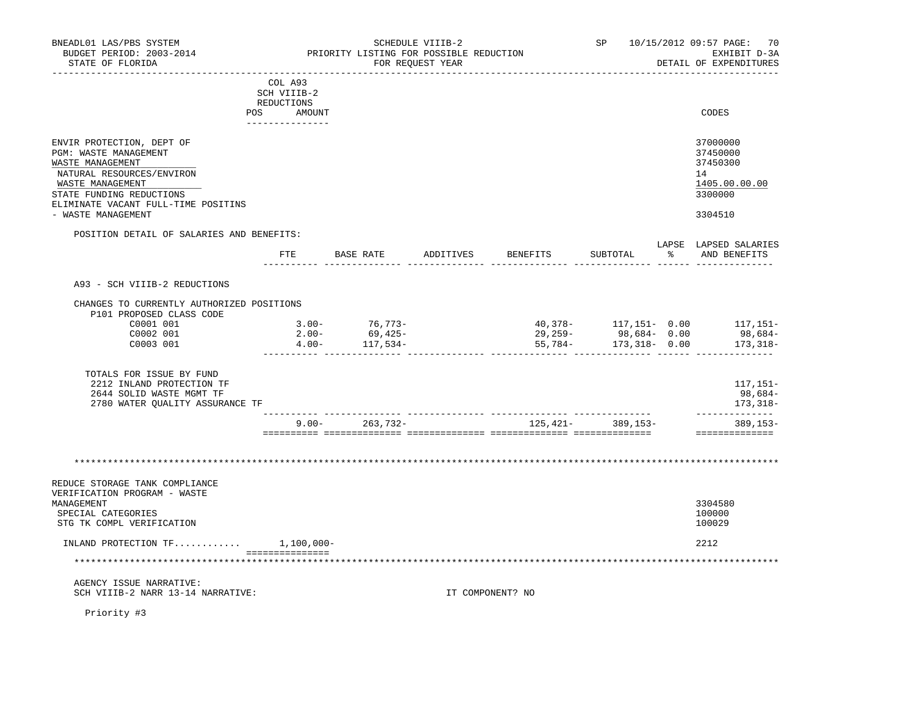| BNEADL01 LAS/PBS SYSTEM<br>BUDGET PERIOD: 2003-2014<br>STATE OF FLORIDA           |                           | PRIORITY LISTING FOR POSSIBLE REDUCTION | SCHEDULE VIIIB-2<br>FOR REQUEST YEAR | -----------------------          |                   | SP 10/15/2012 09:57 PAGE:<br>70<br>EXHIBIT D-3A<br>DETAIL OF EXPENDITURES |
|-----------------------------------------------------------------------------------|---------------------------|-----------------------------------------|--------------------------------------|----------------------------------|-------------------|---------------------------------------------------------------------------|
|                                                                                   | COL A93                   |                                         |                                      |                                  |                   |                                                                           |
|                                                                                   | SCH VIIIB-2<br>REDUCTIONS |                                         |                                      |                                  |                   |                                                                           |
|                                                                                   | POS<br>AMOUNT             |                                         |                                      |                                  |                   | CODES                                                                     |
|                                                                                   | _______________           |                                         |                                      |                                  |                   |                                                                           |
| ENVIR PROTECTION, DEPT OF<br>PGM: WASTE MANAGEMENT                                |                           |                                         |                                      |                                  |                   | 37000000<br>37450000                                                      |
| WASTE MANAGEMENT                                                                  |                           |                                         |                                      |                                  |                   | 37450300                                                                  |
| NATURAL RESOURCES/ENVIRON                                                         |                           |                                         |                                      |                                  |                   | 14                                                                        |
| WASTE MANAGEMENT                                                                  |                           |                                         |                                      |                                  |                   | 1405.00.00.00                                                             |
| STATE FUNDING REDUCTIONS<br>ELIMINATE VACANT FULL-TIME POSITINS                   |                           |                                         |                                      |                                  |                   | 3300000                                                                   |
| - WASTE MANAGEMENT                                                                |                           |                                         |                                      |                                  |                   | 3304510                                                                   |
| POSITION DETAIL OF SALARIES AND BENEFITS:                                         |                           |                                         |                                      |                                  |                   |                                                                           |
|                                                                                   |                           |                                         |                                      | FTE BASE RATE ADDITIVES BENEFITS | SUBTOTAL          | LAPSE LAPSED SALARIES<br>% AND BENEFITS                                   |
|                                                                                   |                           |                                         |                                      |                                  |                   |                                                                           |
| A93 - SCH VIIIB-2 REDUCTIONS                                                      |                           |                                         |                                      |                                  |                   |                                                                           |
| CHANGES TO CURRENTLY AUTHORIZED POSITIONS<br>P101 PROPOSED CLASS CODE             |                           |                                         |                                      |                                  |                   |                                                                           |
| C0001 001                                                                         | $3.00 -$                  | $76, 773-$                              |                                      |                                  |                   | 40,378- 117,151- 0.00 117,151-                                            |
| C0002 001                                                                         | $2.00 -$                  | 69,425-                                 |                                      | 29,259-                          | 98,684-0.00       | 98,684-                                                                   |
| C0003 001                                                                         | $4.00 -$                  | $117,534-$                              |                                      | $55,784-$                        | $173,318 - 0.00$  | 173,318–                                                                  |
| TOTALS FOR ISSUE BY FUND<br>2212 INLAND PROTECTION TF<br>2644 SOLID WASTE MGMT TF |                           |                                         |                                      |                                  |                   | 117,151-<br>98,684-                                                       |
| 2780 WATER QUALITY ASSURANCE TF                                                   |                           |                                         |                                      |                                  |                   | 173,318-<br>--------------                                                |
|                                                                                   |                           | $9.00 - 263,732 -$                      |                                      |                                  | 125,421- 389,153- | 389,153-<br>---------------                                               |
|                                                                                   |                           |                                         |                                      |                                  |                   |                                                                           |
| REDUCE STORAGE TANK COMPLIANCE<br>VERIFICATION PROGRAM - WASTE<br>MANAGEMENT      |                           |                                         |                                      |                                  |                   | 3304580                                                                   |
| SPECIAL CATEGORIES                                                                |                           |                                         |                                      |                                  |                   | 100000                                                                    |
| STG TK COMPL VERIFICATION                                                         |                           |                                         |                                      |                                  |                   | 100029                                                                    |
| INLAND PROTECTION $TF$                                                            | $1,100,000-$              |                                         |                                      |                                  |                   | 2212                                                                      |
| *******************************                                                   | ________________          |                                         |                                      |                                  |                   |                                                                           |
| AGENCY ISSUE NARRATIVE:                                                           |                           |                                         |                                      |                                  |                   |                                                                           |
| SCH VIIIB-2 NARR 13-14 NARRATIVE:                                                 |                           |                                         |                                      | IT COMPONENT? NO                 |                   |                                                                           |
|                                                                                   |                           |                                         |                                      |                                  |                   |                                                                           |

Priority #3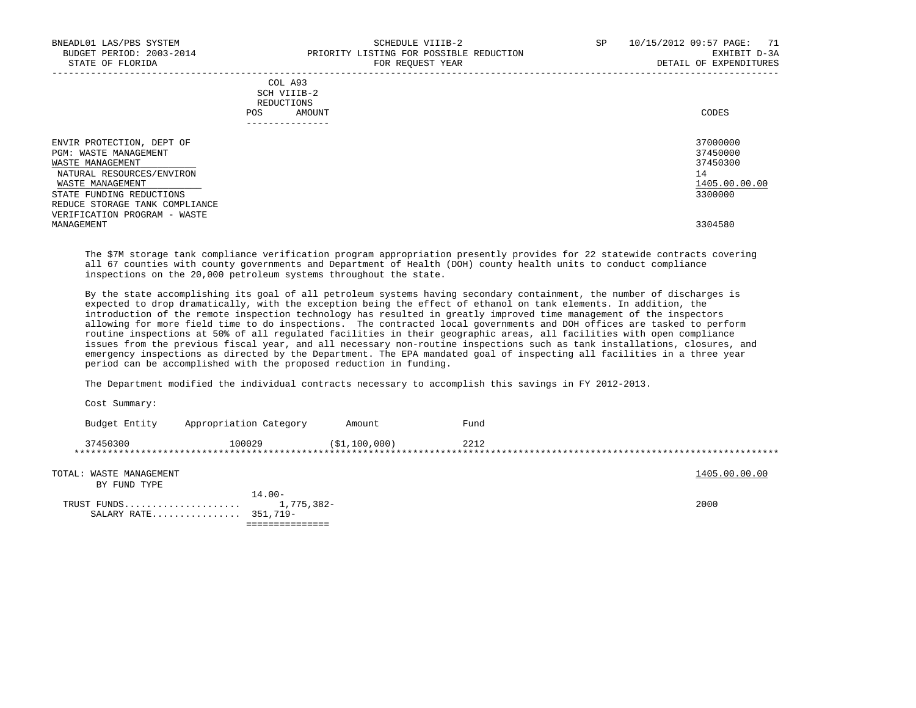|            | _______________ |       |
|------------|-----------------|-------|
| POS        | AMOUNT          | CODES |
| REDUCTIONS |                 |       |
|            | SCH VIIIB-2     |       |
|            | COL A93         |       |

| ENVIR PROTECTION, DEPT OF      | 37000000      |
|--------------------------------|---------------|
| PGM: WASTE MANAGEMENT          | 37450000      |
| WASTE MANAGEMENT               | 37450300      |
| NATURAL RESOURCES/ENVIRON      | 14            |
| WASTE MANAGEMENT               | 1405.00.00.00 |
| STATE FUNDING REDUCTIONS       | 3300000       |
| REDUCE STORAGE TANK COMPLIANCE |               |
| VERIFICATION PROGRAM - WASTE   |               |
| MANAGEMENT                     | 3304580       |
|                                |               |

 The \$7M storage tank compliance verification program appropriation presently provides for 22 statewide contracts covering all 67 counties with county governments and Department of Health (DOH) county health units to conduct compliance inspections on the 20,000 petroleum systems throughout the state.

 By the state accomplishing its goal of all petroleum systems having secondary containment, the number of discharges is expected to drop dramatically, with the exception being the effect of ethanol on tank elements. In addition, the introduction of the remote inspection technology has resulted in greatly improved time management of the inspectors allowing for more field time to do inspections. The contracted local governments and DOH offices are tasked to perform routine inspections at 50% of all regulated facilities in their geographic areas, all facilities with open compliance issues from the previous fiscal year, and all necessary non-routine inspections such as tank installations, closures, and emergency inspections as directed by the Department. The EPA mandated goal of inspecting all facilities in a three year period can be accomplished with the proposed reduction in funding.

The Department modified the individual contracts necessary to accomplish this savings in FY 2012-2013.

 Cost Summary: Budget Entity Appropriation Category Amount Fund 37450300 100029 (\$1,100,000) 2212 \*\*\*\*\*\*\*\*\*\*\*\*\*\*\*\*\*\*\*\*\*\*\*\*\*\*\*\*\*\*\*\*\*\*\*\*\*\*\*\*\*\*\*\*\*\*\*\*\*\*\*\*\*\*\*\*\*\*\*\*\*\*\*\*\*\*\*\*\*\*\*\*\*\*\*\*\*\*\*\*\*\*\*\*\*\*\*\*\*\*\*\*\*\*\*\*\*\*\*\*\*\*\*\*\*\*\*\*\*\*\*\*\*\*\*\*\*\*\*\*\*\*\*\*\*\*\* TOTAL: WASTE MANAGEMENT 1405.00.00 COLLECTED AND TOTAL: WASTE MANAGEMENT BY FUND TYPE 14.00- TRUST FUNDS..................... 1,775,382- 2000 SALARY RATE................ 351,719- ===============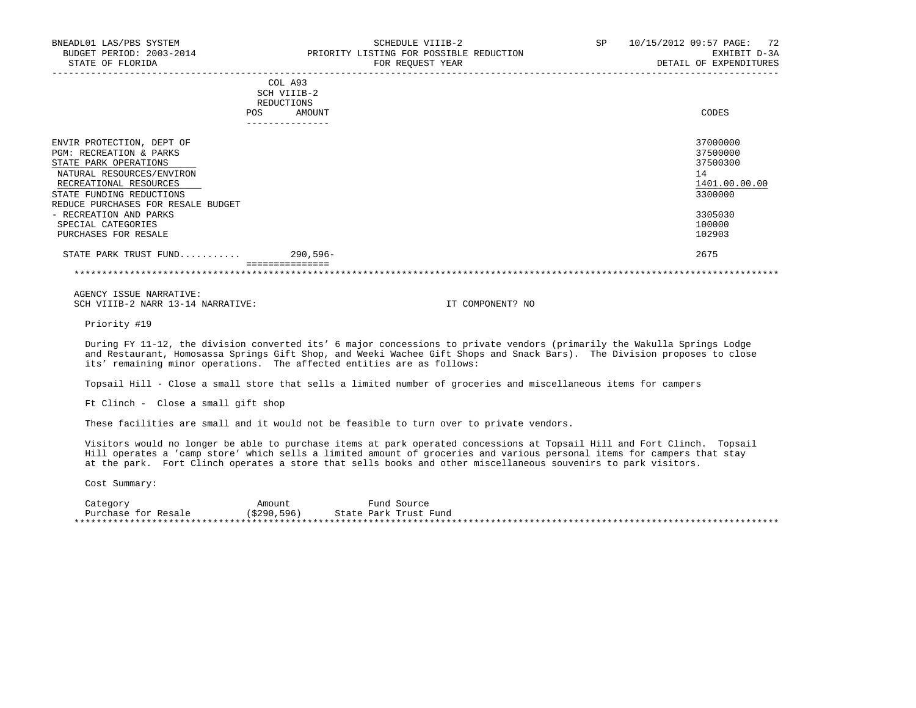| BNEADL01 LAS/PBS SYSTEM<br>BUDGET PERIOD: 2003-2014<br>STATE OF FLORIDA                                                                                                                                           |                                                    | SCHEDULE VIIIB-2<br>PRIORITY LISTING FOR POSSIBLE REDUCTION<br>FOR REOUEST YEAR | SP | 10/15/2012 09:57 PAGE:<br>72<br>EXHIBIT D-3A<br>DETAIL OF EXPENDITURES |
|-------------------------------------------------------------------------------------------------------------------------------------------------------------------------------------------------------------------|----------------------------------------------------|---------------------------------------------------------------------------------|----|------------------------------------------------------------------------|
|                                                                                                                                                                                                                   | COL A93<br>SCH VIIIB-2<br>REDUCTIONS<br><b>POS</b> | AMOUNT                                                                          |    | CODES                                                                  |
| ENVIR PROTECTION, DEPT OF<br><b>PGM: RECREATION &amp; PARKS</b><br>STATE PARK OPERATIONS<br>NATURAL RESOURCES/ENVIRON<br>RECREATIONAL RESOURCES<br>STATE FUNDING REDUCTIONS<br>REDUCE PURCHASES FOR RESALE BUDGET |                                                    |                                                                                 |    | 37000000<br>37500000<br>37500300<br>14<br>1401.00.00.00<br>3300000     |
| - RECREATION AND PARKS<br>SPECIAL CATEGORIES                                                                                                                                                                      |                                                    |                                                                                 |    | 3305030<br>100000                                                      |

PURCHASES FOR RESALE 102903 STATE PARK TRUST FUND........... 290,596- 2675 ===============

\*\*\*\*\*\*\*\*\*\*\*\*\*\*\*\*\*\*\*\*\*\*\*\*\*\*\*\*\*\*\*\*\*\*\*\*\*\*\*\*\*\*\*\*\*\*\*\*\*\*\*\*\*\*\*\*\*\*\*\*\*\*\*\*\*\*\*\*\*\*\*\*\*\*\*\*\*\*\*\*\*\*\*\*\*\*\*\*\*\*\*\*\*\*\*\*\*\*\*\*\*\*\*\*\*\*\*\*\*\*\*\*\*\*\*\*\*\*\*\*\*\*\*\*\*\*\*

 AGENCY ISSUE NARRATIVE: SCH VIIIB-2 NARR 13-14 NARRATIVE: IT COMPONENT? NO

Priority #19

 During FY 11-12, the division converted its' 6 major concessions to private vendors (primarily the Wakulla Springs Lodge and Restaurant, Homosassa Springs Gift Shop, and Weeki Wachee Gift Shops and Snack Bars). The Division proposes to close its' remaining minor operations. The affected entities are as follows:

Topsail Hill - Close a small store that sells a limited number of groceries and miscellaneous items for campers

Ft Clinch - Close a small gift shop

These facilities are small and it would not be feasible to turn over to private vendors.

 Visitors would no longer be able to purchase items at park operated concessions at Topsail Hill and Fort Clinch. Topsail Hill operates a 'camp store' which sells a limited amount of groceries and various personal items for campers that stay at the park. Fort Clinch operates a store that sells books and other miscellaneous souvenirs to park visitors.

Cost Summary:

Category **Amount** Amount Fund Source Purchase for Resale (\$290,596) State Park Trust Fund \*\*\*\*\*\*\*\*\*\*\*\*\*\*\*\*\*\*\*\*\*\*\*\*\*\*\*\*\*\*\*\*\*\*\*\*\*\*\*\*\*\*\*\*\*\*\*\*\*\*\*\*\*\*\*\*\*\*\*\*\*\*\*\*\*\*\*\*\*\*\*\*\*\*\*\*\*\*\*\*\*\*\*\*\*\*\*\*\*\*\*\*\*\*\*\*\*\*\*\*\*\*\*\*\*\*\*\*\*\*\*\*\*\*\*\*\*\*\*\*\*\*\*\*\*\*\*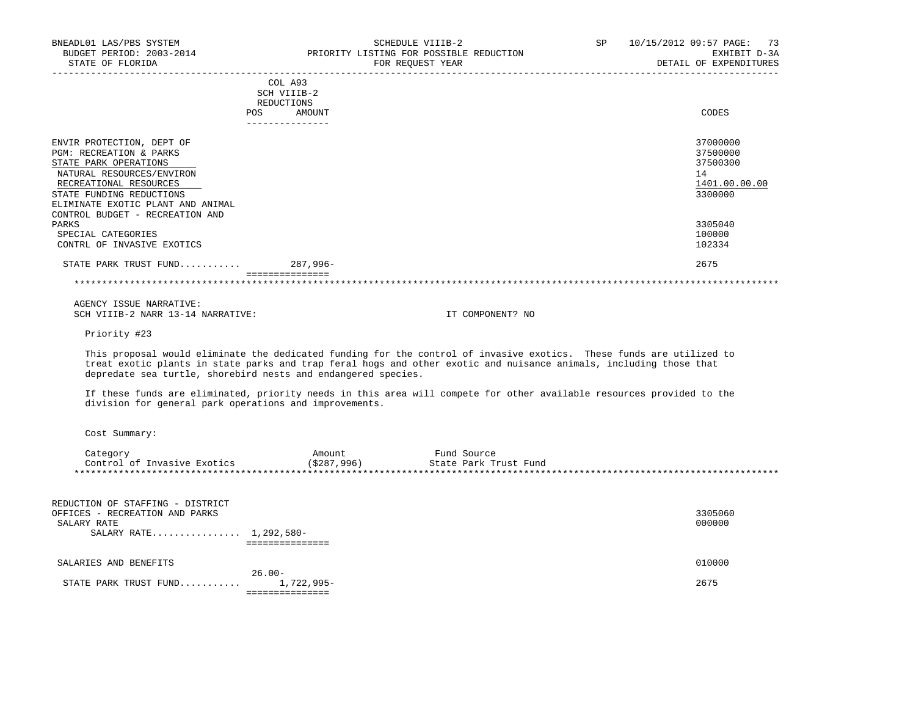|                                                                                                                                                                                                                                                     | COL A93<br>SCH VIIIB-2<br>REDUCTIONS<br>AMOUNT<br><b>POS</b> | CODES                                                              |
|-----------------------------------------------------------------------------------------------------------------------------------------------------------------------------------------------------------------------------------------------------|--------------------------------------------------------------|--------------------------------------------------------------------|
| ENVIR PROTECTION, DEPT OF<br><b>PGM: RECREATION &amp; PARKS</b><br>STATE PARK OPERATIONS<br>NATURAL RESOURCES/ENVIRON<br>RECREATIONAL RESOURCES<br>STATE FUNDING REDUCTIONS<br>ELIMINATE EXOTIC PLANT AND ANIMAL<br>CONTROL BUDGET - RECREATION AND |                                                              | 37000000<br>37500000<br>37500300<br>14<br>1401.00.00.00<br>3300000 |
| PARKS<br>SPECIAL CATEGORIES<br>CONTRL OF INVASIVE EXOTICS                                                                                                                                                                                           |                                                              | 3305040<br>100000<br>102334                                        |
| STATE PARK TRUST FUND                                                                                                                                                                                                                               | $287.996 -$                                                  | 2675                                                               |

 AGENCY ISSUE NARRATIVE: SCH VIIIB-2 NARR 13-14 NARRATIVE: IT COMPONENT? NO

Priority #23

 This proposal would eliminate the dedicated funding for the control of invasive exotics. These funds are utilized to treat exotic plants in state parks and trap feral hogs and other exotic and nuisance animals, including those that depredate sea turtle, shorebird nests and endangered species.

 If these funds are eliminated, priority needs in this area will compete for other available resources provided to the division for general park operations and improvements.

| Category                    | Amount        | Fund Source           |
|-----------------------------|---------------|-----------------------|
| Control of Invasive Exotics | ( \$287, 996) | State Park Trust Fund |
|                             |               |                       |

| REDUCTION OF STAFFING - DISTRICT   |         |
|------------------------------------|---------|
| OFFICES - RECREATION AND PARKS     | 3305060 |
| SALARY RATE                        | 000000  |
| SALARY RATE 1,292,580-             |         |
|                                    |         |
| SALARIES AND BENEFITS              | 010000  |
| $26.00 -$                          |         |
| STATE PARK TRUST FUND $1,722,995-$ | 2675    |
|                                    |         |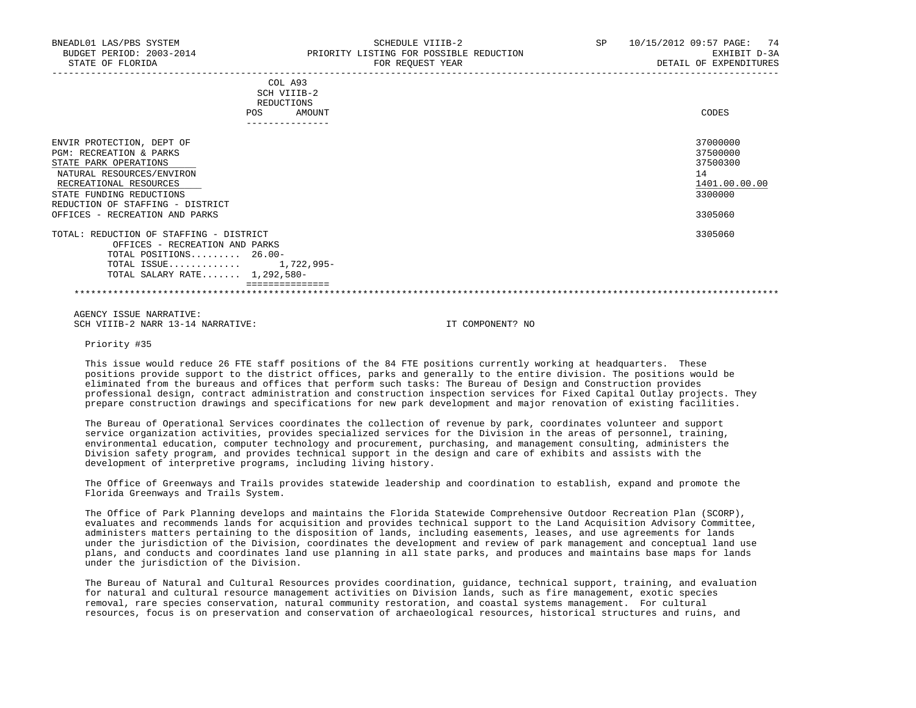| BNEADL01 LAS/PBS SYSTEM<br>BUDGET PERIOD: 2003-2014<br>STATE OF FLORIDA                                    | SCHEDULE VIIIB-2<br>PRIORITY LISTING FOR POSSIBLE REDUCTION<br>FOR REOUEST YEAR | 10/15/2012 09:57 PAGE: 74<br>SP.<br>EXHIBIT D-3A<br>DETAIL OF EXPENDITURES |
|------------------------------------------------------------------------------------------------------------|---------------------------------------------------------------------------------|----------------------------------------------------------------------------|
|                                                                                                            | COL A93<br>SCH VIIIB-2<br>REDUCTIONS<br><b>POS</b><br>AMOUNT<br>-------------   | CODES                                                                      |
| ENVIR PROTECTION, DEPT OF<br>PGM: RECREATION & PARKS<br>STATE PARK OPERATIONS<br>NATURAL RESOURCES/ENVIRON |                                                                                 | 37000000<br>37500000<br>37500300<br>14                                     |

 RECREATIONAL RESOURCES 1401.00.00.00 \_\_\_\_\_\_\_\_\_\_\_\_\_\_\_\_\_\_\_\_\_\_\_\_\_\_ \_\_\_\_\_\_\_\_\_\_\_\_\_ STATE FUNDING REDUCTIONS REDUCTION OF STAFFING - DISTRICT OFFICES - RECREATION AND PARKS 3305060

 TOTAL: REDUCTION OF STAFFING - DISTRICT 3305060 OFFICES - RECREATION AND PARKS TOTAL POSITIONS......... 26.00- TOTAL ISSUE............. 1,722,995-

 TOTAL SALARY RATE....... 1,292,580- ===============

\*\*\*\*\*\*\*\*\*\*\*\*\*\*\*\*\*\*\*\*\*\*\*\*\*\*\*\*\*\*\*\*\*\*\*\*\*\*\*\*\*\*\*\*\*\*\*\*\*\*\*\*\*\*\*\*\*\*\*\*\*\*\*\*\*\*\*\*\*\*\*\*\*\*\*\*\*\*\*\*\*\*\*\*\*\*\*\*\*\*\*\*\*\*\*\*\*\*\*\*\*\*\*\*\*\*\*\*\*\*\*\*\*\*\*\*\*\*\*\*\*\*\*\*\*\*\*

 AGENCY ISSUE NARRATIVE: SCH VIIIB-2 NARR 13-14 NARRATIVE: IT COMPONENT? NO

Priority #35

 This issue would reduce 26 FTE staff positions of the 84 FTE positions currently working at headquarters. These positions provide support to the district offices, parks and generally to the entire division. The positions would be eliminated from the bureaus and offices that perform such tasks: The Bureau of Design and Construction provides professional design, contract administration and construction inspection services for Fixed Capital Outlay projects. They prepare construction drawings and specifications for new park development and major renovation of existing facilities.

 The Bureau of Operational Services coordinates the collection of revenue by park, coordinates volunteer and support service organization activities, provides specialized services for the Division in the areas of personnel, training, environmental education, computer technology and procurement, purchasing, and management consulting, administers the Division safety program, and provides technical support in the design and care of exhibits and assists with the development of interpretive programs, including living history.

 The Office of Greenways and Trails provides statewide leadership and coordination to establish, expand and promote the Florida Greenways and Trails System.

 The Office of Park Planning develops and maintains the Florida Statewide Comprehensive Outdoor Recreation Plan (SCORP), evaluates and recommends lands for acquisition and provides technical support to the Land Acquisition Advisory Committee, administers matters pertaining to the disposition of lands, including easements, leases, and use agreements for lands under the jurisdiction of the Division, coordinates the development and review of park management and conceptual land use plans, and conducts and coordinates land use planning in all state parks, and produces and maintains base maps for lands under the jurisdiction of the Division.

 The Bureau of Natural and Cultural Resources provides coordination, guidance, technical support, training, and evaluation for natural and cultural resource management activities on Division lands, such as fire management, exotic species removal, rare species conservation, natural community restoration, and coastal systems management. For cultural resources, focus is on preservation and conservation of archaeological resources, historical structures and ruins, and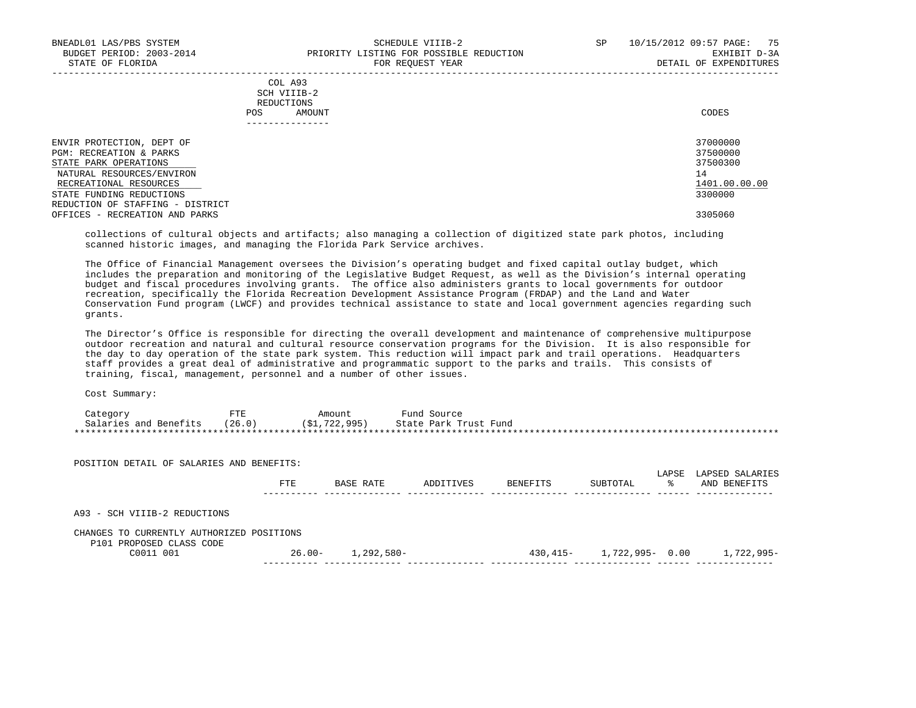-----------------------------------------------------------------------------------------------------------------------------------

|     | --------------- |       |
|-----|-----------------|-------|
| POS | AMOUNT          | CODES |
|     | REDUCTIONS      |       |
|     | SCH VIIIB-2     |       |
|     | COL A93         |       |

| ENVIR PROTECTION, DEPT OF        | 37000000      |
|----------------------------------|---------------|
| PGM: RECREATION & PARKS          | 37500000      |
| STATE PARK OPERATIONS            | 37500300      |
| NATURAL RESOURCES/ENVIRON        | 14            |
| RECREATIONAL RESOURCES           | 1401.00.00.00 |
| STATE FUNDING REDUCTIONS         | 3300000       |
| REDUCTION OF STAFFING - DISTRICT |               |
| OFFICES - RECREATION AND PARKS   | 3305060       |
|                                  |               |

 collections of cultural objects and artifacts; also managing a collection of digitized state park photos, including scanned historic images, and managing the Florida Park Service archives.

 The Office of Financial Management oversees the Division's operating budget and fixed capital outlay budget, which includes the preparation and monitoring of the Legislative Budget Request, as well as the Division's internal operating budget and fiscal procedures involving grants. The office also administers grants to local governments for outdoor recreation, specifically the Florida Recreation Development Assistance Program (FRDAP) and the Land and Water Conservation Fund program (LWCF) and provides technical assistance to state and local government agencies regarding such grants.

 The Director's Office is responsible for directing the overall development and maintenance of comprehensive multipurpose outdoor recreation and natural and cultural resource conservation programs for the Division. It is also responsible for the day to day operation of the state park system. This reduction will impact park and trail operations. Headquarters staff provides a great deal of administrative and programmatic support to the parks and trails. This consists of training, fiscal, management, personnel and a number of other issues.

| Category              | 모다모    | Amount        | Fund Source           |
|-----------------------|--------|---------------|-----------------------|
| Salaries and Benefits | (26.0) | (\$1,722,995) | State Park Trust Fund |
|                       |        |               |                       |

| POSITION DETAIL OF SALARIES AND BENEFITS:                             |           |            |           |          |                 |            |                                 |
|-----------------------------------------------------------------------|-----------|------------|-----------|----------|-----------------|------------|---------------------------------|
|                                                                       | FTE       | BASE RATE  | ADDITIVES | BENEFITS | SUBTOTAL        | LAPSE<br>° | LAPSED SALARIES<br>AND BENEFITS |
| A93 - SCH VIIIB-2 REDUCTIONS                                          |           |            |           |          |                 |            |                                 |
| CHANGES TO CURRENTLY AUTHORIZED POSITIONS<br>P101 PROPOSED CLASS CODE |           |            |           |          |                 |            |                                 |
| C0011 001                                                             | $26.00 -$ | 1,292,580- |           | 430,415- | 1,722,995- 0.00 |            | 1,722,995-                      |
|                                                                       |           |            |           |          |                 |            |                                 |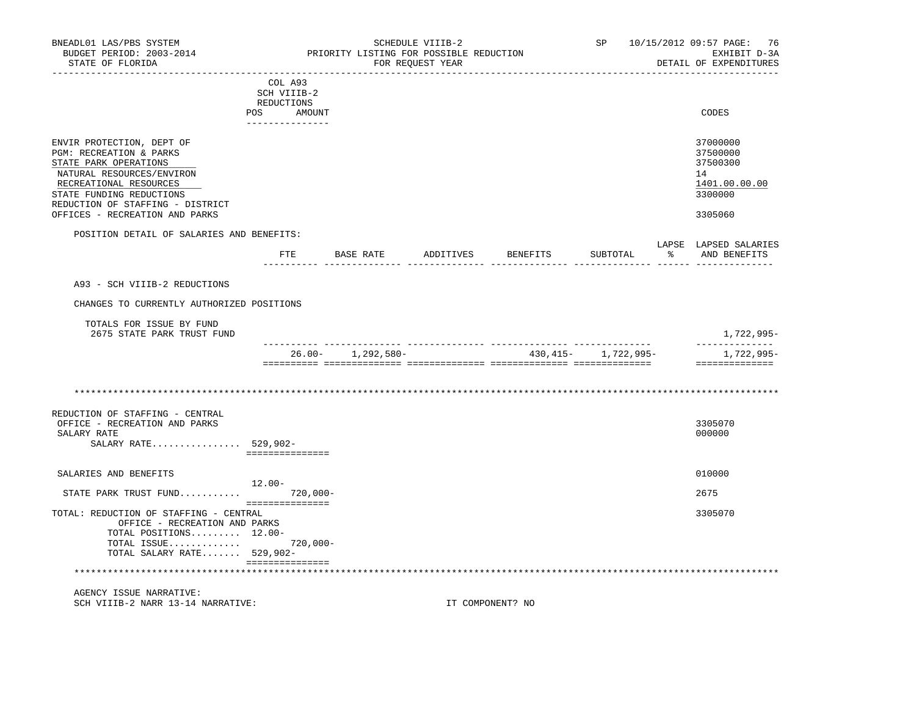| BNEADL01 LAS/PBS SYSTEM<br>BUDGET PERIOD: 2003-2014<br>STATE OF FLORIDA<br>--------------------                                                                                                                                        | __________________________                            | PRIORITY LISTING FOR POSSIBLE REDUCTION | SCHEDULE VIIIB-2<br>FOR REQUEST YEAR | __________________________ |                          | SP 10/15/2012 09:57 PAGE: 76<br>EXHIBIT D-3A<br>DETAIL OF EXPENDITURES        |
|----------------------------------------------------------------------------------------------------------------------------------------------------------------------------------------------------------------------------------------|-------------------------------------------------------|-----------------------------------------|--------------------------------------|----------------------------|--------------------------|-------------------------------------------------------------------------------|
|                                                                                                                                                                                                                                        | COL A93<br>SCH VIIIB-2<br>REDUCTIONS<br>POS<br>AMOUNT |                                         |                                      |                            |                          | CODES                                                                         |
| ENVIR PROTECTION, DEPT OF<br>PGM: RECREATION & PARKS<br>STATE PARK OPERATIONS<br>NATURAL RESOURCES/ENVIRON<br>RECREATIONAL RESOURCES<br>STATE FUNDING REDUCTIONS<br>REDUCTION OF STAFFING - DISTRICT<br>OFFICES - RECREATION AND PARKS |                                                       |                                         |                                      |                            |                          | 37000000<br>37500000<br>37500300<br>14<br>1401.00.00.00<br>3300000<br>3305060 |
| POSITION DETAIL OF SALARIES AND BENEFITS:                                                                                                                                                                                              |                                                       |                                         |                                      |                            |                          | LAPSE LAPSED SALARIES                                                         |
|                                                                                                                                                                                                                                        | ETE                                                   |                                         |                                      |                            | SUBTOTAL                 | % AND BENEFITS                                                                |
| A93 - SCH VIIIB-2 REDUCTIONS                                                                                                                                                                                                           |                                                       |                                         |                                      |                            |                          |                                                                               |
| CHANGES TO CURRENTLY AUTHORIZED POSITIONS                                                                                                                                                                                              |                                                       |                                         |                                      |                            |                          |                                                                               |
| TOTALS FOR ISSUE BY FUND<br>2675 STATE PARK TRUST FUND                                                                                                                                                                                 |                                                       |                                         |                                      |                            |                          | 1,722,995-                                                                    |
|                                                                                                                                                                                                                                        |                                                       | $26.00 - 1,292,580 -$                   |                                      |                            | 430, 415 - 1, 722, 995 - | 1,722,995-<br>==============                                                  |
|                                                                                                                                                                                                                                        |                                                       |                                         |                                      |                            |                          |                                                                               |
| REDUCTION OF STAFFING - CENTRAL<br>OFFICE - RECREATION AND PARKS<br>SALARY RATE<br>SALARY RATE 529,902-                                                                                                                                | ===============                                       |                                         |                                      |                            |                          | 3305070<br>000000                                                             |
| SALARIES AND BENEFITS                                                                                                                                                                                                                  |                                                       |                                         |                                      |                            |                          | 010000                                                                        |
| STATE PARK TRUST FUND 720,000-                                                                                                                                                                                                         | 12.00-                                                |                                         |                                      |                            |                          | 2675                                                                          |
| TOTAL: REDUCTION OF STAFFING - CENTRAL<br>OFFICE - RECREATION AND PARKS<br>TOTAL POSITIONS 12.00-<br>TOTAL ISSUE 720,000-<br>TOTAL SALARY RATE $529,902-$                                                                              | ===============                                       |                                         |                                      |                            |                          | 3305070                                                                       |
|                                                                                                                                                                                                                                        | ===============                                       |                                         |                                      |                            |                          |                                                                               |
| AGENCY ISSUE NARRATIVE:                                                                                                                                                                                                                |                                                       |                                         |                                      |                            |                          |                                                                               |

SCH VIIIB-2 NARR 13-14 NARRATIVE: IT COMPONENT? NO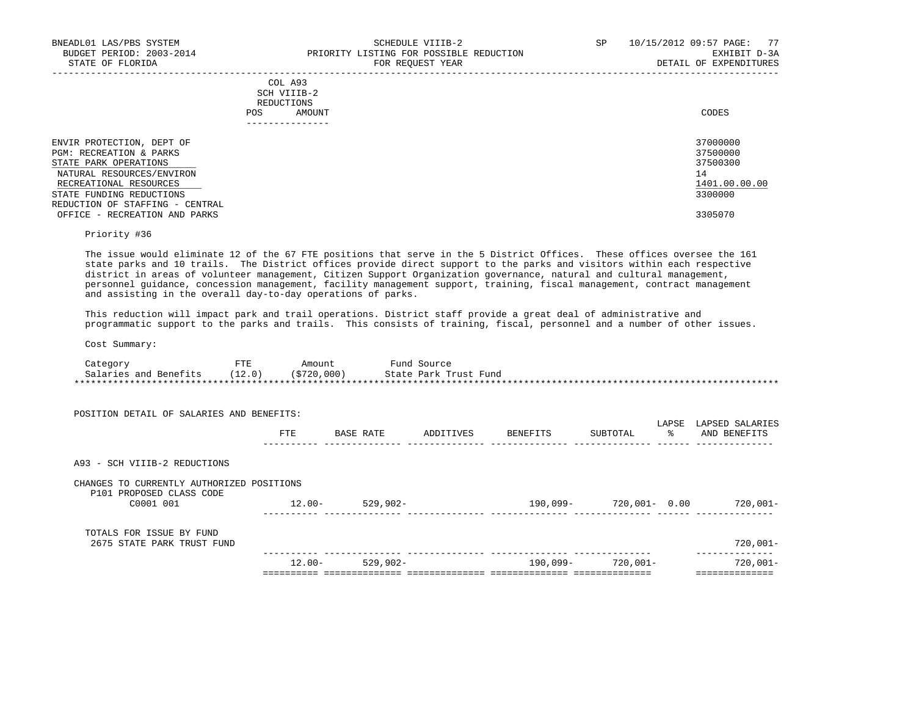|     | --------------- |       |
|-----|-----------------|-------|
| POS | AMOUNT          | CODES |
|     | REDUCTIONS      |       |
|     | SCH VIIIB-2     |       |
|     | COL A93         |       |

| ENVIR PROTECTION, DEPT OF       | 37000000      |
|---------------------------------|---------------|
| PGM: RECREATION & PARKS         | 37500000      |
| STATE PARK OPERATIONS           | 37500300      |
| NATURAL RESOURCES/ENVIRON       |               |
| RECREATIONAL RESOURCES          | 1401.00.00.00 |
| STATE FUNDING REDUCTIONS        | 3300000       |
| REDUCTION OF STAFFING - CENTRAL |               |
| OFFICE - RECREATION AND PARKS   | 3305070       |

-----------------------------------------------------------------------------------------------------------------------------------

Priority #36

 The issue would eliminate 12 of the 67 FTE positions that serve in the 5 District Offices. These offices oversee the 161 state parks and 10 trails. The District offices provide direct support to the parks and visitors within each respective district in areas of volunteer management, Citizen Support Organization governance, natural and cultural management, personnel guidance, concession management, facility management support, training, fiscal management, contract management and assisting in the overall day-to-day operations of parks.

 This reduction will impact park and trail operations. District staff provide a great deal of administrative and programmatic support to the parks and trails. This consists of training, fiscal, personnel and a number of other issues.

| Category              | FTE    | Amount      | Fund Source           |
|-----------------------|--------|-------------|-----------------------|
| Salaries and Benefits | (12.0) | (\$720,000) | State Park Trust Fund |
|                       |        |             |                       |

| POSITION DETAIL OF SALARIES AND BENEFITS:                                          |           |             |           |          |               |             |                                 |
|------------------------------------------------------------------------------------|-----------|-------------|-----------|----------|---------------|-------------|---------------------------------|
|                                                                                    | FTE       | BASE RATE   | ADDITIVES | BENEFITS | SUBTOTAL      | LAPSE<br>፟፠ | LAPSED SALARIES<br>AND BENEFITS |
| A93 - SCH VIIIB-2 REDUCTIONS                                                       |           |             |           |          |               |             |                                 |
| CHANGES TO CURRENTLY AUTHORIZED POSITIONS<br>P101 PROPOSED CLASS CODE<br>C0001 001 | $12.00 -$ | $529.902 -$ |           | 190,099- | 720,001- 0.00 |             | $720.001 -$                     |
| TOTALS FOR ISSUE BY FUND<br>2675 STATE PARK TRUST FUND                             |           |             |           |          |               |             | $720,001-$                      |
|                                                                                    | $12.00 -$ | $529,902 -$ |           | 190,099- | 720,001-      |             | $720,001 -$                     |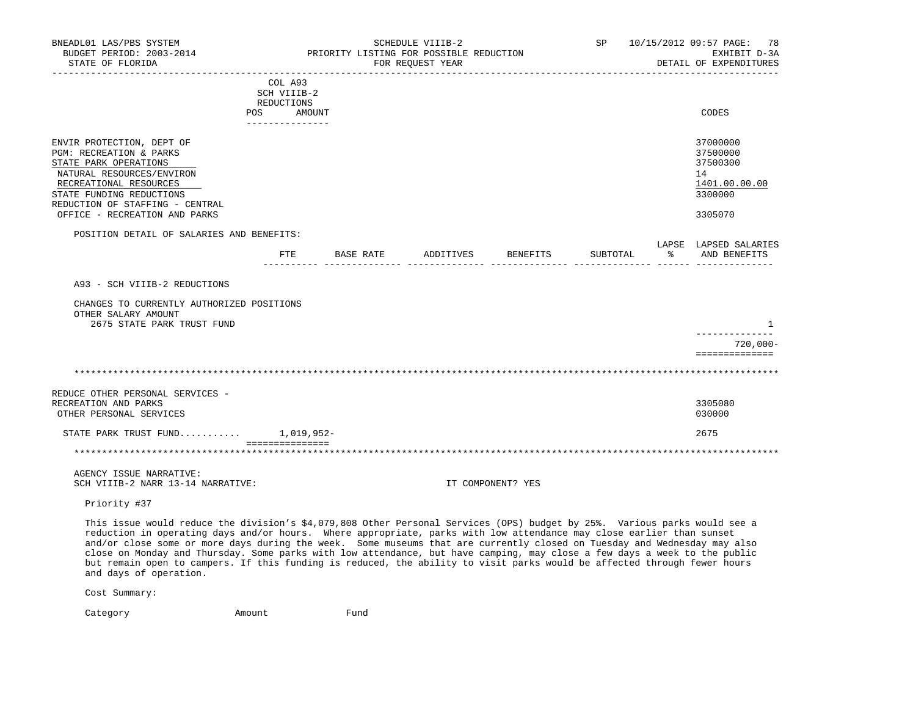| BNEADL01 LAS/PBS SYSTEM<br>BUDGET PERIOD: 2003-2014<br>STATE OF FLORIDA                                                                                                                                                                                                                                                                                                                                                                                                                                                                                                                                                                                          |                                                                                 | PRIORITY LISTING FOR POSSIBLE REDUCTION | SCHEDULE VIIIB-2<br>FOR REQUEST YEAR |                   | SP                                               | 10/15/2012 09:57 PAGE:<br>78<br>EXHIBIT D-3A<br>DETAIL OF EXPENDITURES        |
|------------------------------------------------------------------------------------------------------------------------------------------------------------------------------------------------------------------------------------------------------------------------------------------------------------------------------------------------------------------------------------------------------------------------------------------------------------------------------------------------------------------------------------------------------------------------------------------------------------------------------------------------------------------|---------------------------------------------------------------------------------|-----------------------------------------|--------------------------------------|-------------------|--------------------------------------------------|-------------------------------------------------------------------------------|
|                                                                                                                                                                                                                                                                                                                                                                                                                                                                                                                                                                                                                                                                  | COL A93<br>SCH VIIIB-2<br>REDUCTIONS<br>POS<br>AMOUNT<br><u>_______________</u> |                                         |                                      |                   |                                                  | CODES                                                                         |
| ENVIR PROTECTION, DEPT OF<br>PGM: RECREATION & PARKS<br>STATE PARK OPERATIONS<br>NATURAL RESOURCES/ENVIRON<br>RECREATIONAL RESOURCES<br>STATE FUNDING REDUCTIONS<br>REDUCTION OF STAFFING - CENTRAL<br>OFFICE - RECREATION AND PARKS                                                                                                                                                                                                                                                                                                                                                                                                                             |                                                                                 |                                         |                                      |                   |                                                  | 37000000<br>37500000<br>37500300<br>14<br>1401.00.00.00<br>3300000<br>3305070 |
| POSITION DETAIL OF SALARIES AND BENEFITS:                                                                                                                                                                                                                                                                                                                                                                                                                                                                                                                                                                                                                        |                                                                                 |                                         |                                      |                   |                                                  |                                                                               |
|                                                                                                                                                                                                                                                                                                                                                                                                                                                                                                                                                                                                                                                                  |                                                                                 | FTE BASE RATE ADDITIVES BENEFITS        |                                      |                   | SUBTOTAL<br>----- --------------- ------ ------- | LAPSE LAPSED SALARIES<br>% AND BENEFITS                                       |
| A93 - SCH VIIIB-2 REDUCTIONS                                                                                                                                                                                                                                                                                                                                                                                                                                                                                                                                                                                                                                     |                                                                                 |                                         |                                      |                   |                                                  |                                                                               |
| CHANGES TO CURRENTLY AUTHORIZED POSITIONS<br>OTHER SALARY AMOUNT<br>2675 STATE PARK TRUST FUND                                                                                                                                                                                                                                                                                                                                                                                                                                                                                                                                                                   |                                                                                 |                                         |                                      |                   |                                                  | 1<br>--------------<br>720,000-                                               |
|                                                                                                                                                                                                                                                                                                                                                                                                                                                                                                                                                                                                                                                                  |                                                                                 |                                         |                                      |                   |                                                  | ==============                                                                |
|                                                                                                                                                                                                                                                                                                                                                                                                                                                                                                                                                                                                                                                                  |                                                                                 |                                         |                                      |                   |                                                  |                                                                               |
| REDUCE OTHER PERSONAL SERVICES -<br>RECREATION AND PARKS<br>OTHER PERSONAL SERVICES                                                                                                                                                                                                                                                                                                                                                                                                                                                                                                                                                                              |                                                                                 |                                         |                                      |                   |                                                  | 3305080<br>030000                                                             |
| STATE PARK TRUST FUND $1,019,952-$                                                                                                                                                                                                                                                                                                                                                                                                                                                                                                                                                                                                                               |                                                                                 |                                         |                                      |                   |                                                  | 2675                                                                          |
|                                                                                                                                                                                                                                                                                                                                                                                                                                                                                                                                                                                                                                                                  | - ===============                                                               |                                         |                                      |                   |                                                  |                                                                               |
| AGENCY ISSUE NARRATIVE:<br>SCH VIIIB-2 NARR 13-14 NARRATIVE:                                                                                                                                                                                                                                                                                                                                                                                                                                                                                                                                                                                                     |                                                                                 |                                         |                                      | IT COMPONENT? YES |                                                  |                                                                               |
| Priority #37                                                                                                                                                                                                                                                                                                                                                                                                                                                                                                                                                                                                                                                     |                                                                                 |                                         |                                      |                   |                                                  |                                                                               |
| This issue would reduce the division's \$4,079,808 Other Personal Services (OPS) budget by 25%. Various parks would see a<br>reduction in operating days and/or hours. Where appropriate, parks with low attendance may close earlier than sunset<br>and/or close some or more days during the week. Some museums that are currently closed on Tuesday and Wednesday may also<br>close on Monday and Thursday. Some parks with low attendance, but have camping, may close a few days a week to the public<br>but remain open to campers. If this funding is reduced, the ability to visit parks would be affected through fewer hours<br>and days of operation. |                                                                                 |                                         |                                      |                   |                                                  |                                                                               |
| Cost Summary:                                                                                                                                                                                                                                                                                                                                                                                                                                                                                                                                                                                                                                                    |                                                                                 |                                         |                                      |                   |                                                  |                                                                               |

Category **Amount** Fund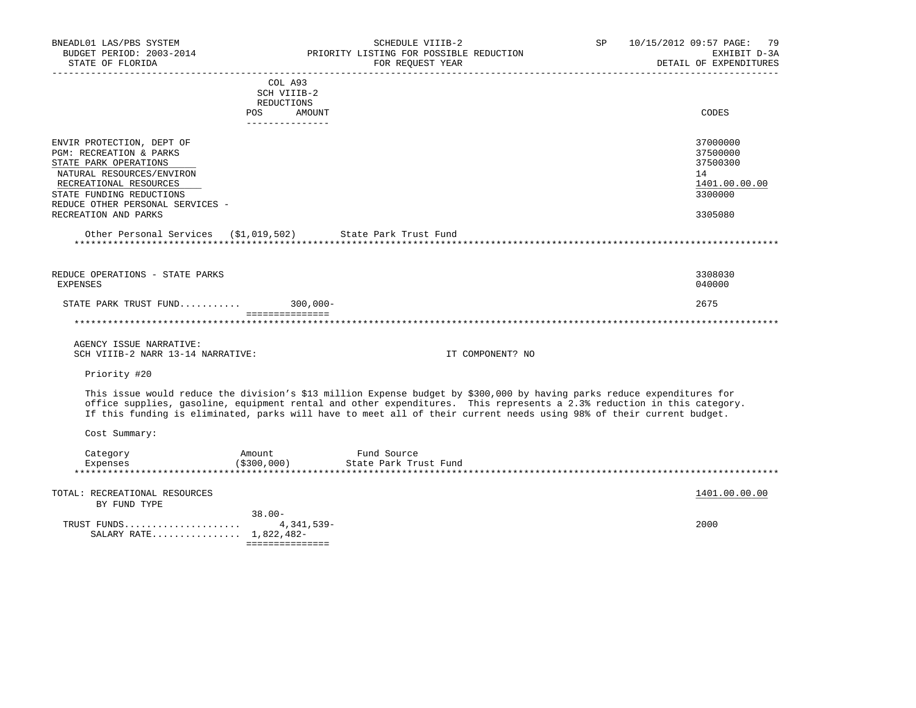| BNEADL01 LAS/PBS SYSTEM<br>BUDGET PERIOD: 2003-2014<br>STATE OF FLORIDA<br>-------------------- |                                                | SCHEDULE VIIIB-2<br>PRIORITY LISTING FOR POSSIBLE REDUCTION<br>FOR REQUEST YEAR                                                                                                                                                                                                                                                                                           | SP | 10/15/2012 09:57 PAGE:<br>79<br>EXHIBIT D-3A<br>DETAIL OF EXPENDITURES |
|-------------------------------------------------------------------------------------------------|------------------------------------------------|---------------------------------------------------------------------------------------------------------------------------------------------------------------------------------------------------------------------------------------------------------------------------------------------------------------------------------------------------------------------------|----|------------------------------------------------------------------------|
|                                                                                                 | COL A93<br>SCH VIIIB-2                         |                                                                                                                                                                                                                                                                                                                                                                           |    |                                                                        |
|                                                                                                 | REDUCTIONS<br>AMOUNT<br>POS<br>_______________ |                                                                                                                                                                                                                                                                                                                                                                           |    | CODES                                                                  |
| ENVIR PROTECTION, DEPT OF<br>PGM: RECREATION & PARKS                                            |                                                |                                                                                                                                                                                                                                                                                                                                                                           |    | 37000000<br>37500000                                                   |
| STATE PARK OPERATIONS<br>NATURAL RESOURCES/ENVIRON<br>RECREATIONAL RESOURCES                    |                                                |                                                                                                                                                                                                                                                                                                                                                                           |    | 37500300<br>14<br>1401.00.00.00                                        |
| STATE FUNDING REDUCTIONS<br>REDUCE OTHER PERSONAL SERVICES -<br>RECREATION AND PARKS            |                                                |                                                                                                                                                                                                                                                                                                                                                                           |    | 3300000<br>3305080                                                     |
| Other Personal Services (\$1,019,502) State Park Trust Fund                                     |                                                |                                                                                                                                                                                                                                                                                                                                                                           |    |                                                                        |
| REDUCE OPERATIONS - STATE PARKS<br><b>EXPENSES</b>                                              |                                                |                                                                                                                                                                                                                                                                                                                                                                           |    | 3308030<br>040000                                                      |
| STATE PARK TRUST FUND                                                                           | $300,000 -$<br>===============                 |                                                                                                                                                                                                                                                                                                                                                                           |    | 2675                                                                   |
|                                                                                                 |                                                |                                                                                                                                                                                                                                                                                                                                                                           |    |                                                                        |
| AGENCY ISSUE NARRATIVE:<br>SCH VIIIB-2 NARR 13-14 NARRATIVE:                                    |                                                | IT COMPONENT? NO                                                                                                                                                                                                                                                                                                                                                          |    |                                                                        |
| Priority #20                                                                                    |                                                |                                                                                                                                                                                                                                                                                                                                                                           |    |                                                                        |
|                                                                                                 |                                                | This issue would reduce the division's \$13 million Expense budget by \$300,000 by having parks reduce expenditures for<br>office supplies, gasoline, equipment rental and other expenditures. This represents a 2.3% reduction in this category.<br>If this funding is eliminated, parks will have to meet all of their current needs using 98% of their current budget. |    |                                                                        |
| Cost Summary:                                                                                   |                                                |                                                                                                                                                                                                                                                                                                                                                                           |    |                                                                        |
| Category<br>Expenses                                                                            | Amount<br>(\$300,000)                          | Fund Source<br>State Park Trust Fund                                                                                                                                                                                                                                                                                                                                      |    |                                                                        |
| TOTAL: RECREATIONAL RESOURCES<br>BY FUND TYPE                                                   |                                                |                                                                                                                                                                                                                                                                                                                                                                           |    | 1401.00.00.00                                                          |
| TRUST FUNDS<br>SALARY RATE 1,822,482-                                                           | $38.00 -$<br>4,341,539-<br>===============     |                                                                                                                                                                                                                                                                                                                                                                           |    | 2000                                                                   |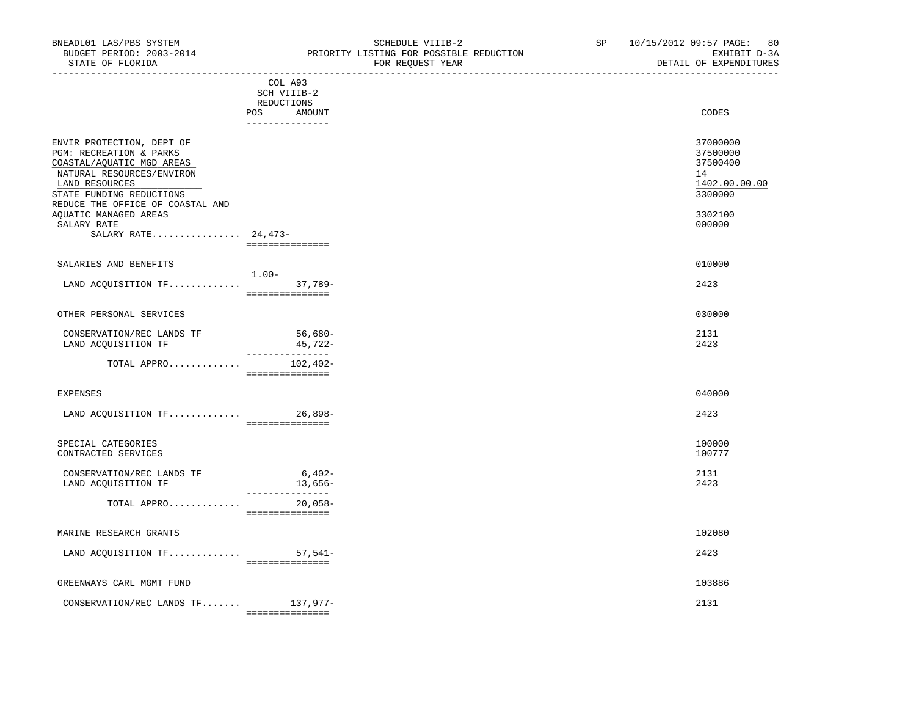|                                                                                                                                                                                                                                                                 | COL A93<br>SCH VIIIB-2<br>REDUCTIONS<br>POS AMOUNT<br>_______________ | CODES                                                                                   |
|-----------------------------------------------------------------------------------------------------------------------------------------------------------------------------------------------------------------------------------------------------------------|-----------------------------------------------------------------------|-----------------------------------------------------------------------------------------|
| ENVIR PROTECTION, DEPT OF<br>PGM: RECREATION & PARKS<br>COASTAL/AQUATIC MGD AREAS<br>NATURAL RESOURCES/ENVIRON<br>LAND RESOURCES<br>STATE FUNDING REDUCTIONS<br>REDUCE THE OFFICE OF COASTAL AND<br>AQUATIC MANAGED AREAS<br>SALARY RATE<br>SALARY RATE 24,473- | ===============                                                       | 37000000<br>37500000<br>37500400<br>14<br>1402.00.00.00<br>3300000<br>3302100<br>000000 |
| SALARIES AND BENEFITS                                                                                                                                                                                                                                           | $1.00 -$                                                              | 010000                                                                                  |
| LAND ACQUISITION TF                                                                                                                                                                                                                                             | $37,789-$<br>===============                                          | 2423                                                                                    |
| OTHER PERSONAL SERVICES                                                                                                                                                                                                                                         |                                                                       | 030000                                                                                  |
| CONSERVATION/REC LANDS TF<br>LAND ACQUISITION TF                                                                                                                                                                                                                | $56,680-$<br>45,722-<br>________________                              | 2131<br>2423                                                                            |
| TOTAL APPRO                                                                                                                                                                                                                                                     | $102, 402 -$<br>===============                                       |                                                                                         |
| EXPENSES                                                                                                                                                                                                                                                        |                                                                       | 040000                                                                                  |
| LAND ACQUISITION TF 26,898-                                                                                                                                                                                                                                     | ================                                                      | 2423                                                                                    |
| SPECIAL CATEGORIES<br>CONTRACTED SERVICES                                                                                                                                                                                                                       |                                                                       | 100000<br>100777                                                                        |
| CONSERVATION/REC LANDS TF<br>LAND ACQUISITION TF                                                                                                                                                                                                                | $6,402-$<br>$13,656-$                                                 | 2131<br>2423                                                                            |
| TOTAL APPRO                                                                                                                                                                                                                                                     | ---------------<br>$20,058-$<br>===============                       |                                                                                         |
| MARINE RESEARCH GRANTS                                                                                                                                                                                                                                          |                                                                       | 102080                                                                                  |
| LAND ACQUISITION TF                                                                                                                                                                                                                                             | $57,541-$                                                             | 2423                                                                                    |

 =============== GREENWAYS CARL MGMT FUND 103886 CONSERVATION/REC LANDS TF....... 137,977- 2131 ===============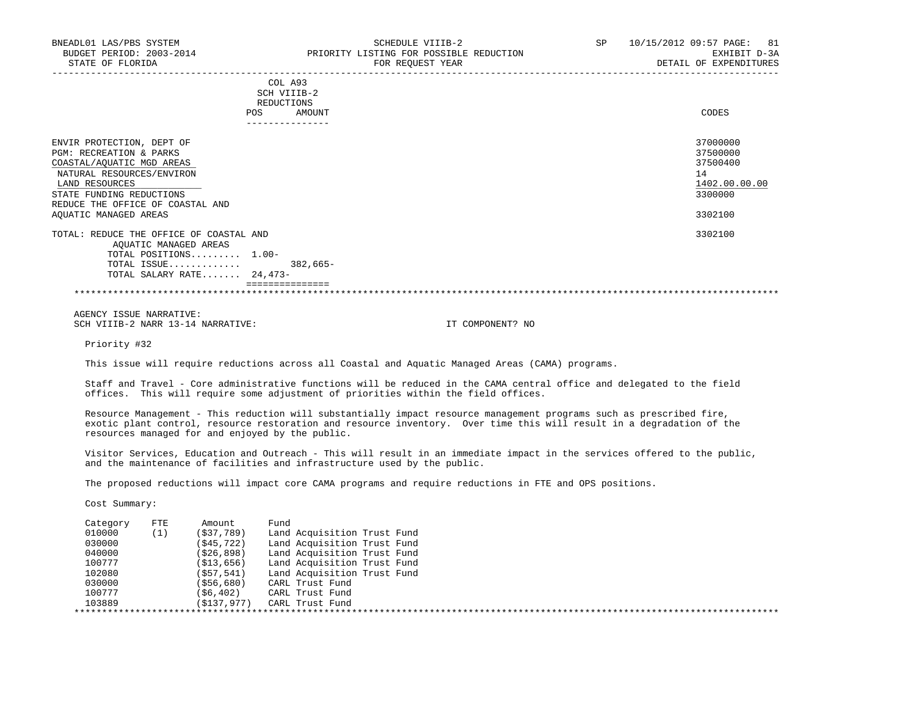| COL A93<br>SCH VIIIB-2<br>REDUCTIONS<br>AMOUNT | CODES                                                                                                                      |
|------------------------------------------------|----------------------------------------------------------------------------------------------------------------------------|
|                                                | 37000000<br>37500000<br>37500400<br>14<br>1402.00.00.00<br>3300000<br>3302100                                              |
| $382,665-$                                     | 3302100                                                                                                                    |
|                                                | <b>POS</b><br>TOTAL: REDUCE THE OFFICE OF COASTAL AND<br>TOTAL POSITIONS 1.00-<br>TOTAL ISSUE<br>TOTAL SALARY RATE 24,473- |

 AGENCY ISSUE NARRATIVE: SCH VIIIB-2 NARR 13-14 NARRATIVE: IT COMPONENT? NO

Priority #32

This issue will require reductions across all Coastal and Aquatic Managed Areas (CAMA) programs.

 Staff and Travel - Core administrative functions will be reduced in the CAMA central office and delegated to the field offices. This will require some adjustment of priorities within the field offices.

 Resource Management - This reduction will substantially impact resource management programs such as prescribed fire, exotic plant control, resource restoration and resource inventory. Over time this will result in a degradation of the resources managed for and enjoyed by the public.

 Visitor Services, Education and Outreach - This will result in an immediate impact in the services offered to the public, and the maintenance of facilities and infrastructure used by the public.

The proposed reductions will impact core CAMA programs and require reductions in FTE and OPS positions.

| Category | FTE. | Amount      | Fund                        |
|----------|------|-------------|-----------------------------|
| 010000   | (1)  | (S37,789)   | Land Acquisition Trust Fund |
| 030000   |      | (\$45,722)  | Land Acquisition Trust Fund |
| 040000   |      | (\$26,898)  | Land Acquisition Trust Fund |
| 100777   |      | (\$13,656)  | Land Acquisition Trust Fund |
| 102080   |      | (\$57,541)  | Land Acquisition Trust Fund |
| 030000   |      | (\$56,680)  | CARL Trust Fund             |
| 100777   |      | (\$6,402)   | CARL Trust Fund             |
| 103889   |      | (S137, 977) | CARL Trust Fund             |
|          |      |             |                             |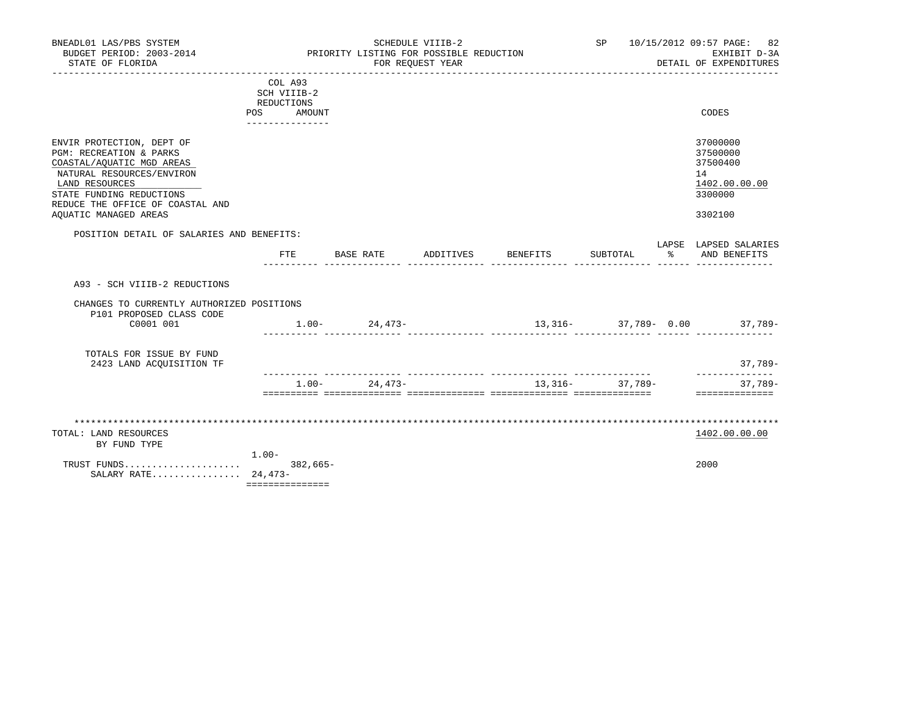| BNEADL01 LAS/PBS SYSTEM<br>BUDGET PERIOD: 2003-2014<br>STATE OF FLORIDA                                                                                                                                                   |                                                       | PRIORITY LISTING FOR POSSIBLE REDUCTION | SCHEDULE VIIIB-2<br>FOR REQUEST YEAR |                 | SP 10/15/2012 09:57 PAGE: 82<br>EXHIBIT D-3A<br>DETAIL OF EXPENDITURES        |
|---------------------------------------------------------------------------------------------------------------------------------------------------------------------------------------------------------------------------|-------------------------------------------------------|-----------------------------------------|--------------------------------------|-----------------|-------------------------------------------------------------------------------|
|                                                                                                                                                                                                                           | COL A93<br>SCH VIIIB-2<br>REDUCTIONS<br>AMOUNT<br>POS |                                         |                                      |                 | CODES                                                                         |
|                                                                                                                                                                                                                           | ______________                                        |                                         |                                      |                 |                                                                               |
| ENVIR PROTECTION, DEPT OF<br>PGM: RECREATION & PARKS<br>COASTAL/AQUATIC MGD AREAS<br>NATURAL RESOURCES/ENVIRON<br>LAND RESOURCES<br>STATE FUNDING REDUCTIONS<br>REDUCE THE OFFICE OF COASTAL AND<br>AQUATIC MANAGED AREAS |                                                       |                                         |                                      |                 | 37000000<br>37500000<br>37500400<br>14<br>1402.00.00.00<br>3300000<br>3302100 |
| POSITION DETAIL OF SALARIES AND BENEFITS:                                                                                                                                                                                 |                                                       |                                         |                                      |                 | LAPSE LAPSED SALARIES                                                         |
|                                                                                                                                                                                                                           | FTE                                                   | BASE RATE ADDITIVES BENEFITS            |                                      | SUBTOTAL        | % AND BENEFITS                                                                |
| A93 - SCH VIIIB-2 REDUCTIONS                                                                                                                                                                                              |                                                       |                                         |                                      |                 |                                                                               |
| CHANGES TO CURRENTLY AUTHORIZED POSITIONS<br>P101 PROPOSED CLASS CODE                                                                                                                                                     |                                                       |                                         |                                      |                 |                                                                               |
| C0001 001                                                                                                                                                                                                                 |                                                       | $1.00 - 24,473 -$                       |                                      |                 | $13,316 37,789-$ 0.00 $37,789-$                                               |
| TOTALS FOR ISSUE BY FUND<br>2423 LAND ACOUISITION TF                                                                                                                                                                      |                                                       |                                         |                                      |                 | $37,789-$                                                                     |
|                                                                                                                                                                                                                           | $1.00 -$                                              | 24,473-                                 |                                      | 13,316- 37,789- | _______________<br>$37,789-$                                                  |
|                                                                                                                                                                                                                           |                                                       |                                         |                                      |                 | ==============                                                                |
| TOTAL: LAND RESOURCES<br>BY FUND TYPE                                                                                                                                                                                     | $1.00-$                                               |                                         |                                      |                 | 1402.00.00.00                                                                 |
| TRUST FUNDS<br>SALARY RATE 24,473-                                                                                                                                                                                        | $382,665-$<br>===============                         |                                         |                                      |                 | 2000                                                                          |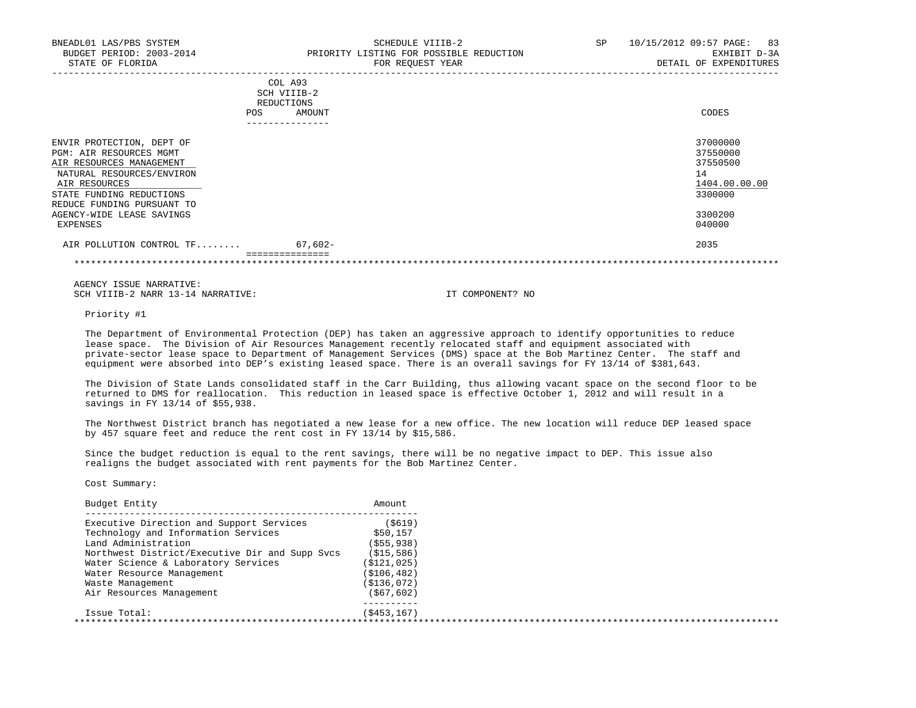| BNEADL01 LAS/PBS SYSTEM<br>BUDGET PERIOD: 2003-2014<br>STATE OF FLORIDA                                                                                    | SCHEDULE VIIIB-2<br>PRIORITY LISTING FOR POSSIBLE REDUCTION<br>FOR REOUEST YEAR | SP | 10/15/2012 09:57 PAGE: 83<br>EXHIBIT D-3A<br>DETAIL OF EXPENDITURES |
|------------------------------------------------------------------------------------------------------------------------------------------------------------|---------------------------------------------------------------------------------|----|---------------------------------------------------------------------|
|                                                                                                                                                            | COL A93<br>SCH VIIIB-2<br>REDUCTIONS<br>AMOUNT<br><b>POS</b>                    |    | CODES                                                               |
| ENVIR PROTECTION, DEPT OF<br>PGM: AIR RESOURCES MGMT<br>AIR RESOURCES MANAGEMENT<br>NATURAL RESOURCES/ENVIRON<br>AIR RESOURCES<br>STATE FUNDING REDUCTIONS |                                                                                 |    | 37000000<br>37550000<br>37550500<br>14<br>1404.00.00.00<br>3300000  |

 REDUCE FUNDING PURSUANT TO AGENCY-WIDE LEASE SAVINGS 3300200<br>EXPENSES 640000 EXPENSES 040000

AIR POLLUTION CONTROL TF........ 67,602-===============

\*\*\*\*\*\*\*\*\*\*\*\*\*\*\*\*\*\*\*\*\*\*\*\*\*\*\*\*\*\*\*\*\*\*\*\*\*\*\*\*\*\*\*\*\*\*\*\*\*\*\*\*\*\*\*\*\*\*\*\*\*\*\*\*\*\*\*\*\*\*\*\*\*\*\*\*\*\*\*\*\*\*\*\*\*\*\*\*\*\*\*\*\*\*\*\*\*\*\*\*\*\*\*\*\*\*\*\*\*\*\*\*\*\*\*\*\*\*\*\*\*\*\*\*\*\*\*

 AGENCY ISSUE NARRATIVE: SCH VIIIB-2 NARR 13-14 NARRATIVE: IT COMPONENT? NO

Priority #1

 The Department of Environmental Protection (DEP) has taken an aggressive approach to identify opportunities to reduce lease space. The Division of Air Resources Management recently relocated staff and equipment associated with private-sector lease space to Department of Management Services (DMS) space at the Bob Martinez Center. The staff and equipment were absorbed into DEP's existing leased space. There is an overall savings for FY 13/14 of \$381,643.

 The Division of State Lands consolidated staff in the Carr Building, thus allowing vacant space on the second floor to be returned to DMS for reallocation. This reduction in leased space is effective October 1, 2012 and will result in a savings in FY 13/14 of \$55,938.

 The Northwest District branch has negotiated a new lease for a new office. The new location will reduce DEP leased space by 457 square feet and reduce the rent cost in FY 13/14 by \$15,586.

 Since the budget reduction is equal to the rent savings, there will be no negative impact to DEP. This issue also realigns the budget associated with rent payments for the Bob Martinez Center.

| Budget Entity                                  | Amount        |  |
|------------------------------------------------|---------------|--|
| Executive Direction and Support Services       | (5619)        |  |
| Technology and Information Services            | \$50,157      |  |
| Land Administration                            | ( \$55, 938)  |  |
| Northwest District/Executive Dir and Supp Svcs | (S15, 586)    |  |
| Water Science & Laboratory Services            | ( \$121, 025) |  |
| Water Resource Management                      | ( \$106, 482) |  |
| Waste Management                               | ( \$136, 072) |  |
| Air Resources Management                       | ( \$67, 602)  |  |
| Issue Total:                                   | (S453, 167)   |  |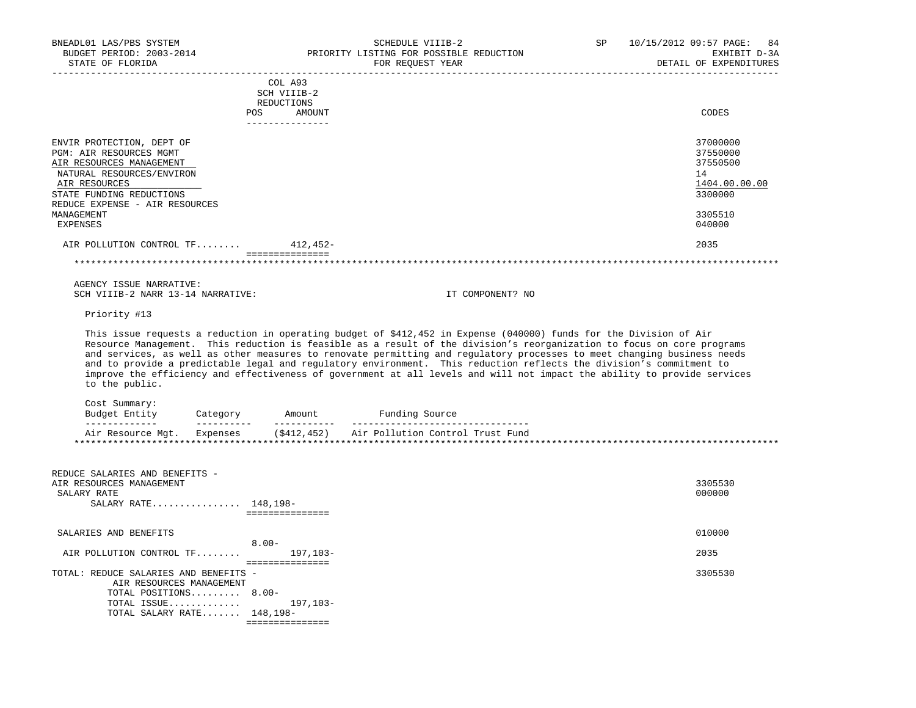| BNEADL01 LAS/PBS SYSTEM<br>BUDGET PERIOD: 2003-2014<br>STATE OF FLORIDA                                                                                                                                                |                                  | SCHEDULE VIIIB-2<br>PRIORITY LISTING FOR POSSIBLE REDUCTION<br>FOR REOUEST YEAR                                                                                                                                                                                                                                                                                                                                                                                                                | SP | 10/15/2012 09:57 PAGE: 84<br>EXHIBIT D-3A<br>DETAIL OF EXPENDITURES                     |
|------------------------------------------------------------------------------------------------------------------------------------------------------------------------------------------------------------------------|----------------------------------|------------------------------------------------------------------------------------------------------------------------------------------------------------------------------------------------------------------------------------------------------------------------------------------------------------------------------------------------------------------------------------------------------------------------------------------------------------------------------------------------|----|-----------------------------------------------------------------------------------------|
|                                                                                                                                                                                                                        | COL A93<br>SCH VIIIB-2           |                                                                                                                                                                                                                                                                                                                                                                                                                                                                                                |    |                                                                                         |
|                                                                                                                                                                                                                        | REDUCTIONS                       |                                                                                                                                                                                                                                                                                                                                                                                                                                                                                                |    |                                                                                         |
|                                                                                                                                                                                                                        | POS<br>AMOUNT<br>--------------- |                                                                                                                                                                                                                                                                                                                                                                                                                                                                                                |    | CODES                                                                                   |
| ENVIR PROTECTION, DEPT OF<br>PGM: AIR RESOURCES MGMT<br>AIR RESOURCES MANAGEMENT<br>NATURAL RESOURCES/ENVIRON<br>AIR RESOURCES<br>STATE FUNDING REDUCTIONS<br>REDUCE EXPENSE - AIR RESOURCES<br>MANAGEMENT<br>EXPENSES |                                  |                                                                                                                                                                                                                                                                                                                                                                                                                                                                                                |    | 37000000<br>37550000<br>37550500<br>14<br>1404.00.00.00<br>3300000<br>3305510<br>040000 |
| AIR POLLUTION CONTROL TF 412,452-                                                                                                                                                                                      |                                  |                                                                                                                                                                                                                                                                                                                                                                                                                                                                                                |    | 2035                                                                                    |
|                                                                                                                                                                                                                        | ---------------                  |                                                                                                                                                                                                                                                                                                                                                                                                                                                                                                |    |                                                                                         |
| AGENCY ISSUE NARRATIVE:<br>SCH VIIIB-2 NARR 13-14 NARRATIVE:                                                                                                                                                           |                                  | IT COMPONENT? NO                                                                                                                                                                                                                                                                                                                                                                                                                                                                               |    |                                                                                         |
| Priority #13                                                                                                                                                                                                           |                                  |                                                                                                                                                                                                                                                                                                                                                                                                                                                                                                |    |                                                                                         |
|                                                                                                                                                                                                                        |                                  | This issue requests a reduction in operating budget of \$412,452 in Expense (040000) funds for the Division of Air<br>Resource Management. This reduction is feasible as a result of the division's reorganization to focus on core programs<br>and services, as well as other measures to renovate permitting and regulatory processes to meet changing business needs<br>the contract of the second contract the contract of the contract of the contract of the contract of the contract of |    |                                                                                         |

 and to provide a predictable legal and regulatory environment. This reduction reflects the division's commitment to improve the efficiency and effectiveness of government at all levels and will not impact the ability to provide services to the public.

| Budget Entity     | Category   | Amount              | Funding Source                   |  |
|-------------------|------------|---------------------|----------------------------------|--|
| -------------     | ---------- | . _ _ _ _ _ _ _ _ _ |                                  |  |
| Air Resource Mqt. | Expenses   | (5412, 452)         | Air Pollution Control Trust Fund |  |
|                   |            |                     |                                  |  |

| REDUCE SALARIES AND BENEFITS -<br>AIR RESOURCES MANAGEMENT<br>SALARY RATE<br>SALARY RATE 148,198- |                 | 3305530<br>000000 |
|---------------------------------------------------------------------------------------------------|-----------------|-------------------|
| SALARIES AND BENEFITS                                                                             | $8.00 -$        | 010000            |
|                                                                                                   |                 |                   |
| AIR POLLUTION CONTROL TF                                                                          | 197,103-        | 2035              |
|                                                                                                   |                 |                   |
| TOTAL: REDUCE SALARIES AND BENEFITS -                                                             |                 | 3305530           |
| AIR RESOURCES MANAGEMENT                                                                          |                 |                   |
| TOTAL POSITIONS 8.00-                                                                             |                 |                   |
| TOTAL ISSUE                                                                                       | 197,103-        |                   |
| TOTAL SALARY RATE 148,198-                                                                        |                 |                   |
|                                                                                                   | =============== |                   |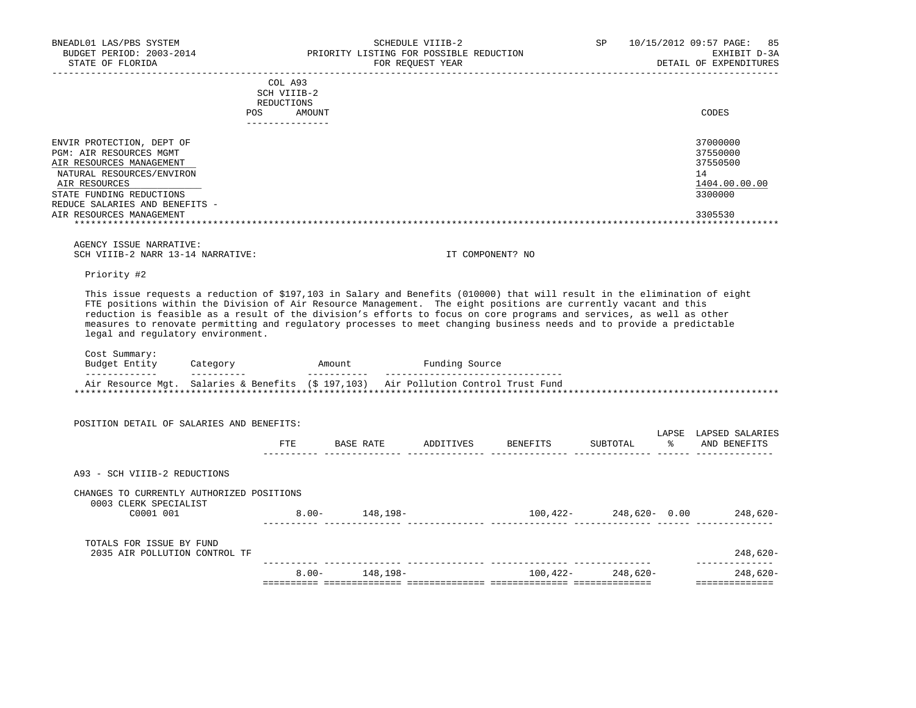| STATE OF FLORIDA               |                                                    | FOR REOUEST YEAR | DETAIL OF EXPENDITURES |
|--------------------------------|----------------------------------------------------|------------------|------------------------|
|                                | COL A93<br>SCH VIIIB-2<br>REDUCTIONS<br><b>POS</b> | AMOUNT           | CODES                  |
|                                |                                                    |                  |                        |
| ENVIR PROTECTION, DEPT OF      |                                                    |                  | 37000000               |
| PGM: AIR RESOURCES MGMT        |                                                    |                  | 37550000               |
| AIR RESOURCES MANAGEMENT       |                                                    |                  | 37550500               |
| NATURAL RESOURCES/ENVIRON      |                                                    |                  | 14                     |
| AIR RESOURCES                  |                                                    |                  | 1404.00.00.00          |
| STATE FUNDING REDUCTIONS       |                                                    |                  | 3300000                |
| REDUCE SALARIES AND BENEFITS - |                                                    |                  |                        |
| AIR RESOURCES MANAGEMENT       |                                                    |                  | 3305530                |
|                                |                                                    |                  |                        |

 AGENCY ISSUE NARRATIVE: SCH VIIIB-2 NARR 13-14 NARRATIVE: IT COMPONENT? NO

Priority #2

 This issue requests a reduction of \$197,103 in Salary and Benefits (010000) that will result in the elimination of eight FTE positions within the Division of Air Resource Management. The eight positions are currently vacant and this reduction is feasible as a result of the division's efforts to focus on core programs and services, as well as other measures to renovate permitting and regulatory processes to meet changing business needs and to provide a predictable legal and regulatory environment.

| Budget Entity<br>------------- | Category<br>------ | Amount | Funding Source                                                                      |  |
|--------------------------------|--------------------|--------|-------------------------------------------------------------------------------------|--|
|                                |                    |        | Air Resource Mgt. Salaries & Benefits (\$ 197,103) Air Pollution Control Trust Fund |  |

| POSITION DETAIL OF SALARIES AND BENEFITS:                          |          |           |           |          |               |              |                                 |
|--------------------------------------------------------------------|----------|-----------|-----------|----------|---------------|--------------|---------------------------------|
|                                                                    | FTE      | BASE RATE | ADDITIVES | BENEFITS | SUBTOTAL      | LAPSE<br>- 왕 | LAPSED SALARIES<br>AND BENEFITS |
| A93 - SCH VIIIB-2 REDUCTIONS                                       |          |           |           |          |               |              |                                 |
| CHANGES TO CURRENTLY AUTHORIZED POSITIONS<br>0003 CLERK SPECIALIST |          |           |           |          |               |              |                                 |
| C0001 001                                                          | $8.00 -$ | 148,198-  |           | 100,422- | 248,620- 0.00 |              | 248,620-                        |
| TOTALS FOR ISSUE BY FUND<br>2035 AIR POLLUTION CONTROL TF          |          |           |           |          |               |              | 248,620-                        |
|                                                                    | $8.00 -$ | 148,198-  |           | 100,422- | 248,620-      |              | 248,620-                        |
|                                                                    |          |           |           |          |               |              |                                 |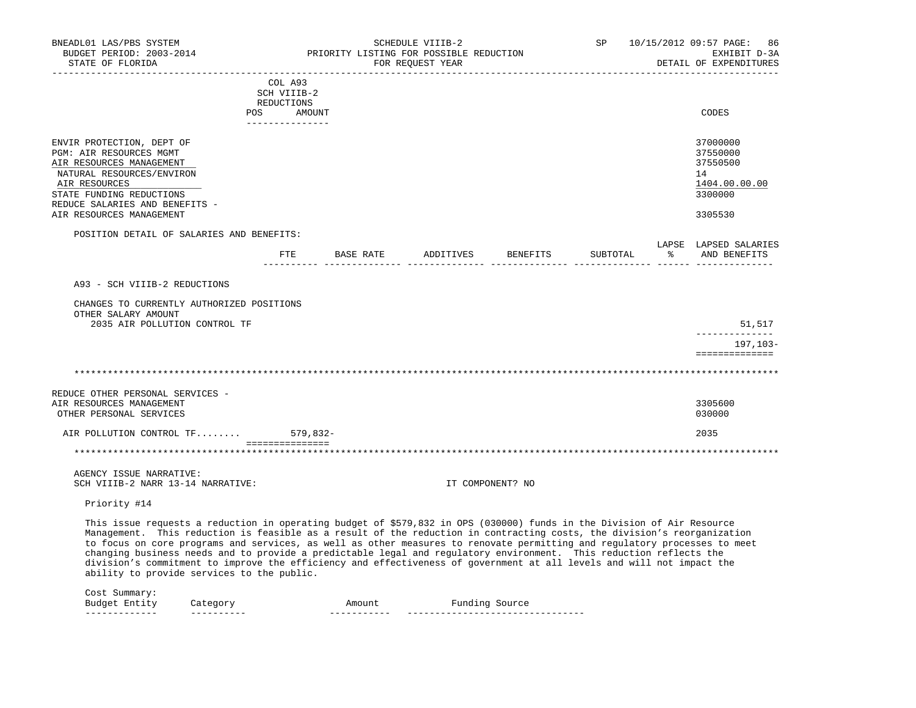| BNEADL01 LAS/PBS SYSTEM<br>BUDGET PERIOD: 2003-2014<br>STATE OF FLORIDA                                                                                                                                                                                                                                                                                                                                                                                                                                                                                                                                                                                                     |                                             |          | PRIORITY LISTING FOR POSSIBLE REDUCTION | SCHEDULE VIIIB-2<br>FOR REQUEST YEAR |                  | SP       |      | 10/15/2012 09:57 PAGE:<br>86<br>EXHIBIT D-3A<br>DETAIL OF EXPENDITURES        |
|-----------------------------------------------------------------------------------------------------------------------------------------------------------------------------------------------------------------------------------------------------------------------------------------------------------------------------------------------------------------------------------------------------------------------------------------------------------------------------------------------------------------------------------------------------------------------------------------------------------------------------------------------------------------------------|---------------------------------------------|----------|-----------------------------------------|--------------------------------------|------------------|----------|------|-------------------------------------------------------------------------------|
|                                                                                                                                                                                                                                                                                                                                                                                                                                                                                                                                                                                                                                                                             | COL A93<br>SCH VIIIB-2<br>REDUCTIONS<br>POS | AMOUNT   |                                         |                                      |                  |          |      | CODES                                                                         |
| ENVIR PROTECTION, DEPT OF<br>PGM: AIR RESOURCES MGMT<br>AIR RESOURCES MANAGEMENT<br>NATURAL RESOURCES/ENVIRON<br>AIR RESOURCES<br>STATE FUNDING REDUCTIONS<br>REDUCE SALARIES AND BENEFITS -<br>AIR RESOURCES MANAGEMENT                                                                                                                                                                                                                                                                                                                                                                                                                                                    | ---------------                             |          |                                         |                                      |                  |          |      | 37000000<br>37550000<br>37550500<br>14<br>1404.00.00.00<br>3300000<br>3305530 |
| POSITION DETAIL OF SALARIES AND BENEFITS:                                                                                                                                                                                                                                                                                                                                                                                                                                                                                                                                                                                                                                   |                                             |          |                                         |                                      |                  |          |      |                                                                               |
|                                                                                                                                                                                                                                                                                                                                                                                                                                                                                                                                                                                                                                                                             |                                             |          | FTE BASE RATE ADDITIVES                 |                                      | BENEFITS         | SUBTOTAL | ፟፟፟፟ | LAPSE LAPSED SALARIES<br>AND BENEFITS                                         |
| A93 - SCH VIIIB-2 REDUCTIONS                                                                                                                                                                                                                                                                                                                                                                                                                                                                                                                                                                                                                                                |                                             |          |                                         |                                      |                  |          |      |                                                                               |
| CHANGES TO CURRENTLY AUTHORIZED POSITIONS<br>OTHER SALARY AMOUNT<br>2035 AIR POLLUTION CONTROL TF                                                                                                                                                                                                                                                                                                                                                                                                                                                                                                                                                                           |                                             |          |                                         |                                      |                  |          |      | 51,517                                                                        |
|                                                                                                                                                                                                                                                                                                                                                                                                                                                                                                                                                                                                                                                                             |                                             |          |                                         |                                      |                  |          |      | ______________<br>197,103-                                                    |
|                                                                                                                                                                                                                                                                                                                                                                                                                                                                                                                                                                                                                                                                             |                                             |          |                                         |                                      |                  |          |      | ==============                                                                |
| REDUCE OTHER PERSONAL SERVICES -<br>AIR RESOURCES MANAGEMENT<br>OTHER PERSONAL SERVICES                                                                                                                                                                                                                                                                                                                                                                                                                                                                                                                                                                                     |                                             |          |                                         |                                      |                  |          |      | 3305600<br>030000                                                             |
| AIR POLLUTION CONTROL TF                                                                                                                                                                                                                                                                                                                                                                                                                                                                                                                                                                                                                                                    | ===============                             | 579,832- |                                         |                                      |                  |          |      | 2035                                                                          |
|                                                                                                                                                                                                                                                                                                                                                                                                                                                                                                                                                                                                                                                                             |                                             |          |                                         |                                      |                  |          |      |                                                                               |
| AGENCY ISSUE NARRATIVE:<br>SCH VIIIB-2 NARR 13-14 NARRATIVE:                                                                                                                                                                                                                                                                                                                                                                                                                                                                                                                                                                                                                |                                             |          |                                         |                                      | IT COMPONENT? NO |          |      |                                                                               |
| Priority #14                                                                                                                                                                                                                                                                                                                                                                                                                                                                                                                                                                                                                                                                |                                             |          |                                         |                                      |                  |          |      |                                                                               |
| This issue requests a reduction in operating budget of \$579,832 in OPS (030000) funds in the Division of Air Resource<br>Management. This reduction is feasible as a result of the reduction in contracting costs, the division's reorganization<br>to focus on core programs and services, as well as other measures to renovate permitting and regulatory processes to meet<br>changing business needs and to provide a predictable legal and regulatory environment. This reduction reflects the<br>division's commitment to improve the efficiency and effectiveness of government at all levels and will not impact the<br>ability to provide services to the public. |                                             |          |                                         |                                      |                  |          |      |                                                                               |
| Cost Summary:<br>Budget Entity<br>Category                                                                                                                                                                                                                                                                                                                                                                                                                                                                                                                                                                                                                                  |                                             |          | Amount                                  |                                      | Funding Source   |          |      |                                                                               |

------------- ---------- ----------- --------------------------------